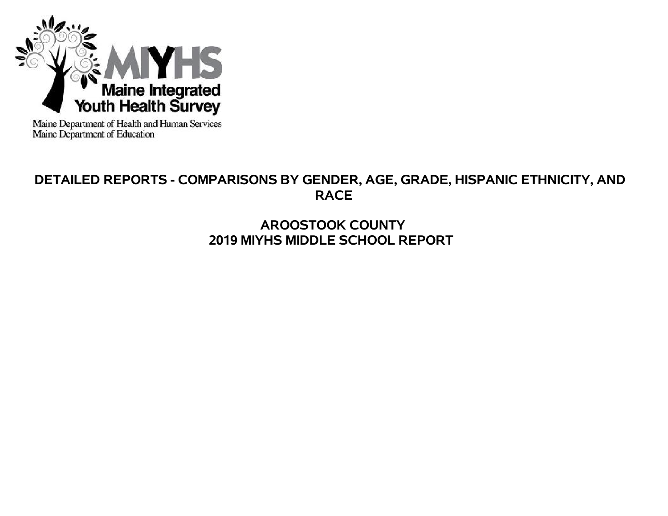

Maine Department of Health and Human Services<br>Maine Department of Education

# **DETAILED REPORTS - COMPARISONS BY GENDER, AGE, GRADE, HISPANIC ETHNICITY, AND RACE**

# **AROOSTOOK COUNTY 2019 MIYHS MIDDLE SCHOOL REPORT**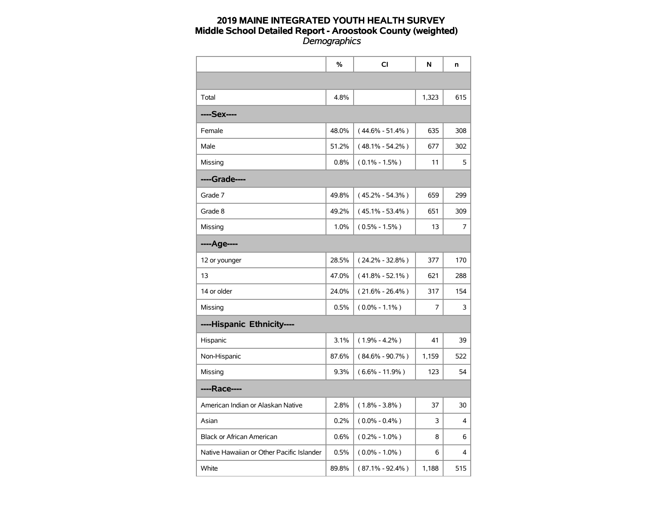|                                           | %     | CI                  | N     | n   |
|-------------------------------------------|-------|---------------------|-------|-----|
|                                           |       |                     |       |     |
| Total                                     | 4.8%  |                     | 1,323 | 615 |
| ----Sex----                               |       |                     |       |     |
| Female                                    | 48.0% | $(44.6\% - 51.4\%)$ | 635   | 308 |
| Male                                      | 51.2% | $(48.1\% - 54.2\%)$ | 677   | 302 |
| Missing                                   | 0.8%  | $(0.1\% - 1.5\%)$   | 11    | 5   |
| ----Grade----                             |       |                     |       |     |
| Grade 7                                   | 49.8% | $(45.2\% - 54.3\%)$ | 659   | 299 |
| Grade 8                                   | 49.2% | $(45.1\% - 53.4\%)$ | 651   | 309 |
| Missing                                   | 1.0%  | $(0.5\% - 1.5\%)$   | 13    | 7   |
| ----Age----                               |       |                     |       |     |
| 12 or younger                             | 28.5% | $(24.2\% - 32.8\%)$ | 377   | 170 |
| 13                                        | 47.0% | $(41.8\% - 52.1\%)$ | 621   | 288 |
| 14 or older                               | 24.0% | $(21.6\% - 26.4\%)$ | 317   | 154 |
| Missing                                   | 0.5%  | $(0.0\% - 1.1\%)$   | 7     | 3   |
| ----Hispanic Ethnicity----                |       |                     |       |     |
| Hispanic                                  | 3.1%  | $(1.9\% - 4.2\%)$   | 41    | 39  |
| Non-Hispanic                              | 87.6% | $(84.6\% - 90.7\%)$ | 1,159 | 522 |
| Missing                                   | 9.3%  | $(6.6\% - 11.9\%)$  | 123   | 54  |
| ----Race----                              |       |                     |       |     |
| American Indian or Alaskan Native         | 2.8%  | $(1.8\% - 3.8\%)$   | 37    | 30  |
| Asian                                     | 0.2%  | $(0.0\% - 0.4\%)$   | 3     | 4   |
| <b>Black or African American</b>          | 0.6%  | $(0.2\% - 1.0\%)$   | 8     | 6   |
| Native Hawaiian or Other Pacific Islander | 0.5%  | $(0.0\% - 1.0\%)$   | 6     | 4   |
| White                                     | 89.8% | $(87.1\% - 92.4\%)$ | 1,188 | 515 |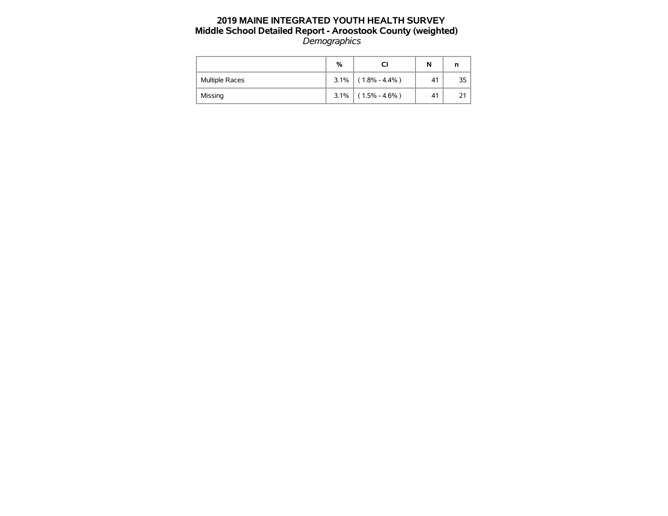|                | %    | Сı                | N  |    |
|----------------|------|-------------------|----|----|
| Multiple Races | 3.1% | $(1.8\% - 4.4\%)$ | 41 | 35 |
| Missing        | 3.1% | $(1.5\% - 4.6\%)$ | 41 |    |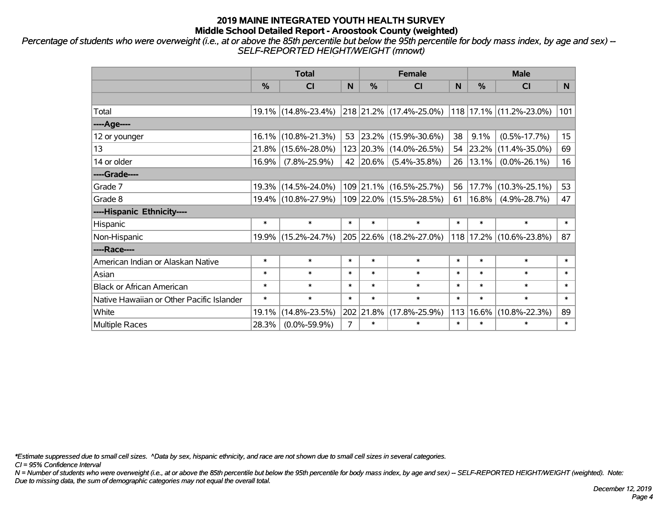*Percentage of students who were overweight (i.e., at or above the 85th percentile but below the 95th percentile for body mass index, by age and sex) -- SELF-REPORTED HEIGHT/WEIGHT (mnowt)*

|                                           | <b>Total</b>  |                     |        |           | <b>Female</b>            |        | <b>Male</b>   |                         |                  |  |
|-------------------------------------------|---------------|---------------------|--------|-----------|--------------------------|--------|---------------|-------------------------|------------------|--|
|                                           | $\frac{0}{0}$ | <b>CI</b>           | N      | %         | <b>CI</b>                | N      | $\frac{0}{0}$ | <b>CI</b>               | N                |  |
|                                           |               |                     |        |           |                          |        |               |                         |                  |  |
| Total                                     |               | 19.1% (14.8%-23.4%) |        |           | 218 21.2% (17.4%-25.0%)  |        |               | 118 17.1% (11.2%-23.0%) | 101              |  |
| ----Age----                               |               |                     |        |           |                          |        |               |                         |                  |  |
| 12 or younger                             |               | 16.1% (10.8%-21.3%) | 53     |           | $ 23.2\% $ (15.9%-30.6%) | 38     | 9.1%          | $(0.5\% - 17.7\%)$      | 15 <sub>15</sub> |  |
| 13                                        |               | 21.8% (15.6%-28.0%) |        |           | 123 20.3% (14.0%-26.5%)  | 54     | 23.2%         | $(11.4\% - 35.0\%)$     | 69               |  |
| 14 or older                               | 16.9%         | $(7.8\% - 25.9\%)$  |        | 42 20.6%  | $(5.4\% - 35.8\%)$       | 26     | $13.1\%$      | $(0.0\% - 26.1\%)$      | 16               |  |
| ----Grade----                             |               |                     |        |           |                          |        |               |                         |                  |  |
| Grade 7                                   |               | 19.3% (14.5%-24.0%) |        |           | 109 21.1% (16.5%-25.7%)  | 56     | 17.7%         | $(10.3\% - 25.1\%)$     | 53               |  |
| Grade 8                                   |               | 19.4% (10.8%-27.9%) |        |           | 109 22.0% (15.5%-28.5%)  | 61     | $16.8\%$      | $(4.9\% - 28.7\%)$      | 47               |  |
| ----Hispanic Ethnicity----                |               |                     |        |           |                          |        |               |                         |                  |  |
| Hispanic                                  | $\ast$        | $\ast$              | $\ast$ | $\ast$    | $\ast$                   | $\ast$ | $\ast$        | $\ast$                  | $\ast$           |  |
| Non-Hispanic                              |               | 19.9% (15.2%-24.7%) |        |           | 205 22.6% (18.2%-27.0%)  | 118    | 17.2%         | $(10.6\% - 23.8\%)$     | 87               |  |
| ----Race----                              |               |                     |        |           |                          |        |               |                         |                  |  |
| American Indian or Alaskan Native         | $\ast$        | $\ast$              | $\ast$ | $\ast$    | $\ast$                   | $\ast$ | $\ast$        | $\ast$                  | $\ast$           |  |
| Asian                                     | $\ast$        | $\ast$              | $\ast$ | $\ast$    | $\ast$                   | $\ast$ | $\ast$        | $\ast$                  | $\ast$           |  |
| <b>Black or African American</b>          | $\ast$        | $\ast$              | $\ast$ | $\ast$    | $\ast$                   | $\ast$ | $\ast$        | $\ast$                  | $\ast$           |  |
| Native Hawaiian or Other Pacific Islander | $\ast$        | $\ast$              | $\ast$ | $\ast$    | $\ast$                   | $\ast$ | $\ast$        | $\ast$                  | $\ast$           |  |
| White                                     | 19.1%         | $(14.8\% - 23.5\%)$ |        | 202 21.8% | $(17.8\% - 25.9\%)$      | 113    | 16.6%         | $(10.8\% - 22.3\%)$     | 89               |  |
| <b>Multiple Races</b>                     | 28.3%         | $(0.0\% - 59.9\%)$  | 7      | $\ast$    | $\ast$                   | $\ast$ | $\ast$        | $\ast$                  | $\ast$           |  |

*\*Estimate suppressed due to small cell sizes. ^Data by sex, hispanic ethnicity, and race are not shown due to small cell sizes in several categories.*

*CI = 95% Confidence Interval*

*N = Number of students who were overweight (i.e., at or above the 85th percentile but below the 95th percentile for body mass index, by age and sex) -- SELF-REPORTED HEIGHT/WEIGHT (weighted). Note: Due to missing data, the sum of demographic categories may not equal the overall total.*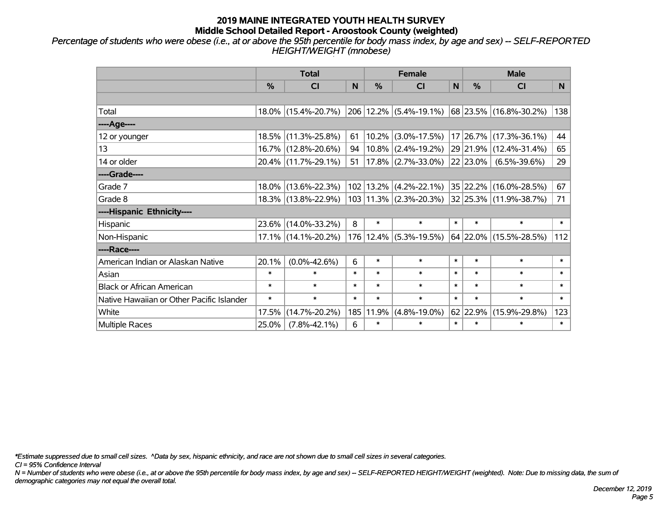*Percentage of students who were obese (i.e., at or above the 95th percentile for body mass index, by age and sex) -- SELF-REPORTED HEIGHT/WEIGHT (mnobese)*

|                                           |               | <b>Total</b>           |        | <b>Female</b> |                              | <b>Male</b> |          |                        |        |
|-------------------------------------------|---------------|------------------------|--------|---------------|------------------------------|-------------|----------|------------------------|--------|
|                                           | $\frac{0}{0}$ | CI                     | N      | %             | <b>CI</b>                    | N           | %        | <b>CI</b>              | N.     |
|                                           |               |                        |        |               |                              |             |          |                        |        |
| Total                                     |               | 18.0% (15.4%-20.7%)    |        |               | 206 12.2% (5.4%-19.1%)       |             |          | 68 23.5% (16.8%-30.2%) | 138    |
| ----Age----                               |               |                        |        |               |                              |             |          |                        |        |
| 12 or younger                             |               | 18.5% (11.3%-25.8%)    | 61     | $10.2\%$      | $(3.0\% - 17.5\%)$           |             |          | 17 26.7% (17.3%-36.1%) | 44     |
| 13                                        |               | 16.7% (12.8%-20.6%)    | 94     |               | $10.8\%$ (2.4%-19.2%)        |             |          | 29 21.9% (12.4%-31.4%) | 65     |
| 14 or older                               |               | 20.4% (11.7%-29.1%)    | 51     |               | $17.8\%$ (2.7%-33.0%)        |             | 22 23.0% | $(6.5\% - 39.6\%)$     | 29     |
| ----Grade----                             |               |                        |        |               |                              |             |          |                        |        |
| Grade 7                                   |               | 18.0% (13.6%-22.3%)    |        |               | $102$   13.2%   (4.2%-22.1%) |             |          | 35 22.2% (16.0%-28.5%) | 67     |
| Grade 8                                   |               | 18.3% (13.8%-22.9%)    |        |               | $103 11.3\% $ (2.3%-20.3%)   |             |          | 32 25.3% (11.9%-38.7%) | 71     |
| ----Hispanic Ethnicity----                |               |                        |        |               |                              |             |          |                        |        |
| Hispanic                                  | 23.6%         | $(14.0\% - 33.2\%)$    | 8      | $\ast$        | $\ast$                       | $\ast$      | $\ast$   | $\ast$                 | $\ast$ |
| Non-Hispanic                              |               | $17.1\%$ (14.1%-20.2%) |        | 176 12.4%     | $(5.3\% - 19.5\%)$           |             |          | 64 22.0% (15.5%-28.5%) | 112    |
| ----Race----                              |               |                        |        |               |                              |             |          |                        |        |
| American Indian or Alaskan Native         | 20.1%         | $(0.0\% - 42.6\%)$     | 6      | $\ast$        | $\ast$                       | $\ast$      | $\ast$   | $\ast$                 | $\ast$ |
| Asian                                     | $\ast$        | $\ast$                 | $\ast$ | $\ast$        | $\ast$                       | $\ast$      | $\ast$   | $\ast$                 | $\ast$ |
| <b>Black or African American</b>          | $\ast$        | $\ast$                 | $\ast$ | $\ast$        | $\ast$                       | $\ast$      | $\ast$   | $\ast$                 | $\ast$ |
| Native Hawaiian or Other Pacific Islander | $\ast$        | $\ast$                 | $\ast$ | $\ast$        | $\ast$                       | $\ast$      | $\ast$   | $\ast$                 | $\ast$ |
| White                                     | 17.5%         | $(14.7\% - 20.2\%)$    | 185    | 11.9%         | $(4.8\% - 19.0\%)$           |             | 62 22.9% | $(15.9\% - 29.8\%)$    | 123    |
| Multiple Races                            | 25.0%         | $(7.8\% - 42.1\%)$     | 6      | $\ast$        | $\ast$                       | $\ast$      | $\ast$   | $\ast$                 | $\ast$ |

*\*Estimate suppressed due to small cell sizes. ^Data by sex, hispanic ethnicity, and race are not shown due to small cell sizes in several categories.*

*CI = 95% Confidence Interval*

*N = Number of students who were obese (i.e., at or above the 95th percentile for body mass index, by age and sex) -- SELF-REPORTED HEIGHT/WEIGHT (weighted). Note: Due to missing data, the sum of demographic categories may not equal the overall total.*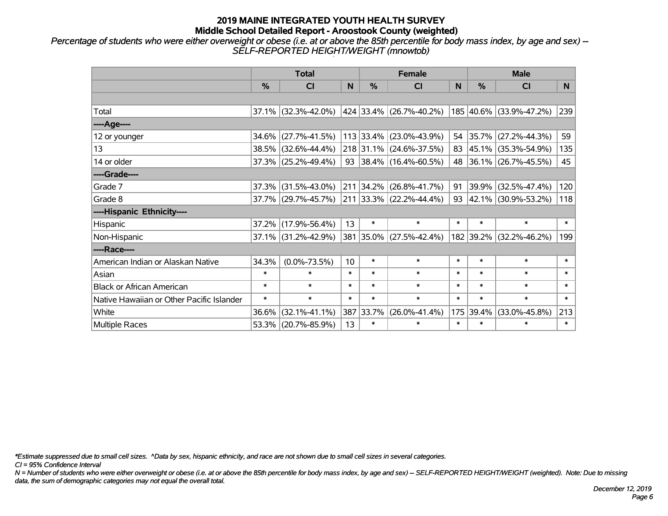*Percentage of students who were either overweight or obese (i.e. at or above the 85th percentile for body mass index, by age and sex) -- SELF-REPORTED HEIGHT/WEIGHT (mnowtob)*

|                                           | <b>Total</b> |                     |        |               | <b>Female</b>                                   |        | <b>Male</b>   |                          |                |  |
|-------------------------------------------|--------------|---------------------|--------|---------------|-------------------------------------------------|--------|---------------|--------------------------|----------------|--|
|                                           | %            | <b>CI</b>           | N      | $\frac{0}{0}$ | <b>CI</b>                                       | N      | $\frac{0}{0}$ | <b>CI</b>                | N <sub>1</sub> |  |
|                                           |              |                     |        |               |                                                 |        |               |                          |                |  |
| Total                                     | 37.1%        | $(32.3\% - 42.0\%)$ |        |               | 424   33.4%   (26.7%-40.2%)                     |        |               | 185 40.6% (33.9%-47.2%)  | 239            |  |
| ----Age----                               |              |                     |        |               |                                                 |        |               |                          |                |  |
| 12 or younger                             | 34.6%        | $(27.7\% - 41.5\%)$ |        |               | 113 33.4% (23.0%-43.9%)                         | 54     | 35.7%         | $(27.2\% - 44.3\%)$      | 59             |  |
| 13                                        | 38.5%        | $(32.6\% - 44.4\%)$ |        |               | 218 31.1% (24.6%-37.5%)                         | 83     |               | $ 45.1\% $ (35.3%-54.9%) | 135            |  |
| 14 or older                               |              | 37.3% (25.2%-49.4%) |        |               | 93 38.4% (16.4%-60.5%)                          |        |               | 48 36.1% (26.7%-45.5%)   | 45             |  |
| ----Grade----                             |              |                     |        |               |                                                 |        |               |                          |                |  |
| Grade 7                                   | 37.3%        | $(31.5\% - 43.0\%)$ |        | 211 34.2%     | $(26.8\% - 41.7\%)$                             | 91     | 39.9%         | $(32.5\% - 47.4\%)$      | 120            |  |
| Grade 8                                   |              | 37.7% (29.7%-45.7%) |        |               | $\vert$ 211 $\vert$ 33.3% $\vert$ (22.2%-44.4%) |        |               | 93 42.1% (30.9%-53.2%)   | 118            |  |
| ----Hispanic Ethnicity----                |              |                     |        |               |                                                 |        |               |                          |                |  |
| Hispanic                                  | 37.2%        | $(17.9\% - 56.4\%)$ | 13     | $\ast$        | $\ast$                                          | $\ast$ | $\ast$        | $\ast$                   | $\ast$         |  |
| Non-Hispanic                              |              | 37.1% (31.2%-42.9%) |        |               | 381 35.0% (27.5%-42.4%)                         |        | 182 39.2%     | $(32.2\% - 46.2\%)$      | 199            |  |
| ----Race----                              |              |                     |        |               |                                                 |        |               |                          |                |  |
| American Indian or Alaskan Native         | 34.3%        | $(0.0\% - 73.5\%)$  | 10     | $\ast$        | $\ast$                                          | $\ast$ | $\ast$        | $\ast$                   | $\ast$         |  |
| Asian                                     | $\ast$       | $\ast$              | $\ast$ | $\ast$        | $\ast$                                          | $\ast$ | $\ast$        | $\ast$                   | $\ast$         |  |
| <b>Black or African American</b>          | $\ast$       | $\ast$              | $\ast$ | $\ast$        | $\ast$                                          | $\ast$ | $\ast$        | $\ast$                   | $\ast$         |  |
| Native Hawaiian or Other Pacific Islander | $\ast$       | $\ast$              | $\ast$ | $\ast$        | $\ast$                                          | $\ast$ | $\ast$        | $\ast$                   | $\ast$         |  |
| White                                     | 36.6%        | $(32.1\% - 41.1\%)$ | 387    | 33.7%         | $(26.0\% - 41.4\%)$                             | 175    | 39.4%         | $(33.0\% - 45.8\%)$      | 213            |  |
| Multiple Races                            |              | 53.3% (20.7%-85.9%) | 13     | $\ast$        | $\ast$                                          | $\ast$ | $\ast$        | $\ast$                   | $\ast$         |  |

*\*Estimate suppressed due to small cell sizes. ^Data by sex, hispanic ethnicity, and race are not shown due to small cell sizes in several categories.*

*CI = 95% Confidence Interval*

*N = Number of students who were either overweight or obese (i.e. at or above the 85th percentile for body mass index, by age and sex) -- SELF-REPORTED HEIGHT/WEIGHT (weighted). Note: Due to missing data, the sum of demographic categories may not equal the overall total.*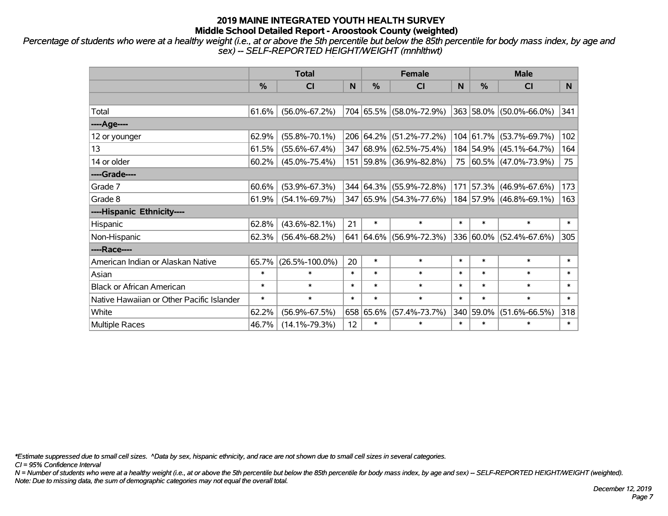*Percentage of students who were at a healthy weight (i.e., at or above the 5th percentile but below the 85th percentile for body mass index, by age and sex) -- SELF-REPORTED HEIGHT/WEIGHT (mnhlthwt)*

|                                           | <b>Total</b>  |                      |        |               | <b>Female</b>           |        | <b>Male</b> |                         |        |  |
|-------------------------------------------|---------------|----------------------|--------|---------------|-------------------------|--------|-------------|-------------------------|--------|--|
|                                           | $\frac{0}{0}$ | <b>CI</b>            | N      | $\frac{0}{0}$ | <b>CI</b>               | N      | %           | <b>CI</b>               | N.     |  |
|                                           |               |                      |        |               |                         |        |             |                         |        |  |
| Total                                     | 61.6%         | $(56.0\% - 67.2\%)$  |        |               | 704 65.5% (58.0%-72.9%) |        |             | 363 58.0% (50.0%-66.0%) | 341    |  |
| ----Age----                               |               |                      |        |               |                         |        |             |                         |        |  |
| 12 or younger                             | 62.9%         | $(55.8\% - 70.1\%)$  |        | 206 64.2%     | $(51.2\% - 77.2\%)$     |        | 104 61.7%   | $(53.7\% - 69.7\%)$     | 102    |  |
| 13                                        | 61.5%         | $(55.6\% - 67.4\%)$  |        |               | 347 68.9% (62.5%-75.4%) |        | 184 54.9%   | $(45.1\% - 64.7\%)$     | 164    |  |
| 14 or older                               | 60.2%         | $(45.0\% - 75.4\%)$  |        |               | 151 59.8% (36.9%-82.8%) |        |             | 75 60.5% (47.0%-73.9%)  | 75     |  |
| ----Grade----                             |               |                      |        |               |                         |        |             |                         |        |  |
| Grade 7                                   | 60.6%         | $(53.9\% - 67.3\%)$  |        | 344 64.3%     | $(55.9\% - 72.8\%)$     | 171    | 57.3%       | $(46.9\% - 67.6\%)$     | 173    |  |
| Grade 8                                   | 61.9%         | $(54.1\% - 69.7\%)$  |        |               | 347 65.9% (54.3%-77.6%) |        |             | 184 57.9% (46.8%-69.1%) | 163    |  |
| ----Hispanic Ethnicity----                |               |                      |        |               |                         |        |             |                         |        |  |
| Hispanic                                  | 62.8%         | $(43.6\% - 82.1\%)$  | 21     | $\ast$        | $\ast$                  | $\ast$ | $\ast$      | $\ast$                  | $\ast$ |  |
| Non-Hispanic                              | 62.3%         | $(56.4\% - 68.2\%)$  | 641    |               | 64.6% (56.9%-72.3%)     |        | 336 60.0%   | $(52.4\% - 67.6\%)$     | 305    |  |
| ----Race----                              |               |                      |        |               |                         |        |             |                         |        |  |
| American Indian or Alaskan Native         | 65.7%         | $(26.5\% - 100.0\%)$ | 20     | $\ast$        | $\ast$                  | $\ast$ | $\ast$      | $\ast$                  | $\ast$ |  |
| Asian                                     | $\ast$        | $\ast$               | $\ast$ | $\ast$        | $\ast$                  | $\ast$ | $\ast$      | $\ast$                  | $\ast$ |  |
| <b>Black or African American</b>          | $\ast$        | $\ast$               | $\ast$ | $\ast$        | $\ast$                  | $\ast$ | $\ast$      | $\ast$                  | $\ast$ |  |
| Native Hawaiian or Other Pacific Islander | $\ast$        | $\ast$               | $\ast$ | $\ast$        | $\ast$                  | $\ast$ | $\ast$      | $\ast$                  | $\ast$ |  |
| White                                     | 62.2%         | $(56.9\% - 67.5\%)$  |        | 658 65.6%     | $(57.4\% - 73.7\%)$     |        | 340 59.0%   | $(51.6\% - 66.5\%)$     | 318    |  |
| Multiple Races                            | 46.7%         | $(14.1\% - 79.3\%)$  | 12     | $\ast$        | $\ast$                  | $\ast$ | $\ast$      | $\ast$                  | $\ast$ |  |

*\*Estimate suppressed due to small cell sizes. ^Data by sex, hispanic ethnicity, and race are not shown due to small cell sizes in several categories.*

*CI = 95% Confidence Interval*

*N = Number of students who were at a healthy weight (i.e., at or above the 5th percentile but below the 85th percentile for body mass index, by age and sex) -- SELF-REPORTED HEIGHT/WEIGHT (weighted). Note: Due to missing data, the sum of demographic categories may not equal the overall total.*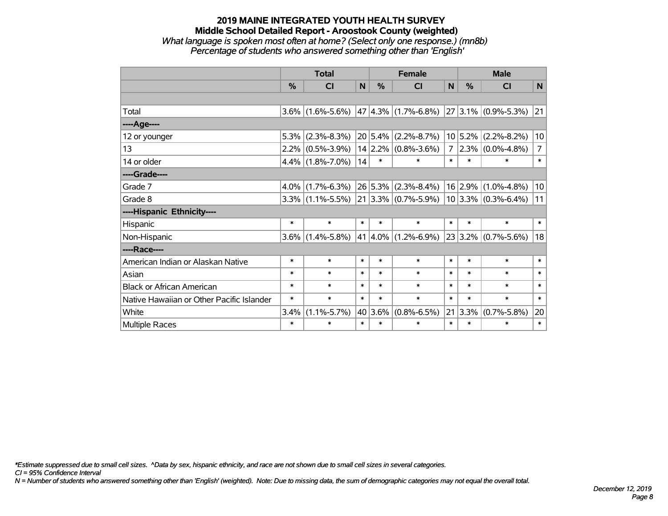#### **2019 MAINE INTEGRATED YOUTH HEALTH SURVEY Middle School Detailed Report - Aroostook County (weighted)** *What language is spoken most often at home? (Select only one response.) (mn8b) Percentage of students who answered something other than 'English'*

|                                           | <b>Total</b> |                         |        | <b>Female</b> |                           |        | <b>Male</b> |                          |                |
|-------------------------------------------|--------------|-------------------------|--------|---------------|---------------------------|--------|-------------|--------------------------|----------------|
|                                           | %            | $\overline{\mathsf{C}}$ | N      | %             | CI                        | N      | %           | CI                       | N <sub>1</sub> |
|                                           |              |                         |        |               |                           |        |             |                          |                |
| Total                                     | 3.6%         | $(1.6\% - 5.6\%)$       |        |               | 47 4.3% $(1.7\% - 6.8\%)$ |        |             | $27 3.1\% $ (0.9%-5.3%)  | 21             |
| ----Age----                               |              |                         |        |               |                           |        |             |                          |                |
| 12 or younger                             | 5.3%         | $(2.3\% - 8.3\%)$       |        |               | $20 5.4\% $ (2.2%-8.7%)   |        | 10 5.2%     | $(2.2\% - 8.2\%)$        | 10             |
| 13                                        | 2.2%         | $(0.5\% - 3.9\%)$       |        |               | $14$ 2.2% (0.8%-3.6%)     | 7      |             | $2.3\%$ (0.0%-4.8%)      | $\overline{7}$ |
| 14 or older                               |              | $4.4\%$ (1.8%-7.0%)     | 14     | $\ast$        | $\ast$                    | $\ast$ | $\ast$      | $\ast$                   | $\ast$         |
| ----Grade----                             |              |                         |        |               |                           |        |             |                          |                |
| Grade 7                                   | 4.0%         | $(1.7\% - 6.3\%)$       |        |               | $26 5.3\% $ (2.3%-8.4%)   |        | $16$ 2.9%   | $(1.0\% - 4.8\%)$        | 10             |
| Grade 8                                   |              | $3.3\%$ (1.1%-5.5%)     |        |               | $21 3.3\% $ (0.7%-5.9%)   |        |             | $ 10 3.3\% $ (0.3%-6.4%) | 11             |
| ----Hispanic Ethnicity----                |              |                         |        |               |                           |        |             |                          |                |
| Hispanic                                  | $\ast$       | $\ast$                  | $\ast$ | $\ast$        | $\ast$                    | $\ast$ | $\ast$      | $\ast$                   | $\ast$         |
| Non-Hispanic                              | $3.6\%$      | $(1.4\% - 5.8\%)$       |        |               | $41 4.0\% $ (1.2%-6.9%)   |        |             | $23 3.2\% $ (0.7%-5.6%)  | 18             |
| ----Race----                              |              |                         |        |               |                           |        |             |                          |                |
| American Indian or Alaskan Native         | $\ast$       | $\ast$                  | $\ast$ | $\ast$        | $\ast$                    | $\ast$ | $\ast$      | $\ast$                   | $\ast$         |
| Asian                                     | $\ast$       | $\ast$                  | $\ast$ | $\ast$        | $\ast$                    | $\ast$ | $\ast$      | $\ast$                   | $\ast$         |
| <b>Black or African American</b>          | $\ast$       | $\ast$                  | $\ast$ | $\ast$        | $\ast$                    | $\ast$ | $\ast$      | $\ast$                   | $\ast$         |
| Native Hawaiian or Other Pacific Islander | $\ast$       | $\ast$                  | $\ast$ | $\ast$        | $\ast$                    | $\ast$ | $\ast$      | $\ast$                   | $\ast$         |
| White                                     | 3.4%         | $(1.1\% - 5.7\%)$       |        | 40 3.6%       | $(0.8\% - 6.5\%)$         |        | $21 3.3\% $ | $(0.7\% - 5.8\%)$        | 20             |
| <b>Multiple Races</b>                     | $\ast$       | $\ast$                  | $\ast$ | $\ast$        | $\ast$                    | $\ast$ | $\ast$      | $\ast$                   | $\ast$         |

*\*Estimate suppressed due to small cell sizes. ^Data by sex, hispanic ethnicity, and race are not shown due to small cell sizes in several categories.*

*CI = 95% Confidence Interval*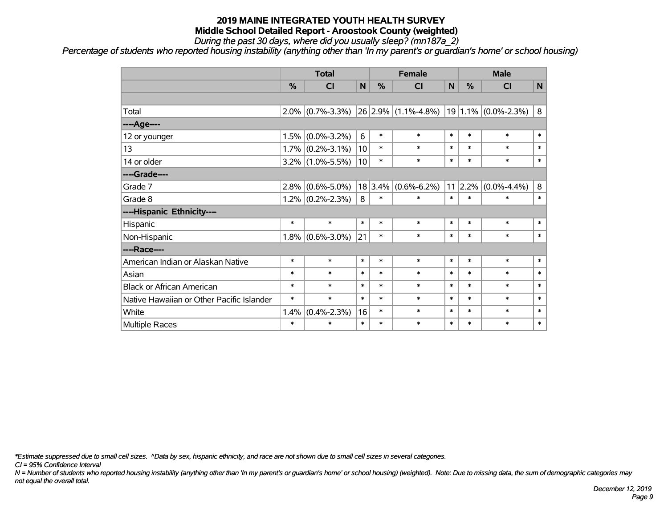*During the past 30 days, where did you usually sleep? (mn187a\_2)*

*Percentage of students who reported housing instability (anything other than 'In my parent's or guardian's home' or school housing)*

|                                           |               | <b>Total</b>      |        |         | <b>Female</b>           |        |                 | <b>Male</b>              |              |  |
|-------------------------------------------|---------------|-------------------|--------|---------|-------------------------|--------|-----------------|--------------------------|--------------|--|
|                                           | $\frac{0}{0}$ | CI                | N      | %       | <b>CI</b>               | N      | %               | <b>CI</b>                | $\mathsf{N}$ |  |
|                                           |               |                   |        |         |                         |        |                 |                          |              |  |
| Total                                     | $2.0\%$       | $(0.7\% - 3.3\%)$ |        |         | $26 2.9\% $ (1.1%-4.8%) |        |                 | $ 19 1.1\% $ (0.0%-2.3%) | 8            |  |
| ----Age----                               |               |                   |        |         |                         |        |                 |                          |              |  |
| 12 or younger                             | 1.5%          | $(0.0\% - 3.2\%)$ | 6      | $\ast$  | $\ast$                  | $\ast$ | $\ast$          | $\ast$                   | $\ast$       |  |
| 13                                        | 1.7%          | $(0.2\% - 3.1\%)$ | 10     | $\ast$  | $\ast$                  | $\ast$ | $\ast$          | $\ast$                   | $\ast$       |  |
| 14 or older                               | $3.2\%$       | $(1.0\% - 5.5\%)$ | 10     | $\ast$  | $\ast$                  | $\ast$ | $\ast$          | $\ast$                   | $\ast$       |  |
| ----Grade----                             |               |                   |        |         |                         |        |                 |                          |              |  |
| Grade 7                                   | 2.8%          | $(0.6\% - 5.0\%)$ |        | 18 3.4% | $(0.6\% - 6.2\%)$       |        | $11 \,   2.2\%$ | $(0.0\% - 4.4\%)$        | 8            |  |
| Grade 8                                   | 1.2%          | $(0.2\% - 2.3\%)$ | 8      | $\ast$  | $\ast$                  | $\ast$ | $\ast$          | $\ast$                   | $\ast$       |  |
| ----Hispanic Ethnicity----                |               |                   |        |         |                         |        |                 |                          |              |  |
| Hispanic                                  | $\ast$        | $\ast$            | $\ast$ | $\ast$  | $\ast$                  | $\ast$ | $\ast$          | $\ast$                   | $\ast$       |  |
| Non-Hispanic                              | 1.8%          | $(0.6\% - 3.0\%)$ | 21     | $\ast$  | $\ast$                  | $\ast$ | $\ast$          | $\ast$                   | $\ast$       |  |
| ----Race----                              |               |                   |        |         |                         |        |                 |                          |              |  |
| American Indian or Alaskan Native         | $\ast$        | $\ast$            | $\ast$ | $\ast$  | $\ast$                  | $\ast$ | $\ast$          | $\ast$                   | $\pmb{\ast}$ |  |
| Asian                                     | $\ast$        | $\ast$            | $\ast$ | $\ast$  | $\ast$                  | $\ast$ | $\ast$          | $\ast$                   | $\ast$       |  |
| <b>Black or African American</b>          | $\ast$        | $\ast$            | $\ast$ | $\ast$  | $\ast$                  | $\ast$ | $\ast$          | $\ast$                   | $\ast$       |  |
| Native Hawaiian or Other Pacific Islander | $\ast$        | $\ast$            | $\ast$ | $\ast$  | $\ast$                  | $\ast$ | $\ast$          | $\ast$                   | $\ast$       |  |
| White                                     | 1.4%          | $(0.4\% - 2.3\%)$ | 16     | $\ast$  | $\ast$                  | $\ast$ | $\ast$          | $\ast$                   | $\ast$       |  |
| Multiple Races                            | $\ast$        | $\ast$            | $\ast$ | $\ast$  | $\ast$                  | $\ast$ | $\ast$          | $\ast$                   | $\ast$       |  |

*\*Estimate suppressed due to small cell sizes. ^Data by sex, hispanic ethnicity, and race are not shown due to small cell sizes in several categories.*

*CI = 95% Confidence Interval*

*N = Number of students who reported housing instability (anything other than 'In my parent's or guardian's home' or school housing) (weighted). Note: Due to missing data, the sum of demographic categories may not equal the overall total.*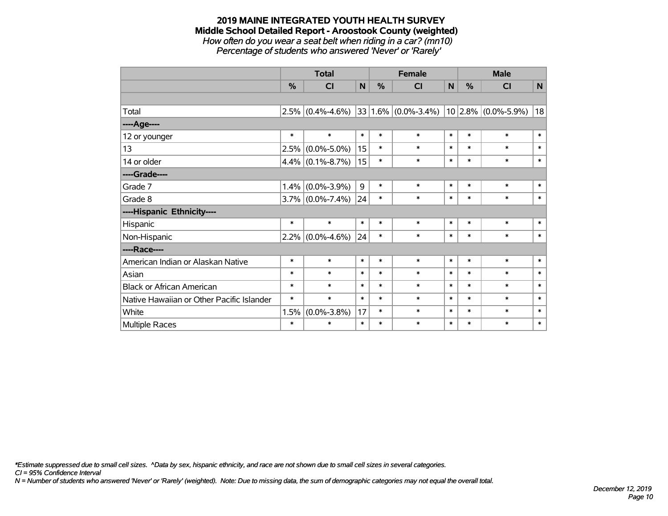*How often do you wear a seat belt when riding in a car? (mn10) Percentage of students who answered 'Never' or 'Rarely'*

|                                           |           | <b>Total</b>        |             | <b>Female</b> |                         |        | <b>Male</b> |                       |              |
|-------------------------------------------|-----------|---------------------|-------------|---------------|-------------------------|--------|-------------|-----------------------|--------------|
|                                           | %         | CI                  | $\mathbf N$ | %             | CI                      | N      | %           | CI                    | $\mathsf{N}$ |
|                                           |           |                     |             |               |                         |        |             |                       |              |
| Total                                     | 2.5%      | $(0.4\% - 4.6\%)$   |             |               | $33 1.6\% $ (0.0%-3.4%) |        |             | $10$ 2.8% (0.0%-5.9%) | 18           |
| ----Age----                               |           |                     |             |               |                         |        |             |                       |              |
| 12 or younger                             | $\ast$    | $\ast$              | $\ast$      | $\ast$        | $\ast$                  | $\ast$ | $\ast$      | $\ast$                | $\ast$       |
| 13                                        | 2.5%      | $(0.0\% - 5.0\%)$   | 15          | $\ast$        | $\ast$                  | $\ast$ | $\ast$      | $\ast$                | $\ast$       |
| 14 or older                               |           | $4.4\%$ (0.1%-8.7%) | 15          | $\ast$        | $\ast$                  | $\ast$ | $\ast$      | $\ast$                | $\ast$       |
| ----Grade----                             |           |                     |             |               |                         |        |             |                       |              |
| Grade 7                                   | 1.4%      | $(0.0\% - 3.9\%)$   | 9           | $\ast$        | $\ast$                  | $\ast$ | $\ast$      | $\ast$                | $\ast$       |
| Grade 8                                   |           | $3.7\%$ (0.0%-7.4%) | 24          | $\ast$        | $\ast$                  | $\ast$ | $\ast$      | $\ast$                | $\ast$       |
| ----Hispanic Ethnicity----                |           |                     |             |               |                         |        |             |                       |              |
| Hispanic                                  | $\ast$    | $\ast$              | $\ast$      | $\ast$        | $\ast$                  | $\ast$ | $\ast$      | $\ast$                | $\ast$       |
| Non-Hispanic                              | $ 2.2\% $ | $(0.0\% - 4.6\%)$   | 24          | $\ast$        | $\ast$                  | $\ast$ | $\ast$      | $\ast$                | $\ast$       |
| ----Race----                              |           |                     |             |               |                         |        |             |                       |              |
| American Indian or Alaskan Native         | $\ast$    | $\ast$              | $\ast$      | $\ast$        | $\ast$                  | $\ast$ | $\ast$      | $\ast$                | $\ast$       |
| Asian                                     | $\ast$    | $\ast$              | $\ast$      | $\ast$        | $\ast$                  | $\ast$ | $\ast$      | $\ast$                | $\ast$       |
| <b>Black or African American</b>          | $\ast$    | $\ast$              | $\ast$      | $\ast$        | $\ast$                  | $\ast$ | $\ast$      | $\ast$                | $\ast$       |
| Native Hawaiian or Other Pacific Islander | $\ast$    | $\ast$              | $\ast$      | $\ast$        | $\ast$                  | $\ast$ | $\ast$      | $\ast$                | $\ast$       |
| White                                     | 1.5%      | $(0.0\% - 3.8\%)$   | 17          | $\ast$        | $\ast$                  | $\ast$ | $\ast$      | $\ast$                | $\ast$       |
| <b>Multiple Races</b>                     | $\ast$    | $\ast$              | $\ast$      | $\ast$        | $\ast$                  | $\ast$ | $\ast$      | $\ast$                | $\ast$       |

*\*Estimate suppressed due to small cell sizes. ^Data by sex, hispanic ethnicity, and race are not shown due to small cell sizes in several categories.*

*CI = 95% Confidence Interval*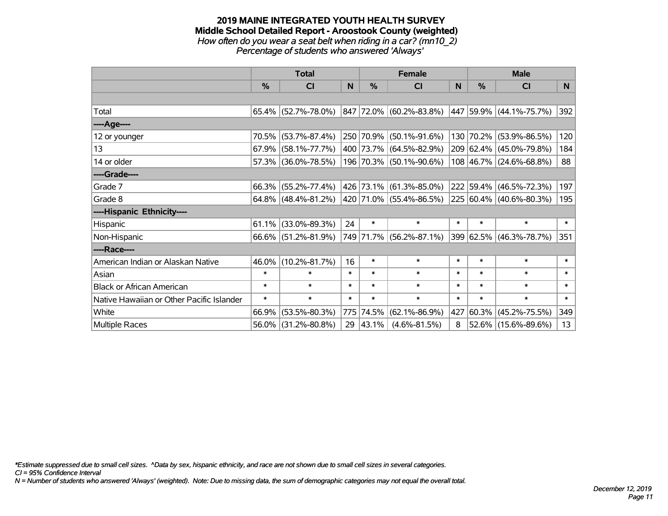#### **2019 MAINE INTEGRATED YOUTH HEALTH SURVEY Middle School Detailed Report - Aroostook County (weighted)** *How often do you wear a seat belt when riding in a car? (mn10\_2) Percentage of students who answered 'Always'*

|                                           | <b>Total</b> |                        |        |           | <b>Female</b>           |        | <b>Male</b> |                         |        |
|-------------------------------------------|--------------|------------------------|--------|-----------|-------------------------|--------|-------------|-------------------------|--------|
|                                           | $\%$         | CI                     | N      | $\%$      | <b>CI</b>               | N      | $\%$        | <b>CI</b>               | N      |
|                                           |              |                        |        |           |                         |        |             |                         |        |
| Total                                     |              | $65.4\%$ (52.7%-78.0%) |        |           | 847 72.0% (60.2%-83.8%) |        |             | 447 59.9% (44.1%-75.7%) | 392    |
| ----Age----                               |              |                        |        |           |                         |        |             |                         |        |
| 12 or younger                             | 70.5%        | $(53.7\% - 87.4\%)$    |        |           | 250 70.9% (50.1%-91.6%) | 130    | 70.2%       | $(53.9\% - 86.5\%)$     | 120    |
| 13                                        | 67.9%        | $(58.1\% - 77.7\%)$    |        |           | 400 73.7% (64.5%-82.9%) |        |             | 209 62.4% (45.0%-79.8%) | 184    |
| 14 or older                               |              | 57.3% (36.0%-78.5%)    |        |           | 196 70.3% (50.1%-90.6%) |        |             | 108 46.7% (24.6%-68.8%) | 88     |
| ----Grade----                             |              |                        |        |           |                         |        |             |                         |        |
| Grade 7                                   | 66.3%        | $(55.2\% - 77.4\%)$    |        |           | 426 73.1% (61.3%-85.0%) |        | 222 59.4%   | $(46.5\% - 72.3\%)$     | 197    |
| Grade 8                                   |              | $64.8\%$ (48.4%-81.2%) |        |           | 420 71.0% (55.4%-86.5%) |        |             | 225 60.4% (40.6%-80.3%) | 195    |
| ----Hispanic Ethnicity----                |              |                        |        |           |                         |        |             |                         |        |
| Hispanic                                  | 61.1%        | $(33.0\% - 89.3\%)$    | 24     | $\ast$    | $\ast$                  | $\ast$ | $\ast$      | $\ast$                  | $\ast$ |
| Non-Hispanic                              |              | 66.6% (51.2%-81.9%)    |        |           | 749 71.7% (56.2%-87.1%) |        |             | 399 62.5% (46.3%-78.7%) | 351    |
| ----Race----                              |              |                        |        |           |                         |        |             |                         |        |
| American Indian or Alaskan Native         | 46.0%        | $(10.2\% - 81.7\%)$    | 16     | $\ast$    | $\ast$                  | $\ast$ | $\ast$      | $\ast$                  | $\ast$ |
| Asian                                     | $\ast$       | $\ast$                 | $\ast$ | $\ast$    | $\ast$                  | $\ast$ | $\ast$      | $\ast$                  | $\ast$ |
| <b>Black or African American</b>          | $\ast$       | $\ast$                 | $\ast$ | $\ast$    | $\ast$                  | $\ast$ | $\ast$      | $\ast$                  | $\ast$ |
| Native Hawaiian or Other Pacific Islander | $\ast$       | $\ast$                 | $\ast$ | $\ast$    | $\ast$                  | $\ast$ | $\ast$      | $\ast$                  | $\ast$ |
| White                                     | 66.9%        | $(53.5\% - 80.3\%)$    |        | 775 74.5% | $(62.1\% - 86.9\%)$     | 427    | 60.3%       | $(45.2\% - 75.5\%)$     | 349    |
| Multiple Races                            | 56.0%        | $(31.2\% - 80.8\%)$    |        | 29 43.1%  | $(4.6\% - 81.5\%)$      | 8      |             | 52.6% (15.6%-89.6%)     | 13     |

*\*Estimate suppressed due to small cell sizes. ^Data by sex, hispanic ethnicity, and race are not shown due to small cell sizes in several categories.*

*CI = 95% Confidence Interval*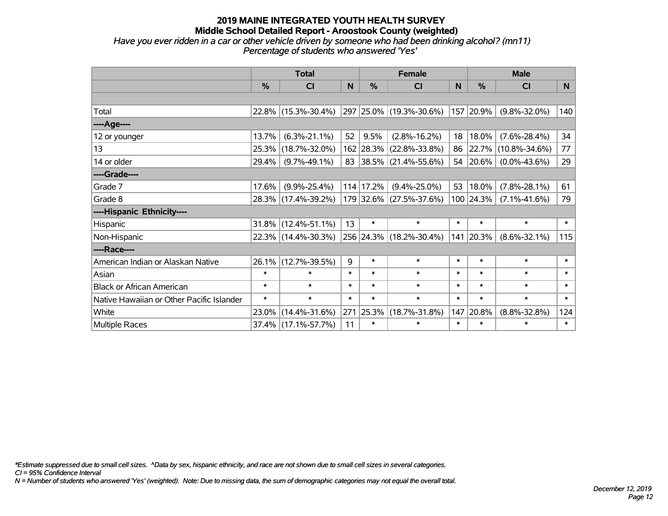*Have you ever ridden in a car or other vehicle driven by someone who had been drinking alcohol? (mn11) Percentage of students who answered 'Yes'*

|                                           | <b>Total</b>  |                     |        |               | <b>Female</b>           |        | <b>Male</b> |                     |        |  |
|-------------------------------------------|---------------|---------------------|--------|---------------|-------------------------|--------|-------------|---------------------|--------|--|
|                                           | $\frac{0}{0}$ | CI                  | N      | %             | <b>CI</b>               | N      | %           | <b>CI</b>           | N      |  |
|                                           |               |                     |        |               |                         |        |             |                     |        |  |
| Total                                     |               | 22.8% (15.3%-30.4%) |        |               | 297 25.0% (19.3%-30.6%) |        | 157 20.9%   | $(9.8\% - 32.0\%)$  | 140    |  |
| ----Age----                               |               |                     |        |               |                         |        |             |                     |        |  |
| 12 or younger                             | 13.7%         | $(6.3\% - 21.1\%)$  | 52     | 9.5%          | $(2.8\% - 16.2\%)$      | 18     | 18.0%       | $(7.6\% - 28.4\%)$  | 34     |  |
| 13                                        | 25.3%         | $(18.7\% - 32.0\%)$ |        |               | 162 28.3% (22.8%-33.8%) | 86     | 22.7%       | $(10.8\% - 34.6\%)$ | 77     |  |
| 14 or older                               | 29.4%         | $(9.7\% - 49.1\%)$  |        |               | 83 38.5% (21.4%-55.6%)  | 54     | 20.6%       | $(0.0\% - 43.6\%)$  | 29     |  |
| ----Grade----                             |               |                     |        |               |                         |        |             |                     |        |  |
| Grade 7                                   | 17.6%         | $(9.9\% - 25.4\%)$  |        | $114$   17.2% | $(9.4\% - 25.0\%)$      | 53     | 18.0%       | $(7.8\% - 28.1\%)$  | 61     |  |
| Grade 8                                   |               | 28.3% (17.4%-39.2%) |        |               | 179 32.6% (27.5%-37.6%) |        | 100 24.3%   | $(7.1\% - 41.6\%)$  | 79     |  |
| ----Hispanic Ethnicity----                |               |                     |        |               |                         |        |             |                     |        |  |
| Hispanic                                  | 31.8%         | $(12.4\% - 51.1\%)$ | 13     | $\ast$        | $\ast$                  | $\ast$ | $\ast$      | $\ast$              | $\ast$ |  |
| Non-Hispanic                              |               | 22.3% (14.4%-30.3%) |        |               | 256 24.3% (18.2%-30.4%) | 141    | 20.3%       | $(8.6\% - 32.1\%)$  | 115    |  |
| ----Race----                              |               |                     |        |               |                         |        |             |                     |        |  |
| American Indian or Alaskan Native         | 26.1%         | $(12.7\% - 39.5\%)$ | 9      | $\ast$        | $\ast$                  | $\ast$ | $\ast$      | $\ast$              | $\ast$ |  |
| Asian                                     | $\ast$        | $\ast$              | $\ast$ | $\ast$        | $\ast$                  | $\ast$ | $\ast$      | $\ast$              | $\ast$ |  |
| <b>Black or African American</b>          | $\ast$        | $\ast$              | $\ast$ | $\ast$        | $\ast$                  | $\ast$ | $\ast$      | $\ast$              | $\ast$ |  |
| Native Hawaiian or Other Pacific Islander | $\ast$        | $\ast$              | $\ast$ | $\ast$        | $\ast$                  | $\ast$ | $\ast$      | $\ast$              | $\ast$ |  |
| White                                     | 23.0%         | $(14.4\% - 31.6\%)$ | 271    | 25.3%         | $(18.7\% - 31.8\%)$     | 147    | 20.8%       | $(8.8\% - 32.8\%)$  | 124    |  |
| Multiple Races                            |               | 37.4% (17.1%-57.7%) | 11     | $\ast$        | $\ast$                  | $\ast$ | $\ast$      | $\ast$              | $\ast$ |  |

*\*Estimate suppressed due to small cell sizes. ^Data by sex, hispanic ethnicity, and race are not shown due to small cell sizes in several categories.*

*CI = 95% Confidence Interval*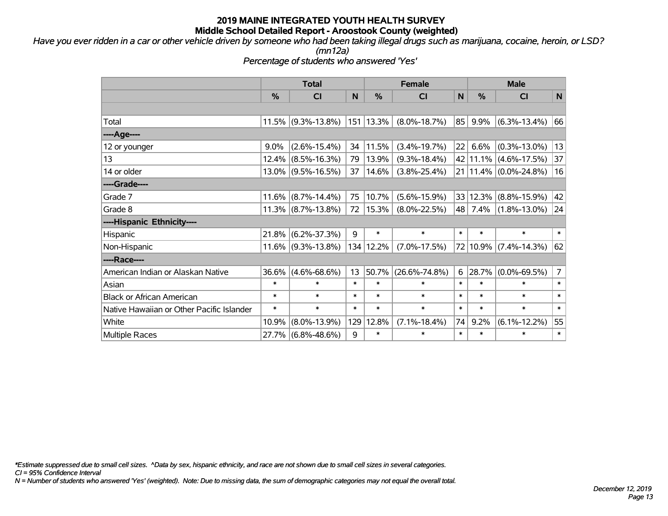*Have you ever ridden in a car or other vehicle driven by someone who had been taking illegal drugs such as marijuana, cocaine, heroin, or LSD?*

*(mn12a)*

*Percentage of students who answered 'Yes'*

|                                           | <b>Total</b>  |                       |        |               | <b>Female</b>       | <b>Male</b> |               |                           |                |
|-------------------------------------------|---------------|-----------------------|--------|---------------|---------------------|-------------|---------------|---------------------------|----------------|
|                                           | $\frac{9}{6}$ | <b>CI</b>             | N      | $\frac{9}{6}$ | <b>CI</b>           | N           | $\frac{9}{6}$ | <b>CI</b>                 | $\mathsf{N}$   |
|                                           |               |                       |        |               |                     |             |               |                           |                |
| Total                                     | 11.5%         | $(9.3\% - 13.8\%)$    |        | 151 13.3%     | $(8.0\% - 18.7\%)$  | 85          | 9.9%          | $(6.3\% - 13.4\%)$        | 66             |
| ----Age----                               |               |                       |        |               |                     |             |               |                           |                |
| 12 or younger                             | $9.0\%$       | $(2.6\% - 15.4\%)$    | 34     | 11.5%         | $(3.4\% - 19.7\%)$  | 22          | 6.6%          | $(0.3\% - 13.0\%)$        | 13             |
| 13                                        | 12.4%         | $(8.5\% - 16.3\%)$    | 79     | 13.9%         | $(9.3\% - 18.4\%)$  |             | 42 11.1%      | $(4.6\% - 17.5\%)$        | 37             |
| 14 or older                               | $13.0\%$      | $(9.5\% - 16.5\%)$    | 37     | 14.6%         | $(3.8\% - 25.4\%)$  |             |               | 21   11.4%   (0.0%-24.8%) | 16             |
| ----Grade----                             |               |                       |        |               |                     |             |               |                           |                |
| Grade 7                                   | 11.6%         | $(8.7\% - 14.4\%)$    | 75     | 10.7%         | $(5.6\% - 15.9\%)$  |             | 33 12.3%      | $(8.8\% - 15.9\%)$        | 42             |
| Grade 8                                   |               | $11.3\%$ (8.7%-13.8%) | 72     | 15.3%         | $(8.0\% - 22.5\%)$  | 48          | 7.4%          | $(1.8\% - 13.0\%)$        | 24             |
| ----Hispanic Ethnicity----                |               |                       |        |               |                     |             |               |                           |                |
| <b>Hispanic</b>                           | 21.8%         | $(6.2\% - 37.3\%)$    | 9      | $\ast$        | $\ast$              | $\ast$      | $\ast$        | $\ast$                    | $\ast$         |
| Non-Hispanic                              | 11.6%         | $(9.3\% - 13.8\%)$    |        | 134 12.2%     | $(7.0\% - 17.5\%)$  |             | 72 10.9%      | $(7.4\% - 14.3\%)$        | 62             |
| ----Race----                              |               |                       |        |               |                     |             |               |                           |                |
| American Indian or Alaskan Native         | 36.6%         | $(4.6\% - 68.6\%)$    | 13     | 50.7%         | $(26.6\% - 74.8\%)$ | 6           | 28.7%         | $(0.0\% - 69.5\%)$        | $\overline{7}$ |
| Asian                                     | $\ast$        | $\ast$                | $\ast$ | $\ast$        | $\ast$              | $\ast$      | $\ast$        | $\ast$                    | $\ast$         |
| <b>Black or African American</b>          | $\ast$        | $\ast$                | $\ast$ | $\ast$        | $\ast$              | $\ast$      | $\ast$        | $\ast$                    | $\ast$         |
| Native Hawaiian or Other Pacific Islander | $\ast$        | $\ast$                | $\ast$ | $\ast$        | $\ast$              | $\ast$      | $\ast$        | $\ast$                    | $\ast$         |
| White                                     | 10.9%         | $(8.0\% - 13.9\%)$    | 129    | 12.8%         | $(7.1\% - 18.4\%)$  | 74          | 9.2%          | $(6.1\% - 12.2\%)$        | 55             |
| <b>Multiple Races</b>                     | 27.7%         | $(6.8\% - 48.6\%)$    | 9      | $\ast$        | $\ast$              | $\ast$      | $\ast$        | *                         | $\ast$         |

*\*Estimate suppressed due to small cell sizes. ^Data by sex, hispanic ethnicity, and race are not shown due to small cell sizes in several categories.*

*CI = 95% Confidence Interval*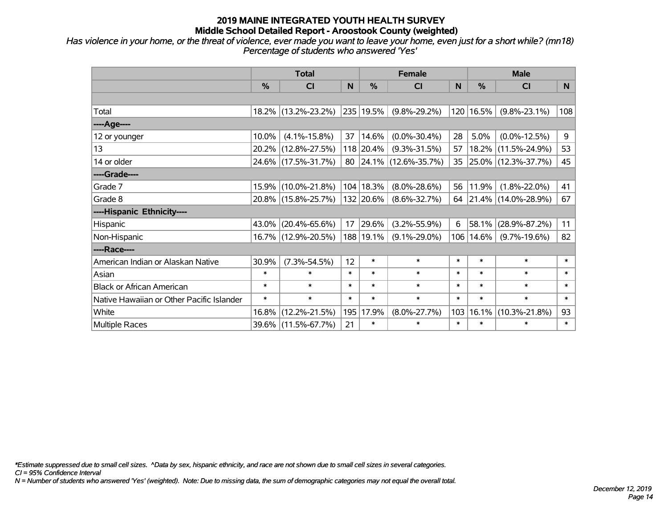*Has violence in your home, or the threat of violence, ever made you want to leave your home, even just for a short while? (mn18) Percentage of students who answered 'Yes'*

|                                           | <b>Total</b>  |                     |        |               | <b>Female</b>          |        | <b>Male</b> |                        |        |  |
|-------------------------------------------|---------------|---------------------|--------|---------------|------------------------|--------|-------------|------------------------|--------|--|
|                                           | $\frac{0}{0}$ | CI                  | N      | $\frac{0}{0}$ | <b>CI</b>              | N      | %           | <b>CI</b>              | N      |  |
|                                           |               |                     |        |               |                        |        |             |                        |        |  |
| Total                                     |               | 18.2% (13.2%-23.2%) |        | 235 19.5%     | $(9.8\% - 29.2\%)$     | 120    | 16.5%       | $(9.8\% - 23.1\%)$     | 108    |  |
| ----Age----                               |               |                     |        |               |                        |        |             |                        |        |  |
| 12 or younger                             | 10.0%         | $(4.1\% - 15.8\%)$  | 37     | 14.6%         | $(0.0\% - 30.4\%)$     | 28     | 5.0%        | $(0.0\% - 12.5\%)$     | 9      |  |
| 13                                        | 20.2%         | $(12.8\% - 27.5\%)$ |        | 118 20.4%     | $(9.3\% - 31.5\%)$     | 57     | 18.2%       | $(11.5\% - 24.9\%)$    | 53     |  |
| 14 or older                               |               | 24.6% (17.5%-31.7%) |        |               | 80 24.1% (12.6%-35.7%) | 35     |             | 25.0% (12.3%-37.7%)    | 45     |  |
| ----Grade----                             |               |                     |        |               |                        |        |             |                        |        |  |
| Grade 7                                   | 15.9%         | $(10.0\% - 21.8\%)$ |        | 104   18.3%   | $(8.0\% - 28.6\%)$     | 56     | 11.9%       | $(1.8\% - 22.0\%)$     | 41     |  |
| Grade 8                                   |               | 20.8% (15.8%-25.7%) |        | 132 20.6%     | $(8.6\% - 32.7\%)$     |        |             | 64 21.4% (14.0%-28.9%) | 67     |  |
| ----Hispanic Ethnicity----                |               |                     |        |               |                        |        |             |                        |        |  |
| Hispanic                                  | 43.0%         | $(20.4\% - 65.6\%)$ | 17     | 29.6%         | $(3.2\% - 55.9\%)$     | 6      | 58.1%       | $(28.9\% - 87.2\%)$    | 11     |  |
| Non-Hispanic                              |               | 16.7% (12.9%-20.5%) |        | 188   19.1%   | $(9.1\% - 29.0\%)$     | 106    | 14.6%       | $(9.7\% - 19.6\%)$     | 82     |  |
| ----Race----                              |               |                     |        |               |                        |        |             |                        |        |  |
| American Indian or Alaskan Native         | 30.9%         | $(7.3\% - 54.5\%)$  | 12     | $\ast$        | $\ast$                 | $\ast$ | $\ast$      | $\ast$                 | $\ast$ |  |
| Asian                                     | $\ast$        | $\ast$              | $\ast$ | $\ast$        | $\ast$                 | $\ast$ | $\ast$      | $\ast$                 | $\ast$ |  |
| <b>Black or African American</b>          | $\ast$        | $\ast$              | $\ast$ | $\ast$        | $\ast$                 | $\ast$ | $\ast$      | $\ast$                 | $\ast$ |  |
| Native Hawaiian or Other Pacific Islander | $\ast$        | $\ast$              | $\ast$ | $\ast$        | $\ast$                 | $\ast$ | $\ast$      | $\ast$                 | $\ast$ |  |
| White                                     | 16.8%         | $(12.2\% - 21.5\%)$ | 195    | 17.9%         | $(8.0\% - 27.7\%)$     | 103    | 16.1%       | $(10.3\% - 21.8\%)$    | 93     |  |
| <b>Multiple Races</b>                     |               | 39.6% (11.5%-67.7%) | 21     | $\ast$        | $\ast$                 | $\ast$ | $\ast$      | $\ast$                 | $\ast$ |  |

*\*Estimate suppressed due to small cell sizes. ^Data by sex, hispanic ethnicity, and race are not shown due to small cell sizes in several categories.*

*CI = 95% Confidence Interval*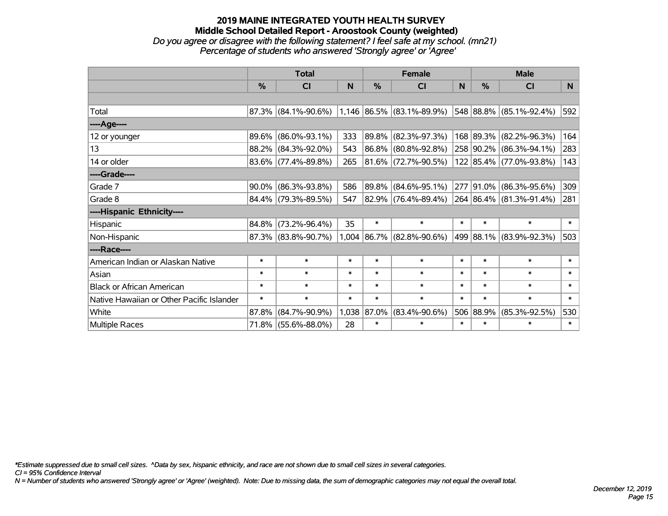#### **2019 MAINE INTEGRATED YOUTH HEALTH SURVEY Middle School Detailed Report - Aroostook County (weighted)** *Do you agree or disagree with the following statement? I feel safe at my school. (mn21) Percentage of students who answered 'Strongly agree' or 'Agree'*

|                                           | <b>Total</b>  |                                                                                               |        |             | <b>Female</b>               |        | <b>Male</b>   |                         |        |  |
|-------------------------------------------|---------------|-----------------------------------------------------------------------------------------------|--------|-------------|-----------------------------|--------|---------------|-------------------------|--------|--|
|                                           | $\frac{0}{0}$ | CI                                                                                            | N      | %           | <b>CI</b>                   | N      | $\frac{0}{0}$ | <b>CI</b>               | N.     |  |
|                                           |               |                                                                                               |        |             |                             |        |               |                         |        |  |
| Total                                     |               | $\vert 87.3\% \vert (84.1\% - 90.6\%) \vert 1,146 \vert 86.5\% \vert (83.1\% - 89.9\%) \vert$ |        |             |                             |        |               | 548 88.8% (85.1%-92.4%) | 592    |  |
| ----Age----                               |               |                                                                                               |        |             |                             |        |               |                         |        |  |
| 12 or younger                             | 89.6%         | $(86.0\% - 93.1\%)$                                                                           | 333    | $ 89.8\% $  | $(82.3\% - 97.3\%)$         |        |               | 168 89.3% (82.2%-96.3%) | 164    |  |
| 13                                        |               | 88.2% (84.3%-92.0%)                                                                           | 543    |             | 86.8% (80.8%-92.8%)         |        |               | 258 90.2% (86.3%-94.1%) | 283    |  |
| 14 or older                               |               | $83.6\%$ (77.4%-89.8%)                                                                        | 265    |             | $ 81.6\% $ (72.7%-90.5%)    |        |               | 122 85.4% (77.0%-93.8%) | 143    |  |
| ----Grade----                             |               |                                                                                               |        |             |                             |        |               |                         |        |  |
| Grade 7                                   | 90.0%         | $(86.3\% - 93.8\%)$                                                                           | 586    | 89.8%       | $(84.6\% - 95.1\%)$         |        | 277 91.0%     | $(86.3\% - 95.6\%)$     | 309    |  |
| Grade 8                                   |               | 84.4% (79.3%-89.5%)                                                                           | 547    |             | 82.9% (76.4%-89.4%)         |        |               | 264 86.4% (81.3%-91.4%) | 281    |  |
| ----Hispanic Ethnicity----                |               |                                                                                               |        |             |                             |        |               |                         |        |  |
| Hispanic                                  | 84.8%         | $(73.2\% - 96.4\%)$                                                                           | 35     | $\ast$      | $\ast$                      | $\ast$ | $\ast$        | $\ast$                  | $\ast$ |  |
| Non-Hispanic                              |               | 87.3% (83.8%-90.7%)                                                                           |        |             | $1,004$ 86.7% (82.8%-90.6%) |        |               | 499 88.1% (83.9%-92.3%) | 503    |  |
| ----Race----                              |               |                                                                                               |        |             |                             |        |               |                         |        |  |
| American Indian or Alaskan Native         | $\ast$        | $\ast$                                                                                        | $\ast$ | $\ast$      | $\ast$                      | $\ast$ | $\ast$        | $\ast$                  | $\ast$ |  |
| Asian                                     | $\ast$        | $\ast$                                                                                        | $\ast$ | $\ast$      | $\ast$                      | $\ast$ | $\ast$        | $\ast$                  | $\ast$ |  |
| <b>Black or African American</b>          | $\ast$        | $\ast$                                                                                        | $\ast$ | $\ast$      | $\ast$                      | $\ast$ | $\ast$        | $\ast$                  | $\ast$ |  |
| Native Hawaiian or Other Pacific Islander | $\ast$        | $\ast$                                                                                        | $\ast$ | $\ast$      | $\ast$                      | $\ast$ | $\ast$        | $\ast$                  | $\ast$ |  |
| White                                     | 87.8%         | $(84.7\% - 90.9\%)$                                                                           |        | 1,038 87.0% | $(83.4\% - 90.6\%)$         |        | 506 88.9%     | $(85.3\% - 92.5\%)$     | 530    |  |
| Multiple Races                            |               | 71.8% (55.6%-88.0%)                                                                           | 28     | $\ast$      | $\ast$                      | $\ast$ | $\ast$        | $\ast$                  | $\ast$ |  |

*\*Estimate suppressed due to small cell sizes. ^Data by sex, hispanic ethnicity, and race are not shown due to small cell sizes in several categories.*

*CI = 95% Confidence Interval*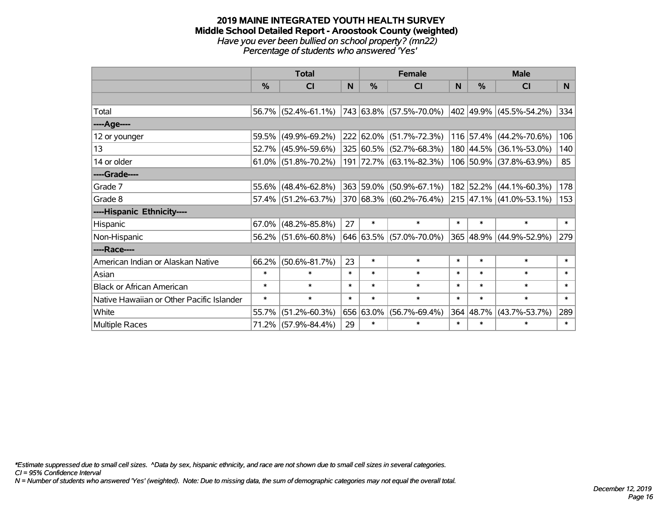#### **2019 MAINE INTEGRATED YOUTH HEALTH SURVEY Middle School Detailed Report - Aroostook County (weighted)** *Have you ever been bullied on school property? (mn22) Percentage of students who answered 'Yes'*

|                                           | <b>Total</b>  |                        |        |               | <b>Female</b>                                                     |        | <b>Male</b> |                              |        |  |
|-------------------------------------------|---------------|------------------------|--------|---------------|-------------------------------------------------------------------|--------|-------------|------------------------------|--------|--|
|                                           | $\frac{0}{0}$ | CI                     | N      | $\frac{0}{0}$ | <b>CI</b>                                                         | N      | %           | <b>CI</b>                    | N.     |  |
|                                           |               |                        |        |               |                                                                   |        |             |                              |        |  |
| Total                                     |               | 56.7% (52.4%-61.1%)    |        |               | $ 743 63.8\%  (57.5\% - 70.0\%)  402  49.9\%   (45.5\% - 54.2\%)$ |        |             |                              | 334    |  |
| ----Age----                               |               |                        |        |               |                                                                   |        |             |                              |        |  |
| 12 or younger                             |               | 59.5% (49.9%-69.2%)    |        |               | 222 62.0% (51.7%-72.3%)                                           |        |             | 116 57.4% (44.2%-70.6%)      | 106    |  |
| 13                                        |               | 52.7% (45.9%-59.6%)    |        |               | 325 60.5% (52.7%-68.3%)                                           |        |             | 180 44.5% (36.1%-53.0%)      | 140    |  |
| 14 or older                               |               | $61.0\%$ (51.8%-70.2%) |        |               | 191 72.7% (63.1%-82.3%)                                           |        |             | 106 50.9% (37.8%-63.9%)      | 85     |  |
| ----Grade----                             |               |                        |        |               |                                                                   |        |             |                              |        |  |
| Grade 7                                   | 55.6%         | $(48.4\% - 62.8\%)$    |        |               | 363 59.0% (50.9%-67.1%)                                           |        |             | 182 52.2% (44.1%-60.3%)      | 178    |  |
| Grade 8                                   |               | $57.4\%$ (51.2%-63.7%) |        |               | 370 68.3% (60.2%-76.4%)                                           |        |             | $ 215 47.1\% $ (41.0%-53.1%) | 153    |  |
| ----Hispanic Ethnicity----                |               |                        |        |               |                                                                   |        |             |                              |        |  |
| Hispanic                                  | $67.0\%$      | $(48.2\% - 85.8\%)$    | 27     | $\ast$        | $\ast$                                                            | $\ast$ | $\ast$      | $\ast$                       | $\ast$ |  |
| Non-Hispanic                              |               | $56.2\%$ (51.6%-60.8%) |        |               | 646 63.5% (57.0%-70.0%)                                           |        |             | 365 48.9% (44.9%-52.9%)      | 279    |  |
| ----Race----                              |               |                        |        |               |                                                                   |        |             |                              |        |  |
| American Indian or Alaskan Native         | 66.2%         | $(50.6\% - 81.7\%)$    | 23     | $\ast$        | $\ast$                                                            | $\ast$ | $\ast$      | $\ast$                       | $\ast$ |  |
| Asian                                     | $\ast$        | $\ast$                 | $\ast$ | $\ast$        | $\ast$                                                            | $\ast$ | $\ast$      | $\ast$                       | $\ast$ |  |
| <b>Black or African American</b>          | $\ast$        | $\ast$                 | $\ast$ | $\ast$        | $\ast$                                                            | $\ast$ | $\ast$      | $\ast$                       | $\ast$ |  |
| Native Hawaiian or Other Pacific Islander | $\ast$        | $\ast$                 | $\ast$ | $\ast$        | $\ast$                                                            | $\ast$ | $\ast$      | $\ast$                       | $\ast$ |  |
| White                                     | 55.7%         | $(51.2\% - 60.3\%)$    |        | 656 63.0%     | $(56.7\% - 69.4\%)$                                               | 364    | 48.7%       | $(43.7\% - 53.7\%)$          | 289    |  |
| Multiple Races                            |               | 71.2% (57.9%-84.4%)    | 29     | $\ast$        | $\ast$                                                            | $\ast$ | $\ast$      | $\ast$                       | $\ast$ |  |

*\*Estimate suppressed due to small cell sizes. ^Data by sex, hispanic ethnicity, and race are not shown due to small cell sizes in several categories.*

*CI = 95% Confidence Interval*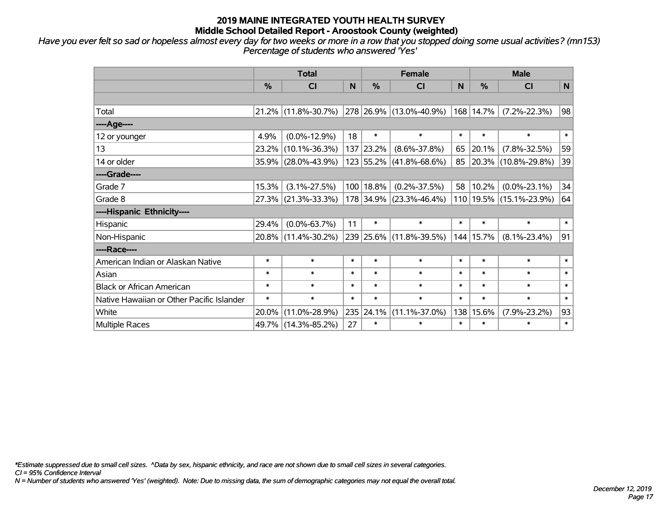*Have you ever felt so sad or hopeless almost every day for two weeks or more in a row that you stopped doing some usual activities? (mn153) Percentage of students who answered 'Yes'*

|                                           | <b>Total</b> |                     |        |               | <b>Female</b>           |        | <b>Male</b> |                          |              |  |
|-------------------------------------------|--------------|---------------------|--------|---------------|-------------------------|--------|-------------|--------------------------|--------------|--|
|                                           | %            | <b>CI</b>           | N      | $\frac{0}{0}$ | <b>CI</b>               | N      | %           | <b>CI</b>                | $\mathsf{N}$ |  |
|                                           |              |                     |        |               |                         |        |             |                          |              |  |
| Total                                     |              | 21.2% (11.8%-30.7%) |        |               | 278 26.9% (13.0%-40.9%) |        | 168 14.7%   | $(7.2\% - 22.3\%)$       | 98           |  |
| ----Age----                               |              |                     |        |               |                         |        |             |                          |              |  |
| 12 or younger                             | 4.9%         | $(0.0\% - 12.9\%)$  | 18     | $\ast$        | $\ast$                  | $\ast$ | $\ast$      | $\ast$                   | $\ast$       |  |
| 13                                        | 23.2%        | $(10.1\% - 36.3\%)$ |        | 137 23.2%     | $(8.6\% - 37.8\%)$      | 65     | 20.1%       | $(7.8\% - 32.5\%)$       | 59           |  |
| 14 or older                               |              | 35.9% (28.0%-43.9%) |        |               | 123 55.2% (41.8%-68.6%) | 85     |             | $ 20.3\% $ (10.8%-29.8%) | 39           |  |
| ----Grade----                             |              |                     |        |               |                         |        |             |                          |              |  |
| Grade 7                                   | 15.3%        | $(3.1\% - 27.5\%)$  |        | 100   18.8%   | $(0.2\% - 37.5\%)$      | 58     | 10.2%       | $(0.0\% - 23.1\%)$       | 34           |  |
| Grade 8                                   |              | 27.3% (21.3%-33.3%) |        |               | 178 34.9% (23.3%-46.4%) |        |             | 110 19.5% (15.1%-23.9%)  | 64           |  |
| ----Hispanic Ethnicity----                |              |                     |        |               |                         |        |             |                          |              |  |
| Hispanic                                  | 29.4%        | $(0.0\% - 63.7\%)$  | 11     | $\ast$        | $\ast$                  | $\ast$ | $\ast$      | $\ast$                   | $\ast$       |  |
| Non-Hispanic                              | 20.8%        | $(11.4\% - 30.2\%)$ |        |               | 239 25.6% (11.8%-39.5%) | 144    | 15.7%       | $(8.1\% - 23.4\%)$       | 91           |  |
| ----Race----                              |              |                     |        |               |                         |        |             |                          |              |  |
| American Indian or Alaskan Native         | $\ast$       | $\ast$              | $\ast$ | $\ast$        | $\ast$                  | $\ast$ | $\ast$      | $\ast$                   | $\ast$       |  |
| Asian                                     | $\ast$       | $\ast$              | $\ast$ | $\ast$        | $\ast$                  | $\ast$ | $\ast$      | $\ast$                   | $\ast$       |  |
| <b>Black or African American</b>          | $\ast$       | $\ast$              | $\ast$ | $\ast$        | $\ast$                  | $\ast$ | $\ast$      | $\ast$                   | $\ast$       |  |
| Native Hawaiian or Other Pacific Islander | $\ast$       | $\ast$              | $\ast$ | $\ast$        | $\ast$                  | $\ast$ | $\ast$      | $\ast$                   | $\ast$       |  |
| White                                     | 20.0%        | $(11.0\% - 28.9\%)$ | 235    | 24.1%         | $(11.1\% - 37.0\%)$     | 138    | 15.6%       | $(7.9\% - 23.2\%)$       | 93           |  |
| <b>Multiple Races</b>                     |              | 49.7% (14.3%-85.2%) | 27     | $\ast$        | $\ast$                  | $\ast$ | $\ast$      | $\ast$                   | $\ast$       |  |

*\*Estimate suppressed due to small cell sizes. ^Data by sex, hispanic ethnicity, and race are not shown due to small cell sizes in several categories.*

*CI = 95% Confidence Interval*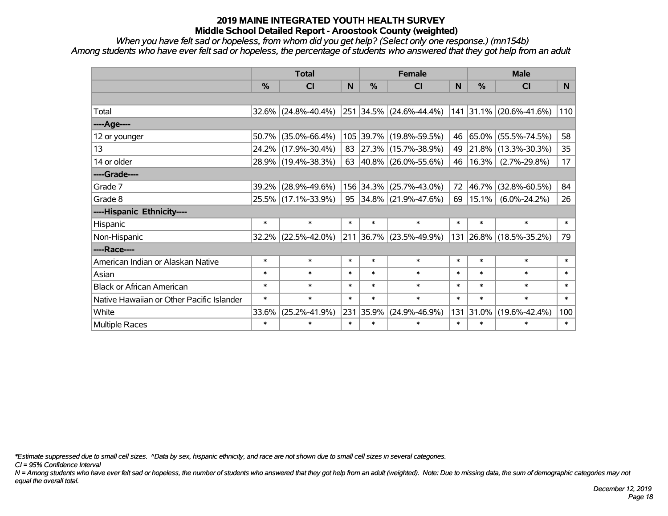*When you have felt sad or hopeless, from whom did you get help? (Select only one response.) (mn154b) Among students who have ever felt sad or hopeless, the percentage of students who answered that they got help from an adult*

|                                           | <b>Total</b> |                        |        |           | <b>Female</b>               |        | <b>Male</b> |                           |                |  |
|-------------------------------------------|--------------|------------------------|--------|-----------|-----------------------------|--------|-------------|---------------------------|----------------|--|
|                                           | $\%$         | <b>CI</b>              | N      | $\%$      | CI                          | N      | %           | <b>CI</b>                 | N <sub>1</sub> |  |
|                                           |              |                        |        |           |                             |        |             |                           |                |  |
| Total                                     |              | $32.6\%$ (24.8%-40.4%) |        |           | 251 34.5% (24.6%-44.4%)     |        |             | $141$ 31.1% (20.6%-41.6%) | 110            |  |
| ----Age----                               |              |                        |        |           |                             |        |             |                           |                |  |
| 12 or younger                             | 50.7%        | $(35.0\% - 66.4\%)$    |        |           | 105 39.7% (19.8%-59.5%)     | 46     | 65.0%       | $(55.5\% - 74.5\%)$       | 58             |  |
| 13                                        |              | 24.2% (17.9%-30.4%)    | 83     |           | 27.3% (15.7%-38.9%)         | 49     | 21.8%       | $(13.3\% - 30.3\%)$       | 35             |  |
| 14 or older                               |              | 28.9% (19.4%-38.3%)    |        |           | 63 $ 40.8\% $ (26.0%-55.6%) | 46     | 16.3%       | $(2.7\% - 29.8\%)$        | 17             |  |
| ----Grade----                             |              |                        |        |           |                             |        |             |                           |                |  |
| Grade 7                                   | 39.2%        | $(28.9\% - 49.6\%)$    |        | 156 34.3% | $(25.7\% - 43.0\%)$         | 72     | 46.7%       | $(32.8\% - 60.5\%)$       | 84             |  |
| Grade 8                                   |              | 25.5% (17.1%-33.9%)    |        |           | 95 34.8% (21.9%-47.6%)      | 69     | $15.1\%$    | $(6.0\% - 24.2\%)$        | 26             |  |
| ----Hispanic Ethnicity----                |              |                        |        |           |                             |        |             |                           |                |  |
| Hispanic                                  | $\ast$       | $\ast$                 | $\ast$ | $\ast$    | $\ast$                      | $\ast$ | $\ast$      | $\ast$                    | $\ast$         |  |
| Non-Hispanic                              | 32.2%        | $(22.5\% - 42.0\%)$    |        | 211 36.7% | $(23.5\% - 49.9\%)$         | 131    |             | 26.8% (18.5%-35.2%)       | 79             |  |
| ----Race----                              |              |                        |        |           |                             |        |             |                           |                |  |
| American Indian or Alaskan Native         | $\ast$       | $\ast$                 | $\ast$ | $\ast$    | $\ast$                      | $\ast$ | $\ast$      | $\ast$                    | $\ast$         |  |
| Asian                                     | $\ast$       | $\ast$                 | $\ast$ | $\ast$    | $\ast$                      | $\ast$ | $\ast$      | $\ast$                    | $\ast$         |  |
| <b>Black or African American</b>          | $\ast$       | $\ast$                 | $\ast$ | $\ast$    | $\ast$                      | $\ast$ | $\ast$      | $\ast$                    | $\ast$         |  |
| Native Hawaiian or Other Pacific Islander | $\ast$       | $\ast$                 | $\ast$ | $\ast$    | $\ast$                      | $\ast$ | $\ast$      | $\ast$                    | $\ast$         |  |
| White                                     | 33.6%        | $(25.2\% - 41.9\%)$    | 231    | 35.9%     | $(24.9\% - 46.9\%)$         | 131    | 31.0%       | $(19.6\% - 42.4\%)$       | 100            |  |
| <b>Multiple Races</b>                     | $\ast$       | $\ast$                 | $\ast$ | $\ast$    | $\ast$                      | $\ast$ | $\ast$      | $\ast$                    | $\ast$         |  |

*\*Estimate suppressed due to small cell sizes. ^Data by sex, hispanic ethnicity, and race are not shown due to small cell sizes in several categories.*

*CI = 95% Confidence Interval*

*N = Among students who have ever felt sad or hopeless, the number of students who answered that they got help from an adult (weighted). Note: Due to missing data, the sum of demographic categories may not equal the overall total.*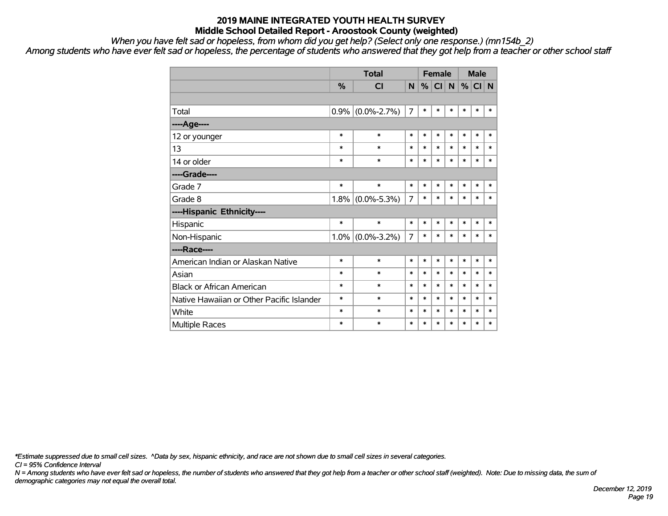*When you have felt sad or hopeless, from whom did you get help? (Select only one response.) (mn154b\_2)*

*Among students who have ever felt sad or hopeless, the percentage of students who answered that they got help from a teacher or other school staff*

|                                           |               | <b>Total</b>        |                |        | <b>Female</b> |              |        | <b>Male</b> |        |  |
|-------------------------------------------|---------------|---------------------|----------------|--------|---------------|--------------|--------|-------------|--------|--|
|                                           | $\frac{0}{0}$ | <b>CI</b>           | N              |        | $\%$ CI       | $\mathsf{N}$ |        | $%$ CI N    |        |  |
|                                           |               |                     |                |        |               |              |        |             |        |  |
| Total                                     | $0.9\%$       | $(0.0\% - 2.7\%)$   | $\overline{7}$ | $\ast$ | $\ast$        | $\ast$       | *      | $\ast$      | $\ast$ |  |
| ----Age----                               |               |                     |                |        |               |              |        |             |        |  |
| 12 or younger                             | $\ast$        | $\ast$              | $\ast$         | $\ast$ | $\ast$        | $\ast$       | $\ast$ | $\ast$      | $\ast$ |  |
| 13                                        | $\ast$        | $\ast$              | $\ast$         | $\ast$ | $\ast$        | $\ast$       | $\ast$ | $\ast$      | $\ast$ |  |
| 14 or older                               | $\ast$        | $\ast$              | $\ast$         | $\ast$ | $\ast$        | $\ast$       | $\ast$ | $\ast$      | $\ast$ |  |
| ----Grade----                             |               |                     |                |        |               |              |        |             |        |  |
| Grade 7                                   | $\ast$        | $\ast$              | $\ast$         | $\ast$ | *             | $\ast$       | $\ast$ | $\ast$      | $\ast$ |  |
| Grade 8                                   | 1.8%          | $(0.0\% - 5.3\%)$   | 7              | $\ast$ | $\ast$        | $\ast$       | $\ast$ | $\ast$      | $\ast$ |  |
| ----Hispanic Ethnicity----                |               |                     |                |        |               |              |        |             |        |  |
| Hispanic                                  | $\ast$        | $\ast$              | $\ast$         | *      | $\ast$        | $\ast$       | *      | $\ast$      | $\ast$ |  |
| Non-Hispanic                              |               | $1.0\%$ (0.0%-3.2%) | 7              | $\ast$ | $\ast$        | $\ast$       | $\ast$ | $\ast$      | $\ast$ |  |
| ----Race----                              |               |                     |                |        |               |              |        |             |        |  |
| American Indian or Alaskan Native         | $\ast$        | $\ast$              | $\ast$         | $\ast$ | $\ast$        | $\ast$       | $\ast$ | $\ast$      | $\ast$ |  |
| Asian                                     | $\ast$        | $\ast$              | $\ast$         | $\ast$ | $\ast$        | $\ast$       | $\ast$ | $\ast$      | $\ast$ |  |
| <b>Black or African American</b>          | *             | $\ast$              | $\ast$         | $\ast$ | $\ast$        | $\ast$       | $\ast$ | $\ast$      | $\ast$ |  |
| Native Hawaiian or Other Pacific Islander | $\ast$        | $\ast$              | $\ast$         | $\ast$ | $\ast$        | $\ast$       | $\ast$ | $\ast$      | $\ast$ |  |
| White                                     | *             | $\ast$              | $\ast$         | $\ast$ | $\ast$        | $\ast$       | $\ast$ | $\ast$      | $\ast$ |  |
| Multiple Races                            | *             | $\ast$              | $\ast$         | $\ast$ | $\ast$        | $\ast$       | $\ast$ | $\ast$      | $\ast$ |  |

*\*Estimate suppressed due to small cell sizes. ^Data by sex, hispanic ethnicity, and race are not shown due to small cell sizes in several categories.*

*CI = 95% Confidence Interval*

*N = Among students who have ever felt sad or hopeless, the number of students who answered that they got help from a teacher or other school staff (weighted). Note: Due to missing data, the sum of demographic categories may not equal the overall total.*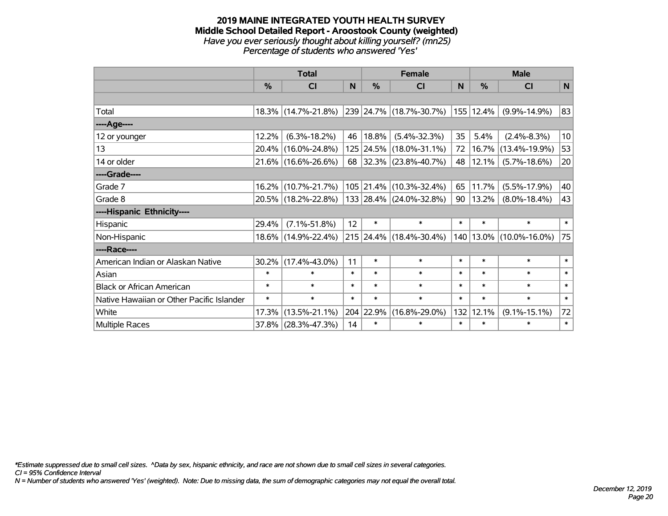#### **2019 MAINE INTEGRATED YOUTH HEALTH SURVEY Middle School Detailed Report - Aroostook County (weighted)** *Have you ever seriously thought about killing yourself? (mn25) Percentage of students who answered 'Yes'*

|                                           | <b>Total</b>  |                     |                 |           | <b>Female</b>            |        | <b>Male</b> |                     |                 |  |
|-------------------------------------------|---------------|---------------------|-----------------|-----------|--------------------------|--------|-------------|---------------------|-----------------|--|
|                                           | $\frac{0}{0}$ | CI                  | N               | %         | <b>CI</b>                | N      | %           | <b>CI</b>           | N               |  |
|                                           |               |                     |                 |           |                          |        |             |                     |                 |  |
| Total                                     |               | 18.3% (14.7%-21.8%) |                 |           | 239 24.7% (18.7%-30.7%)  |        | 155 12.4%   | $(9.9\% - 14.9\%)$  | 83              |  |
| ----Age----                               |               |                     |                 |           |                          |        |             |                     |                 |  |
| 12 or younger                             | 12.2%         | $(6.3\% - 18.2\%)$  | 46              | 18.8%     | $(5.4\% - 32.3\%)$       | 35     | 5.4%        | $(2.4\% - 8.3\%)$   | 10 <sup>1</sup> |  |
| 13                                        | 20.4%         | $(16.0\% - 24.8\%)$ |                 |           | 125 24.5% (18.0%-31.1%)  | 72     | 16.7%       | $(13.4\% - 19.9\%)$ | 53              |  |
| 14 or older                               |               | 21.6% (16.6%-26.6%) | 68              |           | $ 32.3\% $ (23.8%-40.7%) | 48     | 12.1%       | $(5.7\% - 18.6\%)$  | 20              |  |
| ----Grade----                             |               |                     |                 |           |                          |        |             |                     |                 |  |
| Grade 7                                   | 16.2%         | $(10.7\% - 21.7\%)$ |                 | 105 21.4% | $(10.3\% - 32.4\%)$      | 65     | 11.7%       | $(5.5\% - 17.9\%)$  | 40              |  |
| Grade 8                                   |               | 20.5% (18.2%-22.8%) |                 |           | 133 28.4% (24.0%-32.8%)  | 90     | 13.2%       | $(8.0\% - 18.4\%)$  | 43              |  |
| ----Hispanic Ethnicity----                |               |                     |                 |           |                          |        |             |                     |                 |  |
| Hispanic                                  | 29.4%         | $(7.1\% - 51.8\%)$  | 12 <sup>2</sup> | $\ast$    | $\ast$                   | $\ast$ | $\ast$      | $\ast$              | $\ast$          |  |
| Non-Hispanic                              | $18.6\%$      | $(14.9\% - 22.4\%)$ |                 |           | 215 24.4% (18.4%-30.4%)  |        | 140 13.0%   | $(10.0\% - 16.0\%)$ | 75              |  |
| ----Race----                              |               |                     |                 |           |                          |        |             |                     |                 |  |
| American Indian or Alaskan Native         | 30.2%         | $(17.4\% - 43.0\%)$ | 11              | $\ast$    | $\ast$                   | $\ast$ | $\ast$      | $\ast$              | $\ast$          |  |
| Asian                                     | $\ast$        | $\ast$              | $\ast$          | $\ast$    | $\ast$                   | $\ast$ | $\ast$      | $\ast$              | $\ast$          |  |
| <b>Black or African American</b>          | $\ast$        | $\ast$              | $\ast$          | $\ast$    | $\ast$                   | $\ast$ | $\ast$      | $\ast$              | $\ast$          |  |
| Native Hawaiian or Other Pacific Islander | $\ast$        | $\ast$              | $\ast$          | $\ast$    | $\ast$                   | $\ast$ | $\ast$      | $\ast$              | $\ast$          |  |
| White                                     | 17.3%         | $(13.5\% - 21.1\%)$ |                 | 204 22.9% | $(16.8\% - 29.0\%)$      | 132    | 12.1%       | $(9.1\% - 15.1\%)$  | 72              |  |
| Multiple Races                            | 37.8%         | $(28.3\% - 47.3\%)$ | 14              | $\ast$    | $\ast$                   | $\ast$ | $\ast$      | $\ast$              | $\ast$          |  |

*\*Estimate suppressed due to small cell sizes. ^Data by sex, hispanic ethnicity, and race are not shown due to small cell sizes in several categories.*

*CI = 95% Confidence Interval*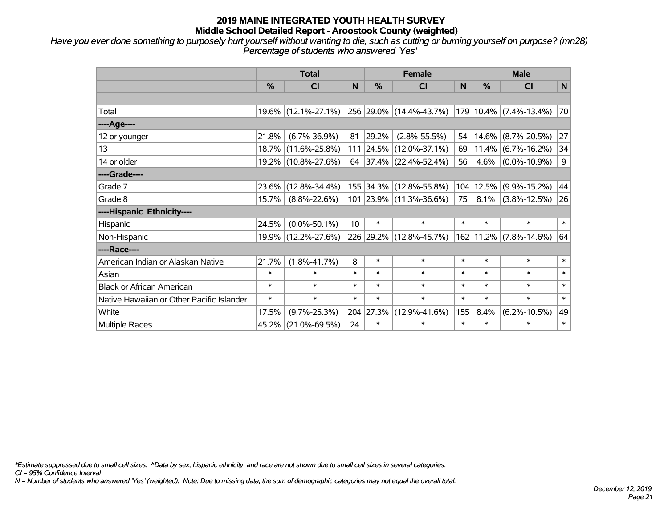*Have you ever done something to purposely hurt yourself without wanting to die, such as cutting or burning yourself on purpose? (mn28) Percentage of students who answered 'Yes'*

|                                           | <b>Total</b>  |                        |                 |               | <b>Female</b>           | <b>Male</b>  |        |                        |              |
|-------------------------------------------|---------------|------------------------|-----------------|---------------|-------------------------|--------------|--------|------------------------|--------------|
|                                           | $\frac{0}{0}$ | <b>CI</b>              | N               | $\frac{0}{0}$ | <b>CI</b>               | <sub>N</sub> | %      | <b>CI</b>              | $\mathsf{N}$ |
|                                           |               |                        |                 |               |                         |              |        |                        |              |
| Total                                     |               | $19.6\%$ (12.1%-27.1%) |                 |               | 256 29.0% (14.4%-43.7%) |              |        | 179 10.4% (7.4%-13.4%) | 70           |
| ----Age----                               |               |                        |                 |               |                         |              |        |                        |              |
| 12 or younger                             | 21.8%         | $(6.7\% - 36.9\%)$     | 81              | 29.2%         | $(2.8\% - 55.5\%)$      | 54           | 14.6%  | $(8.7\% - 20.5\%)$     | 27           |
| 13                                        |               | 18.7% (11.6%-25.8%)    |                 |               | 111 24.5% (12.0%-37.1%) | 69           |        | $11.4\%$ (6.7%-16.2%)  | 34           |
| 14 or older                               |               | 19.2% (10.8%-27.6%)    |                 |               | 64 37.4% (22.4%-52.4%)  | 56           | 4.6%   | $(0.0\% - 10.9\%)$     | 9            |
| ----Grade----                             |               |                        |                 |               |                         |              |        |                        |              |
| Grade 7                                   | 23.6%         | $(12.8\% - 34.4\%)$    |                 |               | 155 34.3% (12.8%-55.8%) | 104          | 12.5%  | $(9.9\% - 15.2\%)$     | 44           |
| Grade 8                                   | 15.7%         | $(8.8\% - 22.6\%)$     |                 |               | 101 23.9% (11.3%-36.6%) | 75           | 8.1%   | $(3.8\% - 12.5\%)$     | 26           |
| ----Hispanic Ethnicity----                |               |                        |                 |               |                         |              |        |                        |              |
| Hispanic                                  | 24.5%         | $(0.0\% - 50.1\%)$     | 10 <sup>1</sup> | $\ast$        | $\ast$                  | $\ast$       | $\ast$ | $\ast$                 | $\ast$       |
| Non-Hispanic                              |               | 19.9% (12.2%-27.6%)    |                 |               | 226 29.2% (12.8%-45.7%) | 162          |        | $11.2\%$ (7.8%-14.6%)  | 64           |
| ----Race----                              |               |                        |                 |               |                         |              |        |                        |              |
| American Indian or Alaskan Native         | 21.7%         | $(1.8\% - 41.7\%)$     | 8               | $\ast$        | $\ast$                  | $\ast$       | $\ast$ | $\ast$                 | $\ast$       |
| Asian                                     | $\ast$        | $\ast$                 | $\ast$          | $\ast$        | $\ast$                  | $\ast$       | $\ast$ | $\ast$                 | $\ast$       |
| <b>Black or African American</b>          | $\ast$        | $\ast$                 | $\ast$          | $\ast$        | $\ast$                  | $\ast$       | $\ast$ | $\ast$                 | $\ast$       |
| Native Hawaiian or Other Pacific Islander | $\ast$        | $\ast$                 | $\ast$          | $\ast$        | $\ast$                  | $\ast$       | $\ast$ | $\ast$                 | $\ast$       |
| White                                     | 17.5%         | $(9.7\% - 25.3\%)$     |                 | 204 27.3%     | $(12.9\% - 41.6\%)$     | 155          | 8.4%   | $(6.2\% - 10.5\%)$     | 49           |
| Multiple Races                            | 45.2%         | $(21.0\% - 69.5\%)$    | 24              | $\ast$        | $\ast$                  | $\ast$       | $\ast$ | $\ast$                 | $\ast$       |

*\*Estimate suppressed due to small cell sizes. ^Data by sex, hispanic ethnicity, and race are not shown due to small cell sizes in several categories.*

*CI = 95% Confidence Interval*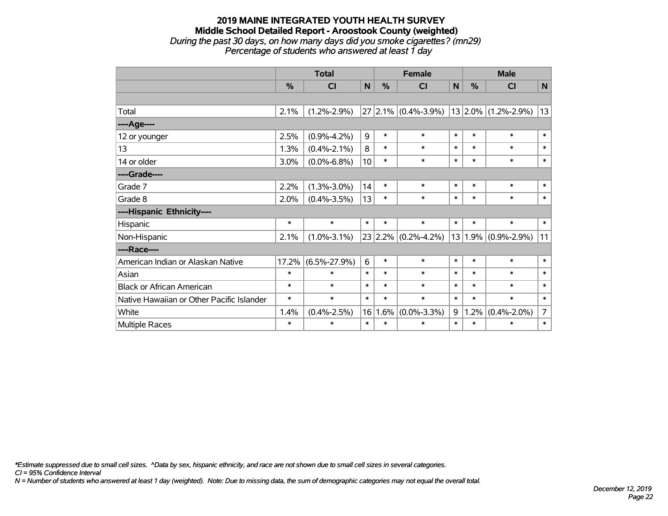#### **2019 MAINE INTEGRATED YOUTH HEALTH SURVEY Middle School Detailed Report - Aroostook County (weighted)** *During the past 30 days, on how many days did you smoke cigarettes? (mn29) Percentage of students who answered at least 1 day*

|                                           | <b>Total</b> |                    |                 |        | <b>Female</b>           | <b>Male</b>  |               |                         |                |
|-------------------------------------------|--------------|--------------------|-----------------|--------|-------------------------|--------------|---------------|-------------------------|----------------|
|                                           | %            | CI                 | N               | %      | CI                      | $\mathsf{N}$ | $\frac{0}{0}$ | <b>CI</b>               | N              |
|                                           |              |                    |                 |        |                         |              |               |                         |                |
| Total                                     | 2.1%         | $(1.2\% - 2.9\%)$  |                 |        | $27 2.1\% $ (0.4%-3.9%) |              |               | $13 2.0\% $ (1.2%-2.9%) | 13             |
| ----Age----                               |              |                    |                 |        |                         |              |               |                         |                |
| 12 or younger                             | 2.5%         | $(0.9\% - 4.2\%)$  | 9               | $\ast$ | $\ast$                  | $\ast$       | $\ast$        | $\ast$                  | $\ast$         |
| 13                                        | 1.3%         | $(0.4\% - 2.1\%)$  | 8               | $\ast$ | $\ast$                  | $\ast$       | $\ast$        | $\ast$                  | $\ast$         |
| 14 or older                               | 3.0%         | $(0.0\% - 6.8\%)$  | 10 <sup>1</sup> | $\ast$ | $\ast$                  | $\ast$       | $\ast$        | $\ast$                  | $\ast$         |
| ----Grade----                             |              |                    |                 |        |                         |              |               |                         |                |
| Grade 7                                   | 2.2%         | $(1.3\% - 3.0\%)$  | 14              | $\ast$ | $\ast$                  | $\ast$       | $\ast$        | $\ast$                  | $\ast$         |
| Grade 8                                   | 2.0%         | $(0.4\% - 3.5\%)$  | 13              | $\ast$ | $\ast$                  | $\ast$       | $\ast$        | $\ast$                  | $\ast$         |
| ----Hispanic Ethnicity----                |              |                    |                 |        |                         |              |               |                         |                |
| Hispanic                                  | $\ast$       | $\ast$             | $\ast$          | $\ast$ | $\ast$                  | $\ast$       | $\ast$        | $\ast$                  | $\ast$         |
| Non-Hispanic                              | 2.1%         | $(1.0\% - 3.1\%)$  |                 |        | $23$ 2.2% (0.2%-4.2%)   |              |               | $13 1.9\% $ (0.9%-2.9%) | 11             |
| ----Race----                              |              |                    |                 |        |                         |              |               |                         |                |
| American Indian or Alaskan Native         | 17.2%        | $(6.5\% - 27.9\%)$ | 6               | $\ast$ | $\ast$                  | $\ast$       | $\ast$        | $\ast$                  | $\ast$         |
| Asian                                     | $\ast$       | $\ast$             | $\ast$          | $\ast$ | $\ast$                  | $\ast$       | $\ast$        | $\ast$                  | $\ast$         |
| <b>Black or African American</b>          | $\ast$       | $\ast$             | $\ast$          | $\ast$ | $\ast$                  | $\ast$       | $\ast$        | $\ast$                  | $\ast$         |
| Native Hawaiian or Other Pacific Islander | $\ast$       | $\ast$             | $\ast$          | $\ast$ | $\ast$                  | $\ast$       | $\ast$        | $\ast$                  | $\ast$         |
| White                                     | 1.4%         | $(0.4\% - 2.5\%)$  | 16              | 1.6%   | $(0.0\% - 3.3\%)$       | 9            | .2%           | $(0.4\% - 2.0\%)$       | $\overline{7}$ |
| Multiple Races                            | $\ast$       | $\ast$             | $\ast$          | $\ast$ | $\ast$                  | $\ast$       | $\ast$        | $\ast$                  | $\ast$         |

*\*Estimate suppressed due to small cell sizes. ^Data by sex, hispanic ethnicity, and race are not shown due to small cell sizes in several categories.*

*CI = 95% Confidence Interval*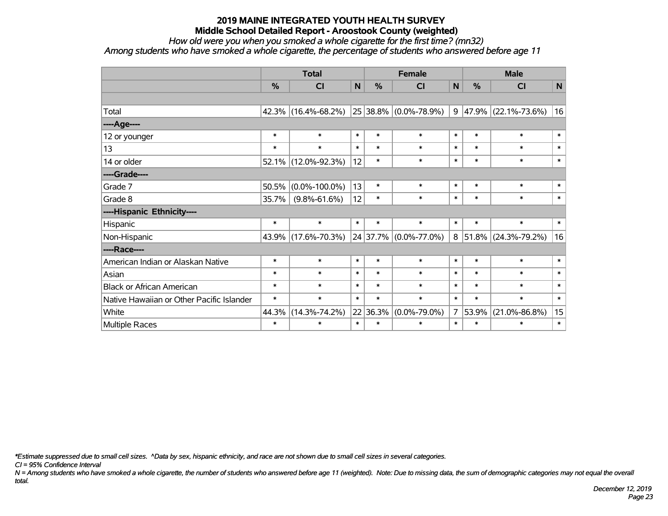*How old were you when you smoked a whole cigarette for the first time? (mn32)*

*Among students who have smoked a whole cigarette, the percentage of students who answered before age 11*

|                                           | <b>Total</b> |                     |              |               | <b>Female</b>           |                | <b>Male</b> |                     |              |  |
|-------------------------------------------|--------------|---------------------|--------------|---------------|-------------------------|----------------|-------------|---------------------|--------------|--|
|                                           | $\%$         | <b>CI</b>           | $\mathsf{N}$ | $\frac{0}{0}$ | CI                      | N              | %           | <b>CI</b>           | ${\sf N}$    |  |
|                                           |              |                     |              |               |                         |                |             |                     |              |  |
| Total                                     | 42.3%        | $(16.4\% - 68.2\%)$ |              |               | 25 38.8% (0.0%-78.9%)   | 9              |             | 47.9% (22.1%-73.6%) | 16           |  |
| ----Age----                               |              |                     |              |               |                         |                |             |                     |              |  |
| 12 or younger                             | $\ast$       | $\ast$              | $\ast$       | $\ast$        | $\ast$                  | $\ast$         | $\ast$      | $\ast$              | $\ast$       |  |
| 13                                        | $\ast$       | $\ast$              | $\ast$       | $\ast$        | $\ast$                  | $\ast$         | $\ast$      | $\ast$              | $\ast$       |  |
| 14 or older                               | 52.1%        | $(12.0\% - 92.3\%)$ | 12           | $\ast$        | $\ast$                  | $\ast$         | $\ast$      | $\ast$              | $\ast$       |  |
| ----Grade----                             |              |                     |              |               |                         |                |             |                     |              |  |
| Grade 7                                   | 50.5%        | $(0.0\% - 100.0\%)$ | 13           | $\ast$        | $\ast$                  | $\ast$         | $\ast$      | $\ast$              | $\pmb{\ast}$ |  |
| Grade 8                                   | 35.7%        | $(9.8\% - 61.6\%)$  | 12           | $\ast$        | $\ast$                  | $\ast$         | $\ast$      | $\ast$              | $\ast$       |  |
| ----Hispanic Ethnicity----                |              |                     |              |               |                         |                |             |                     |              |  |
| Hispanic                                  | $\ast$       | $\ast$              | $\ast$       | $\ast$        | $\ast$                  | $\ast$         | $\ast$      | $\ast$              | $\ast$       |  |
| Non-Hispanic                              | 43.9%        | $(17.6\% - 70.3\%)$ |              |               | $24$ 37.7% (0.0%-77.0%) | 8              | 51.8%       | $(24.3\% - 79.2\%)$ | 16           |  |
| ----Race----                              |              |                     |              |               |                         |                |             |                     |              |  |
| American Indian or Alaskan Native         | $\ast$       | $\ast$              | $\ast$       | $\ast$        | $\ast$                  | $\ast$         | $\ast$      | $\ast$              | $\ast$       |  |
| Asian                                     | $\ast$       | $\ast$              | $\ast$       | $\ast$        | $\ast$                  | $\ast$         | $\ast$      | $\ast$              | $\ast$       |  |
| <b>Black or African American</b>          | $\ast$       | $\ast$              | $\ast$       | $\ast$        | $\ast$                  | $\ast$         | $\ast$      | $\ast$              | $\ast$       |  |
| Native Hawaiian or Other Pacific Islander | $\ast$       | $\ast$              | $\ast$       | $\ast$        | $\ast$                  | $\ast$         | $\ast$      | $\ast$              | $\ast$       |  |
| White                                     | 44.3%        | $(14.3\% - 74.2\%)$ | 22           | 36.3%         | $(0.0\% - 79.0\%)$      | 7 <sup>1</sup> | 53.9%       | $(21.0\% - 86.8\%)$ | 15           |  |
| Multiple Races                            | $\ast$       | $\ast$              | $\ast$       | $\ast$        | $\ast$                  | $\ast$         | $\ast$      | $\ast$              | $\ast$       |  |

*\*Estimate suppressed due to small cell sizes. ^Data by sex, hispanic ethnicity, and race are not shown due to small cell sizes in several categories.*

*CI = 95% Confidence Interval*

*N = Among students who have smoked a whole cigarette, the number of students who answered before age 11 (weighted). Note: Due to missing data, the sum of demographic categories may not equal the overall total.*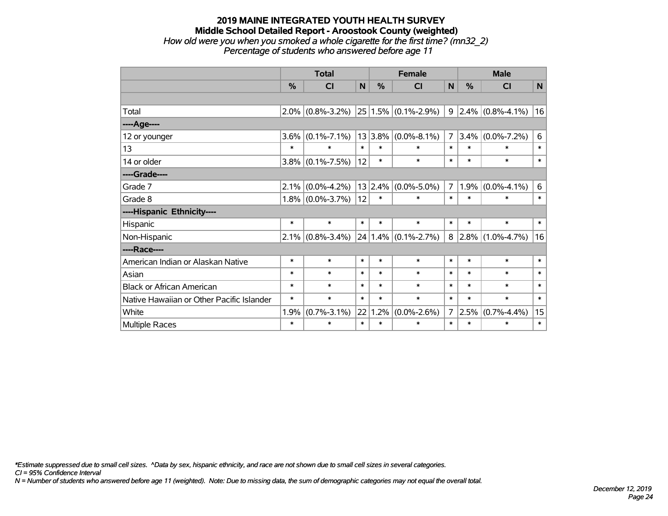#### **2019 MAINE INTEGRATED YOUTH HEALTH SURVEY Middle School Detailed Report - Aroostook County (weighted)** *How old were you when you smoked a whole cigarette for the first time? (mn32\_2) Percentage of students who answered before age 11*

|                                           | <b>Total</b> |                     |              |         | <b>Female</b>            | <b>Male</b>    |        |                       |        |
|-------------------------------------------|--------------|---------------------|--------------|---------|--------------------------|----------------|--------|-----------------------|--------|
|                                           | %            | <b>CI</b>           | $\mathsf{N}$ | %       | <b>CI</b>                | N              | %      | CI                    | N      |
|                                           |              |                     |              |         |                          |                |        |                       |        |
| Total                                     |              | $2.0\%$ (0.8%-3.2%) |              |         | $ 25 1.5\% $ (0.1%-2.9%) | 9              |        | $2.4\%$ (0.8%-4.1%)   | 16     |
| ----Age----                               |              |                     |              |         |                          |                |        |                       |        |
| 12 or younger                             | 3.6%         | $(0.1\% - 7.1\%)$   |              | 13 3.8% | $(0.0\% - 8.1\%)$        | $\overline{7}$ | 3.4%   | $(0.0\% - 7.2\%)$     | 6      |
| 13                                        | $\ast$       | $\ast$              | $\ast$       | $\ast$  | $\ast$                   | $\ast$         | $\ast$ | $\ast$                | $\ast$ |
| 14 or older                               |              | $3.8\%$ (0.1%-7.5%) | 12           | $\ast$  | $\ast$                   | $\ast$         | $\ast$ | $\ast$                | $\ast$ |
| ----Grade----                             |              |                     |              |         |                          |                |        |                       |        |
| Grade 7                                   | 2.1%         | $(0.0\% - 4.2\%)$   |              | 13 2.4% | $(0.0\% - 5.0\%)$        | $\overline{7}$ | 1.9%   | $(0.0\% - 4.1\%)$     | 6      |
| Grade 8                                   |              | $1.8\%$ (0.0%-3.7%) | 12           | $\ast$  | $\ast$                   | $\ast$         | $\ast$ | $\ast$                | $\ast$ |
| ----Hispanic Ethnicity----                |              |                     |              |         |                          |                |        |                       |        |
| Hispanic                                  | $\ast$       | $\ast$              | $\ast$       | $\ast$  | $\ast$                   | $\ast$         | $\ast$ | $\ast$                | $\ast$ |
| Non-Hispanic                              |              | $2.1\%$ (0.8%-3.4%) |              |         | $24 1.4\% $ (0.1%-2.7%)  | 8              |        | $ 2.8\% $ (1.0%-4.7%) | 16     |
| ----Race----                              |              |                     |              |         |                          |                |        |                       |        |
| American Indian or Alaskan Native         | $\ast$       | $\ast$              | $\ast$       | $\ast$  | $\ast$                   | $\ast$         | $\ast$ | $\ast$                | $\ast$ |
| Asian                                     | $\ast$       | $\ast$              | $\ast$       | $\ast$  | $\ast$                   | $\ast$         | $\ast$ | $\ast$                | $\ast$ |
| <b>Black or African American</b>          | $\ast$       | $\ast$              | $\ast$       | $\ast$  | $\ast$                   | $\ast$         | $\ast$ | $\ast$                | $\ast$ |
| Native Hawaiian or Other Pacific Islander | $\ast$       | $\ast$              | $\ast$       | $\ast$  | $\ast$                   | $\ast$         | $\ast$ | $\ast$                | $\ast$ |
| White                                     | 1.9%         | $(0.7\% - 3.1\%)$   | 22           | 1.2%    | $(0.0\% - 2.6\%)$        | $\overline{7}$ | 2.5%   | $(0.7\% - 4.4\%)$     | 15     |
| <b>Multiple Races</b>                     | $\ast$       | $\ast$              | $\ast$       | $\ast$  | $\ast$                   | $\ast$         | $\ast$ | $\ast$                | $\ast$ |

*\*Estimate suppressed due to small cell sizes. ^Data by sex, hispanic ethnicity, and race are not shown due to small cell sizes in several categories.*

*CI = 95% Confidence Interval*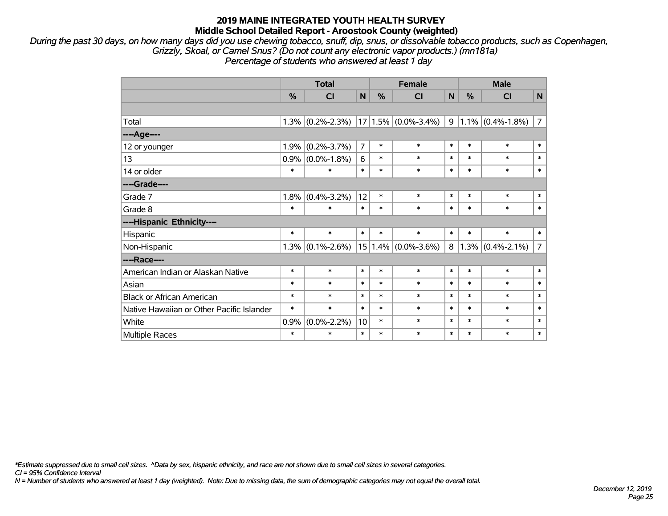*During the past 30 days, on how many days did you use chewing tobacco, snuff, dip, snus, or dissolvable tobacco products, such as Copenhagen, Grizzly, Skoal, or Camel Snus? (Do not count any electronic vapor products.) (mn181a) Percentage of students who answered at least 1 day*

|                                           | <b>Total</b> |                   |                |        | <b>Female</b>           |        | <b>Male</b> |                     |                |  |
|-------------------------------------------|--------------|-------------------|----------------|--------|-------------------------|--------|-------------|---------------------|----------------|--|
|                                           | %            | <b>CI</b>         | N              | %      | CI                      | N      | %           | CI                  | $\mathsf{N}$   |  |
|                                           |              |                   |                |        |                         |        |             |                     |                |  |
| Total                                     | 1.3%         | $(0.2\% - 2.3\%)$ |                |        | $17 1.5\% $ (0.0%-3.4%) | 9      |             | $1.1\%$ (0.4%-1.8%) | $\overline{7}$ |  |
| ----Age----                               |              |                   |                |        |                         |        |             |                     |                |  |
| 12 or younger                             | 1.9%         | $(0.2\% - 3.7\%)$ | $\overline{7}$ | $\ast$ | $\ast$                  | $\ast$ | $\ast$      | $\ast$              | $\ast$         |  |
| 13                                        | 0.9%         | $(0.0\% - 1.8\%)$ | 6              | $\ast$ | $\ast$                  | $\ast$ | $\ast$      | $\ast$              | $\ast$         |  |
| 14 or older                               | $\ast$       | $\ast$            | $\ast$         | $\ast$ | $\ast$                  | $\ast$ | $\ast$      | $\ast$              | $\ast$         |  |
| ----Grade----                             |              |                   |                |        |                         |        |             |                     |                |  |
| Grade 7                                   | 1.8%         | $(0.4\% - 3.2\%)$ | 12             | $\ast$ | $\ast$                  | $\ast$ | $\ast$      | $\ast$              | $\ast$         |  |
| Grade 8                                   | $\ast$       | $\ast$            | $\ast$         | $\ast$ | $\ast$                  | $\ast$ | $\ast$      | $\ast$              | $\ast$         |  |
| ----Hispanic Ethnicity----                |              |                   |                |        |                         |        |             |                     |                |  |
| Hispanic                                  | $\ast$       | $\ast$            | $\ast$         | $\ast$ | $\ast$                  | $\ast$ | $\ast$      | $\ast$              | $\ast$         |  |
| Non-Hispanic                              | 1.3%         | $(0.1\% - 2.6\%)$ |                |        | $15 1.4\% $ (0.0%-3.6%) | 8      |             | $1.3\%$ (0.4%-2.1%) | $\overline{7}$ |  |
| ----Race----                              |              |                   |                |        |                         |        |             |                     |                |  |
| American Indian or Alaskan Native         | $\ast$       | $\ast$            | $\ast$         | $\ast$ | $\ast$                  | $\ast$ | $\ast$      | $\ast$              | $\ast$         |  |
| Asian                                     | $\ast$       | $\ast$            | $\ast$         | $\ast$ | $\ast$                  | $\ast$ | $\ast$      | $\ast$              | $\ast$         |  |
| <b>Black or African American</b>          | $\ast$       | $\ast$            | $\ast$         | $\ast$ | $\ast$                  | $\ast$ | $\ast$      | $\ast$              | $\ast$         |  |
| Native Hawaiian or Other Pacific Islander | $\ast$       | $\ast$            | $\ast$         | $\ast$ | $\ast$                  | $\ast$ | $\ast$      | $\ast$              | $\ast$         |  |
| White                                     | 0.9%         | $(0.0\% - 2.2\%)$ | 10             | $\ast$ | $\ast$                  | $\ast$ | $\ast$      | $\ast$              | $\ast$         |  |
| Multiple Races                            | $\ast$       | $\ast$            | $\ast$         | $\ast$ | $\ast$                  | $\ast$ | $\ast$      | $\ast$              | $\ast$         |  |

*\*Estimate suppressed due to small cell sizes. ^Data by sex, hispanic ethnicity, and race are not shown due to small cell sizes in several categories.*

*CI = 95% Confidence Interval*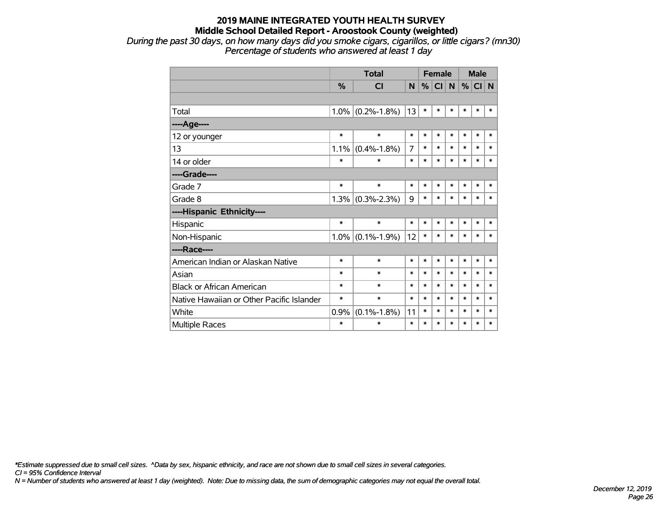*During the past 30 days, on how many days did you smoke cigars, cigarillos, or little cigars? (mn30) Percentage of students who answered at least 1 day*

|                                           |               | <b>Total</b>        |        | <b>Female</b> |        |        | <b>Male</b> |        |        |
|-------------------------------------------|---------------|---------------------|--------|---------------|--------|--------|-------------|--------|--------|
|                                           | $\frac{9}{6}$ | CI                  | N      | %             | CI N   |        | $\%$        | CI N   |        |
|                                           |               |                     |        |               |        |        |             |        |        |
| Total                                     | $1.0\%$       | $(0.2\% - 1.8\%)$   | 13     | $\ast$        | $\ast$ | $\ast$ | *           | $\ast$ | $\ast$ |
| ----Age----                               |               |                     |        |               |        |        |             |        |        |
| 12 or younger                             | $\ast$        | $\ast$              | $\ast$ | $\ast$        | $\ast$ | $\ast$ | $\ast$      | $\ast$ | $\ast$ |
| 13                                        | 1.1%          | $(0.4\% - 1.8\%)$   | 7      | $\ast$        | $\ast$ | $\ast$ | $\ast$      | $\ast$ | $\ast$ |
| 14 or older                               | $\ast$        | $\ast$              | $\ast$ | $\ast$        | $\ast$ | $\ast$ | $\ast$      | $\ast$ | $\ast$ |
| ----Grade----                             |               |                     |        |               |        |        |             |        |        |
| Grade 7                                   | $\ast$        | $\ast$              | $\ast$ | $\ast$        | $\ast$ | $\ast$ | $\ast$      | $\ast$ | $\ast$ |
| Grade 8                                   | 1.3%          | $(0.3\% - 2.3\%)$   | 9      | $\ast$        | $\ast$ | $\ast$ | $\ast$      | $\ast$ | *      |
| ----Hispanic Ethnicity----                |               |                     |        |               |        |        |             |        |        |
| Hispanic                                  | $\ast$        | $\ast$              | $\ast$ | $\ast$        | $\ast$ | $\ast$ | *           | *      | ∗      |
| Non-Hispanic                              |               | $1.0\%$ (0.1%-1.9%) | 12     | $\ast$        | $\ast$ | $\ast$ | $\ast$      | $\ast$ | $\ast$ |
| ----Race----                              |               |                     |        |               |        |        |             |        |        |
| American Indian or Alaskan Native         | $\ast$        | $\ast$              | $\ast$ | $\ast$        | $\ast$ | $\ast$ | $\ast$      | $\ast$ | $\ast$ |
| Asian                                     | $\ast$        | $\ast$              | $\ast$ | $\ast$        | $\ast$ | $\ast$ | $\ast$      | $\ast$ | $\ast$ |
| <b>Black or African American</b>          | $\ast$        | $\ast$              | $\ast$ | $\ast$        | $\ast$ | $\ast$ | $\ast$      | $\ast$ | $\ast$ |
| Native Hawaiian or Other Pacific Islander | $\ast$        | $\ast$              | $\ast$ | $\ast$        | $\ast$ | *      | $\ast$      | $\ast$ | *      |
| White                                     | 0.9%          | $(0.1\% - 1.8\%)$   | 11     | $\ast$        | $\ast$ | *      | $\ast$      | $\ast$ | *      |
| <b>Multiple Races</b>                     | $\ast$        | $\ast$              | $\ast$ | $\ast$        | *      | $\ast$ | *           | $\ast$ | $\ast$ |

*\*Estimate suppressed due to small cell sizes. ^Data by sex, hispanic ethnicity, and race are not shown due to small cell sizes in several categories.*

*CI = 95% Confidence Interval*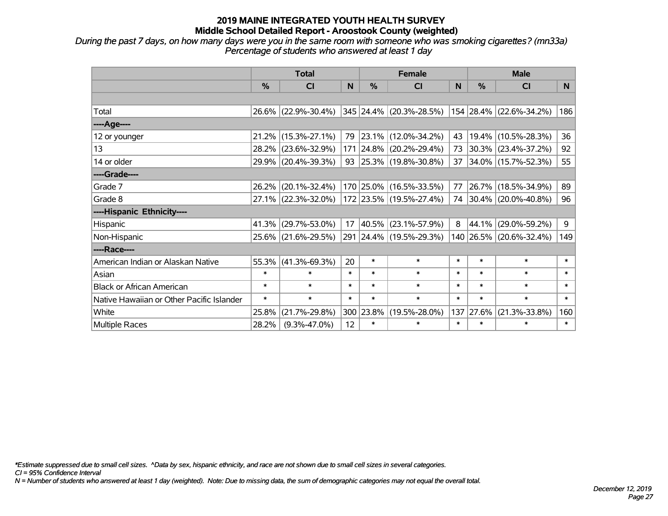*During the past 7 days, on how many days were you in the same room with someone who was smoking cigarettes? (mn33a) Percentage of students who answered at least 1 day*

|                                           | <b>Total</b>  |                                 |        |               | <b>Female</b>           |        | <b>Male</b> |                              |        |  |
|-------------------------------------------|---------------|---------------------------------|--------|---------------|-------------------------|--------|-------------|------------------------------|--------|--|
|                                           | $\frac{0}{0}$ | CI                              | N      | $\frac{0}{0}$ | <b>CI</b>               | N      | %           | <b>CI</b>                    | N      |  |
|                                           |               |                                 |        |               |                         |        |             |                              |        |  |
| Total                                     |               | 26.6% (22.9%-30.4%)             |        |               | 345 24.4% (20.3%-28.5%) |        |             | $ 154 28.4\% $ (22.6%-34.2%) | 186    |  |
| ----Age----                               |               |                                 |        |               |                         |        |             |                              |        |  |
| 12 or younger                             | 21.2%         | $(15.3\text{%} - 27.1\text{%)}$ | 79     |               | 23.1% (12.0%-34.2%)     | 43     | 19.4%       | $(10.5\% - 28.3\%)$          | 36     |  |
| 13                                        | 28.2%         | $(23.6\% - 32.9\%)$             |        |               | 171 24.8% (20.2%-29.4%) | 73     |             | $30.3\%$ (23.4%-37.2%)       | 92     |  |
| 14 or older                               |               | 29.9% (20.4%-39.3%)             |        |               | 93 25.3% (19.8%-30.8%)  | 37     |             | 34.0% (15.7%-52.3%)          | 55     |  |
| ----Grade----                             |               |                                 |        |               |                         |        |             |                              |        |  |
| Grade 7                                   | 26.2%         | $(20.1\% - 32.4\%)$             |        |               | 170 25.0% (16.5%-33.5%) | 77     | 26.7%       | $(18.5\% - 34.9\%)$          | 89     |  |
| Grade 8                                   |               | $27.1\%$ (22.3%-32.0%)          |        |               | 172 23.5% (19.5%-27.4%) |        |             | 74 30.4% (20.0%-40.8%)       | 96     |  |
| ----Hispanic Ethnicity----                |               |                                 |        |               |                         |        |             |                              |        |  |
| Hispanic                                  | 41.3%         | $(29.7\% - 53.0\%)$             | 17     | 40.5%         | $(23.1\% - 57.9\%)$     | 8      | 44.1%       | $(29.0\% - 59.2\%)$          | 9      |  |
| Non-Hispanic                              | 25.6%         | $(21.6\% - 29.5\%)$             |        |               | 291 24.4% (19.5%-29.3%) |        |             | 140 26.5% (20.6%-32.4%)      | 149    |  |
| ----Race----                              |               |                                 |        |               |                         |        |             |                              |        |  |
| American Indian or Alaskan Native         | 55.3%         | $(41.3\% - 69.3\%)$             | 20     | $\ast$        | $\ast$                  | $\ast$ | $\ast$      | $\ast$                       | $\ast$ |  |
| Asian                                     | $\ast$        | $\ast$                          | $\ast$ | $\ast$        | $\ast$                  | $\ast$ | $\ast$      | $\ast$                       | $\ast$ |  |
| <b>Black or African American</b>          | $\ast$        | $\ast$                          | $\ast$ | $\ast$        | $\ast$                  | $\ast$ | $\ast$      | $\ast$                       | $\ast$ |  |
| Native Hawaiian or Other Pacific Islander | $\ast$        | $\ast$                          | $\ast$ | $\ast$        | $\ast$                  | $\ast$ | $\ast$      | $\ast$                       | $\ast$ |  |
| White                                     | 25.8%         | $(21.7\% - 29.8\%)$             | 300    | 23.8%         | $(19.5\% - 28.0\%)$     | 137    | 27.6%       | $(21.3\% - 33.8\%)$          | 160    |  |
| <b>Multiple Races</b>                     | 28.2%         | $(9.3\% - 47.0\%)$              | 12     | $\ast$        | $\ast$                  | $\ast$ | $\ast$      | $\ast$                       | $\ast$ |  |

*\*Estimate suppressed due to small cell sizes. ^Data by sex, hispanic ethnicity, and race are not shown due to small cell sizes in several categories.*

*CI = 95% Confidence Interval*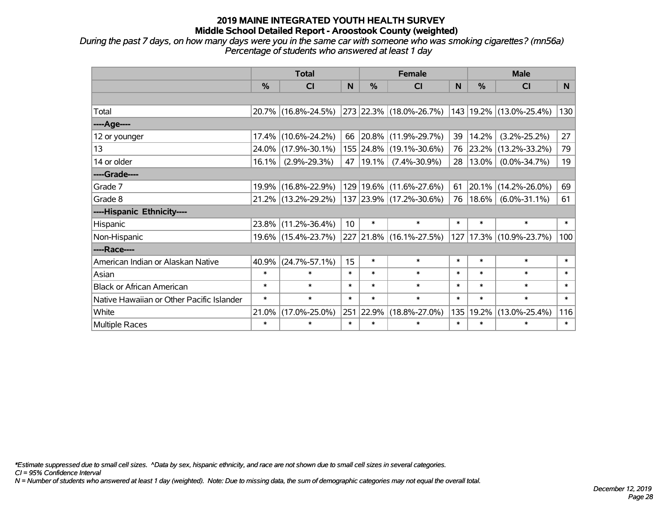*During the past 7 days, on how many days were you in the same car with someone who was smoking cigarettes? (mn56a) Percentage of students who answered at least 1 day*

|                                           | <b>Total</b> |                        |                 |               | <b>Female</b>           |        | <b>Male</b> |                         |        |  |
|-------------------------------------------|--------------|------------------------|-----------------|---------------|-------------------------|--------|-------------|-------------------------|--------|--|
|                                           | %            | <b>CI</b>              | N               | $\frac{0}{0}$ | <b>CI</b>               | N      | %           | CI                      | N      |  |
|                                           |              |                        |                 |               |                         |        |             |                         |        |  |
| Total                                     |              | 20.7% (16.8%-24.5%)    |                 |               | 273 22.3% (18.0%-26.7%) |        |             | 143 19.2% (13.0%-25.4%) | 130    |  |
| ----Age----                               |              |                        |                 |               |                         |        |             |                         |        |  |
| 12 or younger                             | 17.4%        | $(10.6\% - 24.2\%)$    | 66              |               | 20.8% (11.9%-29.7%)     | 39     | 14.2%       | $(3.2\% - 25.2\%)$      | 27     |  |
| 13                                        | 24.0%        | $(17.9\% - 30.1\%)$    |                 |               | 155 24.8% (19.1%-30.6%) | 76     | 23.2%       | $(13.2\% - 33.2\%)$     | 79     |  |
| 14 or older                               | 16.1%        | $(2.9\% - 29.3\%)$     |                 | 47   19.1%    | $(7.4\% - 30.9\%)$      | 28     | 13.0%       | $(0.0\% - 34.7\%)$      | 19     |  |
| ----Grade----                             |              |                        |                 |               |                         |        |             |                         |        |  |
| Grade 7                                   | 19.9%        | $(16.8\% - 22.9\%)$    |                 |               | 129 19.6% (11.6%-27.6%) | 61     | 20.1%       | $(14.2\% - 26.0\%)$     | 69     |  |
| Grade 8                                   |              | $21.2\%$ (13.2%-29.2%) |                 |               | 137 23.9% (17.2%-30.6%) | 76     | $18.6\%$    | $(6.0\% - 31.1\%)$      | 61     |  |
| ----Hispanic Ethnicity----                |              |                        |                 |               |                         |        |             |                         |        |  |
| Hispanic                                  | 23.8%        | $(11.2\% - 36.4\%)$    | 10 <sup>°</sup> | $\ast$        | $\ast$                  | $\ast$ | $\ast$      | $\ast$                  | $\ast$ |  |
| Non-Hispanic                              |              | 19.6% (15.4%-23.7%)    |                 |               | 227 21.8% (16.1%-27.5%) | 127    |             | $17.3\%$ (10.9%-23.7%)  | 100    |  |
| ----Race----                              |              |                        |                 |               |                         |        |             |                         |        |  |
| American Indian or Alaskan Native         | 40.9%        | $(24.7\% - 57.1\%)$    | 15              | $\ast$        | $\ast$                  | $\ast$ | $\ast$      | $\ast$                  | $\ast$ |  |
| Asian                                     | $\ast$       | $\ast$                 | $\ast$          | $\ast$        | $\ast$                  | $\ast$ | $\ast$      | $\ast$                  | $\ast$ |  |
| <b>Black or African American</b>          | $\ast$       | $\ast$                 | $\ast$          | $\ast$        | $\ast$                  | $\ast$ | $\ast$      | $\ast$                  | $\ast$ |  |
| Native Hawaiian or Other Pacific Islander | $\ast$       | $\ast$                 | $\ast$          | $\ast$        | $\ast$                  | $\ast$ | $\ast$      | $\ast$                  | $\ast$ |  |
| White                                     | 21.0%        | $(17.0\% - 25.0\%)$    | 251             | 22.9%         | $(18.8\% - 27.0\%)$     | 135    | 19.2%       | $(13.0\% - 25.4\%)$     | 116    |  |
| Multiple Races                            | $\ast$       | $\ast$                 | $\ast$          | $\ast$        | $\ast$                  | $\ast$ | $\ast$      | $\ast$                  | $\ast$ |  |

*\*Estimate suppressed due to small cell sizes. ^Data by sex, hispanic ethnicity, and race are not shown due to small cell sizes in several categories.*

*CI = 95% Confidence Interval*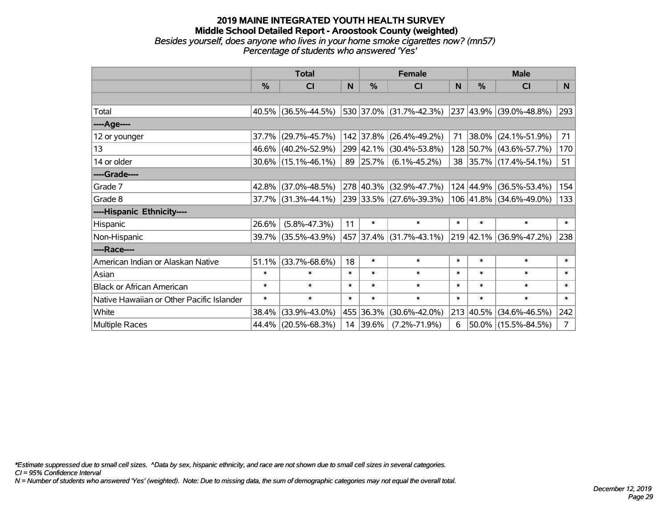#### **2019 MAINE INTEGRATED YOUTH HEALTH SURVEY Middle School Detailed Report - Aroostook County (weighted)** *Besides yourself, does anyone who lives in your home smoke cigarettes now? (mn57) Percentage of students who answered 'Yes'*

|                                           | <b>Total</b>  |                        |        |               | <b>Female</b>           |        | <b>Male</b>   |                              |                |  |
|-------------------------------------------|---------------|------------------------|--------|---------------|-------------------------|--------|---------------|------------------------------|----------------|--|
|                                           | $\frac{0}{0}$ | CI                     | N      | $\frac{0}{0}$ | <b>CI</b>               | N      | $\frac{0}{0}$ | <b>CI</b>                    | N.             |  |
|                                           |               |                        |        |               |                         |        |               |                              |                |  |
| Total                                     |               | $40.5\%$ (36.5%-44.5%) |        |               | 530 37.0% (31.7%-42.3%) |        |               | $ 237 43.9\% $ (39.0%-48.8%) | 293            |  |
| ----Age----                               |               |                        |        |               |                         |        |               |                              |                |  |
| 12 or younger                             | 37.7%         | $(29.7\% - 45.7\%)$    |        | 142 37.8%     | $(26.4\% - 49.2\%)$     | 71     | 38.0%         | $(24.1\% - 51.9\%)$          | 71             |  |
| 13                                        |               | 46.6% (40.2%-52.9%)    |        |               | 299 42.1% (30.4%-53.8%) |        |               | 128 50.7% (43.6%-57.7%)      | 170            |  |
| 14 or older                               |               | $30.6\%$ (15.1%-46.1%) |        | 89 25.7%      | $(6.1\% - 45.2\%)$      |        |               | 38 35.7% (17.4%-54.1%)       | 51             |  |
| ----Grade----                             |               |                        |        |               |                         |        |               |                              |                |  |
| Grade 7                                   | $42.8\%$      | $(37.0\% - 48.5\%)$    |        |               | 278 40.3% (32.9%-47.7%) |        | 124 44.9%     | $(36.5\% - 53.4\%)$          | 154            |  |
| Grade 8                                   |               | $37.7\%$ (31.3%-44.1%) |        |               | 239 33.5% (27.6%-39.3%) |        |               | 106 41.8% (34.6%-49.0%)      | 133            |  |
| ----Hispanic Ethnicity----                |               |                        |        |               |                         |        |               |                              |                |  |
| Hispanic                                  | 26.6%         | $(5.8\% - 47.3\%)$     | 11     | $\ast$        | $\ast$                  | $\ast$ | $\ast$        | $\ast$                       | $\ast$         |  |
| Non-Hispanic                              | $39.7\%$      | $(35.5\% - 43.9\%)$    |        |               | 457 37.4% (31.7%-43.1%) |        |               | 219 42.1% (36.9%-47.2%)      | 238            |  |
| ----Race----                              |               |                        |        |               |                         |        |               |                              |                |  |
| American Indian or Alaskan Native         | 51.1%         | $(33.7\% - 68.6\%)$    | 18     | $\ast$        | $\ast$                  | $\ast$ | $\ast$        | $\ast$                       | $\ast$         |  |
| Asian                                     | $\ast$        | $\ast$                 | $\ast$ | $\ast$        | $\ast$                  | $\ast$ | $\ast$        | $\ast$                       | $\ast$         |  |
| <b>Black or African American</b>          | $\ast$        | $\ast$                 | $\ast$ | $\ast$        | $\ast$                  | $\ast$ | $\ast$        | $\ast$                       | $\ast$         |  |
| Native Hawaiian or Other Pacific Islander | $\ast$        | $\ast$                 | $\ast$ | $\ast$        | $\ast$                  | $\ast$ | $\ast$        | $\ast$                       | $\ast$         |  |
| White                                     | 38.4%         | $(33.9\% - 43.0\%)$    |        | 455 36.3%     | $(30.6\% - 42.0\%)$     |        | 213 40.5%     | $(34.6\% - 46.5\%)$          | 242            |  |
| <b>Multiple Races</b>                     | 44.4%         | $(20.5\% - 68.3\%)$    |        | 14 39.6%      | $(7.2\% - 71.9\%)$      | 6      |               | $50.0\%$ (15.5%-84.5%)       | 7 <sup>1</sup> |  |

*\*Estimate suppressed due to small cell sizes. ^Data by sex, hispanic ethnicity, and race are not shown due to small cell sizes in several categories.*

*CI = 95% Confidence Interval*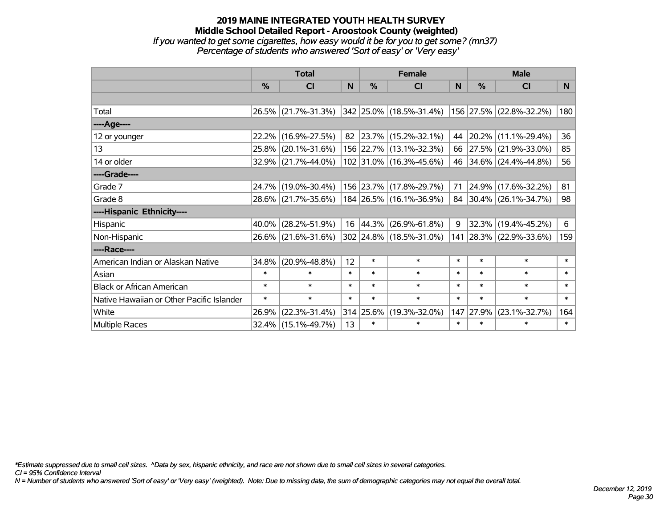#### **2019 MAINE INTEGRATED YOUTH HEALTH SURVEY Middle School Detailed Report - Aroostook County (weighted)** *If you wanted to get some cigarettes, how easy would it be for you to get some? (mn37) Percentage of students who answered 'Sort of easy' or 'Very easy'*

|                                           | <b>Total</b>  |                        |        |               | <b>Female</b>             |        | <b>Male</b> |                         |        |  |
|-------------------------------------------|---------------|------------------------|--------|---------------|---------------------------|--------|-------------|-------------------------|--------|--|
|                                           | $\frac{0}{0}$ | CI                     | N      | $\frac{0}{0}$ | <b>CI</b>                 | N      | %           | <b>CI</b>               | N.     |  |
|                                           |               |                        |        |               |                           |        |             |                         |        |  |
| Total                                     |               | 26.5% (21.7%-31.3%)    |        |               | 342 25.0% (18.5%-31.4%)   |        |             | 156 27.5% (22.8%-32.2%) | 180    |  |
| ----Age----                               |               |                        |        |               |                           |        |             |                         |        |  |
| 12 or younger                             | 22.2%         | $(16.9\% - 27.5\%)$    |        |               | 82 23.7% (15.2%-32.1%)    | 44     |             | 20.2% (11.1%-29.4%)     | 36     |  |
| 13                                        |               | 25.8% (20.1%-31.6%)    |        |               | 156 22.7% (13.1%-32.3%)   | 66     |             | 27.5% (21.9%-33.0%)     | 85     |  |
| 14 or older                               |               | $32.9\%$ (21.7%-44.0%) |        |               | $102$ 31.0% (16.3%-45.6%) | 46     |             | 34.6% (24.4%-44.8%)     | 56     |  |
| ----Grade----                             |               |                        |        |               |                           |        |             |                         |        |  |
| Grade 7                                   |               | 24.7% (19.0%-30.4%)    |        |               | 156 23.7% (17.8%-29.7%)   | 71     |             | 24.9% (17.6%-32.2%)     | 81     |  |
| Grade 8                                   |               | 28.6% (21.7%-35.6%)    |        |               | 184 26.5% (16.1%-36.9%)   |        |             | 84 30.4% (26.1%-34.7%)  | 98     |  |
| ----Hispanic Ethnicity----                |               |                        |        |               |                           |        |             |                         |        |  |
| Hispanic                                  | 40.0%         | $(28.2\% - 51.9\%)$    | 16     | $ 44.3\% $    | $(26.9\% - 61.8\%)$       | 9      |             | 32.3% (19.4%-45.2%)     | 6      |  |
| Non-Hispanic                              |               | 26.6% (21.6%-31.6%)    |        |               | 302 24.8% (18.5%-31.0%)   |        |             | 141 28.3% (22.9%-33.6%) | 159    |  |
| ----Race----                              |               |                        |        |               |                           |        |             |                         |        |  |
| American Indian or Alaskan Native         | 34.8%         | $(20.9\% - 48.8\%)$    | 12     | $\ast$        | $\ast$                    | $\ast$ | $\ast$      | $\ast$                  | $\ast$ |  |
| Asian                                     | $\ast$        | $\ast$                 | $\ast$ | $\ast$        | $\ast$                    | $\ast$ | $\ast$      | $\ast$                  | $\ast$ |  |
| <b>Black or African American</b>          | $\ast$        | $\ast$                 | $\ast$ | $\ast$        | $\ast$                    | $\ast$ | $\ast$      | $\ast$                  | $\ast$ |  |
| Native Hawaiian or Other Pacific Islander | $\ast$        | $\ast$                 | $\ast$ | $\ast$        | $\ast$                    | $\ast$ | $\ast$      | $\ast$                  | $\ast$ |  |
| White                                     | 26.9%         | $(22.3\% - 31.4\%)$    |        | 314 25.6%     | $(19.3\% - 32.0\%)$       | 147    | 27.9%       | $(23.1\% - 32.7\%)$     | 164    |  |
| <b>Multiple Races</b>                     |               | 32.4% (15.1%-49.7%)    | 13     | $\ast$        | $\ast$                    | $\ast$ | $\ast$      | $\ast$                  | $\ast$ |  |

*\*Estimate suppressed due to small cell sizes. ^Data by sex, hispanic ethnicity, and race are not shown due to small cell sizes in several categories.*

*CI = 95% Confidence Interval*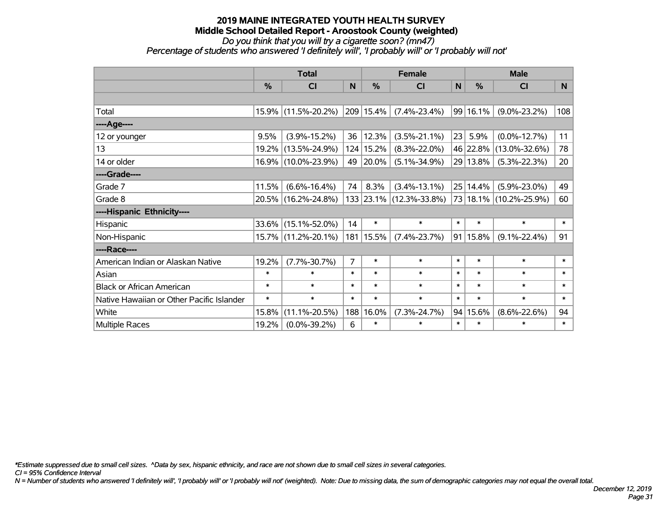#### *Do you think that you will try a cigarette soon? (mn47)*

*Percentage of students who answered 'I definitely will', 'I probably will' or 'I probably will not'*

|                                           | <b>Total</b> |                     |        |             | <b>Female</b>           |        | <b>Male</b>   |                        |        |  |
|-------------------------------------------|--------------|---------------------|--------|-------------|-------------------------|--------|---------------|------------------------|--------|--|
|                                           | %            | CI                  | N      | %           | <b>CI</b>               | N      | $\frac{0}{0}$ | <b>CI</b>              | N.     |  |
|                                           |              |                     |        |             |                         |        |               |                        |        |  |
| Total                                     | 15.9%        | $(11.5\% - 20.2\%)$ |        | 209 15.4%   | $(7.4\% - 23.4\%)$      |        | 99 16.1%      | $(9.0\% - 23.2\%)$     | 108    |  |
| ----Age----                               |              |                     |        |             |                         |        |               |                        |        |  |
| 12 or younger                             | 9.5%         | $(3.9\% - 15.2\%)$  | 36     | 12.3%       | $(3.5\% - 21.1\%)$      | 23     | 5.9%          | $(0.0\% - 12.7\%)$     | 11     |  |
| 13                                        | 19.2%        | $(13.5\% - 24.9\%)$ |        | 124 15.2%   | $(8.3\% - 22.0\%)$      |        | 46 22.8%      | $(13.0\% - 32.6\%)$    | 78     |  |
| 14 or older                               |              | 16.9% (10.0%-23.9%) | 49     | 20.0%       | $(5.1\% - 34.9\%)$      |        | 29 13.8%      | $(5.3\% - 22.3\%)$     | 20     |  |
| ----Grade----                             |              |                     |        |             |                         |        |               |                        |        |  |
| Grade 7                                   | 11.5%        | $(6.6\% - 16.4\%)$  | 74     | 8.3%        | $(3.4\% - 13.1\%)$      |        | 25 14.4%      | $(5.9\% - 23.0\%)$     | 49     |  |
| Grade 8                                   |              | 20.5% (16.2%-24.8%) |        |             | 133 23.1% (12.3%-33.8%) |        |               | 73 18.1% (10.2%-25.9%) | 60     |  |
| ----Hispanic Ethnicity----                |              |                     |        |             |                         |        |               |                        |        |  |
| Hispanic                                  | 33.6%        | $(15.1\% - 52.0\%)$ | 14     | $\ast$      | $\ast$                  | $\ast$ | $\ast$        | $\ast$                 | $\ast$ |  |
| Non-Hispanic                              | 15.7%        | $(11.2\% - 20.1\%)$ |        | 181   15.5% | $(7.4\% - 23.7\%)$      |        | 91 15.8%      | $(9.1\% - 22.4\%)$     | 91     |  |
| ----Race----                              |              |                     |        |             |                         |        |               |                        |        |  |
| American Indian or Alaskan Native         | 19.2%        | $(7.7\% - 30.7\%)$  | 7      | $\ast$      | $\ast$                  | $\ast$ | $\ast$        | $\ast$                 | $\ast$ |  |
| Asian                                     | $\ast$       | $\ast$              | $\ast$ | $\ast$      | $\ast$                  | $\ast$ | $\ast$        | $\ast$                 | $\ast$ |  |
| <b>Black or African American</b>          | $\ast$       | $\ast$              | $\ast$ | $\ast$      | $\ast$                  | $\ast$ | $\ast$        | $\ast$                 | $\ast$ |  |
| Native Hawaiian or Other Pacific Islander | $\ast$       | $\ast$              | $\ast$ | $\ast$      | $\ast$                  | $\ast$ | $\ast$        | $\ast$                 | $\ast$ |  |
| White                                     | 15.8%        | $(11.1\% - 20.5\%)$ | 188    | 16.0%       | $(7.3\% - 24.7\%)$      | 94     | 15.6%         | $(8.6\% - 22.6\%)$     | 94     |  |
| Multiple Races                            | 19.2%        | $(0.0\% - 39.2\%)$  | 6      | $\ast$      | $\ast$                  | $\ast$ | $\ast$        | $\ast$                 | $\ast$ |  |

*\*Estimate suppressed due to small cell sizes. ^Data by sex, hispanic ethnicity, and race are not shown due to small cell sizes in several categories.*

*CI = 95% Confidence Interval*

*N = Number of students who answered 'I definitely will', 'I probably will' or 'I probably will not' (weighted). Note: Due to missing data, the sum of demographic categories may not equal the overall total.*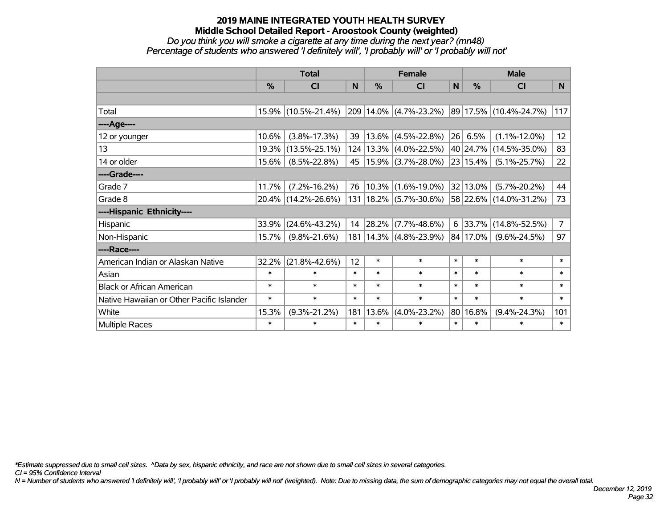#### *Do you think you will smoke a cigarette at any time during the next year? (mn48) Percentage of students who answered 'I definitely will', 'I probably will' or 'I probably will not'*

|                                           | <b>Total</b>  |                     |        | <b>Female</b> |                            |        | <b>Male</b>   |                             |                |  |
|-------------------------------------------|---------------|---------------------|--------|---------------|----------------------------|--------|---------------|-----------------------------|----------------|--|
|                                           | $\frac{0}{0}$ | <b>CI</b>           | N      | $\frac{0}{0}$ | <b>CI</b>                  | N      | $\frac{0}{0}$ | <b>CI</b>                   | N.             |  |
|                                           |               |                     |        |               |                            |        |               |                             |                |  |
| Total                                     |               | 15.9% (10.5%-21.4%) |        |               | 209 14.0% (4.7%-23.2%)     |        |               | $ 89 17.5\% $ (10.4%-24.7%) | 117            |  |
| ----Age----                               |               |                     |        |               |                            |        |               |                             |                |  |
| 12 or younger                             | 10.6%         | $(3.8\% - 17.3\%)$  | 39     | 13.6%         | $(4.5\% - 22.8\%)$         | 26     | 6.5%          | $(1.1\% - 12.0\%)$          | 12             |  |
| 13                                        | 19.3%         | $(13.5\% - 25.1\%)$ |        |               | 124   13.3%   (4.0%-22.5%) |        |               | 40 24.7% (14.5%-35.0%)      | 83             |  |
| 14 or older                               | 15.6%         | $(8.5\% - 22.8\%)$  | 45     |               | $15.9\%$ (3.7%-28.0%)      |        | 23 15.4%      | $(5.1\% - 25.7\%)$          | 22             |  |
| ----Grade----                             |               |                     |        |               |                            |        |               |                             |                |  |
| Grade 7                                   | 11.7%         | $(7.2\% - 16.2\%)$  | 76     |               | $10.3\%$ (1.6%-19.0%)      |        | 32 13.0%      | $(5.7\% - 20.2\%)$          | 44             |  |
| Grade 8                                   |               | 20.4% (14.2%-26.6%) | 131    |               | $18.2\%$ (5.7%-30.6%)      |        |               | 58 22.6% (14.0%-31.2%)      | 73             |  |
| ----Hispanic Ethnicity----                |               |                     |        |               |                            |        |               |                             |                |  |
| Hispanic                                  | 33.9%         | $(24.6\% - 43.2\%)$ | 14     | 28.2%         | $(7.7\% - 48.6\%)$         | 6      | 33.7%         | $(14.8\% - 52.5\%)$         | $\overline{7}$ |  |
| Non-Hispanic                              | 15.7%         | $(9.8\% - 21.6\%)$  | 181    |               | $ 14.3\% $ (4.8%-23.9%)    |        | 84 17.0%      | $(9.6\% - 24.5\%)$          | 97             |  |
| ----Race----                              |               |                     |        |               |                            |        |               |                             |                |  |
| American Indian or Alaskan Native         | 32.2%         | $(21.8\% - 42.6\%)$ | 12     | $\ast$        | $\ast$                     | $\ast$ | $\ast$        | $\ast$                      | $\ast$         |  |
| Asian                                     | $\ast$        | $\ast$              | $\ast$ | $\ast$        | $\ast$                     | $\ast$ | $\ast$        | $\ast$                      | $\ast$         |  |
| <b>Black or African American</b>          | $\ast$        | $\ast$              | $\ast$ | $\ast$        | $\ast$                     | $\ast$ | $\ast$        | $\ast$                      | $\ast$         |  |
| Native Hawaiian or Other Pacific Islander | $\ast$        | $\ast$              | $\ast$ | $\ast$        | $\ast$                     | $\ast$ | $\ast$        | $\ast$                      | $\ast$         |  |
| White                                     | 15.3%         | $(9.3\% - 21.2\%)$  | 181    | 13.6%         | $(4.0\% - 23.2\%)$         |        | 80 16.8%      | $(9.4\% - 24.3\%)$          | 101            |  |
| <b>Multiple Races</b>                     | $\ast$        | $\ast$              | $\ast$ | $\ast$        | $\ast$                     | $\ast$ | $\ast$        | $\ast$                      | $\ast$         |  |

*\*Estimate suppressed due to small cell sizes. ^Data by sex, hispanic ethnicity, and race are not shown due to small cell sizes in several categories.*

*CI = 95% Confidence Interval*

*N = Number of students who answered 'I definitely will', 'I probably will' or 'I probably will not' (weighted). Note: Due to missing data, the sum of demographic categories may not equal the overall total.*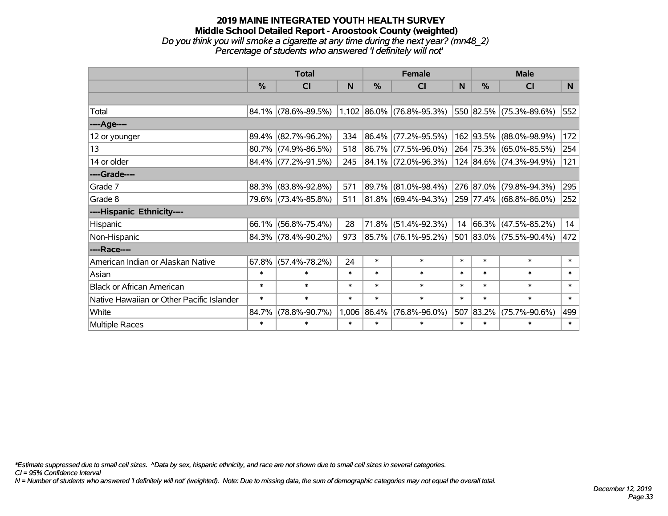#### **2019 MAINE INTEGRATED YOUTH HEALTH SURVEY Middle School Detailed Report - Aroostook County (weighted)** *Do you think you will smoke a cigarette at any time during the next year? (mn48\_2) Percentage of students who answered 'I definitely will not'*

|                                           | <b>Total</b>  |                                                  |        |             | <b>Female</b>            |        | <b>Male</b>   |                         |        |  |
|-------------------------------------------|---------------|--------------------------------------------------|--------|-------------|--------------------------|--------|---------------|-------------------------|--------|--|
|                                           | $\frac{0}{0}$ | CI                                               | N      | %           | <b>CI</b>                | N      | $\frac{0}{0}$ | <b>CI</b>               | N.     |  |
|                                           |               |                                                  |        |             |                          |        |               |                         |        |  |
| Total                                     |               | $84.1\%$ (78.6%-89.5%) 1,102 86.0% (76.8%-95.3%) |        |             |                          |        |               | 550 82.5% (75.3%-89.6%) | 552    |  |
| ----Age----                               |               |                                                  |        |             |                          |        |               |                         |        |  |
| 12 or younger                             | 89.4%         | $(82.7\% - 96.2\%)$                              | 334    | 86.4%       | $(77.2\% - 95.5\%)$      |        |               | 162 93.5% (88.0%-98.9%) | 172    |  |
| 13                                        |               | 80.7% (74.9%-86.5%)                              | 518    |             | 86.7% (77.5%-96.0%)      |        |               | 264 75.3% (65.0%-85.5%) | 254    |  |
| 14 or older                               |               | 84.4% (77.2%-91.5%)                              | 245    |             | $ 84.1\% $ (72.0%-96.3%) |        |               | 124 84.6% (74.3%-94.9%) | 121    |  |
| ----Grade----                             |               |                                                  |        |             |                          |        |               |                         |        |  |
| Grade 7                                   | 88.3%         | $(83.8\% - 92.8\%)$                              | 571    | 89.7%       | $(81.0\% - 98.4\%)$      |        | 276 87.0%     | $(79.8\% - 94.3\%)$     | 295    |  |
| Grade 8                                   |               | 79.6% (73.4%-85.8%)                              | 511    |             | 81.8% (69.4%-94.3%)      |        |               | 259 77.4% (68.8%-86.0%) | 252    |  |
| ----Hispanic Ethnicity----                |               |                                                  |        |             |                          |        |               |                         |        |  |
| Hispanic                                  | 66.1%         | $(56.8\% - 75.4\%)$                              | 28     | 71.8%       | $(51.4\% - 92.3\%)$      | 14     |               | 66.3% (47.5%-85.2%)     | 14     |  |
| Non-Hispanic                              |               | 84.3% (78.4%-90.2%)                              | 973    |             | 85.7% (76.1%-95.2%)      |        |               | 501 83.0% (75.5%-90.4%) | 472    |  |
| ----Race----                              |               |                                                  |        |             |                          |        |               |                         |        |  |
| American Indian or Alaskan Native         | 67.8%         | $(57.4\% - 78.2\%)$                              | 24     | $\ast$      | $\ast$                   | $\ast$ | $\ast$        | $\ast$                  | $\ast$ |  |
| Asian                                     | $\ast$        | $\ast$                                           | $\ast$ | $\ast$      | $\ast$                   | $\ast$ | $\ast$        | $\ast$                  | $\ast$ |  |
| <b>Black or African American</b>          | $\ast$        | $\ast$                                           | $\ast$ | $\ast$      | $\ast$                   | $\ast$ | $\ast$        | $\ast$                  | $\ast$ |  |
| Native Hawaiian or Other Pacific Islander | $\ast$        | $\ast$                                           | $\ast$ | $\ast$      | $\ast$                   | $\ast$ | $\ast$        | $\ast$                  | $\ast$ |  |
| White                                     | 84.7%         | $(78.8\% - 90.7\%)$                              |        | 1,006 86.4% | $(76.8\% - 96.0\%)$      | 507    | 83.2%         | $(75.7\% - 90.6\%)$     | 499    |  |
| Multiple Races                            | $\ast$        | $\ast$                                           | $\ast$ | $\ast$      | $\ast$                   | $\ast$ | $\ast$        | $\ast$                  | $\ast$ |  |

*\*Estimate suppressed due to small cell sizes. ^Data by sex, hispanic ethnicity, and race are not shown due to small cell sizes in several categories.*

*CI = 95% Confidence Interval*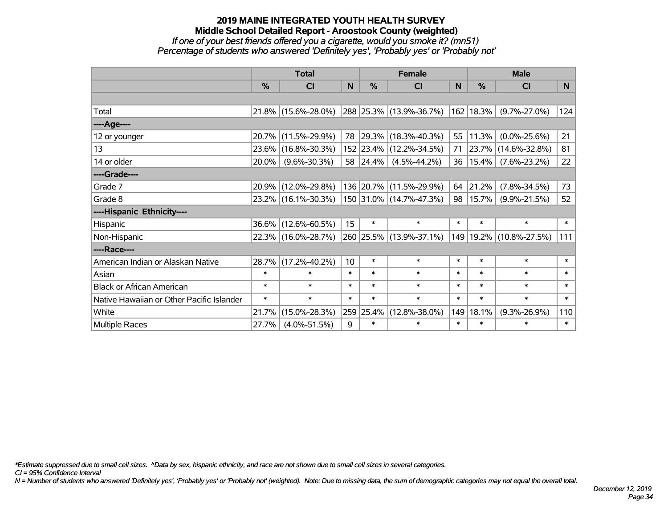#### **2019 MAINE INTEGRATED YOUTH HEALTH SURVEY Middle School Detailed Report - Aroostook County (weighted)** *If one of your best friends offered you a cigarette, would you smoke it? (mn51) Percentage of students who answered 'Definitely yes', 'Probably yes' or 'Probably not'*

|                                           | <b>Total</b> |                     |                 |           | <b>Female</b>            |        | <b>Male</b>   |                     |                |  |
|-------------------------------------------|--------------|---------------------|-----------------|-----------|--------------------------|--------|---------------|---------------------|----------------|--|
|                                           | $\%$         | CI                  | N               | $\%$      | <b>CI</b>                | N      | $\frac{0}{0}$ | <b>CI</b>           | N <sub>1</sub> |  |
|                                           |              |                     |                 |           |                          |        |               |                     |                |  |
| Total                                     |              | 21.8% (15.6%-28.0%) |                 |           | 288 25.3% (13.9%-36.7%)  |        | 162 18.3%     | $(9.7\% - 27.0\%)$  | 124            |  |
| ---- Age----                              |              |                     |                 |           |                          |        |               |                     |                |  |
| 12 or younger                             | 20.7%        | $(11.5\% - 29.9\%)$ | 78              |           | $ 29.3\% $ (18.3%-40.3%) | 55     | 11.3%         | $(0.0\% - 25.6\%)$  | 21             |  |
| 13                                        | 23.6%        | $(16.8\% - 30.3\%)$ |                 |           | 152 23.4% (12.2%-34.5%)  | 71     | 23.7%         | $(14.6\% - 32.8\%)$ | 81             |  |
| 14 or older                               | 20.0%        | $(9.6\% - 30.3\%)$  |                 | 58 24.4%  | $(4.5\% - 44.2\%)$       | 36     | 15.4%         | $(7.6\% - 23.2\%)$  | 22             |  |
| ----Grade----                             |              |                     |                 |           |                          |        |               |                     |                |  |
| Grade 7                                   | 20.9%        | $(12.0\% - 29.8\%)$ |                 |           | 136 20.7% (11.5%-29.9%)  | 64     | 21.2%         | $(7.8\% - 34.5\%)$  | 73             |  |
| Grade 8                                   |              | 23.2% (16.1%-30.3%) |                 |           | 150 31.0% (14.7%-47.3%)  | 98     | 15.7%         | $(9.9\% - 21.5\%)$  | 52             |  |
| ----Hispanic Ethnicity----                |              |                     |                 |           |                          |        |               |                     |                |  |
| Hispanic                                  | 36.6%        | $(12.6\% - 60.5\%)$ | 15              | $\ast$    | $\ast$                   | $\ast$ | $\ast$        | $\ast$              | $\ast$         |  |
| Non-Hispanic                              |              | 22.3% (16.0%-28.7%) |                 |           | 260 25.5% (13.9%-37.1%)  | 149    | 19.2%         | $(10.8\% - 27.5\%)$ | 111            |  |
| ----Race----                              |              |                     |                 |           |                          |        |               |                     |                |  |
| American Indian or Alaskan Native         | 28.7%        | $(17.2\% - 40.2\%)$ | 10 <sup>1</sup> | $\ast$    | $\ast$                   | $\ast$ | $\ast$        | $\ast$              | $\ast$         |  |
| Asian                                     | $\ast$       | $\ast$              | $\ast$          | $\ast$    | $\ast$                   | $\ast$ | $\ast$        | $\ast$              | $\ast$         |  |
| <b>Black or African American</b>          | $\ast$       | $\ast$              | $\ast$          | $\ast$    | $\ast$                   | $\ast$ | $\ast$        | $\ast$              | $\ast$         |  |
| Native Hawaiian or Other Pacific Islander | $\ast$       | $\ast$              | $\ast$          | $\ast$    | $\ast$                   | $\ast$ | $\ast$        | $\ast$              | $\ast$         |  |
| White                                     | 21.7%        | $(15.0\% - 28.3\%)$ |                 | 259 25.4% | $(12.8\% - 38.0\%)$      | 149    | 18.1%         | $(9.3\% - 26.9\%)$  | 110            |  |
| Multiple Races                            | 27.7%        | $(4.0\% - 51.5\%)$  | 9               | $\ast$    | $\ast$                   | $\ast$ | $\ast$        | $\ast$              | $\ast$         |  |

*\*Estimate suppressed due to small cell sizes. ^Data by sex, hispanic ethnicity, and race are not shown due to small cell sizes in several categories.*

*CI = 95% Confidence Interval*

*N = Number of students who answered 'Definitely yes', 'Probably yes' or 'Probably not' (weighted). Note: Due to missing data, the sum of demographic categories may not equal the overall total.*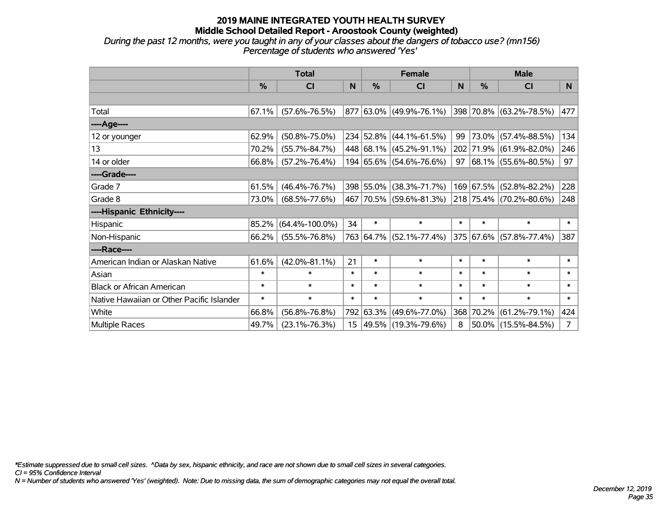*During the past 12 months, were you taught in any of your classes about the dangers of tobacco use? (mn156) Percentage of students who answered 'Yes'*

|                                           | <b>Total</b>  |                      |                  |           | <b>Female</b>            |        | <b>Male</b>   |                          |             |  |
|-------------------------------------------|---------------|----------------------|------------------|-----------|--------------------------|--------|---------------|--------------------------|-------------|--|
|                                           | $\frac{0}{6}$ | <b>CI</b>            | N                | $\%$      | <b>CI</b>                | N      | $\frac{0}{0}$ | <b>CI</b>                | N           |  |
|                                           |               |                      |                  |           |                          |        |               |                          |             |  |
| Total                                     | 67.1%         | $(57.6\% - 76.5\%)$  |                  |           | 877 63.0% (49.9%-76.1%)  |        |               | 398 70.8% (63.2%-78.5%)  | 477         |  |
| ----Age----                               |               |                      |                  |           |                          |        |               |                          |             |  |
| 12 or younger                             | 62.9%         | $(50.8\% - 75.0\%)$  |                  |           | 234 52.8% (44.1%-61.5%)  | 99     |               | 73.0% (57.4%-88.5%)      | 134         |  |
| 13                                        | 70.2%         | $(55.7\% - 84.7\%)$  |                  |           | 448 68.1% (45.2%-91.1%)  |        |               | 202 71.9% (61.9%-82.0%)  | 246         |  |
| 14 or older                               | 66.8%         | $(57.2\% - 76.4\%)$  |                  |           | 194 65.6% (54.6%-76.6%)  | 97     |               | $ 68.1\% $ (55.6%-80.5%) | 97          |  |
| ----Grade----                             |               |                      |                  |           |                          |        |               |                          |             |  |
| Grade 7                                   | 61.5%         | $(46.4\% - 76.7\%)$  |                  | 398 55.0% | $(38.3\% - 71.7\%)$      |        |               | 169 67.5% (52.8%-82.2%)  | 228         |  |
| Grade 8                                   | 73.0%         | $(68.5\% - 77.6\%)$  |                  |           | 467 70.5% (59.6%-81.3%)  |        |               | 218 75.4% (70.2%-80.6%)  | 248         |  |
| ----Hispanic Ethnicity----                |               |                      |                  |           |                          |        |               |                          |             |  |
| Hispanic                                  | 85.2%         | $(64.4\% - 100.0\%)$ | 34               | $\ast$    | $\ast$                   | $\ast$ | $\ast$        | $\ast$                   | $\ast$      |  |
| Non-Hispanic                              | 66.2%         | $(55.5\% - 76.8\%)$  |                  |           | 763 64.7% (52.1%-77.4%)  |        |               | 375 67.6% (57.8%-77.4%)  | 387         |  |
| ----Race----                              |               |                      |                  |           |                          |        |               |                          |             |  |
| American Indian or Alaskan Native         | 61.6%         | $(42.0\% - 81.1\%)$  | 21               | $\ast$    | $\ast$                   | $\ast$ | $\ast$        | $\ast$                   | $\ast$      |  |
| Asian                                     | $\ast$        | $\ast$               | $\ast$           | $\ast$    | $\ast$                   | $\ast$ | $\ast$        | $\ast$                   | $\ast$      |  |
| <b>Black or African American</b>          | $\ast$        | $\ast$               | $\ast$           | $\ast$    | $\ast$                   | $\ast$ | $\ast$        | $\ast$                   | $\ast$      |  |
| Native Hawaiian or Other Pacific Islander | $\ast$        | $\ast$               | $\ast$           | $\ast$    | $\ast$                   | $\ast$ | $\ast$        | $\ast$                   | $\ast$      |  |
| White                                     | 66.8%         | $(56.8\% - 76.8\%)$  |                  | 792 63.3% | $(49.6\% - 77.0\%)$      |        | 368 70.2%     | $(61.2\% - 79.1\%)$      | 424         |  |
| <b>Multiple Races</b>                     | 49.7%         | $(23.1\% - 76.3\%)$  | 15 <sub>15</sub> |           | $ 49.5\% $ (19.3%-79.6%) | 8      |               | $50.0\%$ (15.5%-84.5%)   | $7^{\circ}$ |  |

*\*Estimate suppressed due to small cell sizes. ^Data by sex, hispanic ethnicity, and race are not shown due to small cell sizes in several categories.*

*CI = 95% Confidence Interval*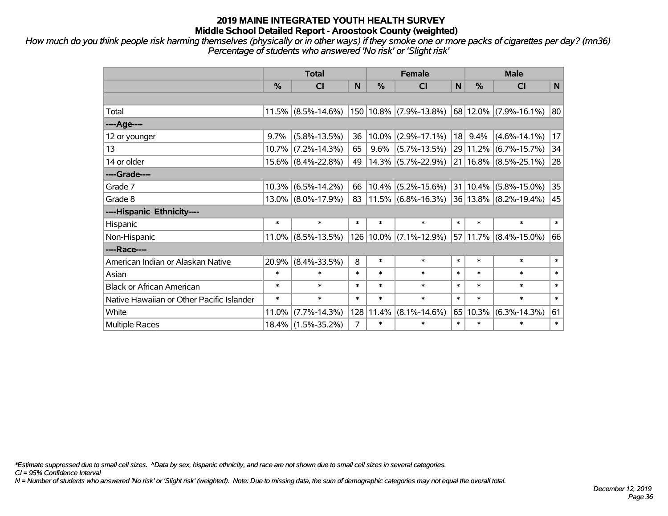*How much do you think people risk harming themselves (physically or in other ways) if they smoke one or more packs of cigarettes per day? (mn36) Percentage of students who answered 'No risk' or 'Slight risk'*

|                                           | <b>Total</b> |                       |                |           | <b>Female</b>                                                                            |        | <b>Male</b>  |                           |        |  |
|-------------------------------------------|--------------|-----------------------|----------------|-----------|------------------------------------------------------------------------------------------|--------|--------------|---------------------------|--------|--|
|                                           | %            | CI                    | N              | %         | CI                                                                                       | N      | %            | <b>CI</b>                 | N      |  |
|                                           |              |                       |                |           |                                                                                          |        |              |                           |        |  |
| Total                                     |              | $11.5\%$ (8.5%-14.6%) |                |           | 150 10.8% (7.9%-13.8%)                                                                   |        |              | 68 12.0% (7.9%-16.1%)     | 80     |  |
| ---- Age----                              |              |                       |                |           |                                                                                          |        |              |                           |        |  |
| 12 or younger                             | 9.7%         | $(5.8\% - 13.5\%)$    | 36             | 10.0%     | $(2.9\% - 17.1\%)$                                                                       |        | $18$ 9.4%    | $(4.6\% - 14.1\%)$        | 17     |  |
| 13                                        | 10.7%        | $(7.2\% - 14.3\%)$    | 65             | 9.6%      | $(5.7\% - 13.5\%)$                                                                       |        | 29 11.2%     | $(6.7\% - 15.7\%)$        | 34     |  |
| 14 or older                               |              | $15.6\%$ (8.4%-22.8%) | 49             |           | 14.3% (5.7%-22.9%)                                                                       |        |              | $21 16.8\% $ (8.5%-25.1%) | 28     |  |
| ----Grade----                             |              |                       |                |           |                                                                                          |        |              |                           |        |  |
| Grade 7                                   | 10.3%        | $(6.5\% - 14.2\%)$    | 66             | 10.4%     | $(5.2\% - 15.6\%)$                                                                       |        | $31 10.4\% $ | $(5.8\% - 15.0\%)$        | 35     |  |
| Grade 8                                   |              | $13.0\%$ (8.0%-17.9%) | 83             |           | $\vert 11.5\% \vert (6.8\% - 16.3\%) \vert 36 \vert 13.8\% \vert (8.2\% - 19.4\%) \vert$ |        |              |                           | 45     |  |
| ----Hispanic Ethnicity----                |              |                       |                |           |                                                                                          |        |              |                           |        |  |
| Hispanic                                  | $\ast$       | $\ast$                | $\ast$         | $\ast$    | $\ast$                                                                                   | $\ast$ | $\ast$       | $\ast$                    | $\ast$ |  |
| Non-Hispanic                              | $11.0\%$     | $(8.5\% - 13.5\%)$    |                | 126 10.0% | $(7.1\% - 12.9\%)$                                                                       |        | 57 11.7%     | $(8.4\% - 15.0\%)$        | 66     |  |
| ----Race----                              |              |                       |                |           |                                                                                          |        |              |                           |        |  |
| American Indian or Alaskan Native         | 20.9%        | $(8.4\% - 33.5\%)$    | 8              | $\ast$    | $\ast$                                                                                   | $\ast$ | $\ast$       | $\ast$                    | $\ast$ |  |
| Asian                                     | $\ast$       | $\ast$                | $\ast$         | $\ast$    | $\ast$                                                                                   | $\ast$ | $\ast$       | $\ast$                    | $\ast$ |  |
| <b>Black or African American</b>          | $\ast$       | $\ast$                | $\ast$         | $\ast$    | $\ast$                                                                                   | $\ast$ | $\ast$       | $\ast$                    | $\ast$ |  |
| Native Hawaiian or Other Pacific Islander | $\ast$       | $\ast$                | $\ast$         | $\ast$    | $\ast$                                                                                   | $\ast$ | $\ast$       | $\ast$                    | $\ast$ |  |
| White                                     | 11.0%        | $(7.7\% - 14.3\%)$    | 128            | 11.4%     | $(8.1\% - 14.6\%)$                                                                       | 65     | 10.3%        | $(6.3\% - 14.3\%)$        | 61     |  |
| Multiple Races                            |              | $18.4\%$ (1.5%-35.2%) | $\overline{7}$ | $\ast$    | $\ast$                                                                                   | $\ast$ | $\ast$       | $\ast$                    | $\ast$ |  |

*\*Estimate suppressed due to small cell sizes. ^Data by sex, hispanic ethnicity, and race are not shown due to small cell sizes in several categories.*

*CI = 95% Confidence Interval*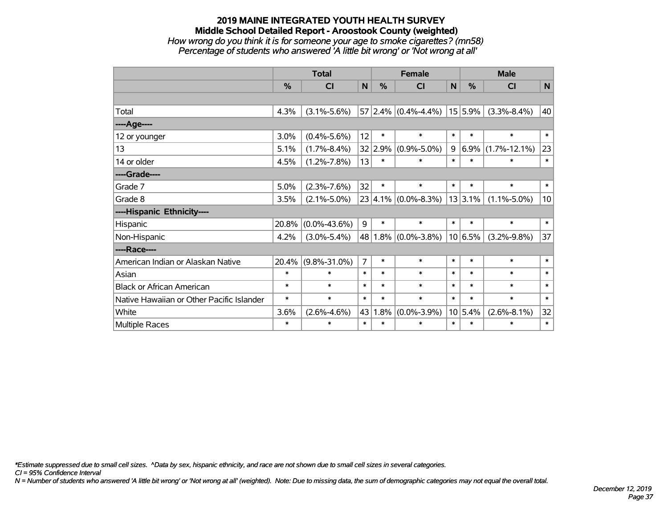## **2019 MAINE INTEGRATED YOUTH HEALTH SURVEY Middle School Detailed Report - Aroostook County (weighted)** *How wrong do you think it is for someone your age to smoke cigarettes? (mn58) Percentage of students who answered 'A little bit wrong' or 'Not wrong at all'*

|                                           | <b>Total</b>  |                    |                |         | <b>Female</b>             |             | <b>Male</b> |                    |                 |  |
|-------------------------------------------|---------------|--------------------|----------------|---------|---------------------------|-------------|-------------|--------------------|-----------------|--|
|                                           | $\frac{0}{0}$ | CI                 | N              | $\%$    | <b>CI</b>                 | $\mathbf N$ | $\%$        | <b>CI</b>          | N               |  |
|                                           |               |                    |                |         |                           |             |             |                    |                 |  |
| Total                                     | 4.3%          | $(3.1\% - 5.6\%)$  |                |         | $57 2.4\% $ (0.4%-4.4%)   |             | $15 5.9\% $ | $(3.3\% - 8.4\%)$  | 40              |  |
| ----Age----                               |               |                    |                |         |                           |             |             |                    |                 |  |
| 12 or younger                             | 3.0%          | $(0.4\% - 5.6\%)$  | 12             | $\ast$  | $\ast$                    | $\ast$      | $\ast$      | $\ast$             | $\ast$          |  |
| 13                                        | 5.1%          | $(1.7\% - 8.4\%)$  |                | 32 2.9% | $(0.9\% - 5.0\%)$         | 9           | 6.9%        | $(1.7\% - 12.1\%)$ | 23              |  |
| 14 or older                               | 4.5%          | $(1.2\% - 7.8\%)$  | 13             | $\ast$  | $\ast$                    | $\ast$      | $\ast$      | $\ast$             | $\ast$          |  |
| ----Grade----                             |               |                    |                |         |                           |             |             |                    |                 |  |
| Grade 7                                   | 5.0%          | $(2.3\% - 7.6\%)$  | 32             | $\ast$  | $\ast$                    | $\ast$      | $\ast$      | $\ast$             | $\ast$          |  |
| Grade 8                                   | 3.5%          | $(2.1\% - 5.0\%)$  |                |         | $23 4.1\% $ (0.0%-8.3%)   |             | 13 3.1%     | $(1.1\% - 5.0\%)$  | 10 <sup>1</sup> |  |
| ----Hispanic Ethnicity----                |               |                    |                |         |                           |             |             |                    |                 |  |
| Hispanic                                  | 20.8%         | $(0.0\% - 43.6\%)$ | 9              | $\ast$  | $\ast$                    | $\ast$      | $\ast$      | $\ast$             | $\ast$          |  |
| Non-Hispanic                              | 4.2%          | $(3.0\% - 5.4\%)$  |                |         | 48 1.8% $(0.0\% - 3.8\%)$ |             | 10 6.5%     | $(3.2\% - 9.8\%)$  | 37              |  |
| ----Race----                              |               |                    |                |         |                           |             |             |                    |                 |  |
| American Indian or Alaskan Native         | 20.4%         | $(9.8\% - 31.0\%)$ | $\overline{7}$ | $\ast$  | $\ast$                    | $\ast$      | $\ast$      | $\ast$             | $\ast$          |  |
| Asian                                     | $\ast$        | $\ast$             | $\ast$         | $\ast$  | $\ast$                    | $\ast$      | $\ast$      | $\ast$             | $\ast$          |  |
| <b>Black or African American</b>          | $\ast$        | $\ast$             | $\ast$         | $\ast$  | $\ast$                    | $\ast$      | $\ast$      | $\ast$             | $\ast$          |  |
| Native Hawaiian or Other Pacific Islander | $\ast$        | $\ast$             | $\ast$         | $\ast$  | $\ast$                    | $\ast$      | $\ast$      | $\ast$             | $\ast$          |  |
| White                                     | 3.6%          | $(2.6\% - 4.6\%)$  | 43             | 1.8%    | $(0.0\% - 3.9\%)$         |             | 10 5.4%     | $(2.6\% - 8.1\%)$  | 32              |  |
| Multiple Races                            | $\ast$        | $\ast$             | $\ast$         | $\ast$  | $\ast$                    | $\ast$      | $\ast$      | $\ast$             | $\ast$          |  |

*\*Estimate suppressed due to small cell sizes. ^Data by sex, hispanic ethnicity, and race are not shown due to small cell sizes in several categories.*

*CI = 95% Confidence Interval*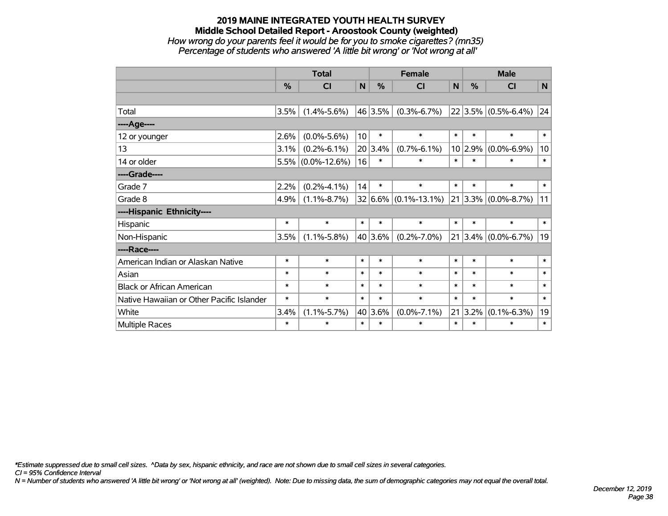## **2019 MAINE INTEGRATED YOUTH HEALTH SURVEY Middle School Detailed Report - Aroostook County (weighted)** *How wrong do your parents feel it would be for you to smoke cigarettes? (mn35) Percentage of students who answered 'A little bit wrong' or 'Not wrong at all'*

|                                           | <b>Total</b>  |                      |                 |               | <b>Female</b>                |              | <b>Male</b>   |                         |              |  |
|-------------------------------------------|---------------|----------------------|-----------------|---------------|------------------------------|--------------|---------------|-------------------------|--------------|--|
|                                           | $\frac{0}{0}$ | <b>CI</b>            | $\mathbf N$     | $\frac{0}{0}$ | <b>CI</b>                    | $\mathsf{N}$ | $\frac{0}{0}$ | <b>CI</b>               | N            |  |
|                                           |               |                      |                 |               |                              |              |               |                         |              |  |
| Total                                     | 3.5%          | $(1.4\% - 5.6\%)$    |                 | 46 3.5%       | $(0.3\% - 6.7\%)$            |              |               | $22 3.5\% $ (0.5%-6.4%) | 24           |  |
| ----Age----                               |               |                      |                 |               |                              |              |               |                         |              |  |
| 12 or younger                             | 2.6%          | $(0.0\% - 5.6\%)$    | 10 <sup>1</sup> | $\ast$        | $\ast$                       | $\ast$       | $\ast$        | $\ast$                  | $\ast$       |  |
| 13                                        | 3.1%          | $(0.2\% - 6.1\%)$    |                 | 20 3.4%       | $(0.7\% - 6.1\%)$            |              | 10 2.9%       | $(0.0\% - 6.9\%)$       | 10           |  |
| 14 or older                               |               | $5.5\%$ (0.0%-12.6%) | 16              | $\ast$        | $\ast$                       | $\ast$       | $\ast$        | $\ast$                  | $\ast$       |  |
| ----Grade----                             |               |                      |                 |               |                              |              |               |                         |              |  |
| Grade 7                                   | 2.2%          | $(0.2\% - 4.1\%)$    | 14              | $\ast$        | $\ast$                       | $\ast$       | $\ast$        | $\ast$                  | $\ast$       |  |
| Grade 8                                   | 4.9%          | $(1.1\% - 8.7\%)$    |                 |               | $32 6.6\%  (0.1\% - 13.1\%)$ |              |               | $21 3.3\% $ (0.0%-8.7%) | 11           |  |
| ----Hispanic Ethnicity----                |               |                      |                 |               |                              |              |               |                         |              |  |
| Hispanic                                  | $\ast$        | $\ast$               | $\ast$          | $\ast$        | $\ast$                       | $\ast$       | $\ast$        | $\ast$                  | $\ast$       |  |
| Non-Hispanic                              | 3.5%          | $(1.1\% - 5.8\%)$    |                 | 40 3.6%       | $(0.2\% - 7.0\%)$            |              |               | $21$ 3.4% (0.0%-6.7%)   | 19           |  |
| ----Race----                              |               |                      |                 |               |                              |              |               |                         |              |  |
| American Indian or Alaskan Native         | $\ast$        | $\ast$               | $\ast$          | $\ast$        | $\ast$                       | $\ast$       | $\ast$        | $\ast$                  | $\ast$       |  |
| Asian                                     | $\ast$        | $\ast$               | $\ast$          | $\ast$        | $\ast$                       | $\ast$       | $\ast$        | $\ast$                  | $\ast$       |  |
| <b>Black or African American</b>          | $\ast$        | $\ast$               | $\ast$          | $\ast$        | $\ast$                       | $\ast$       | $\ast$        | $\ast$                  | $\ast$       |  |
| Native Hawaiian or Other Pacific Islander | $\ast$        | $\ast$               | $\ast$          | $\ast$        | $\ast$                       | $\ast$       | $\ast$        | $\ast$                  | $\ast$       |  |
| White                                     | 3.4%          | $(1.1\% - 5.7\%)$    |                 | 40 3.6%       | $(0.0\% - 7.1\%)$            |              | 21 3.2%       | $(0.1\% - 6.3\%)$       | 19           |  |
| <b>Multiple Races</b>                     | $\ast$        | $\ast$               | $\ast$          | $\ast$        | $\ast$                       | $\ast$       | $\ast$        | $\ast$                  | $\pmb{\ast}$ |  |

*\*Estimate suppressed due to small cell sizes. ^Data by sex, hispanic ethnicity, and race are not shown due to small cell sizes in several categories.*

*CI = 95% Confidence Interval*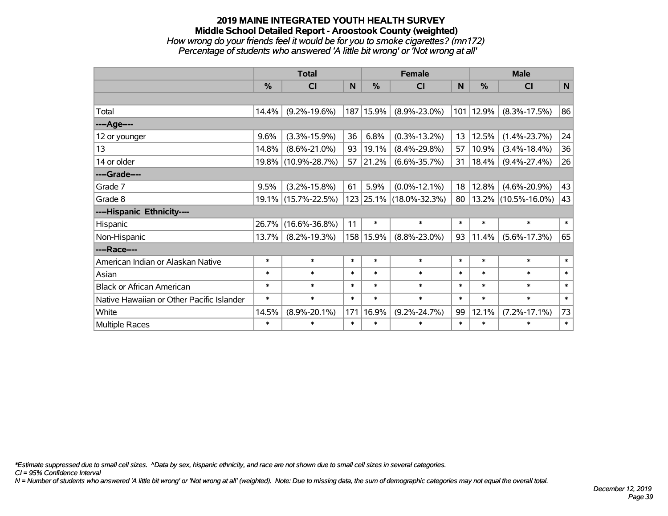## **2019 MAINE INTEGRATED YOUTH HEALTH SURVEY Middle School Detailed Report - Aroostook County (weighted)** *How wrong do your friends feel it would be for you to smoke cigarettes? (mn172) Percentage of students who answered 'A little bit wrong' or 'Not wrong at all'*

|                                           | <b>Total</b> |                     |        | <b>Female</b> | <b>Male</b>             |        |          |                     |        |
|-------------------------------------------|--------------|---------------------|--------|---------------|-------------------------|--------|----------|---------------------|--------|
|                                           | %            | C <sub>l</sub>      | N      | %             | <b>CI</b>               | N      | $\%$     | <b>CI</b>           | N      |
|                                           |              |                     |        |               |                         |        |          |                     |        |
| Total                                     | 14.4%        | $(9.2\% - 19.6\%)$  |        | 187 15.9%     | $(8.9\% - 23.0\%)$      | 101    | 12.9%    | $(8.3\% - 17.5\%)$  | 86     |
| ----Age----                               |              |                     |        |               |                         |        |          |                     |        |
| 12 or younger                             | 9.6%         | $(3.3\% - 15.9\%)$  | 36     | 6.8%          | $(0.3\% - 13.2\%)$      | 13     | 12.5%    | $(1.4\% - 23.7\%)$  | 24     |
| 13                                        | 14.8%        | $(8.6\% - 21.0\%)$  | 93     | 19.1%         | $(8.4\% - 29.8\%)$      | 57     | 10.9%    | $(3.4\% - 18.4\%)$  | 36     |
| 14 or older                               |              | 19.8% (10.9%-28.7%) | 57     | 21.2%         | $(6.6\% - 35.7\%)$      | 31     | 18.4%    | $(9.4\% - 27.4\%)$  | 26     |
| ----Grade----                             |              |                     |        |               |                         |        |          |                     |        |
| Grade 7                                   | 9.5%         | $(3.2\% - 15.8\%)$  | 61     | 5.9%          | $(0.0\% - 12.1\%)$      | 18     | 12.8%    | $(4.6\% - 20.9\%)$  | 43     |
| Grade 8                                   |              | 19.1% (15.7%-22.5%) |        |               | 123 25.1% (18.0%-32.3%) | 80     | $13.2\%$ | $(10.5\% - 16.0\%)$ | 43     |
| ----Hispanic Ethnicity----                |              |                     |        |               |                         |        |          |                     |        |
| Hispanic                                  | 26.7%        | $(16.6\% - 36.8\%)$ | 11     | $\ast$        | $\ast$                  | $\ast$ | $\ast$   | $\ast$              | $\ast$ |
| Non-Hispanic                              | 13.7%        | $(8.2\% - 19.3\%)$  |        | 158 15.9%     | $(8.8\% - 23.0\%)$      | 93     | 11.4%    | $(5.6\% - 17.3\%)$  | 65     |
| ----Race----                              |              |                     |        |               |                         |        |          |                     |        |
| American Indian or Alaskan Native         | $\ast$       | $\ast$              | $\ast$ | $\ast$        | $\ast$                  | $\ast$ | $\ast$   | $\ast$              | $\ast$ |
| Asian                                     | $\ast$       | $\ast$              | $\ast$ | $\ast$        | $\ast$                  | $\ast$ | $\ast$   | $\ast$              | $\ast$ |
| <b>Black or African American</b>          | $\ast$       | $\ast$              | $\ast$ | $\ast$        | $\ast$                  | $\ast$ | $\ast$   | $\ast$              | $\ast$ |
| Native Hawaiian or Other Pacific Islander | $\ast$       | $\ast$              | $\ast$ | $\ast$        | $\ast$                  | $\ast$ | $\ast$   | $\ast$              | $\ast$ |
| White                                     | 14.5%        | $(8.9\% - 20.1\%)$  | 171    | 16.9%         | $(9.2\% - 24.7\%)$      | 99     | 12.1%    | $(7.2\% - 17.1\%)$  | 73     |
| <b>Multiple Races</b>                     | $\ast$       | $\ast$              | $\ast$ | $\ast$        | $\ast$                  | $\ast$ | $\ast$   | $\ast$              | $\ast$ |

*\*Estimate suppressed due to small cell sizes. ^Data by sex, hispanic ethnicity, and race are not shown due to small cell sizes in several categories.*

*CI = 95% Confidence Interval*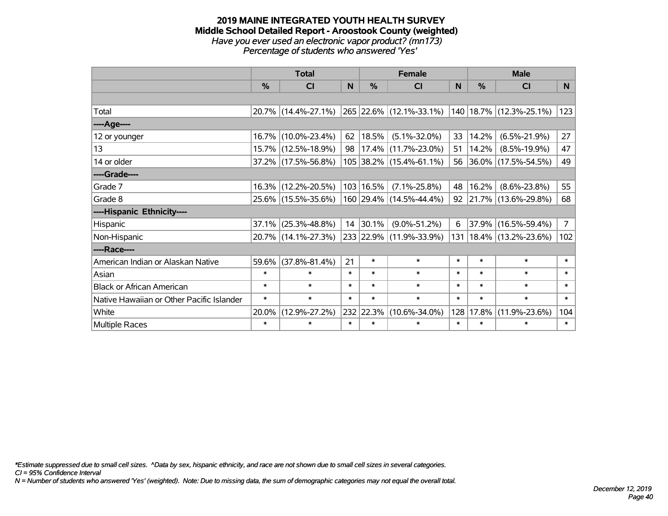#### **2019 MAINE INTEGRATED YOUTH HEALTH SURVEY Middle School Detailed Report - Aroostook County (weighted)** *Have you ever used an electronic vapor product? (mn173) Percentage of students who answered 'Yes'*

|                                           |               | <b>Total</b>        |        |             | <b>Female</b>           |          |        | <b>Male</b>                 |                |
|-------------------------------------------|---------------|---------------------|--------|-------------|-------------------------|----------|--------|-----------------------------|----------------|
|                                           | $\frac{0}{0}$ | <b>CI</b>           | N      | $\%$        | <b>CI</b>               | <b>N</b> | %      | <b>CI</b>                   | N              |
|                                           |               |                     |        |             |                         |          |        |                             |                |
| Total                                     |               | 20.7% (14.4%-27.1%) |        |             | 265 22.6% (12.1%-33.1%) |          |        | 140   18.7%   (12.3%-25.1%) | 123            |
| ----Age----                               |               |                     |        |             |                         |          |        |                             |                |
| 12 or younger                             | 16.7%         | $(10.0\% - 23.4\%)$ | 62     | 18.5%       | $(5.1\% - 32.0\%)$      | 33       | 14.2%  | $(6.5\% - 21.9\%)$          | 27             |
| 13                                        |               | 15.7% (12.5%-18.9%) | 98     |             | 17.4% (11.7%-23.0%)     | 51       | 14.2%  | $(8.5\% - 19.9\%)$          | 47             |
| 14 or older                               |               | 37.2% (17.5%-56.8%) |        |             | 105 38.2% (15.4%-61.1%) | 56       |        | $ 36.0\% $ (17.5%-54.5%)    | 49             |
| ----Grade----                             |               |                     |        |             |                         |          |        |                             |                |
| Grade 7                                   | 16.3%         | $(12.2\% - 20.5\%)$ |        | 103   16.5% | $(7.1\% - 25.8\%)$      | 48       | 16.2%  | $(8.6\% - 23.8\%)$          | 55             |
| Grade 8                                   |               | 25.6% (15.5%-35.6%) |        |             | 160 29.4% (14.5%-44.4%) | 92       |        | 21.7% (13.6%-29.8%)         | 68             |
| ----Hispanic Ethnicity----                |               |                     |        |             |                         |          |        |                             |                |
| Hispanic                                  | 37.1%         | $(25.3\% - 48.8\%)$ |        | 14 30.1%    | $(9.0\% - 51.2\%)$      | 6        |        | 37.9% (16.5%-59.4%)         | $\overline{7}$ |
| Non-Hispanic                              |               | 20.7% (14.1%-27.3%) |        |             | 233 22.9% (11.9%-33.9%) | 131      |        | 18.4% (13.2%-23.6%)         | 102            |
| ----Race----                              |               |                     |        |             |                         |          |        |                             |                |
| American Indian or Alaskan Native         | 59.6%         | $(37.8\% - 81.4\%)$ | 21     | $\ast$      | $\ast$                  | $\ast$   | $\ast$ | $\ast$                      | $\ast$         |
| Asian                                     | $\ast$        | $\ast$              | $\ast$ | $\ast$      | $\ast$                  | $\ast$   | $\ast$ | $\ast$                      | $\ast$         |
| <b>Black or African American</b>          | $\ast$        | $\ast$              | $\ast$ | $\ast$      | $\ast$                  | $\ast$   | $\ast$ | $\ast$                      | $\ast$         |
| Native Hawaiian or Other Pacific Islander | $\ast$        | $\ast$              | $\ast$ | $\ast$      | $\ast$                  | $\ast$   | $\ast$ | $\ast$                      | $\ast$         |
| White                                     | 20.0%         | $(12.9\% - 27.2\%)$ |        | 232 22.3%   | $(10.6\% - 34.0\%)$     | 128      | 17.8%  | $(11.9\% - 23.6\%)$         | 104            |
| Multiple Races                            | $\ast$        | $\ast$              | $\ast$ | $\ast$      | $\ast$                  | $\ast$   | $\ast$ | $\ast$                      | $\ast$         |

*\*Estimate suppressed due to small cell sizes. ^Data by sex, hispanic ethnicity, and race are not shown due to small cell sizes in several categories.*

*CI = 95% Confidence Interval*

*N = Number of students who answered 'Yes' (weighted). Note: Due to missing data, the sum of demographic categories may not equal the overall total.*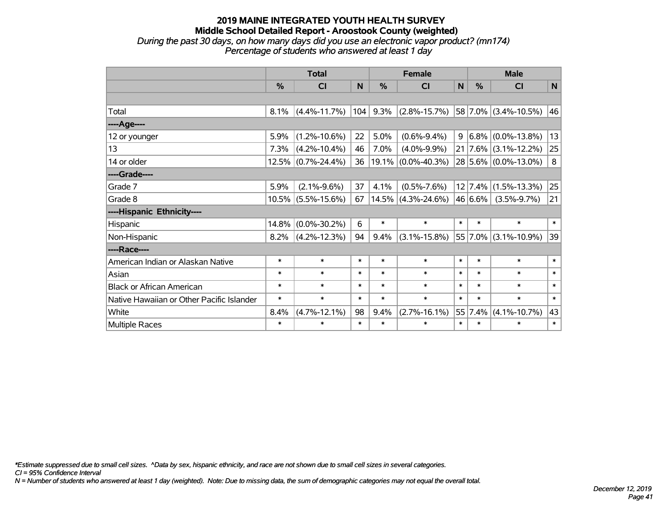## **2019 MAINE INTEGRATED YOUTH HEALTH SURVEY Middle School Detailed Report - Aroostook County (weighted)** *During the past 30 days, on how many days did you use an electronic vapor product? (mn174) Percentage of students who answered at least 1 day*

|                                           | <b>Total</b>  |                    |          |               | <b>Female</b>         |        | <b>Male</b>   |                      |             |  |
|-------------------------------------------|---------------|--------------------|----------|---------------|-----------------------|--------|---------------|----------------------|-------------|--|
|                                           | $\frac{9}{6}$ | CI                 | <b>N</b> | $\frac{9}{6}$ | CI                    | N      | $\frac{9}{6}$ | CI                   | $\mathbf N$ |  |
|                                           |               |                    |          |               |                       |        |               |                      |             |  |
| Total                                     | 8.1%          | $(4.4\% - 11.7\%)$ | 104      | 9.3%          | $(2.8\% - 15.7\%)$    |        |               | 58 7.0% (3.4%-10.5%) | 46          |  |
| ----Age----                               |               |                    |          |               |                       |        |               |                      |             |  |
| 12 or younger                             | 5.9%          | $(1.2\% - 10.6\%)$ | 22       | 5.0%          | $(0.6\% - 9.4\%)$     | 9      | 6.8%          | $(0.0\% - 13.8\%)$   | 13          |  |
| 13                                        | 7.3%          | $(4.2\% - 10.4\%)$ | 46       | 7.0%          | $(4.0\% - 9.9\%)$     |        | 21 7.6%       | $(3.1\% - 12.2\%)$   | 25          |  |
| 14 or older                               |               | 12.5% (0.7%-24.4%) | 36       |               | $19.1\%$ (0.0%-40.3%) |        |               | 28 5.6% (0.0%-13.0%) | 8           |  |
| ----Grade----                             |               |                    |          |               |                       |        |               |                      |             |  |
| Grade 7                                   | 5.9%          | $(2.1\% - 9.6\%)$  | 37       | 4.1%          | $(0.5\% - 7.6\%)$     |        | 12 7.4%       | $(1.5\% - 13.3\%)$   | 25          |  |
| Grade 8                                   |               | 10.5% (5.5%-15.6%) | 67       |               | $14.5\%$ (4.3%-24.6%) |        | 46 6.6%       | $(3.5\% - 9.7\%)$    | 21          |  |
| ----Hispanic Ethnicity----                |               |                    |          |               |                       |        |               |                      |             |  |
| Hispanic                                  | 14.8%         | $(0.0\% - 30.2\%)$ | 6        | $\ast$        | $\ast$                | $\ast$ | $\ast$        | $\ast$               | $\ast$      |  |
| Non-Hispanic                              | 8.2%          | $(4.2\% - 12.3\%)$ | 94       | 9.4%          | $(3.1\% - 15.8\%)$    |        | 55 7.0%       | $(3.1\% - 10.9\%)$   | 39          |  |
| ----Race----                              |               |                    |          |               |                       |        |               |                      |             |  |
| American Indian or Alaskan Native         | $\ast$        | $\ast$             | $\ast$   | $\ast$        | $\ast$                | $\ast$ | $\ast$        | $\ast$               | $\ast$      |  |
| Asian                                     | $\ast$        | $\ast$             | $\ast$   | $\ast$        | $\ast$                | $\ast$ | $\ast$        | $\ast$               | $\ast$      |  |
| <b>Black or African American</b>          | $\ast$        | $\ast$             | $\ast$   | $\ast$        | $\ast$                | $\ast$ | $\ast$        | $\ast$               | $\ast$      |  |
| Native Hawaiian or Other Pacific Islander | $\ast$        | $\ast$             | $\ast$   | $\ast$        | $\ast$                | $\ast$ | $\ast$        | $\ast$               | $\ast$      |  |
| White                                     | 8.4%          | $(4.7\% - 12.1\%)$ | 98       | 9.4%          | $(2.7\% - 16.1\%)$    |        | 55 7.4%       | $(4.1\% - 10.7\%)$   | 43          |  |
| <b>Multiple Races</b>                     | $\ast$        | $\ast$             | $\ast$   | $\ast$        | $\ast$                | $\ast$ | $\ast$        | $\ast$               | $\ast$      |  |

*\*Estimate suppressed due to small cell sizes. ^Data by sex, hispanic ethnicity, and race are not shown due to small cell sizes in several categories.*

*CI = 95% Confidence Interval*

*N = Number of students who answered at least 1 day (weighted). Note: Due to missing data, the sum of demographic categories may not equal the overall total.*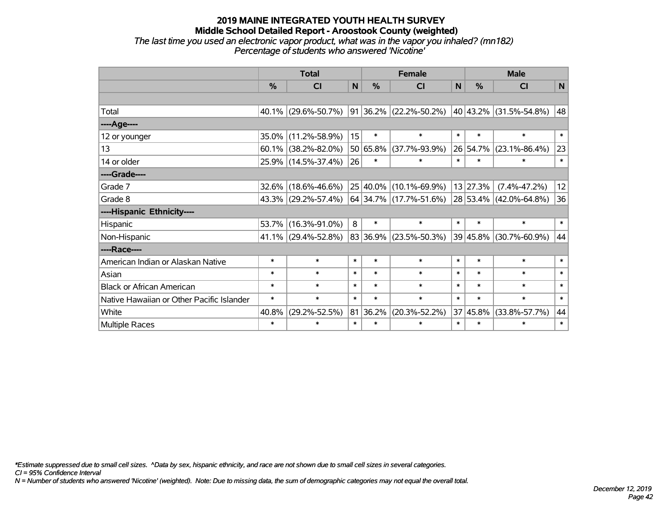*The last time you used an electronic vapor product, what was in the vapor you inhaled? (mn182) Percentage of students who answered 'Nicotine'*

|                                           | <b>Total</b>  |                     |        |               | <b>Female</b>            | <b>Male</b>  |                  |                        |             |
|-------------------------------------------|---------------|---------------------|--------|---------------|--------------------------|--------------|------------------|------------------------|-------------|
|                                           | $\frac{0}{0}$ | CI                  | N      | $\frac{0}{0}$ | <b>CI</b>                | $\mathsf{N}$ | $\frac{0}{0}$    | <b>CI</b>              | $\mathbf N$ |
|                                           |               |                     |        |               |                          |              |                  |                        |             |
| Total                                     |               | 40.1% (29.6%-50.7%) |        |               | 91 36.2% (22.2%-50.2%)   |              |                  | 40 43.2% (31.5%-54.8%) | 48          |
| ----Age----                               |               |                     |        |               |                          |              |                  |                        |             |
| 12 or younger                             | 35.0%         | $(11.2\% - 58.9\%)$ | 15     | $\ast$        | $\ast$                   | $\ast$       | $\ast$           | $\ast$                 | $\ast$      |
| 13                                        | 60.1%         | $(38.2\% - 82.0\%)$ |        | 50 65.8%      | $(37.7\% - 93.9\%)$      |              | 26 54.7%         | $(23.1\% - 86.4\%)$    | 23          |
| 14 or older                               |               | 25.9% (14.5%-37.4%) | 26     | $\ast$        | $\ast$                   | $\ast$       | $\ast$           | $\ast$                 | $\ast$      |
| ----Grade----                             |               |                     |        |               |                          |              |                  |                        |             |
| Grade 7                                   | 32.6%         | $(18.6\% - 46.6\%)$ |        | 25 40.0%      | $(10.1\% - 69.9\%)$      |              | $13 \mid 27.3\%$ | $(7.4\% - 47.2\%)$     | 12          |
| Grade 8                                   |               | 43.3% (29.2%-57.4%) |        |               | $64$ 34.7% (17.7%-51.6%) |              |                  | 28 53.4% (42.0%-64.8%) | 36          |
| ----Hispanic Ethnicity----                |               |                     |        |               |                          |              |                  |                        |             |
| Hispanic                                  | 53.7%         | $(16.3\% - 91.0\%)$ | 8      | $\ast$        | $\ast$                   | $\ast$       | $\ast$           | $\ast$                 | $\ast$      |
| Non-Hispanic                              |               | 41.1% (29.4%-52.8%) |        | 83 36.9%      | $(23.5\% - 50.3\%)$      |              | 39 45.8%         | $(30.7\% - 60.9\%)$    | 44          |
| ----Race----                              |               |                     |        |               |                          |              |                  |                        |             |
| American Indian or Alaskan Native         | $\ast$        | $\ast$              | $\ast$ | $\ast$        | $\ast$                   | $\ast$       | $\ast$           | $\ast$                 | $\ast$      |
| Asian                                     | $\ast$        | $\ast$              | $\ast$ | $\ast$        | $\ast$                   | $\ast$       | $\ast$           | $\ast$                 | $\ast$      |
| <b>Black or African American</b>          | $\ast$        | $\ast$              | $\ast$ | $\ast$        | $\ast$                   | $\ast$       | $\ast$           | $\ast$                 | $\ast$      |
| Native Hawaiian or Other Pacific Islander | $\ast$        | $\ast$              | $\ast$ | $\ast$        | $\ast$                   | $\ast$       | $\ast$           | $\ast$                 | $\ast$      |
| White                                     | 40.8%         | $(29.2\% - 52.5\%)$ |        | 81 36.2%      | $(20.3\% - 52.2\%)$      | 37           | 45.8%            | $(33.8\% - 57.7\%)$    | 44          |
| Multiple Races                            | $\ast$        | $\ast$              | $\ast$ | $\ast$        | $\ast$                   | $\ast$       | $\ast$           | $\ast$                 | $\ast$      |

*\*Estimate suppressed due to small cell sizes. ^Data by sex, hispanic ethnicity, and race are not shown due to small cell sizes in several categories.*

*CI = 95% Confidence Interval*

*N = Number of students who answered 'Nicotine' (weighted). Note: Due to missing data, the sum of demographic categories may not equal the overall total.*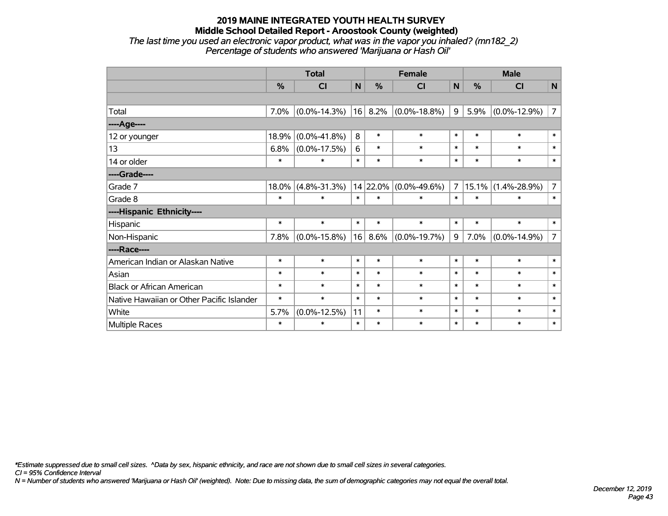## **2019 MAINE INTEGRATED YOUTH HEALTH SURVEY Middle School Detailed Report - Aroostook County (weighted)** *The last time you used an electronic vapor product, what was in the vapor you inhaled? (mn182\_2)*

*Percentage of students who answered 'Marijuana or Hash Oil'*

|                                           | <b>Total</b> |                    |        |               | <b>Female</b>      | <b>Male</b>    |        |                    |                |
|-------------------------------------------|--------------|--------------------|--------|---------------|--------------------|----------------|--------|--------------------|----------------|
|                                           | %            | CI                 | N      | $\frac{0}{0}$ | CI                 | $\mathsf{N}$   | %      | <b>CI</b>          | $\mathbf N$    |
|                                           |              |                    |        |               |                    |                |        |                    |                |
| Total                                     | 7.0%         | $(0.0\% - 14.3\%)$ | 16     | 8.2%          | $(0.0\% - 18.8\%)$ | 9              | 5.9%   | $(0.0\% - 12.9\%)$ | $\overline{7}$ |
| ----Age----                               |              |                    |        |               |                    |                |        |                    |                |
| 12 or younger                             | 18.9%        | $(0.0\% - 41.8\%)$ | 8      | $\ast$        | $\ast$             | $\ast$         | $\ast$ | $\ast$             | $\ast$         |
| 13                                        | 6.8%         | $(0.0\% - 17.5\%)$ | 6      | $\ast$        | $\ast$             | $\ast$         | $\ast$ | $\ast$             | $\ast$         |
| 14 or older                               | $\ast$       | $\ast$             | $\ast$ | $\ast$        | $\ast$             | $\ast$         | $\ast$ | $\ast$             | $\ast$         |
| ----Grade----                             |              |                    |        |               |                    |                |        |                    |                |
| Grade 7                                   | 18.0%        | $(4.8\% - 31.3\%)$ |        | 14 22.0%      | $(0.0\% - 49.6\%)$ | $\overline{7}$ | 15.1%  | $(1.4\% - 28.9\%)$ | $\overline{7}$ |
| Grade 8                                   | $\ast$       | $\ast$             | $\ast$ | $\ast$        | $\ast$             | $\ast$         | $\ast$ | $\ast$             | $\ast$         |
| ----Hispanic Ethnicity----                |              |                    |        |               |                    |                |        |                    |                |
| Hispanic                                  | $\ast$       | $\ast$             | $\ast$ | $\ast$        | $\ast$             | $\ast$         | $\ast$ | $\ast$             | $\ast$         |
| Non-Hispanic                              | 7.8%         | $(0.0\% - 15.8\%)$ | 16     | 8.6%          | $(0.0\% - 19.7\%)$ | 9              | 7.0%   | $(0.0\% - 14.9\%)$ | $\overline{7}$ |
| ----Race----                              |              |                    |        |               |                    |                |        |                    |                |
| American Indian or Alaskan Native         | $\ast$       | $\ast$             | $\ast$ | $\ast$        | $\ast$             | $\ast$         | $\ast$ | $\ast$             | $\ast$         |
| Asian                                     | $\ast$       | $\ast$             | $\ast$ | $\ast$        | $\ast$             | $\ast$         | $\ast$ | $\ast$             | $\ast$         |
| <b>Black or African American</b>          | $\ast$       | $\ast$             | $\ast$ | $\ast$        | $\ast$             | $\ast$         | $\ast$ | $\ast$             | $\ast$         |
| Native Hawaiian or Other Pacific Islander | $\ast$       | $\ast$             | $\ast$ | $\ast$        | $\ast$             | $\ast$         | $\ast$ | $\ast$             | $\ast$         |
| White                                     | 5.7%         | $(0.0\% - 12.5\%)$ | 11     | $\ast$        | $\ast$             | $\ast$         | $\ast$ | $\ast$             | $\ast$         |
| <b>Multiple Races</b>                     | $\ast$       | $\ast$             | $\ast$ | $\ast$        | $\ast$             | $\ast$         | $\ast$ | $\ast$             | $\ast$         |

*\*Estimate suppressed due to small cell sizes. ^Data by sex, hispanic ethnicity, and race are not shown due to small cell sizes in several categories.*

*CI = 95% Confidence Interval*

*N = Number of students who answered 'Marijuana or Hash Oil' (weighted). Note: Due to missing data, the sum of demographic categories may not equal the overall total.*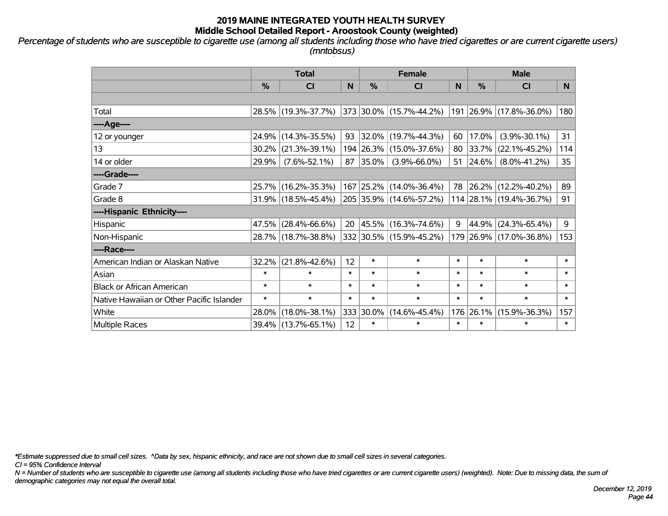*Percentage of students who are susceptible to cigarette use (among all students including those who have tried cigarettes or are current cigarette users) (mntobsus)*

|                                           | <b>Total</b>  |                        |        | <b>Female</b> |                         | <b>Male</b> |               |                         |              |
|-------------------------------------------|---------------|------------------------|--------|---------------|-------------------------|-------------|---------------|-------------------------|--------------|
|                                           | $\frac{0}{0}$ | C <sub>l</sub>         | N      | %             | <b>CI</b>               | N           | $\frac{0}{0}$ | <b>CI</b>               | <b>N</b>     |
|                                           |               |                        |        |               |                         |             |               |                         |              |
| Total                                     |               | 28.5% (19.3%-37.7%)    |        |               | 373 30.0% (15.7%-44.2%) |             |               | 191 26.9% (17.8%-36.0%) | 180          |
| ----Age----                               |               |                        |        |               |                         |             |               |                         |              |
| 12 or younger                             |               | 24.9% (14.3%-35.5%)    | 93     | $ 32.0\% $    | $(19.7\% - 44.3\%)$     | 60          | 17.0%         | $(3.9\% - 30.1\%)$      | 31           |
| 13                                        | $30.2\%$      | $(21.3\% - 39.1\%)$    |        |               | 194 26.3% (15.0%-37.6%) |             | 80 33.7%      | $(22.1\% - 45.2\%)$     | 114          |
| 14 or older                               | 29.9%         | $(7.6\% - 52.1\%)$     | 87     | $ 35.0\% $    | $(3.9\% - 66.0\%)$      |             | 51   24.6%    | $(8.0\% - 41.2\%)$      | 35           |
| ----Grade----                             |               |                        |        |               |                         |             |               |                         |              |
| Grade 7                                   |               | 25.7% (16.2%-35.3%)    |        | 167 25.2%     | $(14.0\% - 36.4\%)$     |             | 78 26.2%      | $(12.2\% - 40.2\%)$     | 89           |
| Grade 8                                   |               | $31.9\%$ (18.5%-45.4%) |        |               | 205 35.9% (14.6%-57.2%) |             |               | 114 28.1% (19.4%-36.7%) | 91           |
| ----Hispanic Ethnicity----                |               |                        |        |               |                         |             |               |                         |              |
| Hispanic                                  |               | 47.5% (28.4%-66.6%)    | 20     | 45.5%         | $(16.3\% - 74.6\%)$     | 9           | 44.9%         | $(24.3\% - 65.4\%)$     | 9            |
| Non-Hispanic                              |               | 28.7% (18.7%-38.8%)    |        |               | 332 30.5% (15.9%-45.2%) |             |               | 179 26.9% (17.0%-36.8%) | 153          |
| ----Race----                              |               |                        |        |               |                         |             |               |                         |              |
| American Indian or Alaskan Native         |               | 32.2% (21.8%-42.6%)    | 12     | $\ast$        | $\ast$                  | $\ast$      | $\ast$        | $\ast$                  | $\ast$       |
| Asian                                     | $\ast$        | $\ast$                 | $\ast$ | $\ast$        | $\ast$                  | $\ast$      | $\ast$        | $\ast$                  | $\ast$       |
| <b>Black or African American</b>          | $\ast$        | $\ast$                 | $\ast$ | $\ast$        | $\ast$                  | $\ast$      | $\ast$        | $\ast$                  | $\ast$       |
| Native Hawaiian or Other Pacific Islander | $\ast$        | $\ast$                 | $\ast$ | $\ast$        | $\ast$                  | $\ast$      | $\ast$        | $\ast$                  | $\pmb{\ast}$ |
| White                                     | 28.0%         | $(18.0\% - 38.1\%)$    | 333    | 30.0%         | $(14.6\% - 45.4\%)$     | 176         | 26.1%         | $(15.9\% - 36.3\%)$     | 157          |
| <b>Multiple Races</b>                     |               | 39.4% (13.7%-65.1%)    | 12     | $\ast$        | $\ast$                  | $\ast$      | $\ast$        | $\ast$                  | $\ast$       |

*\*Estimate suppressed due to small cell sizes. ^Data by sex, hispanic ethnicity, and race are not shown due to small cell sizes in several categories.*

*CI = 95% Confidence Interval*

*N = Number of students who are susceptible to cigarette use (among all students including those who have tried cigarettes or are current cigarette users) (weighted). Note: Due to missing data, the sum of demographic categories may not equal the overall total.*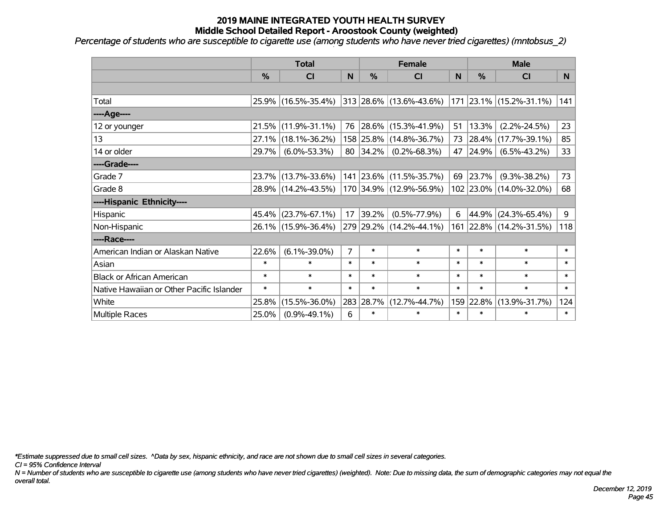*Percentage of students who are susceptible to cigarette use (among students who have never tried cigarettes) (mntobsus\_2)*

|                                           |               | <b>Total</b>        |                | <b>Female</b> |                          |        | <b>Male</b> |                         |        |
|-------------------------------------------|---------------|---------------------|----------------|---------------|--------------------------|--------|-------------|-------------------------|--------|
|                                           | $\frac{0}{6}$ | CI                  | N              | $\frac{0}{0}$ | <b>CI</b>                | N      | %           | <b>CI</b>               | N      |
|                                           |               |                     |                |               |                          |        |             |                         |        |
| Total                                     |               | 25.9% (16.5%-35.4%) |                |               | 313 28.6% (13.6%-43.6%)  |        |             | 171 23.1% (15.2%-31.1%) | 141    |
| ----Age----                               |               |                     |                |               |                          |        |             |                         |        |
| 12 or younger                             | 21.5%         | $(11.9\% - 31.1\%)$ | 76             |               | $ 28.6\% $ (15.3%-41.9%) | 51     | 13.3%       | $(2.2\% - 24.5\%)$      | 23     |
| 13                                        | 27.1%         | $(18.1\% - 36.2\%)$ |                |               | 158 25.8% (14.8%-36.7%)  | 73     | 28.4%       | $(17.7\% - 39.1\%)$     | 85     |
| 14 or older                               | 29.7%         | $(6.0\% - 53.3\%)$  |                | 80 34.2%      | $(0.2\% - 68.3\%)$       | 47     | 24.9%       | $(6.5\% - 43.2\%)$      | 33     |
| ----Grade----                             |               |                     |                |               |                          |        |             |                         |        |
| Grade 7                                   | 23.7%         | $(13.7\% - 33.6\%)$ |                |               | 141 23.6% (11.5%-35.7%)  | 69     | 23.7%       | $(9.3\% - 38.2\%)$      | 73     |
| Grade 8                                   |               | 28.9% (14.2%-43.5%) |                |               | 170 34.9% (12.9%-56.9%)  |        |             | 102 23.0% (14.0%-32.0%) | 68     |
| ----Hispanic Ethnicity----                |               |                     |                |               |                          |        |             |                         |        |
| Hispanic                                  | 45.4%         | $(23.7\% - 67.1\%)$ | 17             | 39.2%         | $(0.5\% - 77.9\%)$       | 6      | 44.9%       | $(24.3\% - 65.4\%)$     | 9      |
| Non-Hispanic                              |               | 26.1% (15.9%-36.4%) |                |               | 279 29.2% (14.2%-44.1%)  |        |             | 161 22.8% (14.2%-31.5%) | 118    |
| ----Race----                              |               |                     |                |               |                          |        |             |                         |        |
| American Indian or Alaskan Native         | 22.6%         | $(6.1\% - 39.0\%)$  | $\overline{7}$ | $\ast$        | $\ast$                   | $\ast$ | $\ast$      | $\ast$                  | $\ast$ |
| Asian                                     | $\ast$        | $\ast$              | $\ast$         | $\ast$        | $\ast$                   | $\ast$ | $\ast$      | $\ast$                  | $\ast$ |
| <b>Black or African American</b>          | $\ast$        | $\ast$              | $\ast$         | $\ast$        | $\ast$                   | $\ast$ | $\ast$      | $\ast$                  | $\ast$ |
| Native Hawaiian or Other Pacific Islander | $\ast$        | $\ast$              | $\ast$         | $\ast$        | $\ast$                   | $\ast$ | $\ast$      | $\ast$                  | $\ast$ |
| White                                     | 25.8%         | $(15.5\% - 36.0\%)$ |                | 283 28.7%     | $(12.7\% - 44.7\%)$      | 159    | 22.8%       | $(13.9\% - 31.7\%)$     | 124    |
| Multiple Races                            | 25.0%         | $(0.9\% - 49.1\%)$  | 6              | $\ast$        | $\ast$                   | $\ast$ | $\ast$      | $\ast$                  | $\ast$ |

*\*Estimate suppressed due to small cell sizes. ^Data by sex, hispanic ethnicity, and race are not shown due to small cell sizes in several categories.*

*CI = 95% Confidence Interval*

*N = Number of students who are susceptible to cigarette use (among students who have never tried cigarettes) (weighted). Note: Due to missing data, the sum of demographic categories may not equal the overall total.*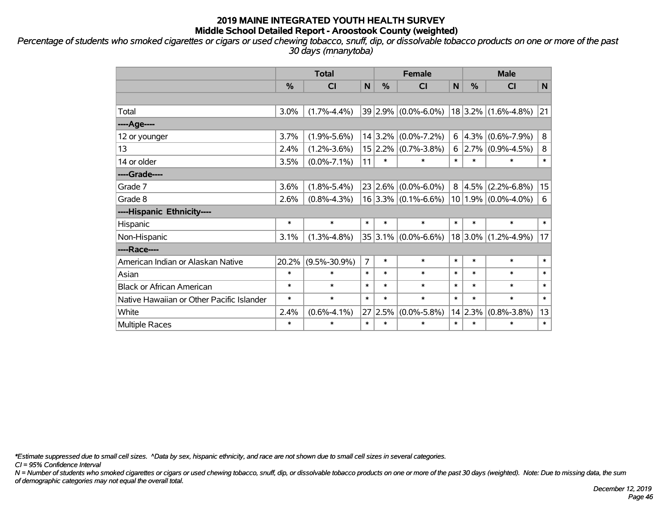*Percentage of students who smoked cigarettes or cigars or used chewing tobacco, snuff, dip, or dissolvable tobacco products on one or more of the past 30 days (mnanytoba)*

|                                           | <b>Total</b> |                    |                |               | <b>Female</b>           |        | <b>Male</b>   |                         |        |  |
|-------------------------------------------|--------------|--------------------|----------------|---------------|-------------------------|--------|---------------|-------------------------|--------|--|
|                                           | %            | <b>CI</b>          | N              | $\frac{0}{0}$ | CI                      | N      | $\frac{0}{0}$ | CI                      | N      |  |
|                                           |              |                    |                |               |                         |        |               |                         |        |  |
| Total                                     | 3.0%         | $(1.7\% - 4.4\%)$  |                | 39 2.9%       | $(0.0\% - 6.0\%)$       |        |               | $18$ 3.2% (1.6%-4.8%)   | 21     |  |
| ----Age----                               |              |                    |                |               |                         |        |               |                         |        |  |
| 12 or younger                             | 3.7%         | $(1.9\% - 5.6\%)$  |                | 14 3.2%       | $(0.0\% - 7.2\%)$       | 6      | $ 4.3\% $     | $(0.6\% - 7.9\%)$       | 8      |  |
| 13                                        | 2.4%         | $(1.2\% - 3.6\%)$  |                | 15 2.2%       | $(0.7\% - 3.8\%)$       | 6      |               | $2.7\%$ (0.9%-4.5%)     | 8      |  |
| 14 or older                               | 3.5%         | $(0.0\% - 7.1\%)$  | 11             | $\ast$        | $\ast$                  | $\ast$ | $\ast$        | *                       | $\ast$ |  |
| ----Grade----                             |              |                    |                |               |                         |        |               |                         |        |  |
| Grade 7                                   | 3.6%         | $(1.8\% - 5.4\%)$  |                | 23 2.6%       | $(0.0\% - 6.0\%)$       | 8      | 4.5%          | $(2.2\% - 6.8\%)$       | 15     |  |
| Grade 8                                   | 2.6%         | $(0.8\% - 4.3\%)$  |                |               | $16 3.3\% $ (0.1%-6.6%) |        |               | $10 1.9\% $ (0.0%-4.0%) | 6      |  |
| ----Hispanic Ethnicity----                |              |                    |                |               |                         |        |               |                         |        |  |
| Hispanic                                  | $\ast$       | $\ast$             | $\ast$         | $\ast$        | $\ast$                  | $\ast$ | $\ast$        | $\ast$                  | $\ast$ |  |
| Non-Hispanic                              | 3.1%         | $(1.3\% - 4.8\%)$  |                | $35 3.1\% $   | $(0.0\% - 6.6\%)$       |        | $18 3.0\% $   | $(1.2\% - 4.9\%)$       | 17     |  |
| ----Race----                              |              |                    |                |               |                         |        |               |                         |        |  |
| American Indian or Alaskan Native         | 20.2%        | $(9.5\% - 30.9\%)$ | $\overline{7}$ | $\ast$        | $\ast$                  | $\ast$ | $\ast$        | $\ast$                  | $\ast$ |  |
| Asian                                     | $\ast$       | $\ast$             | $\ast$         | $\ast$        | $\ast$                  | $\ast$ | $\ast$        | $\ast$                  | $\ast$ |  |
| <b>Black or African American</b>          | $\ast$       | $\ast$             | $\ast$         | $\ast$        | $\ast$                  | $\ast$ | $\ast$        | $\ast$                  | $\ast$ |  |
| Native Hawaiian or Other Pacific Islander | $\ast$       | $\ast$             | $\ast$         | $\ast$        | $\ast$                  | $\ast$ | $\ast$        | $\ast$                  | $\ast$ |  |
| White                                     | 2.4%         | $(0.6\% - 4.1\%)$  | 27             | 2.5%          | $(0.0\% - 5.8\%)$       |        | 14 2.3%       | $(0.8\% - 3.8\%)$       | 13     |  |
| Multiple Races                            | $\ast$       | $\ast$             | $\ast$         | $\ast$        | $\ast$                  | $\ast$ | $\ast$        | $\ast$                  | $\ast$ |  |

*\*Estimate suppressed due to small cell sizes. ^Data by sex, hispanic ethnicity, and race are not shown due to small cell sizes in several categories.*

*CI = 95% Confidence Interval*

*N = Number of students who smoked cigarettes or cigars or used chewing tobacco, snuff, dip, or dissolvable tobacco products on one or more of the past 30 days (weighted). Note: Due to missing data, the sum of demographic categories may not equal the overall total.*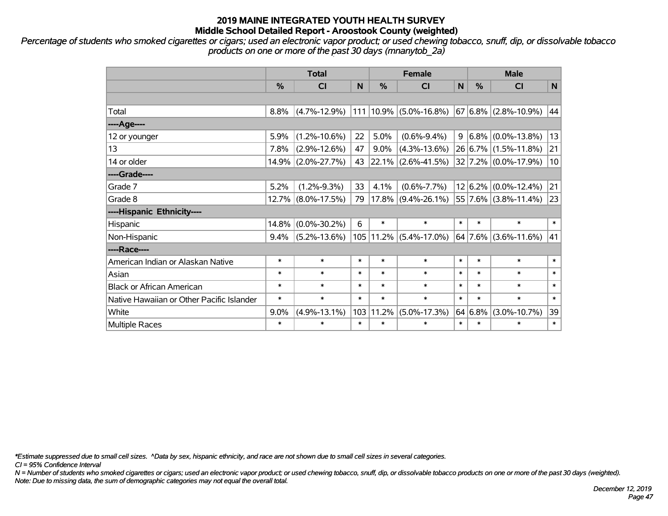*Percentage of students who smoked cigarettes or cigars; used an electronic vapor product; or used chewing tobacco, snuff, dip, or dissolvable tobacco products on one or more of the past 30 days (mnanytob\_2a)*

|                                           | <b>Total</b>  |                    |        | <b>Female</b> |                       |                | <b>Male</b> |                          |        |  |
|-------------------------------------------|---------------|--------------------|--------|---------------|-----------------------|----------------|-------------|--------------------------|--------|--|
|                                           | $\frac{0}{0}$ | CI                 | N      | $\frac{0}{0}$ | <b>CI</b>             | N <sub>1</sub> | %           | <b>CI</b>                | N      |  |
|                                           |               |                    |        |               |                       |                |             |                          |        |  |
| Total                                     | 8.8%          | $(4.7\% - 12.9\%)$ | 111    |               | $10.9\%$ (5.0%-16.8%) |                |             | $67 6.8\% $ (2.8%-10.9%) | 44     |  |
| ---- Age----                              |               |                    |        |               |                       |                |             |                          |        |  |
| 12 or younger                             | 5.9%          | $(1.2\% - 10.6\%)$ | 22     | 5.0%          | $(0.6\% - 9.4\%)$     | 9              |             | $6.8\%$ (0.0%-13.8%)     | 13     |  |
| 13                                        | 7.8%          | $(2.9\% - 12.6\%)$ | 47     | 9.0%          | $(4.3\% - 13.6\%)$    |                |             | 26 6.7% (1.5%-11.8%)     | 21     |  |
| 14 or older                               |               | 14.9% (2.0%-27.7%) | 43     | 22.1%         | $(2.6\% - 41.5\%)$    |                |             | 32 7.2% (0.0%-17.9%)     | 10     |  |
| ----Grade----                             |               |                    |        |               |                       |                |             |                          |        |  |
| Grade 7                                   | 5.2%          | $(1.2\% - 9.3\%)$  | 33     | 4.1%          | $(0.6\% - 7.7\%)$     |                |             | $12 6.2\% $ (0.0%-12.4%) | 21     |  |
| Grade 8                                   |               | 12.7% (8.0%-17.5%) | 79     |               | $17.8\%$ (9.4%-26.1%) |                |             | 55 7.6% (3.8%-11.4%)     | 23     |  |
| ----Hispanic Ethnicity----                |               |                    |        |               |                       |                |             |                          |        |  |
| Hispanic                                  | 14.8%         | $(0.0\% - 30.2\%)$ | 6      | $\ast$        | $\ast$                | $\ast$         | $\ast$      | $\ast$                   | $\ast$ |  |
| Non-Hispanic                              | 9.4%          | $(5.2\% - 13.6\%)$ |        | 105 11.2%     | $(5.4\% - 17.0\%)$    |                |             | $64$ 7.6% (3.6%-11.6%)   | 41     |  |
| ----Race----                              |               |                    |        |               |                       |                |             |                          |        |  |
| American Indian or Alaskan Native         | $\ast$        | $\ast$             | $\ast$ | $\ast$        | $\ast$                | $\ast$         | $\ast$      | $\ast$                   | $\ast$ |  |
| Asian                                     | $\ast$        | $\ast$             | $\ast$ | $\ast$        | $\ast$                | $\ast$         | $\ast$      | $\ast$                   | $\ast$ |  |
| <b>Black or African American</b>          | $\ast$        | $\ast$             | $\ast$ | $\ast$        | $\ast$                | $\ast$         | $\ast$      | $\ast$                   | $\ast$ |  |
| Native Hawaiian or Other Pacific Islander | $\ast$        | $\ast$             | $\ast$ | $\ast$        | $\ast$                | $\ast$         | $\ast$      | $\ast$                   | $\ast$ |  |
| White                                     | 9.0%          | $(4.9\% - 13.1\%)$ | 103    | 11.2%         | $(5.0\% - 17.3\%)$    |                | 64 6.8%     | $(3.0\% - 10.7\%)$       | 39     |  |
| Multiple Races                            | $\ast$        | $\ast$             | $\ast$ | $\ast$        | $\ast$                | $\ast$         | $\ast$      | $\ast$                   | $\ast$ |  |

*\*Estimate suppressed due to small cell sizes. ^Data by sex, hispanic ethnicity, and race are not shown due to small cell sizes in several categories.*

*CI = 95% Confidence Interval*

*N = Number of students who smoked cigarettes or cigars; used an electronic vapor product; or used chewing tobacco, snuff, dip, or dissolvable tobacco products on one or more of the past 30 days (weighted). Note: Due to missing data, the sum of demographic categories may not equal the overall total.*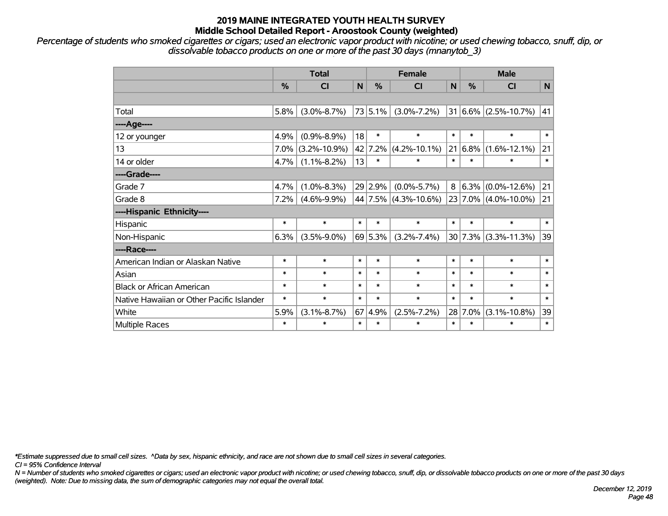*Percentage of students who smoked cigarettes or cigars; used an electronic vapor product with nicotine; or used chewing tobacco, snuff, dip, or dissolvable tobacco products on one or more of the past 30 days (mnanytob\_3)*

|                                           | <b>Total</b>  |                    |        |         | <b>Female</b>        |        |         | <b>Male</b>              |        |  |  |
|-------------------------------------------|---------------|--------------------|--------|---------|----------------------|--------|---------|--------------------------|--------|--|--|
|                                           | $\frac{0}{0}$ | <b>CI</b>          | N      | $\%$    | <b>CI</b>            | N      | %       | <b>CI</b>                | N      |  |  |
|                                           |               |                    |        |         |                      |        |         |                          |        |  |  |
| Total                                     | 5.8%          | $(3.0\% - 8.7\%)$  |        | 73 5.1% | $(3.0\% - 7.2\%)$    | 31     |         | $ 6.6\% $ (2.5%-10.7%)   | 41     |  |  |
| ----Age----                               |               |                    |        |         |                      |        |         |                          |        |  |  |
| 12 or younger                             | 4.9%          | $(0.9\% - 8.9\%)$  | 18     | $\ast$  | $\ast$               | $\ast$ | $\ast$  | $\ast$                   | $\ast$ |  |  |
| 13                                        | 7.0%          | $(3.2\% - 10.9\%)$ |        | 42 7.2% | $(4.2\% - 10.1\%)$   | 21     | 6.8%    | $(1.6\% - 12.1\%)$       | 21     |  |  |
| 14 or older                               | 4.7%          | $(1.1\% - 8.2\%)$  | 13     | $\ast$  | $\ast$               | $\ast$ | $\ast$  | $\ast$                   | $\ast$ |  |  |
| ----Grade----                             |               |                    |        |         |                      |        |         |                          |        |  |  |
| Grade 7                                   | 4.7%          | $(1.0\% - 8.3\%)$  |        | 29 2.9% | $(0.0\% - 5.7\%)$    | 8      |         | $6.3\%$ (0.0%-12.6%)     | 21     |  |  |
| Grade 8                                   | 7.2%          | $(4.6\% - 9.9\%)$  |        |         | 44 7.5% (4.3%-10.6%) |        |         | 23 7.0% (4.0%-10.0%)     | 21     |  |  |
| ----Hispanic Ethnicity----                |               |                    |        |         |                      |        |         |                          |        |  |  |
| Hispanic                                  | $\ast$        | $\ast$             | $\ast$ | $\ast$  | $\ast$               | $\ast$ | $\ast$  | $\ast$                   | $\ast$ |  |  |
| Non-Hispanic                              | 6.3%          | $(3.5\% - 9.0\%)$  |        | 69 5.3% | $(3.2\% - 7.4\%)$    |        |         | $30 7.3\% $ (3.3%-11.3%) | 39     |  |  |
| ----Race----                              |               |                    |        |         |                      |        |         |                          |        |  |  |
| American Indian or Alaskan Native         | $\ast$        | $\ast$             | $\ast$ | $\ast$  | $\ast$               | $\ast$ | $\ast$  | $\ast$                   | $\ast$ |  |  |
| Asian                                     | $\ast$        | $\ast$             | $\ast$ | $\ast$  | $\ast$               | $\ast$ | $\ast$  | $\ast$                   | $\ast$ |  |  |
| <b>Black or African American</b>          | $\ast$        | $\ast$             | $\ast$ | $\ast$  | $\ast$               | $\ast$ | $\ast$  | $\ast$                   | $\ast$ |  |  |
| Native Hawaiian or Other Pacific Islander | $\ast$        | $\ast$             | $\ast$ | $\ast$  | $\ast$               | $\ast$ | $\ast$  | $\ast$                   | $\ast$ |  |  |
| White                                     | 5.9%          | $(3.1\% - 8.7\%)$  | 67     | 4.9%    | $(2.5\% - 7.2\%)$    |        | 28 7.0% | $(3.1\% - 10.8\%)$       | 39     |  |  |
| Multiple Races                            | $\ast$        | $\ast$             | $\ast$ | $\ast$  | $\ast$               | $\ast$ | $\ast$  | $\ast$                   | $\ast$ |  |  |

*\*Estimate suppressed due to small cell sizes. ^Data by sex, hispanic ethnicity, and race are not shown due to small cell sizes in several categories.*

*CI = 95% Confidence Interval*

*N = Number of students who smoked cigarettes or cigars; used an electronic vapor product with nicotine; or used chewing tobacco, snuff, dip, or dissolvable tobacco products on one or more of the past 30 days (weighted). Note: Due to missing data, the sum of demographic categories may not equal the overall total.*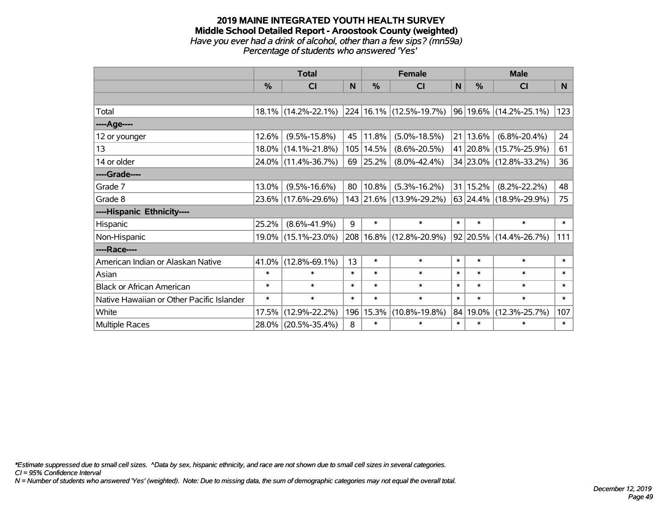#### **2019 MAINE INTEGRATED YOUTH HEALTH SURVEY Middle School Detailed Report - Aroostook County (weighted)** *Have you ever had a drink of alcohol, other than a few sips? (mn59a) Percentage of students who answered 'Yes'*

|                                           | <b>Total</b>  |                        |        | <b>Female</b> |                         | <b>Male</b> |               |                             |        |
|-------------------------------------------|---------------|------------------------|--------|---------------|-------------------------|-------------|---------------|-----------------------------|--------|
|                                           | $\frac{0}{2}$ | CI                     | N      | %             | <b>CI</b>               | N           | $\frac{0}{0}$ | <b>CI</b>                   | N      |
|                                           |               |                        |        |               |                         |             |               |                             |        |
| Total                                     |               | $18.1\%$ (14.2%-22.1%) |        |               | 224 16.1% (12.5%-19.7%) |             |               | $ 96 19.6\% $ (14.2%-25.1%) | 123    |
| ----Age----                               |               |                        |        |               |                         |             |               |                             |        |
| 12 or younger                             | 12.6%         | $(9.5\% - 15.8\%)$     | 45     | 11.8%         | $(5.0\% - 18.5\%)$      | 21          | 13.6%         | $(6.8\% - 20.4\%)$          | 24     |
| 13                                        |               | 18.0% (14.1%-21.8%)    | 105    | 14.5%         | $(8.6\% - 20.5\%)$      |             | 41 20.8%      | $(15.7\% - 25.9\%)$         | 61     |
| 14 or older                               |               | 24.0% (11.4%-36.7%)    | 69     | 25.2%         | $(8.0\% - 42.4\%)$      |             |               | 34 23.0% (12.8%-33.2%)      | 36     |
| ----Grade----                             |               |                        |        |               |                         |             |               |                             |        |
| Grade 7                                   | 13.0%         | $(9.5\% - 16.6\%)$     | 80     | 10.8%         | $(5.3\% - 16.2\%)$      |             | 31 15.2%      | $(8.2\% - 22.2\%)$          | 48     |
| Grade 8                                   |               | 23.6% (17.6%-29.6%)    |        |               | 143 21.6% (13.9%-29.2%) |             |               | 63 24.4% (18.9%-29.9%)      | 75     |
| ----Hispanic Ethnicity----                |               |                        |        |               |                         |             |               |                             |        |
| Hispanic                                  | 25.2%         | $(8.6\% - 41.9\%)$     | 9      | $\ast$        | $\ast$                  | $\ast$      | $\ast$        | $\ast$                      | $\ast$ |
| Non-Hispanic                              |               | 19.0% (15.1%-23.0%)    | 208    | $16.8\%$      | $(12.8\% - 20.9\%)$     |             |               | 92 20.5% (14.4%-26.7%)      | 111    |
| ----Race----                              |               |                        |        |               |                         |             |               |                             |        |
| American Indian or Alaskan Native         | 41.0%         | $(12.8\% - 69.1\%)$    | 13     | $\ast$        | $\ast$                  | $\ast$      | $\ast$        | $\ast$                      | $\ast$ |
| Asian                                     | $\ast$        | $\ast$                 | $\ast$ | $\ast$        | $\ast$                  | $\ast$      | $\ast$        | $\ast$                      | $\ast$ |
| <b>Black or African American</b>          | $\ast$        | $\ast$                 | $\ast$ | $\ast$        | $\ast$                  | $\ast$      | $\ast$        | $\ast$                      | $\ast$ |
| Native Hawaiian or Other Pacific Islander | $\ast$        | $\ast$                 | $\ast$ | $\ast$        | $\ast$                  | $\ast$      | $\ast$        | $\ast$                      | $\ast$ |
| White                                     | 17.5%         | $(12.9\% - 22.2\%)$    | 196    | 15.3%         | $(10.8\% - 19.8\%)$     | 84          | 19.0%         | $(12.3\% - 25.7\%)$         | 107    |
| Multiple Races                            |               | 28.0% (20.5%-35.4%)    | 8      | $\ast$        | $\ast$                  | $\ast$      | $\ast$        | $\ast$                      | $\ast$ |

*\*Estimate suppressed due to small cell sizes. ^Data by sex, hispanic ethnicity, and race are not shown due to small cell sizes in several categories.*

*CI = 95% Confidence Interval*

*N = Number of students who answered 'Yes' (weighted). Note: Due to missing data, the sum of demographic categories may not equal the overall total.*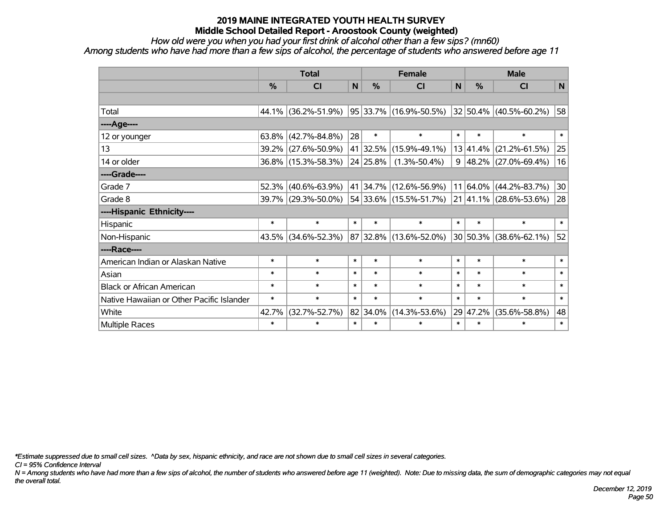*How old were you when you had your first drink of alcohol other than a few sips? (mn60)*

*Among students who have had more than a few sips of alcohol, the percentage of students who answered before age 11*

|                                           | <b>Total</b> |                     |        |          | <b>Female</b>              | <b>Male</b>  |               |                            |              |
|-------------------------------------------|--------------|---------------------|--------|----------|----------------------------|--------------|---------------|----------------------------|--------------|
|                                           | %            | <b>CI</b>           | N      | %        | <b>CI</b>                  | $\mathsf{N}$ | $\frac{0}{0}$ | <b>CI</b>                  | $\mathsf{N}$ |
|                                           |              |                     |        |          |                            |              |               |                            |              |
| Total                                     |              | 44.1% (36.2%-51.9%) |        |          | 95   33.7%   (16.9%-50.5%) |              |               | 32 50.4% (40.5%-60.2%)     | 58           |
| ----Age----                               |              |                     |        |          |                            |              |               |                            |              |
| 12 or younger                             | 63.8%        | $(42.7\% - 84.8\%)$ | 28     | $\ast$   | $\ast$                     | $\ast$       | $\ast$        | $\ast$                     | $\ast$       |
| 13                                        |              | 39.2% (27.6%-50.9%) |        | 41 32.5% | $(15.9\% - 49.1\%)$        |              | 13 41.4%      | $(21.2\% - 61.5\%)$        | 25           |
| 14 or older                               |              | 36.8% (15.3%-58.3%) |        | 24 25.8% | $(1.3\% - 50.4\%)$         | 9            |               | 48.2% (27.0%-69.4%)        | 16           |
| ----Grade----                             |              |                     |        |          |                            |              |               |                            |              |
| Grade 7                                   | 52.3%        | $(40.6\% - 63.9\%)$ |        | 41 34.7% | $(12.6\% - 56.9\%)$        |              | $11 64.0\% $  | $(44.2\% - 83.7\%)$        | 30           |
| Grade 8                                   |              | 39.7% (29.3%-50.0%) |        |          | 54 33.6% (15.5%-51.7%)     |              |               | 21 41.1% (28.6%-53.6%)     | 28           |
| ----Hispanic Ethnicity----                |              |                     |        |          |                            |              |               |                            |              |
| Hispanic                                  | $\ast$       | $\ast$              | $\ast$ | $\ast$   | $\ast$                     | $\ast$       | $\ast$        | $\ast$                     | $\ast$       |
| Non-Hispanic                              | 43.5%        | $(34.6\% - 52.3\%)$ |        |          | 87 32.8% (13.6%-52.0%)     |              |               | $30 50.3\% $ (38.6%-62.1%) | 52           |
| ----Race----                              |              |                     |        |          |                            |              |               |                            |              |
| American Indian or Alaskan Native         | $\ast$       | $\ast$              | $\ast$ | $\ast$   | $\ast$                     | $\ast$       | $\ast$        | $\ast$                     | $\ast$       |
| Asian                                     | $\ast$       | $\ast$              | $\ast$ | $\ast$   | $\ast$                     | $\ast$       | $\ast$        | $\ast$                     | $\ast$       |
| <b>Black or African American</b>          | $\ast$       | $\ast$              | $\ast$ | $\ast$   | $\ast$                     | $\ast$       | $\ast$        | $\ast$                     | $\ast$       |
| Native Hawaiian or Other Pacific Islander | $\ast$       | $\ast$              | $\ast$ | $\ast$   | $\ast$                     | $\ast$       | $\ast$        | $\ast$                     | $\ast$       |
| White                                     | 42.7%        | $(32.7\% - 52.7\%)$ |        | 82 34.0% | $(14.3\% - 53.6\%)$        |              | 29 47.2%      | $(35.6\% - 58.8\%)$        | 48           |
| <b>Multiple Races</b>                     | $\ast$       | $\ast$              | $\ast$ | $\ast$   | $\ast$                     | $\ast$       | $\ast$        | $\ast$                     | $\ast$       |

*\*Estimate suppressed due to small cell sizes. ^Data by sex, hispanic ethnicity, and race are not shown due to small cell sizes in several categories.*

*CI = 95% Confidence Interval*

*N = Among students who have had more than a few sips of alcohol, the number of students who answered before age 11 (weighted). Note: Due to missing data, the sum of demographic categories may not equal the overall total.*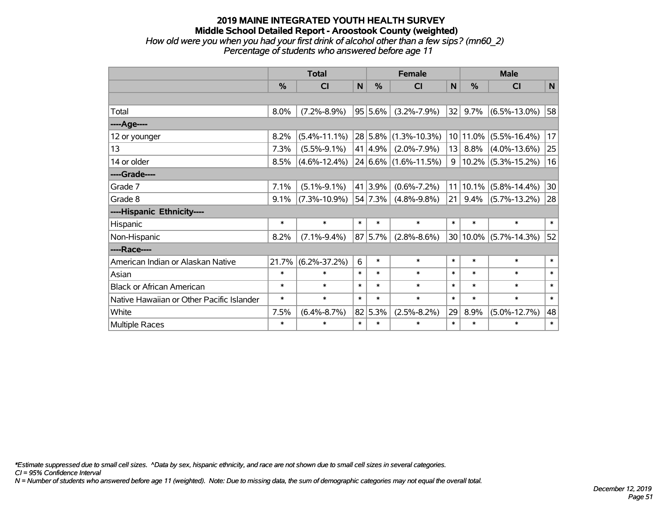### **2019 MAINE INTEGRATED YOUTH HEALTH SURVEY Middle School Detailed Report - Aroostook County (weighted)** *How old were you when you had your first drink of alcohol other than a few sips? (mn60\_2) Percentage of students who answered before age 11*

|                                           | <b>Total</b>  |                    |        |         | <b>Female</b>               |        | <b>Male</b> |                         |        |  |
|-------------------------------------------|---------------|--------------------|--------|---------|-----------------------------|--------|-------------|-------------------------|--------|--|
|                                           | $\frac{0}{0}$ | <b>CI</b>          | N      | %       | <b>CI</b>                   | N      | %           | <b>CI</b>               | N      |  |
|                                           |               |                    |        |         |                             |        |             |                         |        |  |
| Total                                     | 8.0%          | $(7.2\% - 8.9\%)$  |        | 95 5.6% | $(3.2\% - 7.9\%)$           | 32     | 9.7%        | $(6.5\% - 13.0\%)$      | 58     |  |
| ---- Age----                              |               |                    |        |         |                             |        |             |                         |        |  |
| 12 or younger                             | 8.2%          | $(5.4\% - 11.1\%)$ |        |         | $28$ 5.8% (1.3%-10.3%)      |        | 10 11.0%    | $(5.5\% - 16.4\%)$      | 17     |  |
| 13                                        | 7.3%          | $(5.5\% - 9.1\%)$  |        | 41 4.9% | $(2.0\% - 7.9\%)$           | 13     | 8.8%        | $(4.0\% - 13.6\%)$      | 25     |  |
| 14 or older                               | 8.5%          | $(4.6\% - 12.4\%)$ |        |         | $24 6.6\% (1.6\% - 11.5\%)$ | 9      |             | $ 10.2\% $ (5.3%-15.2%) | 16     |  |
| ----Grade----                             |               |                    |        |         |                             |        |             |                         |        |  |
| Grade 7                                   | 7.1%          | $(5.1\% - 9.1\%)$  |        | 41 3.9% | $(0.6\% - 7.2\%)$           | 11     | 10.1%       | $(5.8\% - 14.4\%)$      | 30     |  |
| Grade 8                                   | 9.1%          | $(7.3\% - 10.9\%)$ |        | 54 7.3% | $(4.8\% - 9.8\%)$           | 21     | $9.4\%$     | $(5.7\% - 13.2\%)$      | 28     |  |
| ----Hispanic Ethnicity----                |               |                    |        |         |                             |        |             |                         |        |  |
| Hispanic                                  | $\ast$        | $\ast$             | $\ast$ | $\ast$  | $\ast$                      | $\ast$ | $\ast$      | $\ast$                  | $\ast$ |  |
| Non-Hispanic                              | 8.2%          | $(7.1\% - 9.4\%)$  |        | 87 5.7% | $(2.8\% - 8.6\%)$           |        | 30 10.0%    | $(5.7\% - 14.3\%)$      | 52     |  |
| ----Race----                              |               |                    |        |         |                             |        |             |                         |        |  |
| American Indian or Alaskan Native         | 21.7%         | $(6.2\% - 37.2\%)$ | 6      | $\ast$  | $\ast$                      | $\ast$ | $\ast$      | $\ast$                  | $\ast$ |  |
| Asian                                     | $\ast$        | $\ast$             | $\ast$ | $\ast$  | $\ast$                      | $\ast$ | $\ast$      | $\ast$                  | $\ast$ |  |
| <b>Black or African American</b>          | $\ast$        | $\ast$             | $\ast$ | $\ast$  | $\ast$                      | $\ast$ | $\ast$      | $\ast$                  | $\ast$ |  |
| Native Hawaiian or Other Pacific Islander | $\ast$        | $\ast$             | $\ast$ | $\ast$  | $\ast$                      | $\ast$ | $\ast$      | $\ast$                  | $\ast$ |  |
| White                                     | 7.5%          | $(6.4\% - 8.7\%)$  |        | 82 5.3% | $(2.5\% - 8.2\%)$           | 29     | 8.9%        | $(5.0\% - 12.7\%)$      | 48     |  |
| <b>Multiple Races</b>                     | $\ast$        | $\ast$             | $\ast$ | $\ast$  | $\ast$                      | $\ast$ | $\ast$      | $\ast$                  | $\ast$ |  |

*\*Estimate suppressed due to small cell sizes. ^Data by sex, hispanic ethnicity, and race are not shown due to small cell sizes in several categories.*

*CI = 95% Confidence Interval*

*N = Number of students who answered before age 11 (weighted). Note: Due to missing data, the sum of demographic categories may not equal the overall total.*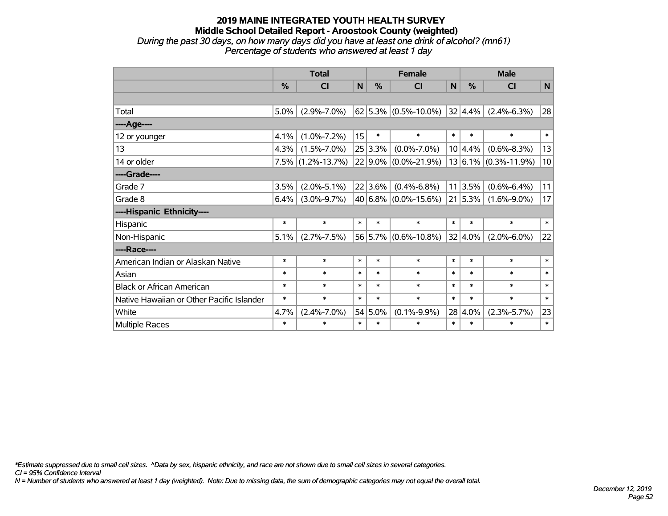## **2019 MAINE INTEGRATED YOUTH HEALTH SURVEY Middle School Detailed Report - Aroostook County (weighted)** *During the past 30 days, on how many days did you have at least one drink of alcohol? (mn61) Percentage of students who answered at least 1 day*

|                                           |        |                      |        |            | <b>Female</b>              | <b>Male</b> |         |                              |        |
|-------------------------------------------|--------|----------------------|--------|------------|----------------------------|-------------|---------|------------------------------|--------|
|                                           |        | <b>Total</b>         |        |            |                            |             |         |                              |        |
|                                           | %      | <b>CI</b>            | N      | %          | CI                         | N           | %       | CI                           | N      |
|                                           |        |                      |        |            |                            |             |         |                              |        |
| Total                                     | 5.0%   | $(2.9\% - 7.0\%)$    |        |            | $62 5.3\% $ (0.5%-10.0%)   |             | 32 4.4% | $(2.4\% - 6.3\%)$            | 28     |
| ----Age----                               |        |                      |        |            |                            |             |         |                              |        |
| 12 or younger                             | 4.1%   | $(1.0\% - 7.2\%)$    | 15     | $\ast$     | $\ast$                     | $\ast$      | $\ast$  | $\ast$                       | $\ast$ |
| 13                                        | 4.3%   | $(1.5\% - 7.0\%)$    |        | 25 3.3%    | $(0.0\% - 7.0\%)$          |             | 10 4.4% | $(0.6\% - 8.3\%)$            | 13     |
| 14 or older                               |        | $7.5\%$ (1.2%-13.7%) |        | $22 9.0\%$ | $(0.0\% - 21.9\%)$         |             |         | $13 6.1\%  (0.3\% - 11.9\%)$ | 10     |
| ----Grade----                             |        |                      |        |            |                            |             |         |                              |        |
| Grade 7                                   | 3.5%   | $(2.0\% - 5.1\%)$    |        | 22 3.6%    | $(0.4\% - 6.8\%)$          | 11          | 3.5%    | $(0.6\% - 6.4\%)$            | 11     |
| Grade 8                                   | 6.4%   | $(3.0\% - 9.7\%)$    |        |            | 40 6.8% $(0.0\% - 15.6\%)$ |             | 21 5.3% | $(1.6\% - 9.0\%)$            | 17     |
| ----Hispanic Ethnicity----                |        |                      |        |            |                            |             |         |                              |        |
| Hispanic                                  | $\ast$ | $\ast$               | $\ast$ | $\ast$     | $\ast$                     | $\ast$      | $\ast$  | $\ast$                       | $\ast$ |
| Non-Hispanic                              | 5.1%   | $(2.7\% - 7.5\%)$    |        |            | $56 5.7\% $ (0.6%-10.8%)   |             | 32 4.0% | $(2.0\% - 6.0\%)$            | 22     |
| ----Race----                              |        |                      |        |            |                            |             |         |                              |        |
| American Indian or Alaskan Native         | $\ast$ | $\ast$               | $\ast$ | $\ast$     | $\ast$                     | $\ast$      | $\ast$  | $\ast$                       | $\ast$ |
| Asian                                     | $\ast$ | $\ast$               | $\ast$ | $\ast$     | $\ast$                     | $\ast$      | $\ast$  | $\ast$                       | $\ast$ |
| <b>Black or African American</b>          | $\ast$ | $\ast$               | $\ast$ | $\ast$     | $\ast$                     | $\ast$      | $\ast$  | $\ast$                       | $\ast$ |
| Native Hawaiian or Other Pacific Islander | $\ast$ | $\ast$               | $\ast$ | $\ast$     | $\ast$                     | $\ast$      | $\ast$  | $\ast$                       | $\ast$ |
| White                                     | 4.7%   | $(2.4\% - 7.0\%)$    |        | 54 5.0%    | $(0.1\% - 9.9\%)$          |             | 28 4.0% | $(2.3\% - 5.7\%)$            | 23     |
| Multiple Races                            | $\ast$ | $\ast$               | $\ast$ | $\ast$     | $\ast$                     | $\ast$      | $\ast$  | $\ast$                       | $\ast$ |

*CI = 95% Confidence Interval \*Estimate suppressed due to small cell sizes. ^Data by sex, hispanic ethnicity, and race are not shown due to small cell sizes in several categories.*

*N = Number of students who answered at least 1 day (weighted). Note: Due to missing data, the sum of demographic categories may not equal the overall total.*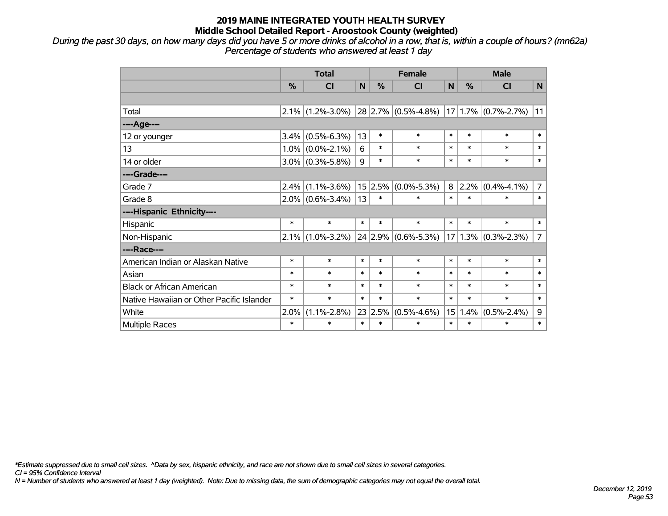*During the past 30 days, on how many days did you have 5 or more drinks of alcohol in a row, that is, within a couple of hours? (mn62a) Percentage of students who answered at least 1 day*

|                                           | <b>Total</b> |                     |             | <b>Female</b> |                         |        | <b>Male</b> |                         |                |
|-------------------------------------------|--------------|---------------------|-------------|---------------|-------------------------|--------|-------------|-------------------------|----------------|
|                                           | %            | C <sub>l</sub>      | $\mathbf N$ | %             | <b>CI</b>               | N      | %           | <b>CI</b>               | N              |
|                                           |              |                     |             |               |                         |        |             |                         |                |
| Total                                     |              | $2.1\%$ (1.2%-3.0%) |             |               | $28 2.7\% $ (0.5%-4.8%) |        |             | $17 1.7\% $ (0.7%-2.7%) | 11             |
| ----Age----                               |              |                     |             |               |                         |        |             |                         |                |
| 12 or younger                             | 3.4%         | $(0.5\% - 6.3\%)$   | 13          | $\ast$        | $\ast$                  | $\ast$ | $\ast$      | $\ast$                  | $\ast$         |
| 13                                        |              | $1.0\%$ (0.0%-2.1%) | 6           | $\ast$        | $\ast$                  | $\ast$ | $\ast$      | $\ast$                  | $\ast$         |
| 14 or older                               |              | $3.0\%$ (0.3%-5.8%) | 9           | $\ast$        | $\ast$                  | $\ast$ | $\ast$      | $\ast$                  | $\ast$         |
| ----Grade----                             |              |                     |             |               |                         |        |             |                         |                |
| Grade 7                                   | $2.4\%$      | $(1.1\% - 3.6\%)$   |             | 15 2.5%       | $(0.0\% - 5.3\%)$       | 8      | $ 2.2\% $   | $(0.4\% - 4.1\%)$       | 7              |
| Grade 8                                   |              | $2.0\%$ (0.6%-3.4%) | 13          | $\ast$        | $\ast$                  | $\ast$ | $\ast$      | $\ast$                  | $\ast$         |
| ----Hispanic Ethnicity----                |              |                     |             |               |                         |        |             |                         |                |
| Hispanic                                  | $\ast$       | $\ast$              | $\ast$      | $\ast$        | $\ast$                  | $\ast$ | $\ast$      | $\ast$                  | $\ast$         |
| Non-Hispanic                              |              | $2.1\%$ (1.0%-3.2%) |             |               | 24 2.9% (0.6%-5.3%)     |        |             | $17 1.3\% $ (0.3%-2.3%) | $\overline{7}$ |
| ----Race----                              |              |                     |             |               |                         |        |             |                         |                |
| American Indian or Alaskan Native         | $\ast$       | $\ast$              | $\ast$      | $\ast$        | $\ast$                  | $\ast$ | $\ast$      | $\ast$                  | $\ast$         |
| Asian                                     | $\ast$       | $\ast$              | $\ast$      | $\ast$        | $\ast$                  | $\ast$ | $\ast$      | $\ast$                  | $\ast$         |
| <b>Black or African American</b>          | $\ast$       | $\ast$              | $\ast$      | $\ast$        | $\ast$                  | $\ast$ | $\ast$      | $\ast$                  | $\ast$         |
| Native Hawaiian or Other Pacific Islander | $\ast$       | $\ast$              | $\ast$      | $\ast$        | $\ast$                  | $\ast$ | $\ast$      | $\ast$                  | $\ast$         |
| White                                     | 2.0%         | $(1.1\% - 2.8\%)$   | 23          | 2.5%          | $(0.5\% - 4.6\%)$       | 15     | 1.4%        | $(0.5\% - 2.4\%)$       | 9              |
| Multiple Races                            | $\ast$       | $\ast$              | $\ast$      | $\ast$        | *                       | $\ast$ | $\ast$      | $\ast$                  | $\ast$         |

*\*Estimate suppressed due to small cell sizes. ^Data by sex, hispanic ethnicity, and race are not shown due to small cell sizes in several categories.*

*CI = 95% Confidence Interval*

*N = Number of students who answered at least 1 day (weighted). Note: Due to missing data, the sum of demographic categories may not equal the overall total.*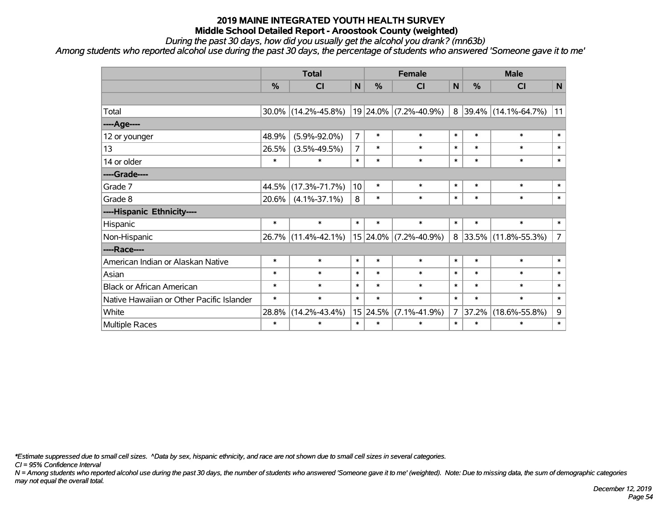*During the past 30 days, how did you usually get the alcohol you drank? (mn63b)*

*Among students who reported alcohol use during the past 30 days, the percentage of students who answered 'Someone gave it to me'*

|                                           | <b>Total</b>  |                     |                |               | <b>Female</b>         |                | <b>Male</b>   |                       |                |  |
|-------------------------------------------|---------------|---------------------|----------------|---------------|-----------------------|----------------|---------------|-----------------------|----------------|--|
|                                           | $\frac{0}{0}$ | <b>CI</b>           | $\mathsf{N}$   | $\frac{0}{0}$ | CI                    | N              | $\frac{0}{0}$ | <b>CI</b>             | N              |  |
|                                           |               |                     |                |               |                       |                |               |                       |                |  |
| Total                                     | $30.0\%$      | $(14.2\% - 45.8\%)$ |                |               | 19 24.0% (7.2%-40.9%) |                |               | 8 39.4% (14.1%-64.7%) | 11             |  |
| ---- Age----                              |               |                     |                |               |                       |                |               |                       |                |  |
| 12 or younger                             | 48.9%         | $(5.9\% - 92.0\%)$  | $\overline{7}$ | $\ast$        | $\ast$                | $\ast$         | $\ast$        | $\ast$                | $\ast$         |  |
| 13                                        | 26.5%         | $(3.5\% - 49.5\%)$  | 7              | $\ast$        | $\ast$                | $\ast$         | $\ast$        | $\ast$                | $\ast$         |  |
| 14 or older                               | $\ast$        | $\ast$              | $\ast$         | $\ast$        | $\ast$                | $\ast$         | $\ast$        | $\ast$                | $\ast$         |  |
| ----Grade----                             |               |                     |                |               |                       |                |               |                       |                |  |
| Grade 7                                   | 44.5%         | $(17.3\% - 71.7\%)$ | 10             | $\ast$        | $\ast$                | $\ast$         | $\ast$        | $\ast$                | $\ast$         |  |
| Grade 8                                   | $20.6\%$      | $(4.1\% - 37.1\%)$  | 8              | $\ast$        | $\ast$                | $\ast$         | $\ast$        | $\ast$                | $\ast$         |  |
| ----Hispanic Ethnicity----                |               |                     |                |               |                       |                |               |                       |                |  |
| Hispanic                                  | $\ast$        | $\ast$              | $\ast$         | $\ast$        | $\ast$                | $\ast$         | $\ast$        | $\ast$                | $\ast$         |  |
| Non-Hispanic                              | 26.7%         | $(11.4\% - 42.1\%)$ |                |               | 15 24.0% (7.2%-40.9%) |                |               | 8 33.5% (11.8%-55.3%) | $\overline{7}$ |  |
| ----Race----                              |               |                     |                |               |                       |                |               |                       |                |  |
| American Indian or Alaskan Native         | $\ast$        | $\ast$              | $\ast$         | $\ast$        | $\ast$                | $\ast$         | $\ast$        | $\ast$                | $\ast$         |  |
| Asian                                     | $\ast$        | $\ast$              | $\ast$         | $\ast$        | $\ast$                | $\ast$         | $\ast$        | $\ast$                | $\ast$         |  |
| <b>Black or African American</b>          | $\ast$        | $\ast$              | $\ast$         | $\ast$        | $\ast$                | $\ast$         | $\ast$        | $\ast$                | $\ast$         |  |
| Native Hawaiian or Other Pacific Islander | $\ast$        | $\ast$              | $\ast$         | $\ast$        | $\ast$                | $\ast$         | $\ast$        | $\ast$                | $\ast$         |  |
| White                                     | 28.8%         | $(14.2\% - 43.4\%)$ |                | 15 24.5%      | $(7.1\% - 41.9\%)$    | $\overline{7}$ | 37.2%         | $(18.6\% - 55.8\%)$   | 9              |  |
| Multiple Races                            | $\ast$        | $\ast$              | $\ast$         | $\ast$        | $\ast$                | $\ast$         | $\ast$        | $\ast$                | $\ast$         |  |

*\*Estimate suppressed due to small cell sizes. ^Data by sex, hispanic ethnicity, and race are not shown due to small cell sizes in several categories.*

*CI = 95% Confidence Interval*

*N = Among students who reported alcohol use during the past 30 days, the number of students who answered 'Someone gave it to me' (weighted). Note: Due to missing data, the sum of demographic categories may not equal the overall total.*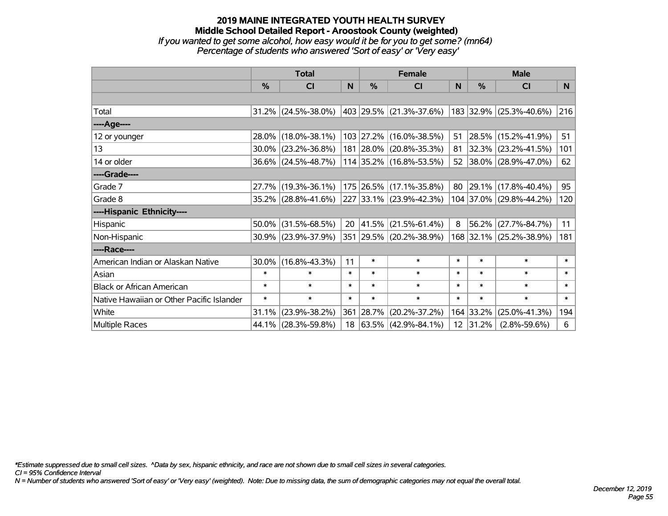## **2019 MAINE INTEGRATED YOUTH HEALTH SURVEY Middle School Detailed Report - Aroostook County (weighted)** *If you wanted to get some alcohol, how easy would it be for you to get some? (mn64) Percentage of students who answered 'Sort of easy' or 'Very easy'*

|                                           | <b>Total</b>  |                        |        | <b>Female</b> | <b>Male</b>               |        |           |                         |        |
|-------------------------------------------|---------------|------------------------|--------|---------------|---------------------------|--------|-----------|-------------------------|--------|
|                                           | $\frac{0}{0}$ | CI                     | N      | $\frac{0}{0}$ | <b>CI</b>                 | N      | %         | <b>CI</b>               | N      |
|                                           |               |                        |        |               |                           |        |           |                         |        |
| Total                                     |               | $31.2\%$ (24.5%-38.0%) |        |               | 403 29.5% (21.3%-37.6%)   |        |           | 183 32.9% (25.3%-40.6%) | 216    |
| ----Age----                               |               |                        |        |               |                           |        |           |                         |        |
| 12 or younger                             | 28.0%         | $(18.0\% - 38.1\%)$    |        |               | 103 27.2% (16.0%-38.5%)   | 51     | 28.5%     | $(15.2\% - 41.9\%)$     | 51     |
| 13                                        | $30.0\%$      | $(23.2\% - 36.8\%)$    |        |               | 181 28.0% (20.8%-35.3%)   | 81     |           | $32.3\%$ (23.2%-41.5%)  | 101    |
| 14 or older                               |               | $36.6\%$ (24.5%-48.7%) |        |               | $114$ 35.2% (16.8%-53.5%) |        |           | 52 38.0% (28.9%-47.0%)  | 62     |
| ----Grade----                             |               |                        |        |               |                           |        |           |                         |        |
| Grade 7                                   | 27.7%         | $(19.3\% - 36.1\%)$    |        |               | 175 26.5% (17.1%-35.8%)   | 80     | 29.1%     | $(17.8\% - 40.4\%)$     | 95     |
| Grade 8                                   |               | 35.2% (28.8%-41.6%)    |        |               | 227 33.1% (23.9%-42.3%)   |        |           | 104 37.0% (29.8%-44.2%) | 120    |
| ----Hispanic Ethnicity----                |               |                        |        |               |                           |        |           |                         |        |
| Hispanic                                  | 50.0%         | $(31.5\% - 68.5\%)$    | 20     |               | $ 41.5\% $ (21.5%-61.4%)  | 8      | 56.2%     | $(27.7\% - 84.7\%)$     | 11     |
| Non-Hispanic                              |               | 30.9% (23.9%-37.9%)    |        |               | 351 29.5% (20.2%-38.9%)   |        |           | 168 32.1% (25.2%-38.9%) | 181    |
| ----Race----                              |               |                        |        |               |                           |        |           |                         |        |
| American Indian or Alaskan Native         | 30.0%         | $(16.8\% - 43.3\%)$    | 11     | $\ast$        | $\ast$                    | $\ast$ | $\ast$    | $\ast$                  | $\ast$ |
| Asian                                     | $\ast$        | $\ast$                 | $\ast$ | $\ast$        | $\ast$                    | $\ast$ | $\ast$    | $\ast$                  | $\ast$ |
| <b>Black or African American</b>          | $\ast$        | $\ast$                 | $\ast$ | $\ast$        | $\ast$                    | $\ast$ | $\ast$    | $\ast$                  | $\ast$ |
| Native Hawaiian or Other Pacific Islander | $\ast$        | $\ast$                 | $\ast$ | $\ast$        | $\ast$                    | $\ast$ | $\ast$    | $\ast$                  | $\ast$ |
| White                                     | 31.1%         | $(23.9\% - 38.2\%)$    | 361    | $ 28.7\% $    | $(20.2\% - 37.2\%)$       |        | 164 33.2% | $(25.0\% - 41.3\%)$     | 194    |
| Multiple Races                            | 44.1%         | $(28.3\% - 59.8\%)$    |        |               | 18 63.5% (42.9%-84.1%)    |        | 12 31.2%  | $(2.8\% - 59.6\%)$      | 6      |

*\*Estimate suppressed due to small cell sizes. ^Data by sex, hispanic ethnicity, and race are not shown due to small cell sizes in several categories.*

*CI = 95% Confidence Interval*

*N = Number of students who answered 'Sort of easy' or 'Very easy' (weighted). Note: Due to missing data, the sum of demographic categories may not equal the overall total.*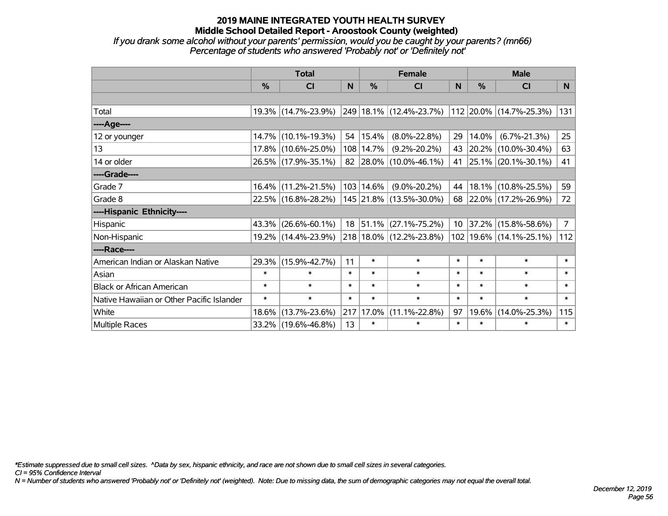*If you drank some alcohol without your parents' permission, would you be caught by your parents? (mn66) Percentage of students who answered 'Probably not' or 'Definitely not'*

|                                           | <b>Total</b>  |                     |        | <b>Female</b> | <b>Male</b>             |        |                  |                         |                |
|-------------------------------------------|---------------|---------------------|--------|---------------|-------------------------|--------|------------------|-------------------------|----------------|
|                                           | $\frac{0}{0}$ | CI                  | N      | $\%$          | <b>CI</b>               | N      | $\%$             | <b>CI</b>               | N              |
|                                           |               |                     |        |               |                         |        |                  |                         |                |
| Total                                     |               | 19.3% (14.7%-23.9%) |        |               | 249 18.1% (12.4%-23.7%) |        |                  | 112 20.0% (14.7%-25.3%) | 131            |
| ----Age----                               |               |                     |        |               |                         |        |                  |                         |                |
| 12 or younger                             | $14.7\%$      | $(10.1\% - 19.3\%)$ |        | 54   15.4%    | $(8.0\% - 22.8\%)$      | 29     | 14.0%            | $(6.7\% - 21.3\%)$      | 25             |
| 13                                        |               | 17.8% (10.6%-25.0%) |        | 108 14.7%     | $(9.2\% - 20.2\%)$      | 43     |                  | 20.2% (10.0%-30.4%)     | 63             |
| 14 or older                               |               | 26.5% (17.9%-35.1%) |        |               | 82 28.0% (10.0%-46.1%)  | 41     |                  | $25.1\%$ (20.1%-30.1%)  | 41             |
| ----Grade----                             |               |                     |        |               |                         |        |                  |                         |                |
| Grade 7                                   | $16.4\%$      | $(11.2\% - 21.5\%)$ |        | 103 14.6%     | $(9.0\% - 20.2\%)$      | 44     |                  | 18.1% (10.8%-25.5%)     | 59             |
| Grade 8                                   |               | 22.5% (16.8%-28.2%) |        |               | 145 21.8% (13.5%-30.0%) |        |                  | 68 22.0% (17.2%-26.9%)  | 72             |
| ----Hispanic Ethnicity----                |               |                     |        |               |                         |        |                  |                         |                |
| Hispanic                                  | 43.3%         | $(26.6\% - 60.1\%)$ |        |               | 18 51.1% (27.1%-75.2%)  |        | $10 \mid 37.2\%$ | $(15.8\% - 58.6\%)$     | 7 <sup>1</sup> |
| Non-Hispanic                              |               | 19.2% (14.4%-23.9%) |        |               | 218 18.0% (12.2%-23.8%) |        |                  | 102 19.6% (14.1%-25.1%) | 112            |
| ----Race----                              |               |                     |        |               |                         |        |                  |                         |                |
| American Indian or Alaskan Native         |               | 29.3% (15.9%-42.7%) | 11     | $\ast$        | $\ast$                  | $\ast$ | $\ast$           | $\ast$                  | $\ast$         |
| Asian                                     | $\ast$        | $\ast$              | $\ast$ | $\ast$        | $\ast$                  | $\ast$ | $\ast$           | $\ast$                  | $\ast$         |
| <b>Black or African American</b>          | $\ast$        | $\ast$              | $\ast$ | $\ast$        | $\ast$                  | $\ast$ | $\ast$           | $\ast$                  | $\ast$         |
| Native Hawaiian or Other Pacific Islander | $\ast$        | $\ast$              | $\ast$ | $\ast$        | $\ast$                  | $\ast$ | $\ast$           | $\ast$                  | $\ast$         |
| White                                     | 18.6%         | $(13.7\% - 23.6\%)$ |        | 217 17.0%     | $(11.1\% - 22.8\%)$     | 97     | 19.6%            | $(14.0\% - 25.3\%)$     | 115            |
| Multiple Races                            |               | 33.2% (19.6%-46.8%) | 13     | $\ast$        | $\ast$                  | $\ast$ | $\ast$           | $\ast$                  | $\ast$         |

*\*Estimate suppressed due to small cell sizes. ^Data by sex, hispanic ethnicity, and race are not shown due to small cell sizes in several categories.*

*CI = 95% Confidence Interval*

*N = Number of students who answered 'Probably not' or 'Definitely not' (weighted). Note: Due to missing data, the sum of demographic categories may not equal the overall total.*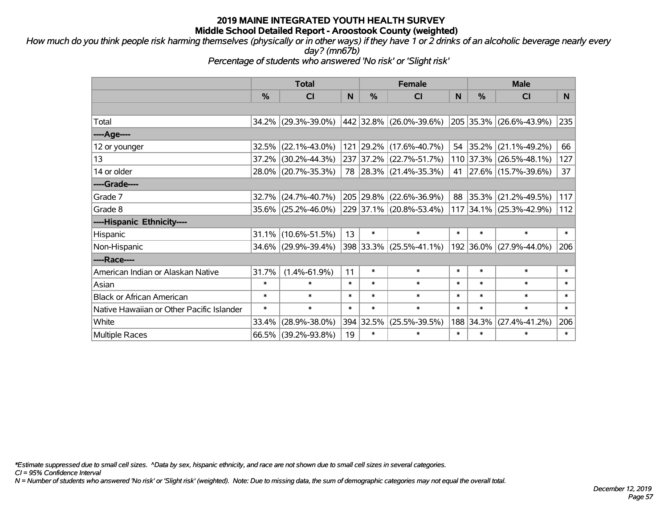*How much do you think people risk harming themselves (physically or in other ways) if they have 1 or 2 drinks of an alcoholic beverage nearly every day? (mn67b)*

*Percentage of students who answered 'No risk' or 'Slight risk'*

|                                           |        | <b>Total</b>           |        | <b>Female</b> |                         |        | <b>Male</b>   |                         |        |  |
|-------------------------------------------|--------|------------------------|--------|---------------|-------------------------|--------|---------------|-------------------------|--------|--|
|                                           | %      | C <sub>l</sub>         | N      | $\frac{9}{6}$ | <b>CI</b>               | N      | $\frac{0}{0}$ | <b>CI</b>               | N.     |  |
|                                           |        |                        |        |               |                         |        |               |                         |        |  |
| Total                                     |        | 34.2% (29.3%-39.0%)    |        |               | 442 32.8% (26.0%-39.6%) |        | 205 35.3%     | $(26.6\% - 43.9\%)$     | 235    |  |
| ----Age----                               |        |                        |        |               |                         |        |               |                         |        |  |
| 12 or younger                             |        | $32.5\%$ (22.1%-43.0%) |        | 121 29.2%     | $(17.6\% - 40.7\%)$     | 54     | 35.2%         | $(21.1\% - 49.2\%)$     | 66     |  |
| 13                                        |        | 37.2% (30.2%-44.3%)    |        | 237 37.2%     | $(22.7\% - 51.7\%)$     |        |               | 110 37.3% (26.5%-48.1%) | 127    |  |
| 14 or older                               |        | 28.0% (20.7%-35.3%)    |        |               | 78 28.3% (21.4%-35.3%)  |        |               | 41 27.6% (15.7%-39.6%)  | 37     |  |
| ----Grade----                             |        |                        |        |               |                         |        |               |                         |        |  |
| Grade 7                                   |        | 32.7% (24.7%-40.7%)    |        | 205 29.8%     | $(22.6\% - 36.9\%)$     | 88     | 35.3%         | $(21.2\% - 49.5\%)$     | 117    |  |
| Grade 8                                   |        | 35.6% (25.2%-46.0%)    |        |               | 229 37.1% (20.8%-53.4%) |        |               | 117 34.1% (25.3%-42.9%) | 112    |  |
| ----Hispanic Ethnicity----                |        |                        |        |               |                         |        |               |                         |        |  |
| Hispanic                                  |        | $31.1\%$ (10.6%-51.5%) | 13     | $\ast$        | $\ast$                  | $\ast$ | $\ast$        | $\ast$                  | $\ast$ |  |
| Non-Hispanic                              |        | 34.6% (29.9%-39.4%)    |        |               | 398 33.3% (25.5%-41.1%) |        | 192 36.0%     | $(27.9\% - 44.0\%)$     | 206    |  |
| ----Race----                              |        |                        |        |               |                         |        |               |                         |        |  |
| American Indian or Alaskan Native         | 31.7%  | $(1.4\% - 61.9\%)$     | 11     | $\ast$        | $\ast$                  | $\ast$ | $\ast$        | $\ast$                  | $\ast$ |  |
| Asian                                     | $\ast$ | $\ast$                 | $\ast$ | $\ast$        | $\ast$                  | $\ast$ | $\ast$        | $\ast$                  | $\ast$ |  |
| <b>Black or African American</b>          | $\ast$ | $\ast$                 | $\ast$ | $\ast$        | $\ast$                  | $\ast$ | $\ast$        | $\ast$                  | $\ast$ |  |
| Native Hawaiian or Other Pacific Islander | $\ast$ | $\ast$                 | $\ast$ | $\ast$        | $\ast$                  | $\ast$ | $\ast$        | $\ast$                  | $\ast$ |  |
| White                                     | 33.4%  | $(28.9\% - 38.0\%)$    |        | 394 32.5%     | $(25.5\% - 39.5\%)$     | 188    | 34.3%         | $(27.4\% - 41.2\%)$     | 206    |  |
| <b>Multiple Races</b>                     |        | 66.5% (39.2%-93.8%)    | 19     | $\ast$        | $\ast$                  | $\ast$ | $\ast$        | $\ast$                  | $\ast$ |  |

*\*Estimate suppressed due to small cell sizes. ^Data by sex, hispanic ethnicity, and race are not shown due to small cell sizes in several categories.*

*CI = 95% Confidence Interval*

*N = Number of students who answered 'No risk' or 'Slight risk' (weighted). Note: Due to missing data, the sum of demographic categories may not equal the overall total.*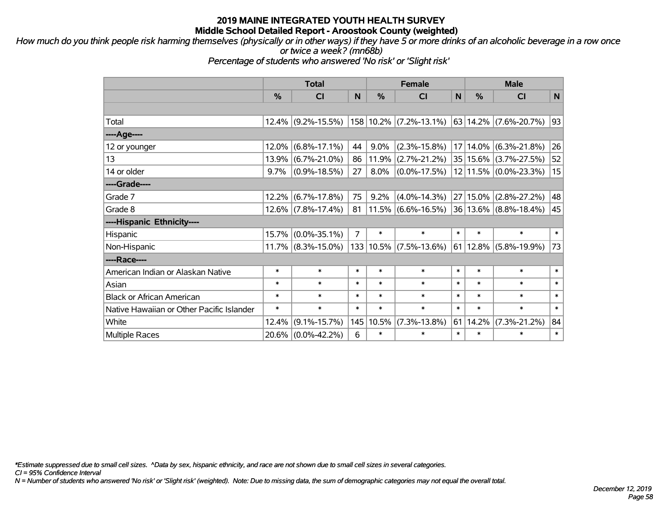*How much do you think people risk harming themselves (physically or in other ways) if they have 5 or more drinks of an alcoholic beverage in a row once or twice a week? (mn68b)*

*Percentage of students who answered 'No risk' or 'Slight risk'*

|                                           | <b>Total</b> |                       |                |               | <b>Female</b>              |        |               | <b>Male</b>               |        |  |  |
|-------------------------------------------|--------------|-----------------------|----------------|---------------|----------------------------|--------|---------------|---------------------------|--------|--|--|
|                                           | %            | <b>CI</b>             | N              | $\frac{0}{0}$ | <b>CI</b>                  | N      | $\frac{0}{0}$ | <b>CI</b>                 | N      |  |  |
|                                           |              |                       |                |               |                            |        |               |                           |        |  |  |
| Total                                     | 12.4%        | $(9.2\% - 15.5\%)$    |                |               | $158 10.2\% $ (7.2%-13.1%) |        |               | $63 14.2\% $ (7.6%-20.7%) | 93     |  |  |
| ---- Age----                              |              |                       |                |               |                            |        |               |                           |        |  |  |
| 12 or younger                             | 12.0%        | $(6.8\% - 17.1\%)$    | 44             | 9.0%          | $(2.3\% - 15.8\%)$         |        | $17 14.0\%$   | $(6.3\% - 21.8\%)$        | 26     |  |  |
| 13                                        | 13.9%        | $(6.7\% - 21.0\%)$    | 86             | 11.9%         | $(2.7\% - 21.2\%)$         |        | 35 15.6%      | $(3.7\% - 27.5\%)$        | 52     |  |  |
| 14 or older                               | 9.7%         | $(0.9\% - 18.5\%)$    | 27             | $8.0\%$       | $(0.0\% - 17.5\%)$         |        |               | 12 11.5% (0.0%-23.3%)     | 15     |  |  |
| ----Grade----                             |              |                       |                |               |                            |        |               |                           |        |  |  |
| Grade 7                                   | 12.2%        | $(6.7\% - 17.8\%)$    | 75             | 9.2%          | $(4.0\% - 14.3\%)$         | 27     | 15.0%         | $(2.8\% - 27.2\%)$        | 48     |  |  |
| Grade 8                                   | $12.6\%$     | $(7.8\% - 17.4\%)$    | 81             |               | $11.5\%$ (6.6%-16.5%)      |        |               | $36 13.6\% $ (8.8%-18.4%) | 45     |  |  |
| ----Hispanic Ethnicity----                |              |                       |                |               |                            |        |               |                           |        |  |  |
| Hispanic                                  | 15.7%        | $(0.0\% - 35.1\%)$    | $\overline{7}$ | $\ast$        | $\ast$                     | $\ast$ | $\ast$        | $\ast$                    | $\ast$ |  |  |
| Non-Hispanic                              |              | $11.7\%$ (8.3%-15.0%) |                |               | $133 10.5\% $ (7.5%-13.6%) |        | 61 12.8%      | $(5.8\% - 19.9\%)$        | 73     |  |  |
| ----Race----                              |              |                       |                |               |                            |        |               |                           |        |  |  |
| American Indian or Alaskan Native         | $\ast$       | $\ast$                | $\ast$         | $\ast$        | $\ast$                     | $\ast$ | $\ast$        | $\ast$                    | $\ast$ |  |  |
| Asian                                     | $\ast$       | $\ast$                | $\ast$         | $\ast$        | $\ast$                     | $\ast$ | $\ast$        | $\ast$                    | $\ast$ |  |  |
| <b>Black or African American</b>          | $\ast$       | $\ast$                | $\ast$         | $\ast$        | $\ast$                     | $\ast$ | $\ast$        | $\ast$                    | $\ast$ |  |  |
| Native Hawaiian or Other Pacific Islander | $\ast$       | $\ast$                | $\ast$         | $\ast$        | $\ast$                     | $\ast$ | $\ast$        | $\ast$                    | $\ast$ |  |  |
| White                                     | 12.4%        | $(9.1\% - 15.7\%)$    | 145            | 10.5%         | $(7.3\% - 13.8\%)$         | 61     | 14.2%         | $(7.3\% - 21.2\%)$        | 84     |  |  |
| <b>Multiple Races</b>                     | 20.6%        | $(0.0\% - 42.2\%)$    | 6              | $\ast$        | $\ast$                     | $\ast$ | $\ast$        | $\ast$                    | $\ast$ |  |  |

*\*Estimate suppressed due to small cell sizes. ^Data by sex, hispanic ethnicity, and race are not shown due to small cell sizes in several categories.*

*CI = 95% Confidence Interval*

*N = Number of students who answered 'No risk' or 'Slight risk' (weighted). Note: Due to missing data, the sum of demographic categories may not equal the overall total.*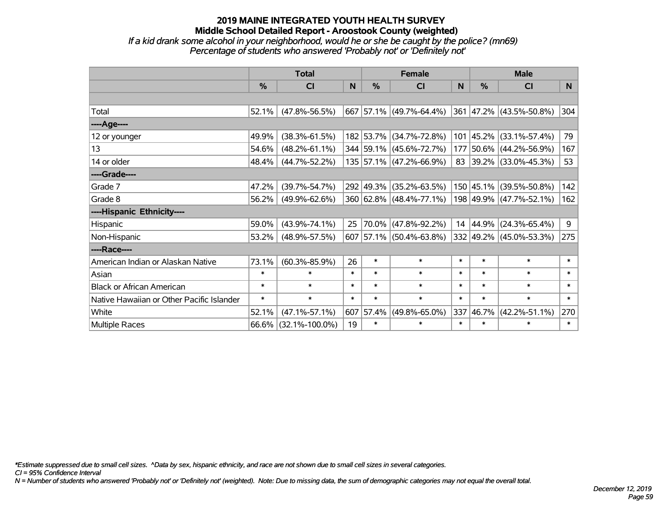*If a kid drank some alcohol in your neighborhood, would he or she be caught by the police? (mn69) Percentage of students who answered 'Probably not' or 'Definitely not'*

|                                           | <b>Total</b>  |                      |        | <b>Female</b> | <b>Male</b>             |          |               |                          |        |
|-------------------------------------------|---------------|----------------------|--------|---------------|-------------------------|----------|---------------|--------------------------|--------|
|                                           | $\frac{0}{0}$ | CI                   | N      | $\%$          | <b>CI</b>               | <b>N</b> | $\frac{0}{0}$ | <b>CI</b>                | N      |
|                                           |               |                      |        |               |                         |          |               |                          |        |
| Total                                     | 52.1%         | $(47.8\% - 56.5\%)$  |        |               | 667 57.1% (49.7%-64.4%) |          |               | 361 47.2% (43.5%-50.8%)  | 304    |
| ----Age----                               |               |                      |        |               |                         |          |               |                          |        |
| 12 or younger                             | 49.9%         | $(38.3\% - 61.5\%)$  |        |               | 182 53.7% (34.7%-72.8%) | 101      |               | $ 45.2\% $ (33.1%-57.4%) | 79     |
| 13                                        | 54.6%         | $(48.2\% - 61.1\%)$  |        |               | 344 59.1% (45.6%-72.7%) | 177      |               | 50.6% (44.2%-56.9%)      | 167    |
| 14 or older                               | 48.4%         | $(44.7\% - 52.2\%)$  |        |               | 135 57.1% (47.2%-66.9%) | 83       |               | $ 39.2\% $ (33.0%-45.3%) | 53     |
| ----Grade----                             |               |                      |        |               |                         |          |               |                          |        |
| Grade 7                                   | 47.2%         | $(39.7\% - 54.7\%)$  |        | 292 49.3%     | $(35.2\% - 63.5\%)$     |          |               | 150 45.1% (39.5%-50.8%)  | 142    |
| Grade 8                                   | 56.2%         | $(49.9\% - 62.6\%)$  |        |               | 360 62.8% (48.4%-77.1%) |          |               | 198 49.9% (47.7%-52.1%)  | 162    |
| ----Hispanic Ethnicity----                |               |                      |        |               |                         |          |               |                          |        |
| Hispanic                                  | 59.0%         | $(43.9\% - 74.1\%)$  | 25     | 70.0%         | $(47.8\% - 92.2\%)$     | 14       |               | $ 44.9\% $ (24.3%-65.4%) | 9      |
| Non-Hispanic                              | 53.2%         | $(48.9\% - 57.5\%)$  |        |               | 607 57.1% (50.4%-63.8%) |          |               | 332 49.2% (45.0%-53.3%)  | 275    |
| ----Race----                              |               |                      |        |               |                         |          |               |                          |        |
| American Indian or Alaskan Native         | 73.1%         | $(60.3\% - 85.9\%)$  | 26     | $\ast$        | $\ast$                  | $\ast$   | $\ast$        | $\ast$                   | $\ast$ |
| Asian                                     | $\ast$        | $\ast$               | $\ast$ | $\ast$        | $\ast$                  | $\ast$   | $\ast$        | $\ast$                   | $\ast$ |
| <b>Black or African American</b>          | $\ast$        | $\ast$               | $\ast$ | $\ast$        | $\ast$                  | $\ast$   | $\ast$        | $\ast$                   | $\ast$ |
| Native Hawaiian or Other Pacific Islander | $\ast$        | $\ast$               | $\ast$ | $\ast$        | $\ast$                  | $\ast$   | $\ast$        | $\ast$                   | $\ast$ |
| White                                     | 52.1%         | $(47.1\% - 57.1\%)$  | 607    | 57.4%         | $(49.8\% - 65.0\%)$     | 337      | 46.7%         | $(42.2\% - 51.1\%)$      | 270    |
| Multiple Races                            |               | 66.6% (32.1%-100.0%) | 19     | $\ast$        | $\ast$                  | $\ast$   | $\ast$        | $\ast$                   | $\ast$ |

*\*Estimate suppressed due to small cell sizes. ^Data by sex, hispanic ethnicity, and race are not shown due to small cell sizes in several categories.*

*CI = 95% Confidence Interval*

*N = Number of students who answered 'Probably not' or 'Definitely not' (weighted). Note: Due to missing data, the sum of demographic categories may not equal the overall total.*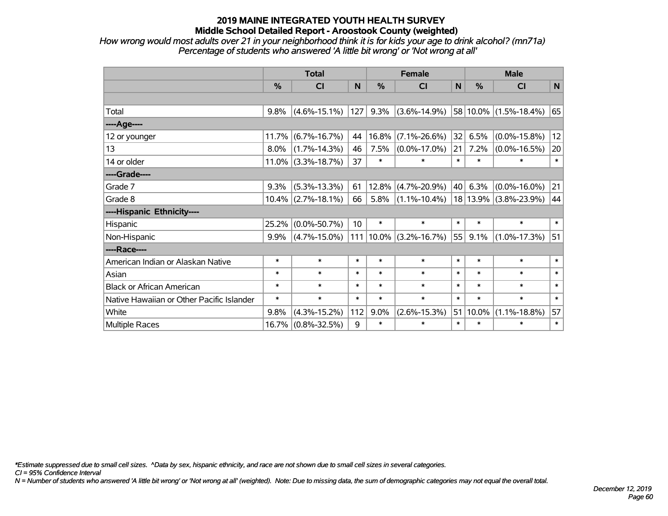*How wrong would most adults over 21 in your neighborhood think it is for kids your age to drink alcohol? (mn71a) Percentage of students who answered 'A little bit wrong' or 'Not wrong at all'*

|                                           | <b>Total</b>  |                       |        | <b>Female</b> |                    |        | <b>Male</b>   |                       |        |  |
|-------------------------------------------|---------------|-----------------------|--------|---------------|--------------------|--------|---------------|-----------------------|--------|--|
|                                           | $\frac{0}{0}$ | <b>CI</b>             | N      | %             | <b>CI</b>          | N      | $\frac{0}{0}$ | <b>CI</b>             | N      |  |
|                                           |               |                       |        |               |                    |        |               |                       |        |  |
| Total                                     | 9.8%          | $(4.6\% - 15.1\%)$    | 127    | 9.3%          | $(3.6\% - 14.9\%)$ |        |               | 58 10.0% (1.5%-18.4%) | 65     |  |
| ----Age----                               |               |                       |        |               |                    |        |               |                       |        |  |
| 12 or younger                             | 11.7%         | $(6.7\% - 16.7\%)$    | 44     | 16.8%         | $(7.1\% - 26.6\%)$ | 32     | 6.5%          | $(0.0\% - 15.8\%)$    | 12     |  |
| 13                                        | 8.0%          | $(1.7\% - 14.3\%)$    | 46     | 7.5%          | $(0.0\% - 17.0\%)$ | 21     | 7.2%          | $(0.0\% - 16.5\%)$    | 20     |  |
| 14 or older                               | $11.0\%$      | $(3.3\% - 18.7\%)$    | 37     | $\ast$        | $\ast$             | $\ast$ | $\ast$        | $\ast$                | $\ast$ |  |
| ----Grade----                             |               |                       |        |               |                    |        |               |                       |        |  |
| Grade 7                                   | 9.3%          | $(5.3\% - 13.3\%)$    | 61     | 12.8%         | $(4.7\% - 20.9\%)$ | 40     | 6.3%          | $(0.0\% - 16.0\%)$    | 21     |  |
| Grade 8                                   |               | $10.4\%$ (2.7%-18.1%) | 66     | 5.8%          | $(1.1\% - 10.4\%)$ |        | 18 13.9%      | $(3.8\% - 23.9\%)$    | 44     |  |
| ----Hispanic Ethnicity----                |               |                       |        |               |                    |        |               |                       |        |  |
| Hispanic                                  | 25.2%         | $(0.0\% - 50.7\%)$    | 10     | $\ast$        | $\ast$             | $\ast$ | $\ast$        | $\ast$                | $\ast$ |  |
| Non-Hispanic                              | $9.9\%$       | $(4.7\% - 15.0\%)$    | 111    | $10.0\%$      | $(3.2\% - 16.7\%)$ | 55     | 9.1%          | $(1.0\% - 17.3\%)$    | 51     |  |
| ----Race----                              |               |                       |        |               |                    |        |               |                       |        |  |
| American Indian or Alaskan Native         | $\ast$        | $\ast$                | $\ast$ | $\ast$        | $\ast$             | $\ast$ | $\ast$        | $\ast$                | $\ast$ |  |
| Asian                                     | $\ast$        | $\ast$                | $\ast$ | $\ast$        | $\ast$             | $\ast$ | $\ast$        | $\ast$                | $\ast$ |  |
| <b>Black or African American</b>          | $\ast$        | $\ast$                | $\ast$ | $\ast$        | $\ast$             | $\ast$ | $\ast$        | $\ast$                | $\ast$ |  |
| Native Hawaiian or Other Pacific Islander | $\ast$        | $\ast$                | $\ast$ | $\ast$        | $\ast$             | $\ast$ | $\ast$        | $\ast$                | $\ast$ |  |
| White                                     | 9.8%          | $(4.3\% - 15.2\%)$    | 112    | 9.0%          | $(2.6\% - 15.3\%)$ | 51     | 10.0%         | $(1.1\% - 18.8\%)$    | 57     |  |
| <b>Multiple Races</b>                     | 16.7%         | $(0.8\% - 32.5\%)$    | 9      | $\ast$        | $\ast$             | $\ast$ | $\ast$        | $\ast$                | $\ast$ |  |

*\*Estimate suppressed due to small cell sizes. ^Data by sex, hispanic ethnicity, and race are not shown due to small cell sizes in several categories.*

*CI = 95% Confidence Interval*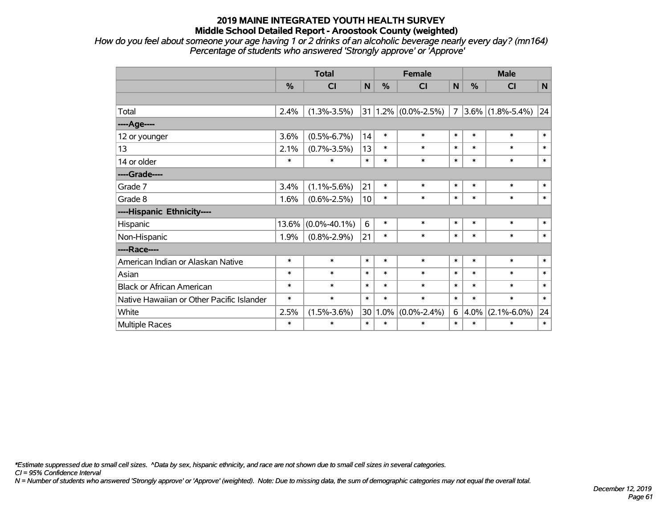*How do you feel about someone your age having 1 or 2 drinks of an alcoholic beverage nearly every day? (mn164) Percentage of students who answered 'Strongly approve' or 'Approve'*

|                                           | <b>Total</b> |                    |        | <b>Female</b> |                         |                | <b>Male</b> |                     |              |  |
|-------------------------------------------|--------------|--------------------|--------|---------------|-------------------------|----------------|-------------|---------------------|--------------|--|
|                                           | $\%$         | CI                 | N      | $\frac{0}{0}$ | <b>CI</b>               | $\mathbf N$    | %           | <b>CI</b>           | $\mathsf{N}$ |  |
|                                           |              |                    |        |               |                         |                |             |                     |              |  |
| Total                                     | 2.4%         | $(1.3\% - 3.5\%)$  |        |               | $31 1.2\% $ (0.0%-2.5%) | $\overline{7}$ |             | $3.6\%$ (1.8%-5.4%) | 24           |  |
| ----Age----                               |              |                    |        |               |                         |                |             |                     |              |  |
| 12 or younger                             | 3.6%         | $(0.5\% - 6.7\%)$  | 14     | $\ast$        | $\ast$                  | $\pmb{\ast}$   | $\ast$      | $\ast$              | $\ast$       |  |
| 13                                        | 2.1%         | $(0.7\% - 3.5\%)$  | 13     | $\ast$        | $\ast$                  | $\ast$         | $\ast$      | $\ast$              | $\ast$       |  |
| 14 or older                               | $\ast$       | $\ast$             | $\ast$ | $\ast$        | $\ast$                  | $\ast$         | $\ast$      | $\ast$              | $\ast$       |  |
| ----Grade----                             |              |                    |        |               |                         |                |             |                     |              |  |
| Grade 7                                   | 3.4%         | $(1.1\% - 5.6\%)$  | 21     | $\ast$        | $\ast$                  | $\ast$         | $\ast$      | $\ast$              | $\ast$       |  |
| Grade 8                                   | 1.6%         | $(0.6\% - 2.5\%)$  | 10     | $\ast$        | $\ast$                  | $\ast$         | $\ast$      | $\ast$              | $\ast$       |  |
| ----Hispanic Ethnicity----                |              |                    |        |               |                         |                |             |                     |              |  |
| Hispanic                                  | 13.6%        | $(0.0\% - 40.1\%)$ | 6      | $\ast$        | $\ast$                  | $\ast$         | $\ast$      | $\ast$              | $\ast$       |  |
| Non-Hispanic                              | 1.9%         | $(0.8\% - 2.9\%)$  | 21     | $\ast$        | $\ast$                  | $\ast$         | $\ast$      | $\ast$              | $\ast$       |  |
| ----Race----                              |              |                    |        |               |                         |                |             |                     |              |  |
| American Indian or Alaskan Native         | $\ast$       | $\ast$             | $\ast$ | $\ast$        | $\ast$                  | $\ast$         | $\ast$      | $\ast$              | $\ast$       |  |
| Asian                                     | $\ast$       | $\ast$             | $\ast$ | $\ast$        | $\ast$                  | $\ast$         | $\ast$      | $\ast$              | $\ast$       |  |
| <b>Black or African American</b>          | $\ast$       | $\ast$             | $\ast$ | $\ast$        | $\ast$                  | $\ast$         | $\ast$      | $\ast$              | $\ast$       |  |
| Native Hawaiian or Other Pacific Islander | $\ast$       | $\ast$             | $\ast$ | $\ast$        | $\ast$                  | $\ast$         | $\ast$      | $\ast$              | $\ast$       |  |
| White                                     | 2.5%         | $(1.5\% - 3.6\%)$  | 30     | 1.0%          | $(0.0\% - 2.4\%)$       | 6              | 4.0%        | $(2.1\% - 6.0\%)$   | 24           |  |
| <b>Multiple Races</b>                     | $\ast$       | $\ast$             | $\ast$ | $\ast$        | $\ast$                  | $\ast$         | $\ast$      | $\ast$              | $\ast$       |  |

*\*Estimate suppressed due to small cell sizes. ^Data by sex, hispanic ethnicity, and race are not shown due to small cell sizes in several categories.*

*CI = 95% Confidence Interval*

*N = Number of students who answered 'Strongly approve' or 'Approve' (weighted). Note: Due to missing data, the sum of demographic categories may not equal the overall total.*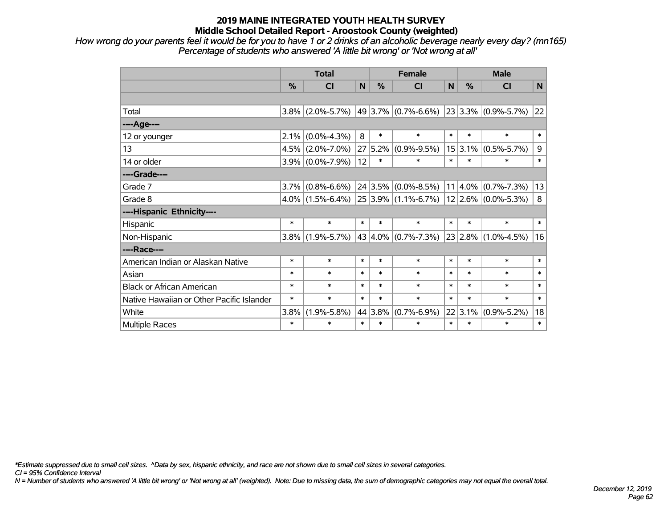*How wrong do your parents feel it would be for you to have 1 or 2 drinks of an alcoholic beverage nearly every day? (mn165) Percentage of students who answered 'A little bit wrong' or 'Not wrong at all'*

|                                           | <b>Total</b>  |                     |        | <b>Female</b> |                                                   |        | <b>Male</b>   |                          |        |  |
|-------------------------------------------|---------------|---------------------|--------|---------------|---------------------------------------------------|--------|---------------|--------------------------|--------|--|
|                                           | $\frac{0}{0}$ | <b>CI</b>           | N      | %             | <b>CI</b>                                         | N      | $\frac{0}{0}$ | <b>CI</b>                | N      |  |
|                                           |               |                     |        |               |                                                   |        |               |                          |        |  |
| Total                                     |               | $3.8\%$ (2.0%-5.7%) |        |               | $ 49 3.7\% $ (0.7%-6.6%)                          |        |               | $ 23 3.3\% $ (0.9%-5.7%) | 22     |  |
| ----Age----                               |               |                     |        |               |                                                   |        |               |                          |        |  |
| 12 or younger                             | 2.1%          | $(0.0\% - 4.3\%)$   | 8      | $\ast$        | $\ast$                                            | $\ast$ | $\ast$        | $\ast$                   | $\ast$ |  |
| 13                                        |               | $4.5\%$ (2.0%-7.0%) | 27     | 5.2%          | $(0.9\% - 9.5\%)$                                 |        | $15 3.1\% $   | $(0.5\% - 5.7\%)$        | 9      |  |
| 14 or older                               |               | $3.9\%$ (0.0%-7.9%) | 12     | $\ast$        | *                                                 | $\ast$ | $\ast$        | $\ast$                   | $\ast$ |  |
| ----Grade----                             |               |                     |        |               |                                                   |        |               |                          |        |  |
| Grade 7                                   | $3.7\%$       | $(0.8\% - 6.6\%)$   |        |               | $24 3.5\% $ (0.0%-8.5%)                           |        | $ 11 4.0\% $  | $(0.7\% - 7.3\%)$        | 13     |  |
| Grade 8                                   |               | $4.0\%$ (1.5%-6.4%) |        |               | $ 25 3.9\% $ (1.1%-6.7%) $ 12 2.6\% $ (0.0%-5.3%) |        |               |                          | 8      |  |
| ----Hispanic Ethnicity----                |               |                     |        |               |                                                   |        |               |                          |        |  |
| Hispanic                                  | $\ast$        | $\ast$              | $\ast$ | $\ast$        | $\ast$                                            | $\ast$ | $\ast$        | $\ast$                   | $\ast$ |  |
| Non-Hispanic                              | $3.8\%$       | $(1.9\% - 5.7\%)$   |        |               | 43 $ 4.0\% $ (0.7%-7.3%)                          |        |               | $ 23 2.8\% $ (1.0%-4.5%) | 16     |  |
| ----Race----                              |               |                     |        |               |                                                   |        |               |                          |        |  |
| American Indian or Alaskan Native         | $\ast$        | $\ast$              | $\ast$ | $\ast$        | $\ast$                                            | $\ast$ | $\ast$        | $\ast$                   | $\ast$ |  |
| Asian                                     | $\ast$        | $\ast$              | $\ast$ | $\ast$        | $\ast$                                            | $\ast$ | $\ast$        | $\ast$                   | $\ast$ |  |
| <b>Black or African American</b>          | $\ast$        | $\ast$              | $\ast$ | $\ast$        | $\ast$                                            | $\ast$ | $\ast$        | $\ast$                   | $\ast$ |  |
| Native Hawaiian or Other Pacific Islander | $\ast$        | $\ast$              | $\ast$ | $\ast$        | $\ast$                                            | $\ast$ | $\ast$        | $\ast$                   | $\ast$ |  |
| White                                     | 3.8%          | $(1.9\% - 5.8\%)$   |        | 44 3.8%       | $(0.7\% - 6.9\%)$                                 |        | 22 3.1%       | $(0.9\% - 5.2\%)$        | 18     |  |
| <b>Multiple Races</b>                     | $\ast$        | $\ast$              | $\ast$ | $\ast$        | $\ast$                                            | $\ast$ | $\ast$        | $\ast$                   | $\ast$ |  |

*\*Estimate suppressed due to small cell sizes. ^Data by sex, hispanic ethnicity, and race are not shown due to small cell sizes in several categories.*

*CI = 95% Confidence Interval*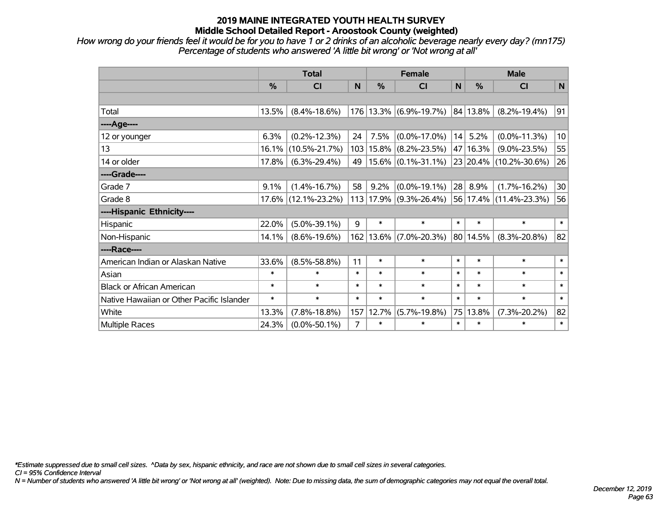*How wrong do your friends feel it would be for you to have 1 or 2 drinks of an alcoholic beverage nearly every day? (mn175) Percentage of students who answered 'A little bit wrong' or 'Not wrong at all'*

|                                           | <b>Total</b> |                     |        |               | <b>Female</b>               |        | <b>Male</b> |                        |                 |  |
|-------------------------------------------|--------------|---------------------|--------|---------------|-----------------------------|--------|-------------|------------------------|-----------------|--|
|                                           | %            | <b>CI</b>           | N      | $\frac{0}{0}$ | C <sub>1</sub>              | N      | %           | <b>CI</b>              | N               |  |
|                                           |              |                     |        |               |                             |        |             |                        |                 |  |
| Total                                     | 13.5%        | $(8.4\% - 18.6\%)$  |        |               | 176 13.3% (6.9%-19.7%)      |        | 84 13.8%    | $(8.2\% - 19.4\%)$     | 91              |  |
| ---- Age----                              |              |                     |        |               |                             |        |             |                        |                 |  |
| 12 or younger                             | 6.3%         | $(0.2\% - 12.3\%)$  | 24     | 7.5%          | $(0.0\% - 17.0\%)$          | 14     | 5.2%        | $(0.0\% - 11.3\%)$     | 10 <sup>1</sup> |  |
| 13                                        | 16.1%        | $(10.5\% - 21.7\%)$ |        | 103 15.8%     | $(8.2\% - 23.5\%)$          |        | 47   16.3%  | $(9.0\% - 23.5\%)$     | 55              |  |
| 14 or older                               | 17.8%        | $(6.3\% - 29.4\%)$  | 49     |               | $15.6\%$ $(0.1\% - 31.1\%)$ |        |             | 23 20.4% (10.2%-30.6%) | 26              |  |
| ----Grade----                             |              |                     |        |               |                             |        |             |                        |                 |  |
| Grade 7                                   | 9.1%         | $(1.4\% - 16.7\%)$  | 58     | 9.2%          | $(0.0\% - 19.1\%)$          | 28     | 8.9%        | $(1.7\% - 16.2\%)$     | 30 <sup>°</sup> |  |
| Grade 8                                   | $17.6\%$     | $(12.1\% - 23.2\%)$ |        |               | 113 17.9% (9.3%-26.4%)      |        |             | 56 17.4% (11.4%-23.3%) | 56              |  |
| ----Hispanic Ethnicity----                |              |                     |        |               |                             |        |             |                        |                 |  |
| Hispanic                                  | 22.0%        | $(5.0\% - 39.1\%)$  | 9      | $\ast$        | $\ast$                      | $\ast$ | $\ast$      | $\ast$                 | $\ast$          |  |
| Non-Hispanic                              | 14.1%        | $(8.6\% - 19.6\%)$  |        | 162 13.6%     | $(7.0\% - 20.3\%)$          |        | 80 14.5%    | $(8.3\% - 20.8\%)$     | 82              |  |
| ----Race----                              |              |                     |        |               |                             |        |             |                        |                 |  |
| American Indian or Alaskan Native         | 33.6%        | $(8.5\% - 58.8\%)$  | 11     | $\ast$        | $\ast$                      | $\ast$ | $\ast$      | $\ast$                 | $\ast$          |  |
| Asian                                     | $\ast$       | $\ast$              | $\ast$ | $\ast$        | $\ast$                      | $\ast$ | $\ast$      | $\ast$                 | $\ast$          |  |
| <b>Black or African American</b>          | $\ast$       | $\ast$              | *      | $\ast$        | $\ast$                      | $\ast$ | $\ast$      | $\ast$                 | $\ast$          |  |
| Native Hawaiian or Other Pacific Islander | $\ast$       | $\ast$              | $\ast$ | $\ast$        | $\ast$                      | $\ast$ | $\ast$      | $\ast$                 | $\ast$          |  |
| White                                     | 13.3%        | $(7.8\% - 18.8\%)$  | 157    | 12.7%         | $(5.7\% - 19.8\%)$          | 75     | 13.8%       | $(7.3\% - 20.2\%)$     | 82              |  |
| Multiple Races                            | 24.3%        | $(0.0\% - 50.1\%)$  | 7      | $\ast$        | $\ast$                      | $\ast$ | $\ast$      | $\ast$                 | $\ast$          |  |

*\*Estimate suppressed due to small cell sizes. ^Data by sex, hispanic ethnicity, and race are not shown due to small cell sizes in several categories.*

*CI = 95% Confidence Interval*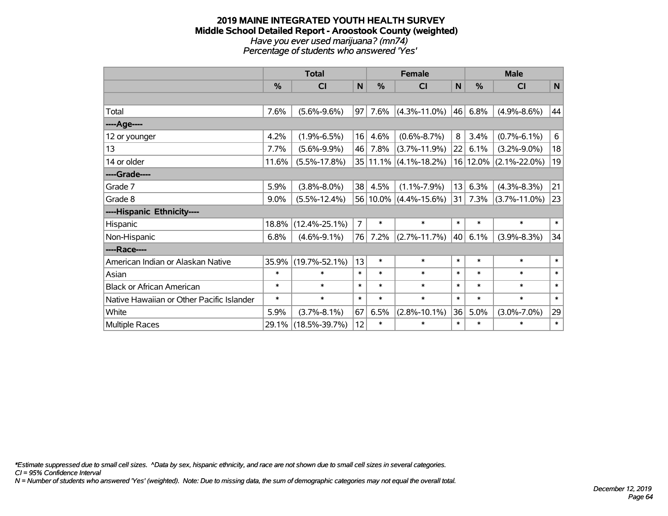#### **2019 MAINE INTEGRATED YOUTH HEALTH SURVEY Middle School Detailed Report - Aroostook County (weighted)** *Have you ever used marijuana? (mn74) Percentage of students who answered 'Yes'*

|                                           | <b>Total</b>  |                     |                | <b>Female</b> |                       |        | <b>Male</b>   |                    |        |  |
|-------------------------------------------|---------------|---------------------|----------------|---------------|-----------------------|--------|---------------|--------------------|--------|--|
|                                           | $\frac{9}{6}$ | CI                  | N              | %             | CI                    | N      | $\frac{9}{6}$ | CI                 | N      |  |
|                                           |               |                     |                |               |                       |        |               |                    |        |  |
| Total                                     | 7.6%          | $(5.6\% - 9.6\%)$   | 97             | 7.6%          | $(4.3\% - 11.0\%)$    | 46     | 6.8%          | $(4.9\% - 8.6\%)$  | 44     |  |
| ----Age----                               |               |                     |                |               |                       |        |               |                    |        |  |
| 12 or younger                             | 4.2%          | $(1.9\% - 6.5\%)$   | 16             | 4.6%          | $(0.6\% - 8.7\%)$     | 8      | 3.4%          | $(0.7\% - 6.1\%)$  | 6      |  |
| 13                                        | 7.7%          | $(5.6\% - 9.9\%)$   | 46             | 7.8%          | $(3.7\% - 11.9\%)$    | 22     | 6.1%          | $(3.2\% - 9.0\%)$  | 18     |  |
| 14 or older                               | 11.6%         | $(5.5\% - 17.8\%)$  |                |               | 35 11.1% (4.1%-18.2%) |        | $16 12.0\% $  | $(2.1\% - 22.0\%)$ | 19     |  |
| ----Grade----                             |               |                     |                |               |                       |        |               |                    |        |  |
| Grade 7                                   | 5.9%          | $(3.8\% - 8.0\%)$   | 38             | 4.5%          | $(1.1\% - 7.9\%)$     | 13     | 6.3%          | $(4.3\% - 8.3\%)$  | 21     |  |
| Grade 8                                   | $9.0\%$       | $(5.5\% - 12.4\%)$  |                | $56 10.0\% $  | $(4.4\% - 15.6\%)$    | 31     | 7.3%          | $(3.7\% - 11.0\%)$ | 23     |  |
| ----Hispanic Ethnicity----                |               |                     |                |               |                       |        |               |                    |        |  |
| Hispanic                                  | 18.8%         | $(12.4\% - 25.1\%)$ | $\overline{7}$ | $\ast$        | $\ast$                | $\ast$ | $\ast$        | $\ast$             | $\ast$ |  |
| Non-Hispanic                              | 6.8%          | $(4.6\% - 9.1\%)$   | 76             | 7.2%          | $(2.7\% - 11.7\%)$    | 40     | 6.1%          | $(3.9\% - 8.3\%)$  | 34     |  |
| ----Race----                              |               |                     |                |               |                       |        |               |                    |        |  |
| American Indian or Alaskan Native         | 35.9%         | $(19.7\% - 52.1\%)$ | 13             | $\ast$        | $\ast$                | $\ast$ | $\ast$        | $\ast$             | $\ast$ |  |
| Asian                                     | $\ast$        | $\ast$              | $\ast$         | $\ast$        | $\ast$                | $\ast$ | $\ast$        | $\ast$             | $\ast$ |  |
| <b>Black or African American</b>          | $\ast$        | $\ast$              | $\ast$         | $\ast$        | $\ast$                | $\ast$ | $\ast$        | $\ast$             | $\ast$ |  |
| Native Hawaiian or Other Pacific Islander | $\ast$        | $\ast$              | $\ast$         | $\ast$        | $\ast$                | $\ast$ | $\ast$        | $\ast$             | $\ast$ |  |
| White                                     | 5.9%          | $(3.7\% - 8.1\%)$   | 67             | 6.5%          | $(2.8\% - 10.1\%)$    | 36     | 5.0%          | $(3.0\% - 7.0\%)$  | 29     |  |
| <b>Multiple Races</b>                     | 29.1%         | $(18.5\% - 39.7\%)$ | 12             | $\ast$        | $\ast$                | $\ast$ | $\ast$        | $\ast$             | $\ast$ |  |

*\*Estimate suppressed due to small cell sizes. ^Data by sex, hispanic ethnicity, and race are not shown due to small cell sizes in several categories.*

*CI = 95% Confidence Interval*

*N = Number of students who answered 'Yes' (weighted). Note: Due to missing data, the sum of demographic categories may not equal the overall total.*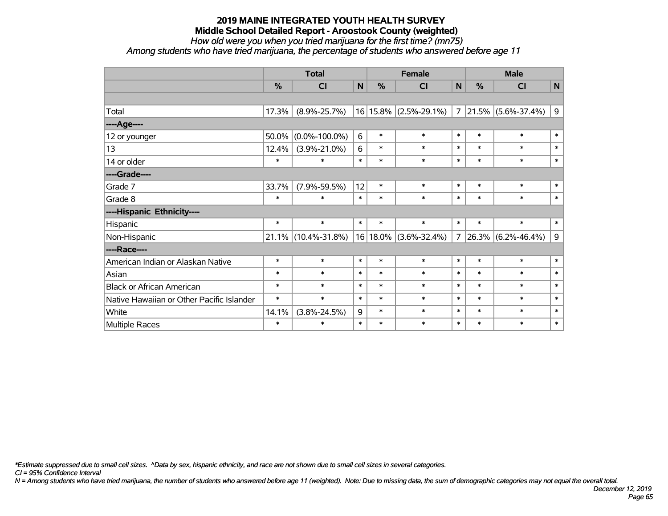*How old were you when you tried marijuana for the first time? (mn75)*

*Among students who have tried marijuana, the percentage of students who answered before age 11*

|                                           | <b>Total</b> |                     | <b>Female</b> |               |                           | <b>Male</b>    |        |                         |             |
|-------------------------------------------|--------------|---------------------|---------------|---------------|---------------------------|----------------|--------|-------------------------|-------------|
|                                           | %            | CI                  | N             | $\frac{0}{0}$ | CI                        | N              | %      | <b>CI</b>               | $\mathbf N$ |
|                                           |              |                     |               |               |                           |                |        |                         |             |
| Total                                     | 17.3%        | $(8.9\% - 25.7\%)$  |               |               | $16 15.8\% $ (2.5%-29.1%) | $\overline{7}$ |        | $ 21.5\% $ (5.6%-37.4%) | 9           |
| ---- Age----                              |              |                     |               |               |                           |                |        |                         |             |
| 12 or younger                             | 50.0%        | $(0.0\% - 100.0\%)$ | 6             | $\ast$        | $\ast$                    | $\ast$         | $\ast$ | $\ast$                  | $\ast$      |
| 13                                        | 12.4%        | $(3.9\% - 21.0\%)$  | 6             | $\ast$        | $\ast$                    | $\ast$         | $\ast$ | $\ast$                  | $\ast$      |
| 14 or older                               | $\ast$       | $\ast$              | $\ast$        | $\ast$        | $\ast$                    | $\ast$         | $\ast$ | $\ast$                  | $\ast$      |
| ----Grade----                             |              |                     |               |               |                           |                |        |                         |             |
| Grade 7                                   | 33.7%        | $(7.9\% - 59.5\%)$  | 12            | $\ast$        | $\ast$                    | $\ast$         | $\ast$ | $\ast$                  | $\ast$      |
| Grade 8                                   | $\ast$       | $\ast$              | $\ast$        | $\ast$        | $\ast$                    | $\ast$         | $\ast$ | $\ast$                  | $\ast$      |
| ----Hispanic Ethnicity----                |              |                     |               |               |                           |                |        |                         |             |
| Hispanic                                  | $\ast$       | $\ast$              | $\ast$        | $\ast$        | $\ast$                    | $\ast$         | $\ast$ | $\ast$                  | $\ast$      |
| Non-Hispanic                              |              | 21.1% (10.4%-31.8%) |               |               | 16 18.0% (3.6%-32.4%)     | $\overline{7}$ |        | $ 26.3\% $ (6.2%-46.4%) | 9           |
| ----Race----                              |              |                     |               |               |                           |                |        |                         |             |
| American Indian or Alaskan Native         | $\ast$       | $\ast$              | $\ast$        | $\ast$        | $\ast$                    | $\ast$         | $\ast$ | $\ast$                  | $\ast$      |
| Asian                                     | $\ast$       | $\ast$              | $\ast$        | $\ast$        | $\ast$                    | $\ast$         | $\ast$ | $\ast$                  | $\ast$      |
| <b>Black or African American</b>          | $\ast$       | $\ast$              | $\ast$        | $\ast$        | $\ast$                    | $\ast$         | $\ast$ | $\ast$                  | $\ast$      |
| Native Hawaiian or Other Pacific Islander | $\ast$       | $\ast$              | $\ast$        | $\ast$        | $\ast$                    | $\ast$         | $\ast$ | $\ast$                  | $\ast$      |
| White                                     | 14.1%        | $(3.8\% - 24.5\%)$  | 9             | $\ast$        | $\ast$                    | $\ast$         | $\ast$ | $\ast$                  | $\ast$      |
| Multiple Races                            | $\ast$       | $\ast$              | $\ast$        | $\ast$        | $\ast$                    | $\ast$         | $\ast$ | $\ast$                  | $\ast$      |

*\*Estimate suppressed due to small cell sizes. ^Data by sex, hispanic ethnicity, and race are not shown due to small cell sizes in several categories.*

*CI = 95% Confidence Interval*

*N = Among students who have tried marijuana, the number of students who answered before age 11 (weighted). Note: Due to missing data, the sum of demographic categories may not equal the overall total.*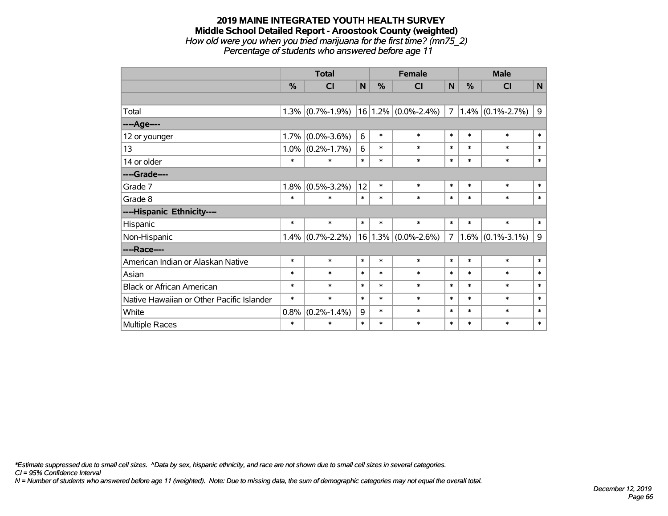## **2019 MAINE INTEGRATED YOUTH HEALTH SURVEY Middle School Detailed Report - Aroostook County (weighted)** *How old were you when you tried marijuana for the first time? (mn75\_2)*

*Percentage of students who answered before age 11*

|                                           | <b>Total</b> |                   | <b>Female</b> |        |                         | <b>Male</b> |        |                     |                |
|-------------------------------------------|--------------|-------------------|---------------|--------|-------------------------|-------------|--------|---------------------|----------------|
|                                           | %            | <b>CI</b>         | N             | %      | <b>CI</b>               | N           | %      | <b>CI</b>           | $\mathsf{N}$   |
|                                           |              |                   |               |        |                         |             |        |                     |                |
| Total                                     | 1.3%         | $(0.7\% - 1.9\%)$ |               |        | $16 1.2\% $ (0.0%-2.4%) | 7           |        | $1.4\%$ (0.1%-2.7%) | $\overline{9}$ |
| ----Age----                               |              |                   |               |        |                         |             |        |                     |                |
| 12 or younger                             | 1.7%         | $(0.0\% - 3.6\%)$ | 6             | $\ast$ | $\ast$                  | $\ast$      | $\ast$ | $\ast$              | $\ast$         |
| 13                                        | 1.0%         | $(0.2\% - 1.7\%)$ | 6             | $\ast$ | $\ast$                  | $\ast$      | $\ast$ | $\ast$              | $\ast$         |
| 14 or older                               | $\ast$       | $\ast$            | $\ast$        | $\ast$ | $\ast$                  | $\ast$      | $\ast$ | $\ast$              | $\ast$         |
| ----Grade----                             |              |                   |               |        |                         |             |        |                     |                |
| Grade 7                                   | 1.8%         | $(0.5\% - 3.2\%)$ | 12            | $\ast$ | $\ast$                  | $\ast$      | $\ast$ | $\ast$              | $\ast$         |
| Grade 8                                   | $\ast$       | $\ast$            | $\ast$        | $\ast$ | $\ast$                  | $\ast$      | $\ast$ | $\ast$              | $\ast$         |
| ----Hispanic Ethnicity----                |              |                   |               |        |                         |             |        |                     |                |
| Hispanic                                  | $\ast$       | $\ast$            | $\ast$        | $\ast$ | $\ast$                  | $\ast$      | $\ast$ | $\ast$              | $\ast$         |
| Non-Hispanic                              | $1.4\%$      | $(0.7\% - 2.2\%)$ |               |        | $16 1.3\% $ (0.0%-2.6%) | $7^{\circ}$ |        | $1.6\%$ (0.1%-3.1%) | 9              |
| ----Race----                              |              |                   |               |        |                         |             |        |                     |                |
| American Indian or Alaskan Native         | $\ast$       | $\ast$            | $\ast$        | $\ast$ | $\ast$                  | $\ast$      | $\ast$ | $\ast$              | $\ast$         |
| Asian                                     | $\ast$       | $\ast$            | $\ast$        | $\ast$ | $\ast$                  | $\ast$      | $\ast$ | $\ast$              | $\ast$         |
| <b>Black or African American</b>          | $\ast$       | $\ast$            | $\ast$        | $\ast$ | $\ast$                  | $\ast$      | $\ast$ | $\ast$              | $\ast$         |
| Native Hawaiian or Other Pacific Islander | $\ast$       | $\ast$            | $\ast$        | $\ast$ | $\ast$                  | $\ast$      | $\ast$ | $\ast$              | $\ast$         |
| White                                     | 0.8%         | $(0.2\% - 1.4\%)$ | 9             | $\ast$ | $\ast$                  | $\ast$      | $\ast$ | $\ast$              | $\ast$         |
| <b>Multiple Races</b>                     | $\ast$       | $\ast$            | $\ast$        | $\ast$ | $\ast$                  | $\ast$      | $\ast$ | $\ast$              | $\ast$         |

*\*Estimate suppressed due to small cell sizes. ^Data by sex, hispanic ethnicity, and race are not shown due to small cell sizes in several categories.*

*CI = 95% Confidence Interval*

*N = Number of students who answered before age 11 (weighted). Note: Due to missing data, the sum of demographic categories may not equal the overall total.*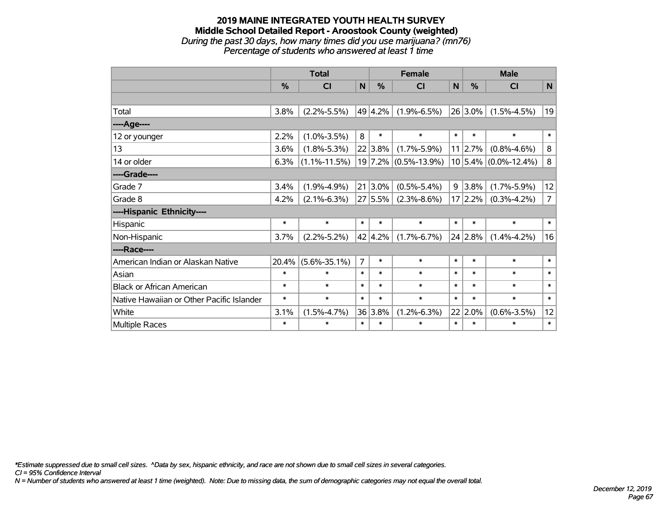## **2019 MAINE INTEGRATED YOUTH HEALTH SURVEY Middle School Detailed Report - Aroostook County (weighted)** *During the past 30 days, how many times did you use marijuana? (mn76)*

*Percentage of students who answered at least 1 time*

|                                           | <b>Total</b>  |                    |                | <b>Female</b> |                      |        | <b>Male</b>   |                          |                |  |
|-------------------------------------------|---------------|--------------------|----------------|---------------|----------------------|--------|---------------|--------------------------|----------------|--|
|                                           | $\frac{0}{2}$ | CI                 | N              | $\frac{9}{6}$ | <b>CI</b>            | N      | $\frac{0}{2}$ | <b>CI</b>                | N              |  |
|                                           |               |                    |                |               |                      |        |               |                          |                |  |
| Total                                     | 3.8%          | $(2.2\% - 5.5\%)$  |                | 49 4.2%       | $(1.9\% - 6.5\%)$    |        | $26 3.0\% $   | $(1.5\% - 4.5\%)$        | 19             |  |
| ----Age----                               |               |                    |                |               |                      |        |               |                          |                |  |
| 12 or younger                             | 2.2%          | $(1.0\% - 3.5\%)$  | 8              | $\ast$        | $\ast$               | $\ast$ | $\ast$        | $\ast$                   | $\ast$         |  |
| 13                                        | 3.6%          | $(1.8\% - 5.3\%)$  |                | 22 3.8%       | $(1.7\% - 5.9\%)$    |        | 11 2.7%       | $(0.8\% - 4.6\%)$        | 8              |  |
| 14 or older                               | 6.3%          | $(1.1\% - 11.5\%)$ |                |               | 19 7.2% (0.5%-13.9%) |        |               | $10 5.4\% $ (0.0%-12.4%) | 8              |  |
| ----Grade----                             |               |                    |                |               |                      |        |               |                          |                |  |
| Grade 7                                   | 3.4%          | $(1.9\% - 4.9\%)$  |                | $21 3.0\%$    | $(0.5\% - 5.4\%)$    | 9      | $3.8\%$       | $(1.7\% - 5.9\%)$        | 12             |  |
| Grade 8                                   | 4.2%          | $(2.1\% - 6.3\%)$  |                | 27 5.5%       | $(2.3\% - 8.6\%)$    |        | 17 2.2%       | $(0.3\% - 4.2\%)$        | $\overline{7}$ |  |
| ----Hispanic Ethnicity----                |               |                    |                |               |                      |        |               |                          |                |  |
| Hispanic                                  | $\ast$        | $\ast$             | $\ast$         | $\ast$        | $\ast$               | $\ast$ | $\ast$        | $\ast$                   | $\ast$         |  |
| Non-Hispanic                              | 3.7%          | $(2.2\% - 5.2\%)$  |                | 42 4.2%       | $(1.7\% - 6.7\%)$    |        | 24 2.8%       | $(1.4\% - 4.2\%)$        | 16             |  |
| ----Race----                              |               |                    |                |               |                      |        |               |                          |                |  |
| American Indian or Alaskan Native         | 20.4%         | $(5.6\% - 35.1\%)$ | $\overline{7}$ | $\ast$        | $\ast$               | $\ast$ | $\ast$        | $\ast$                   | $\ast$         |  |
| Asian                                     | $\ast$        | $\ast$             | $\ast$         | $\ast$        | $\ast$               | $\ast$ | $\ast$        | $\ast$                   | $\ast$         |  |
| <b>Black or African American</b>          | $\ast$        | $\ast$             | $\ast$         | $\ast$        | $\ast$               | $\ast$ | $\ast$        | $\ast$                   | $\ast$         |  |
| Native Hawaiian or Other Pacific Islander | $\ast$        | $\ast$             | $\ast$         | $\ast$        | $\ast$               | $\ast$ | $\ast$        | $\ast$                   | $\ast$         |  |
| White                                     | 3.1%          | $(1.5\% - 4.7\%)$  |                | 36 3.8%       | $(1.2\% - 6.3\%)$    |        | $22 2.0\%$    | $(0.6\% - 3.5\%)$        | 12             |  |
| Multiple Races                            | $\ast$        | $\ast$             | $\ast$         | $\ast$        | $\ast$               | $\ast$ | $\ast$        | $\ast$                   | $\ast$         |  |

*\*Estimate suppressed due to small cell sizes. ^Data by sex, hispanic ethnicity, and race are not shown due to small cell sizes in several categories.*

*CI = 95% Confidence Interval*

*N = Number of students who answered at least 1 time (weighted). Note: Due to missing data, the sum of demographic categories may not equal the overall total.*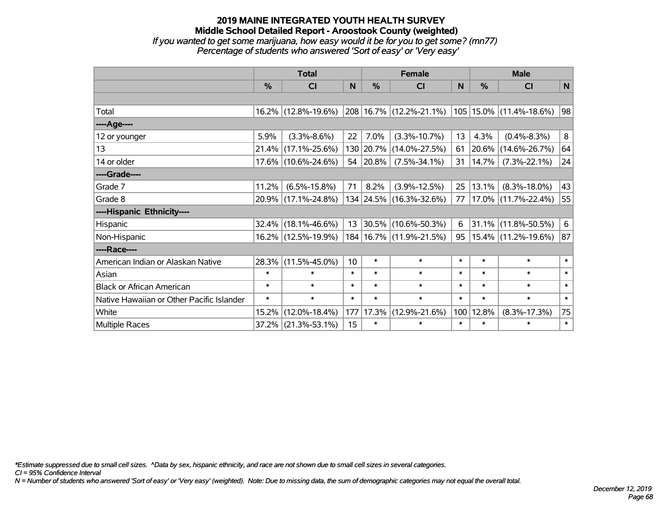*If you wanted to get some marijuana, how easy would it be for you to get some? (mn77) Percentage of students who answered 'Sort of easy' or 'Very easy'*

|                                           | <b>Total</b> |                     |        | <b>Female</b> | <b>Male</b>                 |        |               |                           |        |
|-------------------------------------------|--------------|---------------------|--------|---------------|-----------------------------|--------|---------------|---------------------------|--------|
|                                           | %            | <b>CI</b>           | N      | %             | <b>CI</b>                   | N      | $\frac{0}{0}$ | <b>CI</b>                 | N      |
|                                           |              |                     |        |               |                             |        |               |                           |        |
| Total                                     |              | 16.2% (12.8%-19.6%) |        |               | 208 16.7% (12.2%-21.1%)     |        |               | 105  15.0%  (11.4%-18.6%) | 98     |
| ----Age----                               |              |                     |        |               |                             |        |               |                           |        |
| 12 or younger                             | 5.9%         | $(3.3\% - 8.6\%)$   | 22     | 7.0%          | $(3.3\% - 10.7\%)$          | 13     | 4.3%          | $(0.4\% - 8.3\%)$         | 8      |
| 13                                        | 21.4%        | $(17.1\% - 25.6\%)$ |        | 130 20.7%     | $(14.0\% - 27.5\%)$         | 61     | 20.6%         | $(14.6\% - 26.7\%)$       | 64     |
| 14 or older                               |              | 17.6% (10.6%-24.6%) |        | 54 20.8%      | $(7.5\% - 34.1\%)$          | 31     | 14.7%         | $(7.3\% - 22.1\%)$        | 24     |
| ----Grade----                             |              |                     |        |               |                             |        |               |                           |        |
| Grade 7                                   | 11.2%        | $(6.5\% - 15.8\%)$  | 71     | 8.2%          | $(3.9\% - 12.5\%)$          | 25     | 13.1%         | $(8.3\% - 18.0\%)$        | 43     |
| Grade 8                                   |              | 20.9% (17.1%-24.8%) |        |               | 134 24.5% (16.3%-32.6%)     | 77     | $17.0\%$      | $(11.7\% - 22.4\%)$       | 55     |
| ----Hispanic Ethnicity----                |              |                     |        |               |                             |        |               |                           |        |
| Hispanic                                  | 32.4%        | $(18.1\% - 46.6\%)$ | 13     | 30.5%         | $(10.6\% - 50.3\%)$         | 6      | 31.1%         | $(11.8\% - 50.5\%)$       | 6      |
| Non-Hispanic                              |              | 16.2% (12.5%-19.9%) |        |               | 184   16.7%   (11.9%-21.5%) | 95     |               | 15.4% (11.2%-19.6%)       | 87     |
| ----Race----                              |              |                     |        |               |                             |        |               |                           |        |
| American Indian or Alaskan Native         | 28.3%        | $(11.5\% - 45.0\%)$ | 10     | $\ast$        | $\ast$                      | $\ast$ | $\ast$        | $\ast$                    | $\ast$ |
| Asian                                     | $\ast$       | $\ast$              | $\ast$ | $\ast$        | $\ast$                      | $\ast$ | $\ast$        | $\ast$                    | $\ast$ |
| <b>Black or African American</b>          | $\ast$       | $\ast$              | $\ast$ | $\ast$        | $\ast$                      | $\ast$ | $\ast$        | $\ast$                    | $\ast$ |
| Native Hawaiian or Other Pacific Islander | $\ast$       | $\ast$              | $\ast$ | $\ast$        | $\ast$                      | $\ast$ | $\ast$        | $\ast$                    | $\ast$ |
| White                                     | 15.2%        | $(12.0\% - 18.4\%)$ | 177    | 17.3%         | $(12.9\% - 21.6\%)$         | 100    | 12.8%         | $(8.3\% - 17.3\%)$        | 75     |
| Multiple Races                            | 37.2%        | $(21.3\% - 53.1\%)$ | 15     | $\ast$        | $\ast$                      | $\ast$ | $\ast$        | $\ast$                    | $\ast$ |

*\*Estimate suppressed due to small cell sizes. ^Data by sex, hispanic ethnicity, and race are not shown due to small cell sizes in several categories.*

*CI = 95% Confidence Interval*

*N = Number of students who answered 'Sort of easy' or 'Very easy' (weighted). Note: Due to missing data, the sum of demographic categories may not equal the overall total.*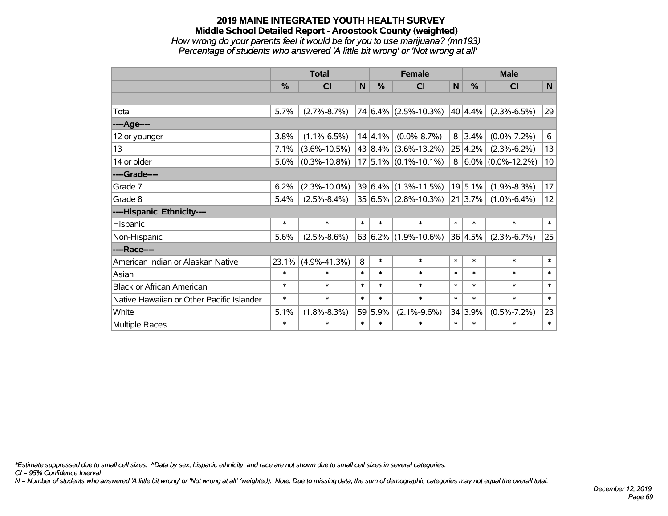## **2019 MAINE INTEGRATED YOUTH HEALTH SURVEY Middle School Detailed Report - Aroostook County (weighted)** *How wrong do your parents feel it would be for you to use marijuana? (mn193) Percentage of students who answered 'A little bit wrong' or 'Not wrong at all'*

|                                           | <b>Total</b> |                    |        |         | <b>Female</b>               |              | <b>Male</b>    |                         |              |  |
|-------------------------------------------|--------------|--------------------|--------|---------|-----------------------------|--------------|----------------|-------------------------|--------------|--|
|                                           | %            | <b>CI</b>          | N      | %       | <b>CI</b>                   | $\mathsf{N}$ | %              | <b>CI</b>               | N            |  |
|                                           |              |                    |        |         |                             |              |                |                         |              |  |
| Total                                     | 5.7%         | $(2.7\% - 8.7\%)$  |        |         | $74 6.4\% $ (2.5%-10.3%)    |              | 40 4.4%        | $(2.3\% - 6.5\%)$       | 29           |  |
| ----Age----                               |              |                    |        |         |                             |              |                |                         |              |  |
| 12 or younger                             | 3.8%         | $(1.1\% - 6.5\%)$  |        | 14 4.1% | $(0.0\% - 8.7\%)$           |              | $8 \mid 3.4\%$ | $(0.0\% - 7.2\%)$       | 6            |  |
| 13                                        | 7.1%         | $(3.6\% - 10.5\%)$ |        |         | 43 8.4% (3.6%-13.2%)        |              | 25 4.2%        | $(2.3\% - 6.2\%)$       | 13           |  |
| 14 or older                               | 5.6%         | $(0.3\% - 10.8\%)$ |        |         | $17$ 5.1% (0.1%-10.1%)      |              |                | $8 6.0\% $ (0.0%-12.2%) | 10           |  |
| ----Grade----                             |              |                    |        |         |                             |              |                |                         |              |  |
| Grade 7                                   | 6.2%         | $(2.3\% - 10.0\%)$ |        |         | $39 6.4\% (1.3\% - 11.5\%)$ |              | 19 5.1%        | $(1.9\% - 8.3\%)$       | 17           |  |
| Grade 8                                   | 5.4%         | $(2.5\% - 8.4\%)$  |        |         | $35 6.5\% $ (2.8%-10.3%)    |              | 21 3.7%        | $(1.0\% - 6.4\%)$       | 12           |  |
| ----Hispanic Ethnicity----                |              |                    |        |         |                             |              |                |                         |              |  |
| Hispanic                                  | $\ast$       | $\ast$             | $\ast$ | $\ast$  | $\ast$                      | $\ast$       | $\ast$         | $\ast$                  | $\ast$       |  |
| Non-Hispanic                              | 5.6%         | $(2.5\% - 8.6\%)$  |        | 63 6.2% | $(1.9\% - 10.6\%)$          |              | 36 4.5%        | $(2.3\% - 6.7\%)$       | 25           |  |
| ----Race----                              |              |                    |        |         |                             |              |                |                         |              |  |
| American Indian or Alaskan Native         | 23.1%        | $(4.9\% - 41.3\%)$ | 8      | $\ast$  | $\ast$                      | $\ast$       | $\ast$         | $\ast$                  | $\ast$       |  |
| Asian                                     | $\ast$       | $\ast$             | $\ast$ | $\ast$  | $\ast$                      | $\ast$       | $\ast$         | $\ast$                  | $\ast$       |  |
| <b>Black or African American</b>          | $\ast$       | $\ast$             | $\ast$ | $\ast$  | $\ast$                      | $\ast$       | $\ast$         | $\ast$                  | $\ast$       |  |
| Native Hawaiian or Other Pacific Islander | *            | $\ast$             | $\ast$ | $\ast$  | $\ast$                      | $\ast$       | $\ast$         | $\ast$                  | $\ast$       |  |
| White                                     | 5.1%         | $(1.8\% - 8.3\%)$  |        | 59 5.9% | $(2.1\% - 9.6\%)$           |              | 34 3.9%        | $(0.5\% - 7.2\%)$       | 23           |  |
| Multiple Races                            | $\ast$       | $\ast$             | $\ast$ | $\ast$  | $\ast$                      | $\ast$       | $\ast$         | $\ast$                  | $\pmb{\ast}$ |  |

*\*Estimate suppressed due to small cell sizes. ^Data by sex, hispanic ethnicity, and race are not shown due to small cell sizes in several categories.*

*CI = 95% Confidence Interval*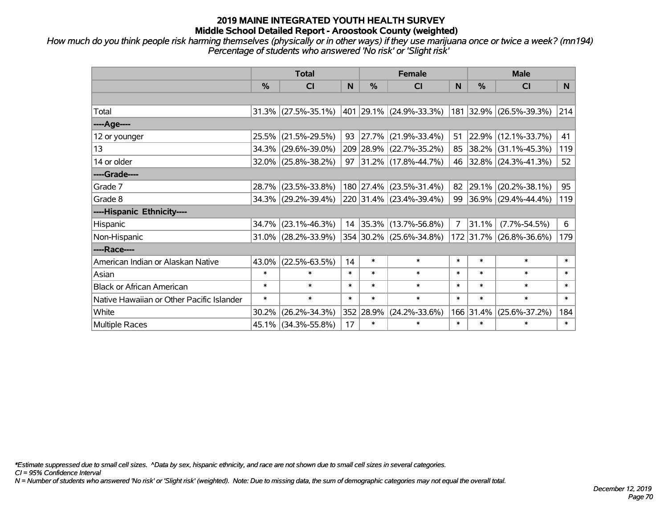*How much do you think people risk harming themselves (physically or in other ways) if they use marijuana once or twice a week? (mn194) Percentage of students who answered 'No risk' or 'Slight risk'*

|                                           | <b>Total</b>  |                        |        |               | <b>Female</b>             |        | <b>Male</b>   |                          |        |  |
|-------------------------------------------|---------------|------------------------|--------|---------------|---------------------------|--------|---------------|--------------------------|--------|--|
|                                           | $\frac{0}{0}$ | C <sub>l</sub>         | N      | $\frac{0}{0}$ | <b>CI</b>                 | N      | $\frac{0}{0}$ | <b>CI</b>                | N.     |  |
|                                           |               |                        |        |               |                           |        |               |                          |        |  |
| Total                                     |               | $31.3\%$ (27.5%-35.1%) |        |               | 401  29.1%  (24.9%-33.3%) |        |               | 181 32.9% (26.5%-39.3%)  | 214    |  |
| ----Age----                               |               |                        |        |               |                           |        |               |                          |        |  |
| 12 or younger                             | 25.5%         | $(21.5\% - 29.5\%)$    | 93     |               | $ 27.7\% $ (21.9%-33.4%)  | 51     |               | 22.9% (12.1%-33.7%)      | 41     |  |
| 13                                        |               | 34.3% (29.6%-39.0%)    |        |               | 209 28.9% (22.7%-35.2%)   | 85     |               | $ 38.2\% $ (31.1%-45.3%) | 119    |  |
| 14 or older                               |               | 32.0% (25.8%-38.2%)    | 97     |               | $ 31.2\% $ (17.8%-44.7%)  |        |               | 46 32.8% (24.3%-41.3%)   | 52     |  |
| ----Grade----                             |               |                        |        |               |                           |        |               |                          |        |  |
| Grade 7                                   |               | 28.7% (23.5%-33.8%)    |        |               | 180 27.4% (23.5%-31.4%)   | 82     | 29.1%         | $(20.2\% - 38.1\%)$      | 95     |  |
| Grade 8                                   |               | 34.3% (29.2%-39.4%)    |        |               | 220 31.4% (23.4%-39.4%)   | 99     |               | $ 36.9\% $ (29.4%-44.4%) | 119    |  |
| ----Hispanic Ethnicity----                |               |                        |        |               |                           |        |               |                          |        |  |
| Hispanic                                  | 34.7%         | $(23.1\% - 46.3\%)$    |        |               | 14 35.3% (13.7%-56.8%)    | 7      | 31.1%         | $(7.7\% - 54.5\%)$       | 6      |  |
| Non-Hispanic                              |               | 31.0% (28.2%-33.9%)    |        |               | 354 30.2% (25.6%-34.8%)   |        |               | 172 31.7% (26.8%-36.6%)  | 179    |  |
| ----Race----                              |               |                        |        |               |                           |        |               |                          |        |  |
| American Indian or Alaskan Native         | $43.0\%$      | $(22.5\% - 63.5\%)$    | 14     | $\ast$        | $\ast$                    | $\ast$ | $\ast$        | $\ast$                   | $\ast$ |  |
| Asian                                     | $\ast$        | $\ast$                 | $\ast$ | $\ast$        | $\ast$                    | $\ast$ | $\ast$        | $\ast$                   | $\ast$ |  |
| <b>Black or African American</b>          | $\ast$        | $\ast$                 | $\ast$ | $\ast$        | $\ast$                    | $\ast$ | $\ast$        | $\ast$                   | $\ast$ |  |
| Native Hawaiian or Other Pacific Islander | $\ast$        | $\ast$                 | $\ast$ | $\ast$        | $\ast$                    | $\ast$ | $\ast$        | $\ast$                   | $\ast$ |  |
| White                                     | 30.2%         | $(26.2\% - 34.3\%)$    |        | 352 28.9%     | $(24.2\% - 33.6\%)$       |        | 166 31.4%     | $(25.6\% - 37.2\%)$      | 184    |  |
| Multiple Races                            |               | 45.1% (34.3%-55.8%)    | 17     | $\ast$        | $\ast$                    | $\ast$ | $\ast$        | $\ast$                   | $\ast$ |  |

*\*Estimate suppressed due to small cell sizes. ^Data by sex, hispanic ethnicity, and race are not shown due to small cell sizes in several categories.*

*CI = 95% Confidence Interval*

*N = Number of students who answered 'No risk' or 'Slight risk' (weighted). Note: Due to missing data, the sum of demographic categories may not equal the overall total.*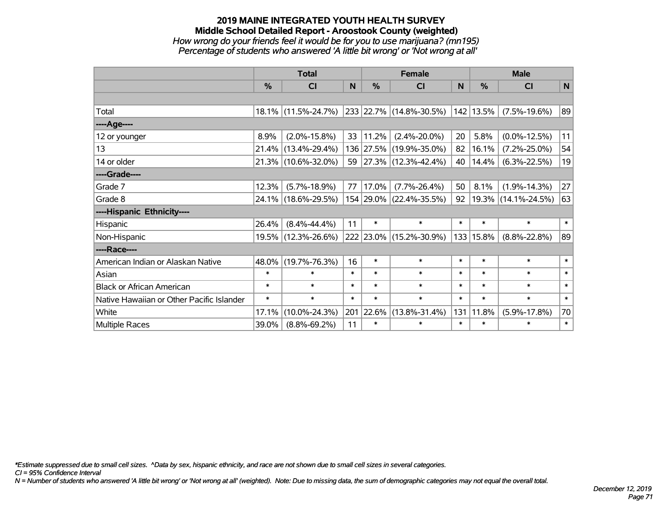## **2019 MAINE INTEGRATED YOUTH HEALTH SURVEY Middle School Detailed Report - Aroostook County (weighted)** *How wrong do your friends feel it would be for you to use marijuana? (mn195) Percentage of students who answered 'A little bit wrong' or 'Not wrong at all'*

|                                           | <b>Total</b>  |                     |        | <b>Female</b> |                          | <b>Male</b> |            |                     |        |
|-------------------------------------------|---------------|---------------------|--------|---------------|--------------------------|-------------|------------|---------------------|--------|
|                                           | $\frac{0}{0}$ | <b>CI</b>           | N      | $\%$          | <b>CI</b>                | N           | $\%$       | <b>CI</b>           | N      |
|                                           |               |                     |        |               |                          |             |            |                     |        |
| Total                                     |               | 18.1% (11.5%-24.7%) |        |               | 233 22.7% (14.8%-30.5%)  |             | 142 13.5%  | $(7.5\% - 19.6\%)$  | 89     |
| ----Age----                               |               |                     |        |               |                          |             |            |                     |        |
| 12 or younger                             | 8.9%          | $(2.0\% - 15.8\%)$  | 33     | 11.2%         | $(2.4\% - 20.0\%)$       | 20          | 5.8%       | $(0.0\% - 12.5\%)$  | 11     |
| 13                                        | 21.4%         | $(13.4\% - 29.4\%)$ |        |               | 136 27.5% (19.9%-35.0%)  | 82          | 16.1%      | $(7.2\% - 25.0\%)$  | 54     |
| 14 or older                               |               | 21.3% (10.6%-32.0%) | 59     |               | $ 27.3\% $ (12.3%-42.4%) | 40          | 14.4%      | $(6.3\% - 22.5\%)$  | 19     |
| ----Grade----                             |               |                     |        |               |                          |             |            |                     |        |
| Grade 7                                   | 12.3%         | $(5.7\% - 18.9\%)$  | 77     | 17.0%         | $(7.7\% - 26.4\%)$       | 50          | 8.1%       | $(1.9\% - 14.3\%)$  | 27     |
| Grade 8                                   |               | 24.1% (18.6%-29.5%) |        |               | 154 29.0% (22.4%-35.5%)  | 92          | $ 19.3\% $ | $(14.1\% - 24.5\%)$ | 63     |
| ----Hispanic Ethnicity----                |               |                     |        |               |                          |             |            |                     |        |
| Hispanic                                  | 26.4%         | $(8.4\% - 44.4\%)$  | 11     | $\ast$        | $\ast$                   | $\ast$      | $\ast$     | $\ast$              | $\ast$ |
| Non-Hispanic                              | 19.5%         | $(12.3\% - 26.6\%)$ |        |               | 222 23.0% (15.2%-30.9%)  |             | 133 15.8%  | $(8.8\% - 22.8\%)$  | 89     |
| ----Race----                              |               |                     |        |               |                          |             |            |                     |        |
| American Indian or Alaskan Native         | 48.0%         | $(19.7\% - 76.3\%)$ | 16     | $\ast$        | $\ast$                   | $\ast$      | $\ast$     | $\ast$              | $\ast$ |
| Asian                                     | $\ast$        | $\ast$              | $\ast$ | $\ast$        | $\ast$                   | $\ast$      | $\ast$     | $\ast$              | $\ast$ |
| <b>Black or African American</b>          | $\ast$        | $\ast$              | $\ast$ | $\ast$        | $\ast$                   | $\ast$      | $\ast$     | $\ast$              | $\ast$ |
| Native Hawaiian or Other Pacific Islander | $\ast$        | $\ast$              | $\ast$ | $\ast$        | $\ast$                   | $\ast$      | $\ast$     | $\ast$              | $\ast$ |
| White                                     | 17.1%         | $(10.0\% - 24.3\%)$ | 201    | 22.6%         | $(13.8\% - 31.4\%)$      | 131         | 11.8%      | $(5.9\% - 17.8\%)$  | 70     |
| <b>Multiple Races</b>                     | 39.0%         | $(8.8\% - 69.2\%)$  | 11     | $\ast$        | $\ast$                   | $\ast$      | $\ast$     | $\ast$              | $\ast$ |

*\*Estimate suppressed due to small cell sizes. ^Data by sex, hispanic ethnicity, and race are not shown due to small cell sizes in several categories.*

*CI = 95% Confidence Interval*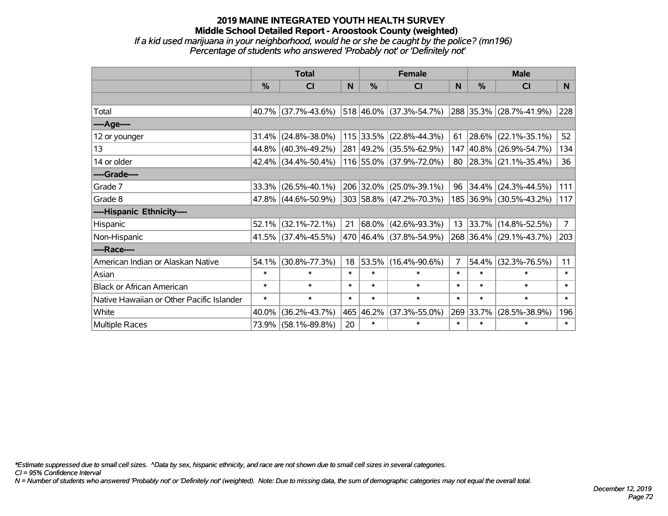## **2019 MAINE INTEGRATED YOUTH HEALTH SURVEY Middle School Detailed Report - Aroostook County (weighted)** *If a kid used marijuana in your neighborhood, would he or she be caught by the police? (mn196) Percentage of students who answered 'Probably not' or 'Definitely not'*

|                                           | <b>Total</b>  |                        |        | <b>Female</b> | <b>Male</b>             |                |                  |                            |             |
|-------------------------------------------|---------------|------------------------|--------|---------------|-------------------------|----------------|------------------|----------------------------|-------------|
|                                           | $\frac{0}{0}$ | <b>CI</b>              | N      | $\frac{0}{0}$ | <b>CI</b>               | <b>N</b>       | %                | <b>CI</b>                  | N.          |
|                                           |               |                        |        |               |                         |                |                  |                            |             |
| Total                                     |               | 40.7% (37.7%-43.6%)    |        |               | 518 46.0% (37.3%-54.7%) |                |                  | 288 35.3% (28.7%-41.9%)    | 228         |
| ----Age----                               |               |                        |        |               |                         |                |                  |                            |             |
| 12 or younger                             | $31.4\%$      | $(24.8\% - 38.0\%)$    |        |               | 115 33.5% (22.8%-44.3%) | 61             | 28.6%            | $(22.1\% - 35.1\%)$        | 52          |
| 13                                        |               | 44.8% (40.3%-49.2%)    |        |               | 281 49.2% (35.5%-62.9%) |                |                  | 147 40.8% (26.9%-54.7%)    | 134         |
| 14 or older                               |               | 42.4% (34.4%-50.4%)    |        |               | 116 55.0% (37.9%-72.0%) |                |                  | 80   28.3%   (21.1%-35.4%) | 36          |
| ----Grade----                             |               |                        |        |               |                         |                |                  |                            |             |
| Grade 7                                   | 33.3%         | $(26.5\% - 40.1\%)$    |        |               | 206 32.0% (25.0%-39.1%) | 96             | 34.4%            | $(24.3\% - 44.5\%)$        | 111         |
| Grade 8                                   |               | $47.8\%$ (44.6%-50.9%) |        |               | 303 58.8% (47.2%-70.3%) |                |                  | 185 36.9% (30.5%-43.2%)    | 117         |
| ----Hispanic Ethnicity----                |               |                        |        |               |                         |                |                  |                            |             |
| Hispanic                                  | 52.1%         | $(32.1\% - 72.1\%)$    | 21     |               | 68.0% (42.6%-93.3%)     |                | $13 \mid 33.7\%$ | $(14.8\% - 52.5\%)$        | $7^{\circ}$ |
| Non-Hispanic                              |               | 41.5% (37.4%-45.5%)    |        |               | 470 46.4% (37.8%-54.9%) |                |                  | 268 36.4% (29.1%-43.7%)    | 203         |
| ----Race----                              |               |                        |        |               |                         |                |                  |                            |             |
| American Indian or Alaskan Native         | 54.1%         | $(30.8\% - 77.3\%)$    | 18     |               | 53.5% (16.4%-90.6%)     | $\overline{7}$ | 54.4%            | $(32.3\% - 76.5\%)$        | 11          |
| Asian                                     | $\ast$        | $\ast$                 | $\ast$ | $\ast$        | $\ast$                  | $\ast$         | $\ast$           | $\ast$                     | $\ast$      |
| <b>Black or African American</b>          | $\ast$        | $\ast$                 | $\ast$ | $\ast$        | $\ast$                  | $\ast$         | $\ast$           | $\ast$                     | $\ast$      |
| Native Hawaiian or Other Pacific Islander | $\ast$        | $\ast$                 | $\ast$ | $\ast$        | $\ast$                  | $\ast$         | $\ast$           | $\ast$                     | $\ast$      |
| White                                     | 40.0%         | $(36.2\% - 43.7\%)$    | 465    | 46.2%         | $(37.3\% - 55.0\%)$     |                | 269 33.7%        | $(28.5\% - 38.9\%)$        | 196         |
| <b>Multiple Races</b>                     |               | 73.9% (58.1%-89.8%)    | 20     | $\ast$        | $\ast$                  | $\ast$         | $\ast$           | $\ast$                     | $\ast$      |

*\*Estimate suppressed due to small cell sizes. ^Data by sex, hispanic ethnicity, and race are not shown due to small cell sizes in several categories.*

*CI = 95% Confidence Interval*

*N = Number of students who answered 'Probably not' or 'Definitely not' (weighted). Note: Due to missing data, the sum of demographic categories may not equal the overall total.*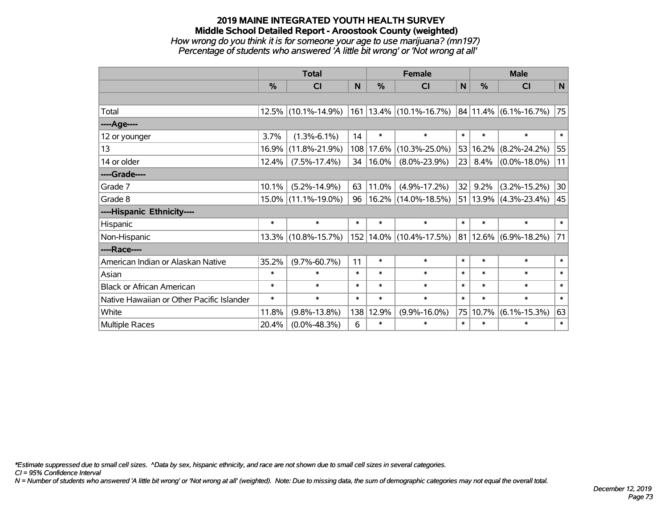#### **2019 MAINE INTEGRATED YOUTH HEALTH SURVEY Middle School Detailed Report - Aroostook County (weighted)** *How wrong do you think it is for someone your age to use marijuana? (mn197) Percentage of students who answered 'A little bit wrong' or 'Not wrong at all'*

|                                           | <b>Total</b> |                     |        |           | <b>Female</b>                 |                 |               | <b>Male</b>                |             |  |  |
|-------------------------------------------|--------------|---------------------|--------|-----------|-------------------------------|-----------------|---------------|----------------------------|-------------|--|--|
|                                           | %            | <b>CI</b>           | N      | %         | <b>CI</b>                     | $\mathbf N$     | $\frac{0}{0}$ | <b>CI</b>                  | $\mathbf N$ |  |  |
|                                           |              |                     |        |           |                               |                 |               |                            |             |  |  |
| Total                                     |              | 12.5% (10.1%-14.9%) |        |           | $161$   13.4%   (10.1%-16.7%) |                 |               | $ 84 11.4\% $ (6.1%-16.7%) | 75          |  |  |
| ----Age----                               |              |                     |        |           |                               |                 |               |                            |             |  |  |
| 12 or younger                             | 3.7%         | $(1.3\% - 6.1\%)$   | 14     | $\ast$    | $\ast$                        | $\ast$          | $\ast$        | $\ast$                     | $\ast$      |  |  |
| 13                                        | 16.9%        | $(11.8\% - 21.9\%)$ |        | 108 17.6% | $(10.3\% - 25.0\%)$           |                 | 53 16.2%      | $(8.2\% - 24.2\%)$         | 55          |  |  |
| 14 or older                               | 12.4%        | $(7.5\% - 17.4\%)$  | 34     | 16.0%     | $(8.0\% - 23.9\%)$            | 23 <sup>1</sup> | 8.4%          | $(0.0\% - 18.0\%)$         | 11          |  |  |
| ----Grade----                             |              |                     |        |           |                               |                 |               |                            |             |  |  |
| Grade 7                                   | 10.1%        | $(5.2\% - 14.9\%)$  | 63     | 11.0%     | $(4.9\% - 17.2\%)$            | 32              | 9.2%          | $(3.2\% - 15.2\%)$         | 30          |  |  |
| Grade 8                                   |              | 15.0% (11.1%-19.0%) | 96     |           | 16.2% (14.0%-18.5%)           |                 |               | $51 13.9\% $ (4.3%-23.4%)  | 45          |  |  |
| ----Hispanic Ethnicity----                |              |                     |        |           |                               |                 |               |                            |             |  |  |
| Hispanic                                  | $\ast$       | $\ast$              | $\ast$ | $\ast$    | $\ast$                        | $\ast$          | $\ast$        | $\ast$                     | $\ast$      |  |  |
| Non-Hispanic                              | $13.3\%$     | $(10.8\% - 15.7\%)$ |        |           | 152   14.0%   (10.4%-17.5%)   |                 |               | $ 81 12.6\% $ (6.9%-18.2%) | 71          |  |  |
| ----Race----                              |              |                     |        |           |                               |                 |               |                            |             |  |  |
| American Indian or Alaskan Native         | 35.2%        | $(9.7\% - 60.7\%)$  | 11     | $\ast$    | $\ast$                        | $\ast$          | $\ast$        | $\ast$                     | $\ast$      |  |  |
| Asian                                     | $\ast$       | $\ast$              | $\ast$ | $\ast$    | $\ast$                        | $\ast$          | $\ast$        | $\ast$                     | $\ast$      |  |  |
| <b>Black or African American</b>          | $\ast$       | $\ast$              | $\ast$ | $\ast$    | $\ast$                        | $\ast$          | $\ast$        | $\ast$                     | $\ast$      |  |  |
| Native Hawaiian or Other Pacific Islander | $\ast$       | $\ast$              | $\ast$ | $\ast$    | $\ast$                        | $\ast$          | $\ast$        | $\ast$                     | $\ast$      |  |  |
| White                                     | 11.8%        | $(9.8\% - 13.8\%)$  | 138    | 12.9%     | $(9.9\% - 16.0\%)$            | 75              | 10.7%         | $(6.1\% - 15.3\%)$         | 63          |  |  |
| <b>Multiple Races</b>                     | 20.4%        | $(0.0\% - 48.3\%)$  | 6      | $\ast$    | $\ast$                        | $\ast$          | $\ast$        | $\ast$                     | $\ast$      |  |  |

*\*Estimate suppressed due to small cell sizes. ^Data by sex, hispanic ethnicity, and race are not shown due to small cell sizes in several categories.*

*CI = 95% Confidence Interval*

*N = Number of students who answered 'A little bit wrong' or 'Not wrong at all' (weighted). Note: Due to missing data, the sum of demographic categories may not equal the overall total.*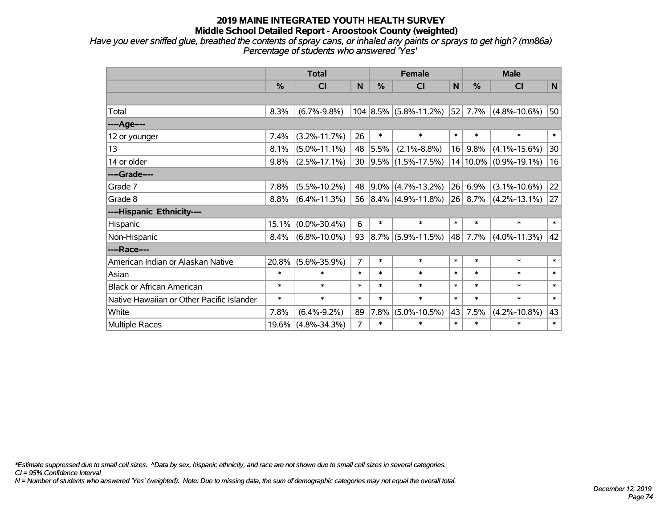*Have you ever sniffed glue, breathed the contents of spray cans, or inhaled any paints or sprays to get high? (mn86a) Percentage of students who answered 'Yes'*

|                                           | <b>Total</b>  |                    |                |         | <b>Female</b>             |        |         | <b>Male</b>               |              |  |  |
|-------------------------------------------|---------------|--------------------|----------------|---------|---------------------------|--------|---------|---------------------------|--------------|--|--|
|                                           | $\frac{0}{0}$ | CI                 | N              | %       | CI                        | N      | %       | <b>CI</b>                 | N            |  |  |
|                                           |               |                    |                |         |                           |        |         |                           |              |  |  |
| Total                                     | 8.3%          | $(6.7\% - 9.8\%)$  |                |         | $104 8.5\% $ (5.8%-11.2%) | 52     | 7.7%    | $(4.8\% - 10.6\%)$        | 50           |  |  |
| ----Age----                               |               |                    |                |         |                           |        |         |                           |              |  |  |
| 12 or younger                             | 7.4%          | $(3.2\% - 11.7\%)$ | 26             | $\ast$  | $\ast$                    | $\ast$ | $\ast$  | $\ast$                    | $\pmb{\ast}$ |  |  |
| 13                                        | 8.1%          | $(5.0\% - 11.1\%)$ | 48             | 5.5%    | $(2.1\% - 8.8\%)$         | 16     | 9.8%    | $(4.1\% - 15.6\%)$        | 30           |  |  |
| 14 or older                               | 9.8%          | $(2.5\% - 17.1\%)$ | 30             |         | $ 9.5\% $ (1.5%-17.5%)    |        |         | $14 10.0\% $ (0.9%-19.1%) | 16           |  |  |
| ----Grade----                             |               |                    |                |         |                           |        |         |                           |              |  |  |
| Grade 7                                   | 7.8%          | $(5.5\% - 10.2\%)$ | 48             | $9.0\%$ | $(4.7\% - 13.2\%)$        | 26     | 6.9%    | $(3.1\% - 10.6\%)$        | 22           |  |  |
| Grade 8                                   | 8.8%          | $(6.4\% - 11.3\%)$ |                |         | 56 $ 8.4\% $ (4.9%-11.8%) |        | 26 8.7% | $(4.2\% - 13.1\%)$        | 27           |  |  |
| ----Hispanic Ethnicity----                |               |                    |                |         |                           |        |         |                           |              |  |  |
| Hispanic                                  | 15.1%         | $(0.0\% - 30.4\%)$ | 6              | $\ast$  | $\ast$                    | $\ast$ | $\ast$  | $\ast$                    | $\ast$       |  |  |
| Non-Hispanic                              | 8.4%          | $(6.8\% - 10.0\%)$ | 93             | $8.7\%$ | $(5.9\% - 11.5\%)$        | 48     | 7.7%    | $(4.0\% - 11.3\%)$        | 42           |  |  |
| ----Race----                              |               |                    |                |         |                           |        |         |                           |              |  |  |
| American Indian or Alaskan Native         | 20.8%         | $(5.6\% - 35.9\%)$ | $\overline{7}$ | $\ast$  | $\ast$                    | $\ast$ | $\ast$  | $\ast$                    | $\ast$       |  |  |
| Asian                                     | $\ast$        | $\ast$             | $\ast$         | $\ast$  | $\ast$                    | $\ast$ | $\ast$  | $\ast$                    | $\ast$       |  |  |
| <b>Black or African American</b>          | $\ast$        | $\ast$             | $\ast$         | $\ast$  | $\ast$                    | $\ast$ | $\ast$  | $\ast$                    | $\ast$       |  |  |
| Native Hawaiian or Other Pacific Islander | $\ast$        | $\ast$             | $\ast$         | $\ast$  | $\ast$                    | $\ast$ | $\ast$  | $\ast$                    | $\ast$       |  |  |
| White                                     | 7.8%          | $(6.4\% - 9.2\%)$  | 89             | 7.8%    | $(5.0\% - 10.5\%)$        | 43     | 7.5%    | $(4.2\% - 10.8\%)$        | 43           |  |  |
| Multiple Races                            | 19.6%         | $(4.8\% - 34.3\%)$ | $\overline{7}$ | $\ast$  | $\ast$                    | $\ast$ | $\ast$  | $\ast$                    | $\ast$       |  |  |

*\*Estimate suppressed due to small cell sizes. ^Data by sex, hispanic ethnicity, and race are not shown due to small cell sizes in several categories.*

*CI = 95% Confidence Interval*

*N = Number of students who answered 'Yes' (weighted). Note: Due to missing data, the sum of demographic categories may not equal the overall total.*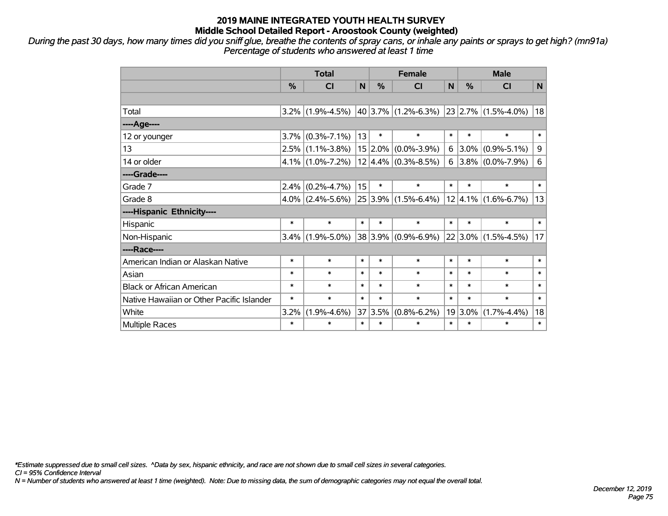*During the past 30 days, how many times did you sniff glue, breathe the contents of spray cans, or inhale any paints or sprays to get high? (mn91a) Percentage of students who answered at least 1 time*

|                                           | <b>Total</b> |                     |              | <b>Female</b> |                                              |        | <b>Male</b>   |                          |        |  |
|-------------------------------------------|--------------|---------------------|--------------|---------------|----------------------------------------------|--------|---------------|--------------------------|--------|--|
|                                           | %            | <b>CI</b>           | $\mathsf{N}$ | %             | <b>CI</b>                                    | N      | $\frac{0}{0}$ | <b>CI</b>                | N      |  |
|                                           |              |                     |              |               |                                              |        |               |                          |        |  |
| Total                                     |              | $3.2\%$ (1.9%-4.5%) |              |               | $ 40 3.7\% $ (1.2%-6.3%) 23 2.7% (1.5%-4.0%) |        |               |                          | 18     |  |
| ----Age----                               |              |                     |              |               |                                              |        |               |                          |        |  |
| 12 or younger                             | 3.7%         | $(0.3\% - 7.1\%)$   | 13           | $\ast$        | $\ast$                                       | $\ast$ | $\ast$        | $\ast$                   | $\ast$ |  |
| 13                                        |              | $2.5\%$ (1.1%-3.8%) |              |               | $15 2.0\% $ (0.0%-3.9%)                      | 6      | $3.0\%$       | $(0.9\% - 5.1\%)$        | 9      |  |
| 14 or older                               |              | $4.1\%$ (1.0%-7.2%) |              |               | $12 4.4\% $ (0.3%-8.5%)                      |        |               | 6 3.8% $(0.0\% - 7.9\%)$ | 6      |  |
| ----Grade----                             |              |                     |              |               |                                              |        |               |                          |        |  |
| Grade 7                                   | 2.4%         | $(0.2\% - 4.7\%)$   | 15           | $\ast$        | $\ast$                                       | $\ast$ | $\ast$        | $\ast$                   | $\ast$ |  |
| Grade 8                                   |              | $4.0\%$ (2.4%-5.6%) |              |               | $25 3.9\% $ (1.5%-6.4%)                      |        |               | $ 12 4.1\% $ (1.6%-6.7%) | 13     |  |
| ----Hispanic Ethnicity----                |              |                     |              |               |                                              |        |               |                          |        |  |
| Hispanic                                  | $\ast$       | $\ast$              | $\ast$       | $\ast$        | $\ast$                                       | $\ast$ | $\ast$        | $\ast$                   | $\ast$ |  |
| Non-Hispanic                              |              | $3.4\%$ (1.9%-5.0%) |              |               | $38 3.9\% $ (0.9%-6.9%)                      |        |               | $ 22 3.0\% $ (1.5%-4.5%) | 17     |  |
| ----Race----                              |              |                     |              |               |                                              |        |               |                          |        |  |
| American Indian or Alaskan Native         | $\ast$       | $\ast$              | $\ast$       | $\ast$        | $\ast$                                       | $\ast$ | $\ast$        | $\ast$                   | $\ast$ |  |
| Asian                                     | $\ast$       | $\ast$              | $\ast$       | $\ast$        | $\ast$                                       | $\ast$ | $\ast$        | $\ast$                   | $\ast$ |  |
| <b>Black or African American</b>          | $\ast$       | $\ast$              | $\ast$       | $\ast$        | $\ast$                                       | $\ast$ | $\ast$        | $\ast$                   | $\ast$ |  |
| Native Hawaiian or Other Pacific Islander | $\ast$       | $\ast$              | $\ast$       | $\ast$        | $\ast$                                       | $\ast$ | $\ast$        | $\ast$                   | $\ast$ |  |
| White                                     | 3.2%         | $(1.9\% - 4.6\%)$   | 37           | 3.5%          | $(0.8\% - 6.2\%)$                            |        | $19 3.0\%$    | $(1.7\% - 4.4\%)$        | 18     |  |
| Multiple Races                            | $\ast$       | $\ast$              | $\ast$       | $\ast$        | $\ast$                                       | $\ast$ | $\ast$        | $\ast$                   | $\ast$ |  |

*\*Estimate suppressed due to small cell sizes. ^Data by sex, hispanic ethnicity, and race are not shown due to small cell sizes in several categories.*

*CI = 95% Confidence Interval*

*N = Number of students who answered at least 1 time (weighted). Note: Due to missing data, the sum of demographic categories may not equal the overall total.*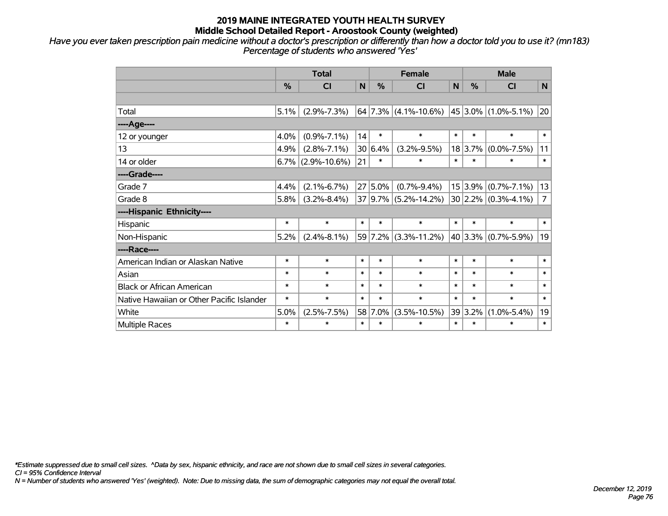*Have you ever taken prescription pain medicine without a doctor's prescription or differently than how a doctor told you to use it? (mn183) Percentage of students who answered 'Yes'*

|                                           | <b>Total</b> |                      |        | <b>Female</b> |                          |        | <b>Male</b> |                         |                |  |
|-------------------------------------------|--------------|----------------------|--------|---------------|--------------------------|--------|-------------|-------------------------|----------------|--|
|                                           | %            | <b>CI</b>            | N      | $\frac{0}{0}$ | <b>CI</b>                | N      | %           | <b>CI</b>               | N              |  |
|                                           |              |                      |        |               |                          |        |             |                         |                |  |
| Total                                     | 5.1%         | $(2.9\% - 7.3\%)$    |        |               | $64$ 7.3% (4.1%-10.6%)   |        |             | $45 3.0\% $ (1.0%-5.1%) | 20             |  |
| ---- Age----                              |              |                      |        |               |                          |        |             |                         |                |  |
| 12 or younger                             | 4.0%         | $(0.9\% - 7.1\%)$    | 14     | $\ast$        | $\ast$                   | $\ast$ | $\ast$      | $\ast$                  | $\ast$         |  |
| 13                                        | 4.9%         | $(2.8\% - 7.1\%)$    |        | 30 6.4%       | $(3.2\% - 9.5\%)$        |        | 18 3.7%     | $(0.0\% - 7.5\%)$       | 11             |  |
| 14 or older                               |              | $6.7\%$ (2.9%-10.6%) | 21     | $\ast$        | $\ast$                   | $\ast$ | $\ast$      | $\ast$                  | $\ast$         |  |
| ----Grade----                             |              |                      |        |               |                          |        |             |                         |                |  |
| Grade 7                                   | 4.4%         | $(2.1\% - 6.7\%)$    |        | $27 5.0\%$    | $(0.7\% - 9.4\%)$        |        | 15 3.9%     | $(0.7\% - 7.1\%)$       | 13             |  |
| Grade 8                                   | 5.8%         | $(3.2\% - 8.4\%)$    |        |               | $37 9.7\% $ (5.2%-14.2%) |        |             | $30 2.2\% $ (0.3%-4.1%) | $\overline{7}$ |  |
| ----Hispanic Ethnicity----                |              |                      |        |               |                          |        |             |                         |                |  |
| Hispanic                                  | $\ast$       | $\ast$               | $\ast$ | $\ast$        | $\ast$                   | $\ast$ | $\ast$      | $\ast$                  | $\ast$         |  |
| Non-Hispanic                              | 5.2%         | $(2.4\% - 8.1\%)$    |        |               | 59 7.2% (3.3%-11.2%)     |        |             | 40 3.3% (0.7%-5.9%)     | 19             |  |
| ----Race----                              |              |                      |        |               |                          |        |             |                         |                |  |
| American Indian or Alaskan Native         | $\ast$       | $\ast$               | $\ast$ | $\ast$        | $\ast$                   | $\ast$ | $\ast$      | $\ast$                  | $\ast$         |  |
| Asian                                     | $\ast$       | $\ast$               | $\ast$ | $\ast$        | $\ast$                   | $\ast$ | $\ast$      | $\ast$                  | $\ast$         |  |
| <b>Black or African American</b>          | $\ast$       | $\ast$               | $\ast$ | $\ast$        | $\ast$                   | $\ast$ | $\ast$      | $\ast$                  | $\ast$         |  |
| Native Hawaiian or Other Pacific Islander | $\ast$       | $\ast$               | $\ast$ | $\ast$        | $\ast$                   | $\ast$ | $\ast$      | $\ast$                  | $\ast$         |  |
| White                                     | 5.0%         | $(2.5\% - 7.5\%)$    | 58     | 7.0%          | $(3.5\% - 10.5\%)$       |        | 39 3.2%     | $(1.0\% - 5.4\%)$       | 19             |  |
| Multiple Races                            | $\ast$       | $\ast$               | $\ast$ | $\ast$        | $\ast$                   | $\ast$ | $\ast$      | $\ast$                  | $\ast$         |  |

*\*Estimate suppressed due to small cell sizes. ^Data by sex, hispanic ethnicity, and race are not shown due to small cell sizes in several categories.*

*CI = 95% Confidence Interval*

*N = Number of students who answered 'Yes' (weighted). Note: Due to missing data, the sum of demographic categories may not equal the overall total.*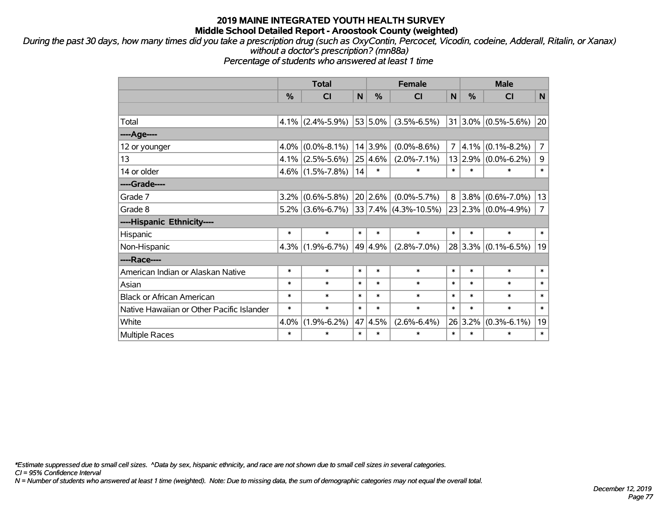*During the past 30 days, how many times did you take a prescription drug (such as OxyContin, Percocet, Vicodin, codeine, Adderall, Ritalin, or Xanax) without a doctor's prescription? (mn88a)*

*Percentage of students who answered at least 1 time*

|                                           | <b>Total</b>  |                     |        |         | <b>Female</b>             |                |               | <b>Male</b>             |                |  |  |
|-------------------------------------------|---------------|---------------------|--------|---------|---------------------------|----------------|---------------|-------------------------|----------------|--|--|
|                                           | $\frac{0}{0}$ | <b>CI</b>           | N      | %       | <b>CI</b>                 | N              | $\frac{0}{0}$ | <b>CI</b>               | N              |  |  |
|                                           |               |                     |        |         |                           |                |               |                         |                |  |  |
| Total                                     | $4.1\%$       | $(2.4\% - 5.9\%)$   |        | 53 5.0% | $(3.5\% - 6.5\%)$         |                |               | $31 3.0\% $ (0.5%-5.6%) | 20             |  |  |
| ---- Age----                              |               |                     |        |         |                           |                |               |                         |                |  |  |
| 12 or younger                             | $4.0\%$       | $(0.0\% - 8.1\%)$   |        | 14 3.9% | $(0.0\% - 8.6\%)$         | $\overline{7}$ | 4.1%          | $(0.1\% - 8.2\%)$       | $\overline{7}$ |  |  |
| 13                                        |               | $4.1\%$ (2.5%-5.6%) |        | 25 4.6% | $(2.0\% - 7.1\%)$         |                | 13 2.9%       | $(0.0\% - 6.2\%)$       | 9              |  |  |
| 14 or older                               |               | $4.6\%$ (1.5%-7.8%) | 14     | $\ast$  | $\ast$                    | $\ast$         | $\ast$        | $\ast$                  | $\ast$         |  |  |
| ----Grade----                             |               |                     |        |         |                           |                |               |                         |                |  |  |
| Grade 7                                   | $3.2\%$       | $(0.6\% - 5.8\%)$   |        | 20 2.6% | $(0.0\% - 5.7\%)$         | 8              | $3.8\%$       | $(0.6\% - 7.0\%)$       | 13             |  |  |
| Grade 8                                   |               | $5.2\%$ (3.6%-6.7%) |        |         | $ 33 7.4\% $ (4.3%-10.5%) |                |               | 23 2.3% (0.0%-4.9%)     | $\overline{7}$ |  |  |
| ----Hispanic Ethnicity----                |               |                     |        |         |                           |                |               |                         |                |  |  |
| Hispanic                                  | $\ast$        | $\ast$              | $\ast$ | $\ast$  | $\ast$                    | $\ast$         | $\ast$        | $\ast$                  | $\ast$         |  |  |
| Non-Hispanic                              | $4.3\%$       | $(1.9\% - 6.7\%)$   |        | 49 4.9% | $(2.8\% - 7.0\%)$         |                |               | $28 3.3\% $ (0.1%-6.5%) | 19             |  |  |
| ----Race----                              |               |                     |        |         |                           |                |               |                         |                |  |  |
| American Indian or Alaskan Native         | *             | $\ast$              | $\ast$ | $\ast$  | $\ast$                    | $\ast$         | $\ast$        | $\ast$                  | $\ast$         |  |  |
| Asian                                     | $\ast$        | $\ast$              | $\ast$ | $\ast$  | $\ast$                    | $\ast$         | $\ast$        | $\ast$                  | $\ast$         |  |  |
| <b>Black or African American</b>          | $\ast$        | $\ast$              | $\ast$ | $\ast$  | $\ast$                    | $\ast$         | $\ast$        | $\ast$                  | $\ast$         |  |  |
| Native Hawaiian or Other Pacific Islander | $\ast$        | $\ast$              | $\ast$ | $\ast$  | $\ast$                    | $\ast$         | $\ast$        | $\ast$                  | $\ast$         |  |  |
| White                                     | 4.0%          | $(1.9\% - 6.2\%)$   | 47     | 4.5%    | $(2.6\% - 6.4\%)$         |                | 26 3.2%       | $(0.3\% - 6.1\%)$       | 19             |  |  |
| <b>Multiple Races</b>                     | $\ast$        | $\ast$              | $\ast$ | $\ast$  | $\ast$                    | $\ast$         | $\ast$        | $\ast$                  | $\ast$         |  |  |

*\*Estimate suppressed due to small cell sizes. ^Data by sex, hispanic ethnicity, and race are not shown due to small cell sizes in several categories.*

*CI = 95% Confidence Interval*

*N = Number of students who answered at least 1 time (weighted). Note: Due to missing data, the sum of demographic categories may not equal the overall total.*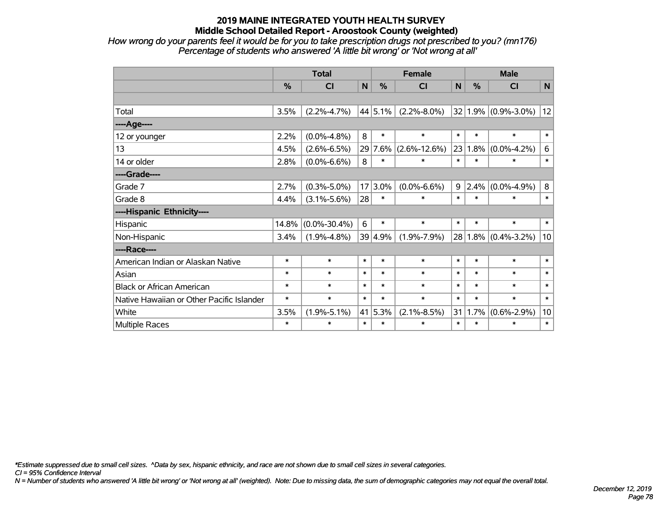*How wrong do your parents feel it would be for you to take prescription drugs not prescribed to you? (mn176) Percentage of students who answered 'A little bit wrong' or 'Not wrong at all'*

|                                           | <b>Total</b> |                    |        | <b>Female</b> |                    |        | <b>Male</b> |                         |              |  |
|-------------------------------------------|--------------|--------------------|--------|---------------|--------------------|--------|-------------|-------------------------|--------------|--|
|                                           | %            | CI                 | N      | %             | <b>CI</b>          | N      | %           | <b>CI</b>               | $\mathsf{N}$ |  |
|                                           |              |                    |        |               |                    |        |             |                         |              |  |
| Total                                     | 3.5%         | $(2.2\% - 4.7\%)$  |        | 44 5.1%       | $(2.2\% - 8.0\%)$  |        |             | $32 1.9\% $ (0.9%-3.0%) | 12           |  |
| ----Age----                               |              |                    |        |               |                    |        |             |                         |              |  |
| 12 or younger                             | 2.2%         | $(0.0\% - 4.8\%)$  | 8      | $\ast$        | $\ast$             | $\ast$ | $\ast$      | $\ast$                  | $\ast$       |  |
| 13                                        | 4.5%         | $(2.6\% - 6.5\%)$  |        | 29 7.6%       | $(2.6\% - 12.6\%)$ | 23     | 1.8%        | $(0.0\% - 4.2\%)$       | $\,6$        |  |
| 14 or older                               | 2.8%         | $(0.0\% - 6.6\%)$  | 8      | $\ast$        | $\ast$             | $\ast$ | $\ast$      | $\ast$                  | $\ast$       |  |
| ----Grade----                             |              |                    |        |               |                    |        |             |                         |              |  |
| Grade 7                                   | 2.7%         | $(0.3\% - 5.0\%)$  |        | $17 3.0\%$    | $(0.0\% - 6.6\%)$  | 9      | $2.4\%$     | $(0.0\% - 4.9\%)$       | $\bf 8$      |  |
| Grade 8                                   | 4.4%         | $(3.1\% - 5.6\%)$  | 28     | $\ast$        | $\ast$             | $\ast$ | $\ast$      | $\ast$                  | $\ast$       |  |
| ----Hispanic Ethnicity----                |              |                    |        |               |                    |        |             |                         |              |  |
| Hispanic                                  | 14.8%        | $(0.0\% - 30.4\%)$ | 6      | $\ast$        | $\ast$             | $\ast$ | $\ast$      | $\ast$                  | $\ast$       |  |
| Non-Hispanic                              | 3.4%         | $(1.9\% - 4.8\%)$  |        | 39 4.9%       | $(1.9\% - 7.9\%)$  |        |             | $28 1.8\% $ (0.4%-3.2%) | 10           |  |
| ----Race----                              |              |                    |        |               |                    |        |             |                         |              |  |
| American Indian or Alaskan Native         | $\ast$       | $\ast$             | $\ast$ | $\ast$        | $\ast$             | $\ast$ | $\ast$      | $\ast$                  | $\ast$       |  |
| Asian                                     | $\ast$       | $\ast$             | $\ast$ | $\ast$        | $\ast$             | $\ast$ | $\ast$      | $\ast$                  | $\ast$       |  |
| <b>Black or African American</b>          | $\ast$       | $\ast$             | $\ast$ | $\ast$        | $\ast$             | $\ast$ | $\ast$      | $\ast$                  | $\ast$       |  |
| Native Hawaiian or Other Pacific Islander | $\ast$       | $\ast$             | $\ast$ | $\ast$        | $\ast$             | $\ast$ | $\ast$      | $\ast$                  | $\ast$       |  |
| White                                     | 3.5%         | $(1.9\% - 5.1\%)$  | 41     | 5.3%          | $(2.1\% - 8.5\%)$  | 31     | 1.7%        | $(0.6\% - 2.9\%)$       | 10           |  |
| <b>Multiple Races</b>                     | $\ast$       | $\ast$             | $\ast$ | $\ast$        | $\ast$             | $\ast$ | $\ast$      | $\ast$                  | $\ast$       |  |

*\*Estimate suppressed due to small cell sizes. ^Data by sex, hispanic ethnicity, and race are not shown due to small cell sizes in several categories.*

*CI = 95% Confidence Interval*

*N = Number of students who answered 'A little bit wrong' or 'Not wrong at all' (weighted). Note: Due to missing data, the sum of demographic categories may not equal the overall total.*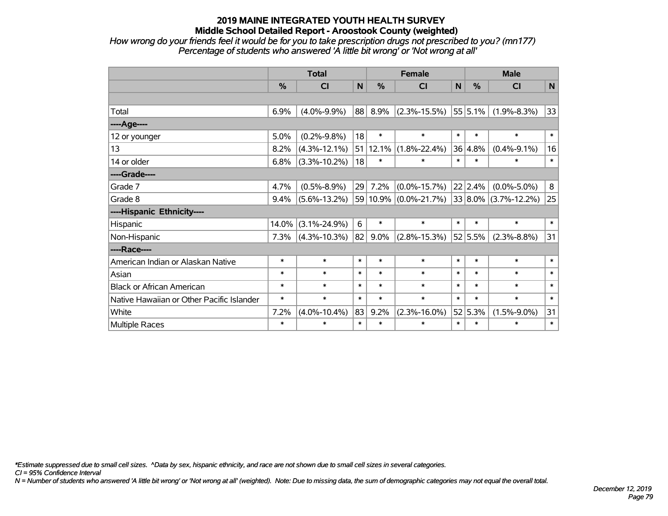*How wrong do your friends feel it would be for you to take prescription drugs not prescribed to you? (mn177) Percentage of students who answered 'A little bit wrong' or 'Not wrong at all'*

|                                           | <b>Total</b> |                    |        | <b>Female</b> |                                                |        | <b>Male</b> |                   |              |  |
|-------------------------------------------|--------------|--------------------|--------|---------------|------------------------------------------------|--------|-------------|-------------------|--------------|--|
|                                           | %            | CI                 | N      | %             | CI                                             | N      | %           | <b>CI</b>         | N            |  |
|                                           |              |                    |        |               |                                                |        |             |                   |              |  |
| Total                                     | 6.9%         | $(4.0\% - 9.9\%)$  | 88     | 8.9%          | $(2.3\% - 15.5\%)$                             |        | 55 5.1%     | $(1.9\% - 8.3\%)$ | 33           |  |
| ---- Age----                              |              |                    |        |               |                                                |        |             |                   |              |  |
| 12 or younger                             | 5.0%         | $(0.2\% - 9.8\%)$  | 18     | $\ast$        | $\ast$                                         | $\ast$ | $\ast$      | $\ast$            | $\pmb{\ast}$ |  |
| 13                                        | 8.2%         | $(4.3\% - 12.1\%)$ |        | 51 12.1%      | $(1.8\% - 22.4\%)$                             |        | 36 4.8%     | $(0.4\% - 9.1\%)$ | 16           |  |
| 14 or older                               | 6.8%         | $(3.3\% - 10.2\%)$ | 18     | $\ast$        | $\ast$                                         | $\ast$ | $\ast$      | $\ast$            | $\ast$       |  |
| ----Grade----                             |              |                    |        |               |                                                |        |             |                   |              |  |
| Grade 7                                   | 4.7%         | $(0.5\% - 8.9\%)$  | 29     | 7.2%          | $(0.0\% - 15.7\%)$                             |        | 22 2.4%     | $(0.0\% - 5.0\%)$ | 8            |  |
| Grade 8                                   | 9.4%         | $(5.6\% - 13.2\%)$ |        |               | $59 10.9\% $ (0.0%-21.7%) 33 8.0% (3.7%-12.2%) |        |             |                   | 25           |  |
| ----Hispanic Ethnicity----                |              |                    |        |               |                                                |        |             |                   |              |  |
| Hispanic                                  | 14.0%        | $(3.1\% - 24.9\%)$ | 6      | $\ast$        | $\ast$                                         | $\ast$ | $\ast$      | $\ast$            | $\ast$       |  |
| Non-Hispanic                              | 7.3%         | $(4.3\% - 10.3\%)$ | 82     | 9.0%          | $(2.8\% - 15.3\%)$                             |        | 52 5.5%     | $(2.3\% - 8.8\%)$ | 31           |  |
| ----Race----                              |              |                    |        |               |                                                |        |             |                   |              |  |
| American Indian or Alaskan Native         | $\ast$       | $\ast$             | $\ast$ | $\ast$        | $\ast$                                         | $\ast$ | $\ast$      | $\ast$            | $\ast$       |  |
| Asian                                     | $\ast$       | $\ast$             | $\ast$ | $\ast$        | $\ast$                                         | $\ast$ | $\ast$      | $\ast$            | $\ast$       |  |
| <b>Black or African American</b>          | $\ast$       | $\ast$             | $\ast$ | $\ast$        | $\ast$                                         | $\ast$ | $\ast$      | $\ast$            | $\ast$       |  |
| Native Hawaiian or Other Pacific Islander | $\ast$       | $\ast$             | $\ast$ | $\ast$        | $\ast$                                         | $\ast$ | $\ast$      | $\ast$            | $\ast$       |  |
| White                                     | 7.2%         | $(4.0\% - 10.4\%)$ | 83     | 9.2%          | $(2.3\% - 16.0\%)$                             |        | 52 5.3%     | $(1.5\% - 9.0\%)$ | 31           |  |
| Multiple Races                            | $\ast$       | $\ast$             | $\ast$ | $\ast$        | $\ast$                                         | $\ast$ | $\ast$      | $\ast$            | $\ast$       |  |

*\*Estimate suppressed due to small cell sizes. ^Data by sex, hispanic ethnicity, and race are not shown due to small cell sizes in several categories.*

*CI = 95% Confidence Interval*

*N = Number of students who answered 'A little bit wrong' or 'Not wrong at all' (weighted). Note: Due to missing data, the sum of demographic categories may not equal the overall total.*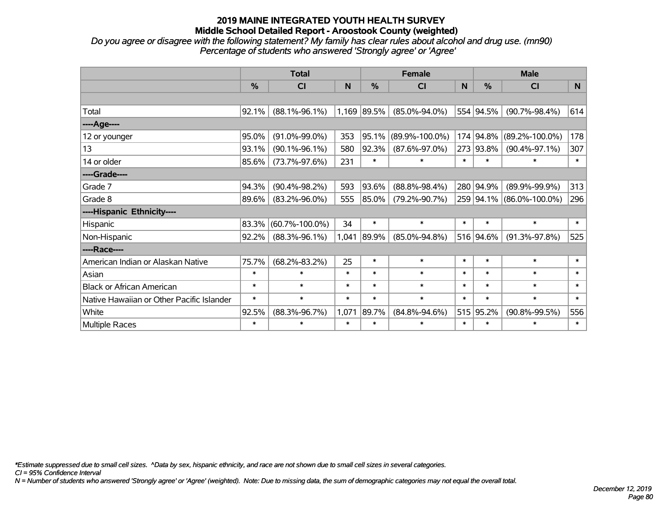*Do you agree or disagree with the following statement? My family has clear rules about alcohol and drug use. (mn90) Percentage of students who answered 'Strongly agree' or 'Agree'*

|                                           |        | <b>Total</b>         |        |               | <b>Female</b>        |        | <b>Male</b>   |                          |        |  |
|-------------------------------------------|--------|----------------------|--------|---------------|----------------------|--------|---------------|--------------------------|--------|--|
|                                           | $\%$   | <b>CI</b>            | N      | $\frac{0}{0}$ | <b>CI</b>            | N      | $\frac{0}{0}$ | <b>CI</b>                | N.     |  |
|                                           |        |                      |        |               |                      |        |               |                          |        |  |
| Total                                     | 92.1%  | $(88.1\% - 96.1\%)$  |        | 1,169 89.5%   | $(85.0\% - 94.0\%)$  |        | 554 94.5%     | $(90.7\% - 98.4\%)$      | 614    |  |
| ----Age----                               |        |                      |        |               |                      |        |               |                          |        |  |
| 12 or younger                             | 95.0%  | $(91.0\% - 99.0\%)$  | 353    | 95.1%         | $(89.9\% - 100.0\%)$ | 174    | 94.8%         | $(89.2\% - 100.0\%)$     | 178    |  |
| 13                                        | 93.1%  | $(90.1\% - 96.1\%)$  | 580    | 92.3%         | $(87.6\% - 97.0\%)$  |        | 273 93.8%     | $(90.4\% - 97.1\%)$      | 307    |  |
| 14 or older                               | 85.6%  | $(73.7\% - 97.6\%)$  | 231    | $\ast$        | $\ast$               | $\ast$ | $\ast$        | $\ast$                   | $\ast$ |  |
| ----Grade----                             |        |                      |        |               |                      |        |               |                          |        |  |
| Grade 7                                   | 94.3%  | $(90.4\% - 98.2\%)$  | 593    | 93.6%         | $(88.8\% - 98.4\%)$  |        | 280 94.9%     | $(89.9\% - 99.9\%)$      | 313    |  |
| Grade 8                                   | 89.6%  | $(83.2\% - 96.0\%)$  | 555    | 85.0%         | $(79.2\% - 90.7\%)$  |        |               | 259 94.1% (86.0%-100.0%) | 296    |  |
| ----Hispanic Ethnicity----                |        |                      |        |               |                      |        |               |                          |        |  |
| Hispanic                                  | 83.3%  | $(60.7\% - 100.0\%)$ | 34     | $\ast$        | $\ast$               | $\ast$ | $\ast$        | $\ast$                   | $\ast$ |  |
| Non-Hispanic                              | 92.2%  | $(88.3\% - 96.1\%)$  | 1,041  | 89.9%         | $(85.0\% - 94.8\%)$  |        | 516 94.6%     | $(91.3\% - 97.8\%)$      | 525    |  |
| ----Race----                              |        |                      |        |               |                      |        |               |                          |        |  |
| American Indian or Alaskan Native         | 75.7%  | $(68.2\% - 83.2\%)$  | 25     | $\ast$        | $\ast$               | $\ast$ | $\ast$        | $\ast$                   | $\ast$ |  |
| Asian                                     | $\ast$ | $\ast$               | $\ast$ | $\ast$        | $\ast$               | $\ast$ | $\ast$        | $\ast$                   | $\ast$ |  |
| <b>Black or African American</b>          | $\ast$ | $\ast$               | $\ast$ | $\ast$        | $\ast$               | $\ast$ | $\ast$        | $\ast$                   | $\ast$ |  |
| Native Hawaiian or Other Pacific Islander | $\ast$ | $\ast$               | $\ast$ | $\ast$        | $\ast$               | $\ast$ | $\ast$        | $\ast$                   | $\ast$ |  |
| White                                     | 92.5%  | $(88.3\% - 96.7\%)$  | 1,071  | 89.7%         | $(84.8\% - 94.6\%)$  |        | 515 95.2%     | $(90.8\% - 99.5\%)$      | 556    |  |
| Multiple Races                            | $\ast$ | $\ast$               | $\ast$ | $\ast$        | $\ast$               | $\ast$ | $\ast$        | $\ast$                   | $\ast$ |  |

*\*Estimate suppressed due to small cell sizes. ^Data by sex, hispanic ethnicity, and race are not shown due to small cell sizes in several categories.*

*CI = 95% Confidence Interval*

*N = Number of students who answered 'Strongly agree' or 'Agree' (weighted). Note: Due to missing data, the sum of demographic categories may not equal the overall total.*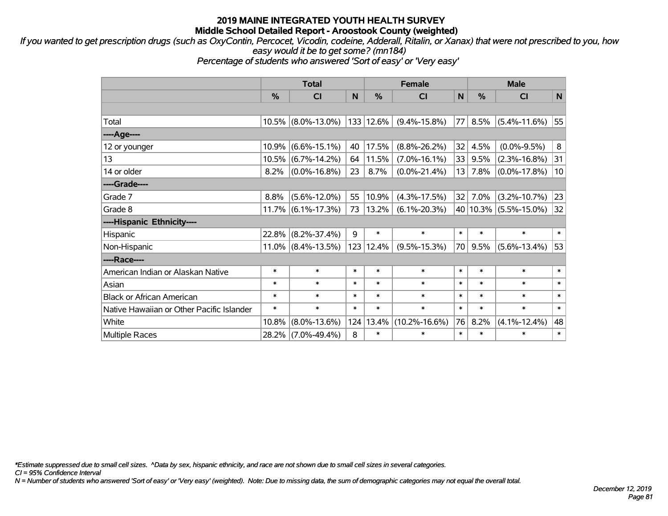*If you wanted to get prescription drugs (such as OxyContin, Percocet, Vicodin, codeine, Adderall, Ritalin, or Xanax) that were not prescribed to you, how easy would it be to get some? (mn184)*

*Percentage of students who answered 'Sort of easy' or 'Very easy'*

|                                           |          | <b>Total</b>       |        |               | <b>Female</b>       |        |               | <b>Male</b>               |        |  |  |
|-------------------------------------------|----------|--------------------|--------|---------------|---------------------|--------|---------------|---------------------------|--------|--|--|
|                                           | $\%$     | <b>CI</b>          | N      | $\frac{0}{0}$ | <b>CI</b>           | N      | $\frac{0}{0}$ | <b>CI</b>                 | N      |  |  |
|                                           |          |                    |        |               |                     |        |               |                           |        |  |  |
| Total                                     | 10.5%    | $(8.0\% - 13.0\%)$ |        | 133 12.6%     | $(9.4\% - 15.8\%)$  | 77     | 8.5%          | $(5.4\% - 11.6\%)$        | 55     |  |  |
| ----Age----                               |          |                    |        |               |                     |        |               |                           |        |  |  |
| 12 or younger                             | 10.9%    | $(6.6\% - 15.1\%)$ | 40     | 17.5%         | $(8.8\% - 26.2\%)$  | 32     | 4.5%          | $(0.0\% - 9.5\%)$         | 8      |  |  |
| 13                                        | 10.5%    | $(6.7\% - 14.2\%)$ | 64     | 11.5%         | $(7.0\% - 16.1\%)$  | 33     | 9.5%          | $(2.3\% - 16.8\%)$        | 31     |  |  |
| 14 or older                               | 8.2%     | $(0.0\% - 16.8\%)$ | 23     | 8.7%          | $(0.0\% - 21.4\%)$  | 13     | 7.8%          | $(0.0\% - 17.8\%)$        | 10     |  |  |
| ----Grade----                             |          |                    |        |               |                     |        |               |                           |        |  |  |
| Grade 7                                   | 8.8%     | $(5.6\% - 12.0\%)$ | 55     | 10.9%         | $(4.3\% - 17.5\%)$  | 32     | 7.0%          | $(3.2\% - 10.7\%)$        | 23     |  |  |
| Grade 8                                   | 11.7%    | $(6.1\% - 17.3\%)$ | 73     | $13.2\%$      | $(6.1\% - 20.3\%)$  |        |               | 40   10.3%   (5.5%-15.0%) | 32     |  |  |
| ----Hispanic Ethnicity----                |          |                    |        |               |                     |        |               |                           |        |  |  |
| Hispanic                                  | 22.8%    | $(8.2\% - 37.4\%)$ | 9      | $\ast$        | $\ast$              | $\ast$ | $\ast$        | $\ast$                    | $\ast$ |  |  |
| Non-Hispanic                              | $11.0\%$ | $(8.4\% - 13.5\%)$ |        | 123 12.4%     | $(9.5\% - 15.3\%)$  | 70     | 9.5%          | $(5.6\% - 13.4\%)$        | 53     |  |  |
| ----Race----                              |          |                    |        |               |                     |        |               |                           |        |  |  |
| American Indian or Alaskan Native         | $\ast$   | $\ast$             | $\ast$ | $\ast$        | $\ast$              | $\ast$ | $\ast$        | $\ast$                    | $\ast$ |  |  |
| Asian                                     | $\ast$   | $\ast$             | $\ast$ | $\ast$        | $\ast$              | $\ast$ | $\ast$        | $\ast$                    | $\ast$ |  |  |
| <b>Black or African American</b>          | $\ast$   | $\ast$             | $\ast$ | $\ast$        | $\ast$              | $\ast$ | $\ast$        | $\ast$                    | $\ast$ |  |  |
| Native Hawaiian or Other Pacific Islander | $\ast$   | $\ast$             | $\ast$ | $\ast$        | $\ast$              | $\ast$ | $\ast$        | $\ast$                    | $\ast$ |  |  |
| White                                     | 10.8%    | $(8.0\% - 13.6\%)$ | 124    | 13.4%         | $(10.2\% - 16.6\%)$ | 76     | 8.2%          | $(4.1\% - 12.4\%)$        | 48     |  |  |
| Multiple Races                            | 28.2%    | $(7.0\% - 49.4\%)$ | 8      | $\ast$        | $\ast$              | $\ast$ | $\ast$        | *                         | $\ast$ |  |  |

*\*Estimate suppressed due to small cell sizes. ^Data by sex, hispanic ethnicity, and race are not shown due to small cell sizes in several categories.*

*CI = 95% Confidence Interval*

*N = Number of students who answered 'Sort of easy' or 'Very easy' (weighted). Note: Due to missing data, the sum of demographic categories may not equal the overall total.*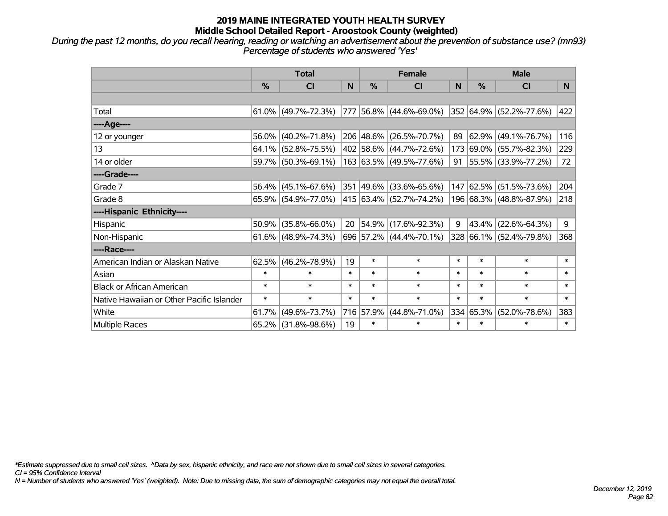*During the past 12 months, do you recall hearing, reading or watching an advertisement about the prevention of substance use? (mn93) Percentage of students who answered 'Yes'*

|                                           | <b>Total</b>  |                        |        |               | <b>Female</b>                    |        | <b>Male</b> |                         |        |  |
|-------------------------------------------|---------------|------------------------|--------|---------------|----------------------------------|--------|-------------|-------------------------|--------|--|
|                                           | $\frac{0}{0}$ | C <sub>l</sub>         | N      | $\frac{9}{6}$ | CI                               | N      | %           | <b>CI</b>               | N.     |  |
|                                           |               |                        |        |               |                                  |        |             |                         |        |  |
| Total                                     |               | $61.0\%$ (49.7%-72.3%) |        |               | 777  56.8%  (44.6%-69.0%)        |        |             | 352 64.9% (52.2%-77.6%) | 422    |  |
| ----Age----                               |               |                        |        |               |                                  |        |             |                         |        |  |
| 12 or younger                             | 56.0%         | $(40.2\% - 71.8\%)$    |        |               | 206 48.6% (26.5%-70.7%)          | 89     | 62.9%       | $(49.1\% - 76.7\%)$     | 116    |  |
| 13                                        |               | $64.1\%$ (52.8%-75.5%) |        |               | 402 58.6% (44.7%-72.6%)          |        |             | 173 69.0% (55.7%-82.3%) | 229    |  |
| 14 or older                               |               | 59.7% (50.3%-69.1%)    |        |               | 163 63.5% (49.5%-77.6%)          |        |             | 91 55.5% (33.9%-77.2%)  | 72     |  |
| ----Grade----                             |               |                        |        |               |                                  |        |             |                         |        |  |
| Grade 7                                   | 56.4%         | $(45.1\% - 67.6\%)$    |        |               | 351 49.6% (33.6%-65.6%)          |        | 147 62.5%   | $(51.5\% - 73.6\%)$     | 204    |  |
| Grade 8                                   |               | 65.9% (54.9%-77.0%)    |        |               | $ 415 63.4\%  (52.7\% - 74.2\%)$ |        |             | 196 68.3% (48.8%-87.9%) | 218    |  |
| ----Hispanic Ethnicity----                |               |                        |        |               |                                  |        |             |                         |        |  |
| Hispanic                                  | 50.9%         | $(35.8\% - 66.0\%)$    | 20     |               | $ 54.9\% $ (17.6%-92.3%)         | 9      | 43.4%       | $(22.6\% - 64.3\%)$     | 9      |  |
| Non-Hispanic                              |               | $61.6\%$ (48.9%-74.3%) |        |               | 696 57.2% (44.4%-70.1%)          |        |             | 328 66.1% (52.4%-79.8%) | 368    |  |
| ----Race----                              |               |                        |        |               |                                  |        |             |                         |        |  |
| American Indian or Alaskan Native         | 62.5%         | $(46.2\% - 78.9\%)$    | 19     | $\ast$        | $\ast$                           | $\ast$ | $\ast$      | $\ast$                  | $\ast$ |  |
| Asian                                     | $\ast$        | $\ast$                 | $\ast$ | $\ast$        | $\ast$                           | $\ast$ | $\ast$      | $\ast$                  | $\ast$ |  |
| <b>Black or African American</b>          | $\ast$        | $\ast$                 | $\ast$ | $\ast$        | $\ast$                           | $\ast$ | $\ast$      | $\ast$                  | $\ast$ |  |
| Native Hawaiian or Other Pacific Islander | $\ast$        | $\ast$                 | $\ast$ | $\ast$        | $\ast$                           | $\ast$ | $\ast$      | $\ast$                  | $\ast$ |  |
| White                                     | 61.7%         | $(49.6\% - 73.7\%)$    |        | 716 57.9%     | $(44.8\% - 71.0\%)$              | 334    | 65.3%       | $(52.0\% - 78.6\%)$     | 383    |  |
| Multiple Races                            |               | 65.2% (31.8%-98.6%)    | 19     | $\ast$        | $\ast$                           | $\ast$ | $\ast$      | *                       | $\ast$ |  |

*\*Estimate suppressed due to small cell sizes. ^Data by sex, hispanic ethnicity, and race are not shown due to small cell sizes in several categories.*

*CI = 95% Confidence Interval*

*N = Number of students who answered 'Yes' (weighted). Note: Due to missing data, the sum of demographic categories may not equal the overall total.*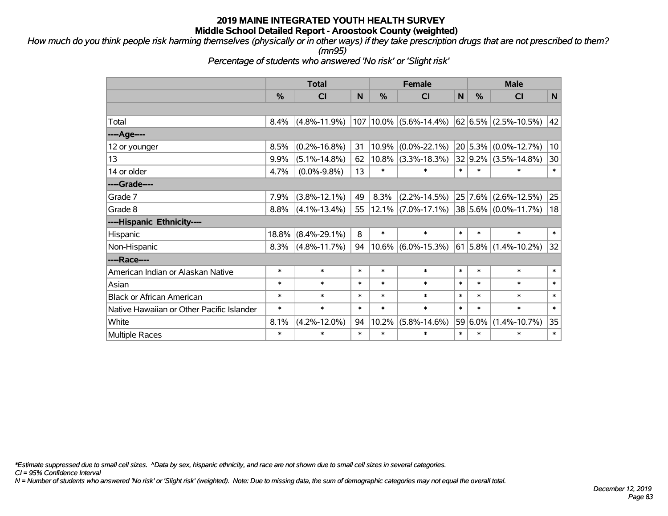*How much do you think people risk harming themselves (physically or in other ways) if they take prescription drugs that are not prescribed to them? (mn95)*

*Percentage of students who answered 'No risk' or 'Slight risk'*

|                                           |               | <b>Total</b>       |        |        | <b>Female</b>              |        |         | <b>Male</b>                                                |              |  |  |
|-------------------------------------------|---------------|--------------------|--------|--------|----------------------------|--------|---------|------------------------------------------------------------|--------------|--|--|
|                                           | $\frac{0}{0}$ | CI                 | N      | %      | <b>CI</b>                  | N      | %       | CI                                                         | $\mathsf{N}$ |  |  |
|                                           |               |                    |        |        |                            |        |         |                                                            |              |  |  |
| Total                                     | 8.4%          | $(4.8\% - 11.9\%)$ |        |        | $107 10.0\% $ (5.6%-14.4%) |        |         | $\left  62 \right  6.5\% \left  (2.5\% - 10.5\% ) \right $ | 42           |  |  |
| ----Age----                               |               |                    |        |        |                            |        |         |                                                            |              |  |  |
| 12 or younger                             | 8.5%          | $(0.2\% - 16.8\%)$ | 31     | 10.9%  | $(0.0\% - 22.1\%)$         |        | 20 5.3% | $(0.0\% - 12.7\%)$                                         | 10           |  |  |
| 13                                        | 9.9%          | $(5.1\% - 14.8\%)$ | 62     |        | $10.8\%$ (3.3%-18.3%)      |        | 32 9.2% | $(3.5\% - 14.8\%)$                                         | 30           |  |  |
| 14 or older                               | 4.7%          | $(0.0\% - 9.8\%)$  | 13     | $\ast$ | $\ast$                     | $\ast$ | $\ast$  | $\ast$                                                     | $\ast$       |  |  |
| ----Grade----                             |               |                    |        |        |                            |        |         |                                                            |              |  |  |
| Grade 7                                   | 7.9%          | $(3.8\% - 12.1\%)$ | 49     | 8.3%   | $(2.2\% - 14.5\%)$         |        | 25 7.6% | $(2.6\% - 12.5\%)$                                         | 25           |  |  |
| Grade 8                                   | 8.8%          | $(4.1\% - 13.4\%)$ | 55     |        | $12.1\%$ (7.0%-17.1%)      |        |         | $38 5.6\% $ (0.0%-11.7%)                                   | 18           |  |  |
| ----Hispanic Ethnicity----                |               |                    |        |        |                            |        |         |                                                            |              |  |  |
| Hispanic                                  | $18.8\%$      | $(8.4\% - 29.1\%)$ | 8      | $\ast$ | $\ast$                     | $\ast$ | $\ast$  | $\ast$                                                     | $\ast$       |  |  |
| Non-Hispanic                              | 8.3%          | $(4.8\% - 11.7\%)$ | 94     |        | $10.6\%$ (6.0%-15.3%)      |        |         | $61 5.8\% $ (1.4%-10.2%)                                   | 32           |  |  |
| ----Race----                              |               |                    |        |        |                            |        |         |                                                            |              |  |  |
| American Indian or Alaskan Native         | $\ast$        | $\ast$             | $\ast$ | $\ast$ | $\ast$                     | $\ast$ | $\ast$  | $\ast$                                                     | $\ast$       |  |  |
| Asian                                     | $\ast$        | $\ast$             | $\ast$ | $\ast$ | $\ast$                     | $\ast$ | $\ast$  | $\ast$                                                     | $\ast$       |  |  |
| <b>Black or African American</b>          | $\ast$        | $\ast$             | $\ast$ | $\ast$ | $\ast$                     | $\ast$ | $\ast$  | $\ast$                                                     | $\ast$       |  |  |
| Native Hawaiian or Other Pacific Islander | $\ast$        | $\ast$             | $\ast$ | $\ast$ | $\ast$                     | $\ast$ | $\ast$  | $\ast$                                                     | $\ast$       |  |  |
| White                                     | 8.1%          | $(4.2\% - 12.0\%)$ | 94     | 10.2%  | $(5.8\% - 14.6\%)$         |        | 59 6.0% | $(1.4\% - 10.7\%)$                                         | 35           |  |  |
| <b>Multiple Races</b>                     | $\ast$        | $\ast$             | $\ast$ | $\ast$ | $\ast$                     | $\ast$ | $\ast$  | $\ast$                                                     | $\ast$       |  |  |

*\*Estimate suppressed due to small cell sizes. ^Data by sex, hispanic ethnicity, and race are not shown due to small cell sizes in several categories.*

*CI = 95% Confidence Interval*

*N = Number of students who answered 'No risk' or 'Slight risk' (weighted). Note: Due to missing data, the sum of demographic categories may not equal the overall total.*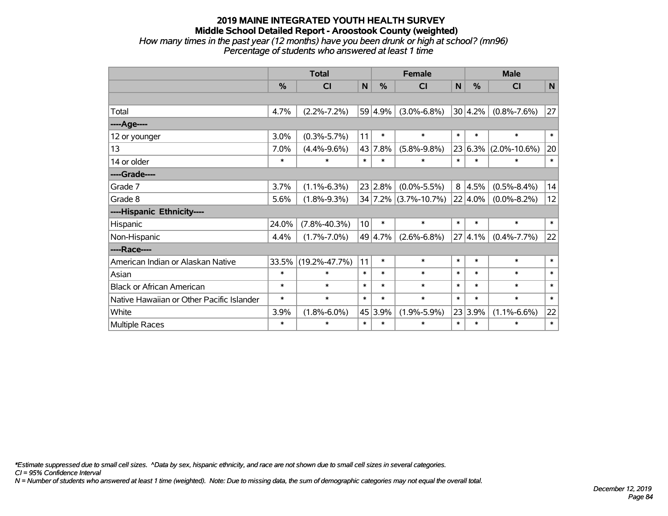# **2019 MAINE INTEGRATED YOUTH HEALTH SURVEY Middle School Detailed Report - Aroostook County (weighted)** *How many times in the past year (12 months) have you been drunk or high at school? (mn96)*

| Percentage of students who answered at least 1 time |  |
|-----------------------------------------------------|--|

|                                           | <b>Total</b> |                     |        |         | <b>Female</b>        | <b>Male</b> |         |                    |           |
|-------------------------------------------|--------------|---------------------|--------|---------|----------------------|-------------|---------|--------------------|-----------|
|                                           | $\%$         | <b>CI</b>           | N      | $\%$    | <b>CI</b>            | N           | $\%$    | <b>CI</b>          | ${\sf N}$ |
|                                           |              |                     |        |         |                      |             |         |                    |           |
| Total                                     | 4.7%         | $(2.2\% - 7.2\%)$   |        | 59 4.9% | $(3.0\% - 6.8\%)$    |             | 30 4.2% | $(0.8\% - 7.6\%)$  | 27        |
| ----Age----                               |              |                     |        |         |                      |             |         |                    |           |
| 12 or younger                             | 3.0%         | $(0.3\% - 5.7\%)$   | 11     | $\ast$  | $\ast$               | $\ast$      | $\ast$  | $\ast$             | $\ast$    |
| 13                                        | 7.0%         | $(4.4\% - 9.6\%)$   |        | 43 7.8% | $(5.8\% - 9.8\%)$    | 23          | $6.3\%$ | $(2.0\% - 10.6\%)$ | 20        |
| 14 or older                               | $\ast$       | $\ast$              | $\ast$ | $\ast$  | $\ast$               | $\ast$      | $\ast$  | $\ast$             | $\ast$    |
| ----Grade----                             |              |                     |        |         |                      |             |         |                    |           |
| Grade 7                                   | 3.7%         | $(1.1\% - 6.3\%)$   |        | 23 2.8% | $(0.0\% - 5.5\%)$    | 8           | 4.5%    | $(0.5\% - 8.4\%)$  | 14        |
| Grade 8                                   | 5.6%         | $(1.8\% - 9.3\%)$   |        |         | 34 7.2% (3.7%-10.7%) |             | 22 4.0% | $(0.0\% - 8.2\%)$  | 12        |
| ----Hispanic Ethnicity----                |              |                     |        |         |                      |             |         |                    |           |
| Hispanic                                  | 24.0%        | $(7.8\% - 40.3\%)$  | 10     | $\ast$  | $\ast$               | $\ast$      | $\ast$  | $\ast$             | $\ast$    |
| Non-Hispanic                              | 4.4%         | $(1.7\% - 7.0\%)$   |        | 49 4.7% | $(2.6\% - 6.8\%)$    | 27          | 4.1%    | $(0.4\% - 7.7\%)$  | 22        |
| ----Race----                              |              |                     |        |         |                      |             |         |                    |           |
| American Indian or Alaskan Native         | 33.5%        | $(19.2\% - 47.7\%)$ | 11     | $\ast$  | $\ast$               | $\ast$      | $\ast$  | $\ast$             | $\ast$    |
| Asian                                     | $\ast$       | $\ast$              | $\ast$ | $\ast$  | $\ast$               | $\ast$      | $\ast$  | $\ast$             | $\ast$    |
| <b>Black or African American</b>          | $\ast$       | $\ast$              | $\ast$ | $\ast$  | $\ast$               | $\ast$      | $\ast$  | $\ast$             | $\ast$    |
| Native Hawaiian or Other Pacific Islander | $\ast$       | $\ast$              | $\ast$ | $\ast$  | $\ast$               | $\ast$      | $\ast$  | $\ast$             | $\ast$    |
| White                                     | 3.9%         | $(1.8\% - 6.0\%)$   |        | 45 3.9% | $(1.9\% - 5.9\%)$    |             | 23 3.9% | $(1.1\% - 6.6\%)$  | 22        |
| Multiple Races                            | $\ast$       | $\ast$              | $\ast$ | $\ast$  | $\ast$               | $\ast$      | $\ast$  | *                  | $\ast$    |

*\*Estimate suppressed due to small cell sizes. ^Data by sex, hispanic ethnicity, and race are not shown due to small cell sizes in several categories.*

*CI = 95% Confidence Interval*

*N = Number of students who answered at least 1 time (weighted). Note: Due to missing data, the sum of demographic categories may not equal the overall total.*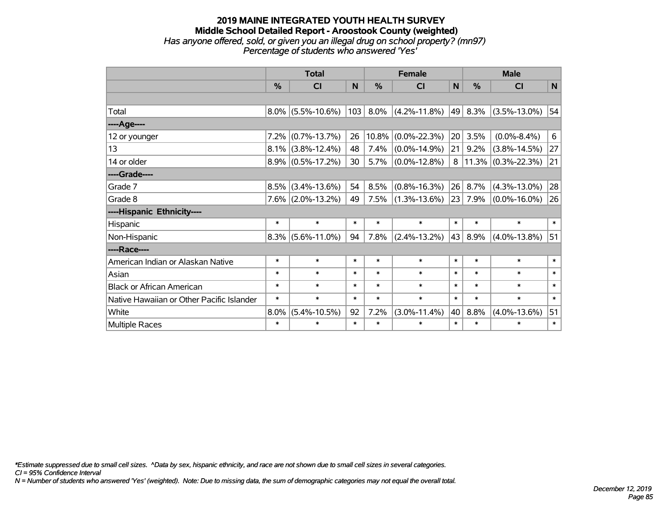### **2019 MAINE INTEGRATED YOUTH HEALTH SURVEY Middle School Detailed Report - Aroostook County (weighted)** *Has anyone offered, sold, or given you an illegal drug on school property? (mn97) Percentage of students who answered 'Yes'*

|                                           | <b>Total</b> |                      |        | <b>Female</b> | <b>Male</b>        |        |        |                       |              |
|-------------------------------------------|--------------|----------------------|--------|---------------|--------------------|--------|--------|-----------------------|--------------|
|                                           | %            | <b>CI</b>            | N      | %             | <b>CI</b>          | N      | %      | <b>CI</b>             | $\mathsf{N}$ |
|                                           |              |                      |        |               |                    |        |        |                       |              |
| Total                                     |              | $8.0\%$ (5.5%-10.6%) | 103    | $8.0\%$       | $(4.2\% - 11.8\%)$ | 49     | 8.3%   | $(3.5\% - 13.0\%)$    | 54           |
| ---- Age----                              |              |                      |        |               |                    |        |        |                       |              |
| 12 or younger                             | 7.2%         | $(0.7\% - 13.7\%)$   | 26     | $10.8\%$      | $(0.0\% - 22.3\%)$ | 20     | 3.5%   | $(0.0\% - 8.4\%)$     | 6            |
| 13                                        |              | $8.1\%$ (3.8%-12.4%) | 48     | 7.4%          | $(0.0\% - 14.9\%)$ | 21     | 9.2%   | $(3.8\% - 14.5\%)$    | 27           |
| 14 or older                               |              | $8.9\%$ (0.5%-17.2%) | 30     | 5.7%          | $(0.0\% - 12.8\%)$ | 8      |        | $11.3\%$ (0.3%-22.3%) | 21           |
| ----Grade----                             |              |                      |        |               |                    |        |        |                       |              |
| Grade 7                                   | 8.5%         | $(3.4\% - 13.6\%)$   | 54     | 8.5%          | $(0.8\% - 16.3\%)$ | 26     | 8.7%   | $(4.3\% - 13.0\%)$    | 28           |
| Grade 8                                   |              | $7.6\%$ (2.0%-13.2%) | 49     | 7.5%          | $(1.3\% - 13.6\%)$ | 23     | 7.9%   | $(0.0\% - 16.0\%)$    | 26           |
| ----Hispanic Ethnicity----                |              |                      |        |               |                    |        |        |                       |              |
| Hispanic                                  | $\ast$       | $\ast$               | $\ast$ | $\ast$        | $\ast$             | $\ast$ | $\ast$ | $\ast$                | $\ast$       |
| Non-Hispanic                              | $8.3\%$      | $(5.6\% - 11.0\%)$   | 94     | 7.8%          | $(2.4\% - 13.2\%)$ | 43     | 8.9%   | $(4.0\% - 13.8\%)$    | 51           |
| ----Race----                              |              |                      |        |               |                    |        |        |                       |              |
| American Indian or Alaskan Native         | $\ast$       | $\ast$               | $\ast$ | $\ast$        | $\ast$             | $\ast$ | $\ast$ | $\ast$                | $\ast$       |
| Asian                                     | $\ast$       | $\ast$               | $\ast$ | $\ast$        | $\ast$             | $\ast$ | $\ast$ | $\ast$                | $\ast$       |
| <b>Black or African American</b>          | $\ast$       | $\ast$               | $\ast$ | $\ast$        | $\ast$             | $\ast$ | $\ast$ | $\ast$                | $\ast$       |
| Native Hawaiian or Other Pacific Islander | $\ast$       | $\ast$               | $\ast$ | $\ast$        | $\ast$             | $\ast$ | $\ast$ | $\ast$                | $\ast$       |
| White                                     | 8.0%         | $(5.4\% - 10.5\%)$   | 92     | 7.2%          | $(3.0\% - 11.4\%)$ | 40     | 8.8%   | $(4.0\% - 13.6\%)$    | 51           |
| <b>Multiple Races</b>                     | $\ast$       | $\ast$               | $\ast$ | $\ast$        | $\ast$             | $\ast$ | $\ast$ | $\ast$                | $\ast$       |

*\*Estimate suppressed due to small cell sizes. ^Data by sex, hispanic ethnicity, and race are not shown due to small cell sizes in several categories.*

*CI = 95% Confidence Interval*

*N = Number of students who answered 'Yes' (weighted). Note: Due to missing data, the sum of demographic categories may not equal the overall total.*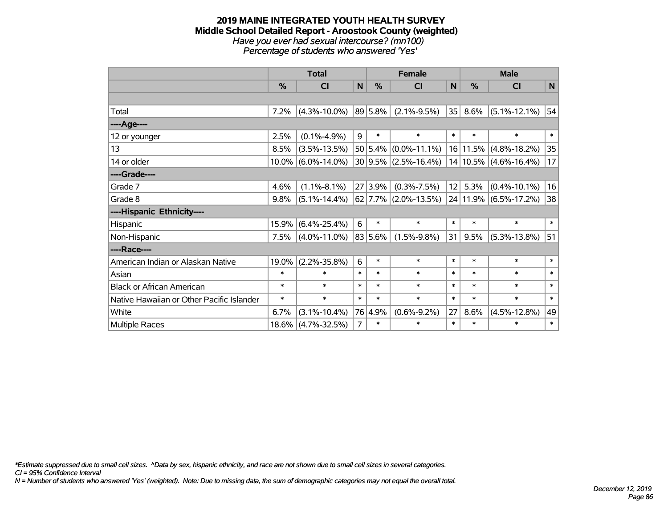#### **2019 MAINE INTEGRATED YOUTH HEALTH SURVEY Middle School Detailed Report - Aroostook County (weighted)** *Have you ever had sexual intercourse? (mn100) Percentage of students who answered 'Yes'*

|                                           | <b>Total</b> |                       |                |              | <b>Female</b>              |        | <b>Male</b> |                           |        |  |
|-------------------------------------------|--------------|-----------------------|----------------|--------------|----------------------------|--------|-------------|---------------------------|--------|--|
|                                           | %            | CI                    | N              | $\%$         | <b>CI</b>                  | N      | $\%$        | <b>CI</b>                 | N      |  |
|                                           |              |                       |                |              |                            |        |             |                           |        |  |
| Total                                     | 7.2%         | $(4.3\% - 10.0\%)$    |                | $ 89 5.8\% $ | $(2.1\% - 9.5\%)$          | 35     | $8.6\%$     | $(5.1\% - 12.1\%)$        | 54     |  |
| ----Age----                               |              |                       |                |              |                            |        |             |                           |        |  |
| 12 or younger                             | 2.5%         | $(0.1\% - 4.9\%)$     | 9              | $\ast$       | $\ast$                     | $\ast$ | $\ast$      | $\ast$                    | $\ast$ |  |
| 13                                        | 8.5%         | $(3.5\% - 13.5\%)$    |                |              | $50 5.4\% $ (0.0%-11.1%)   |        |             | 16 11.5% (4.8%-18.2%)     | 35     |  |
| 14 or older                               |              | $10.0\%$ (6.0%-14.0%) |                |              | $30 9.5\% $ (2.5%-16.4%)   |        |             | $14 10.5\% $ (4.6%-16.4%) | 17     |  |
| ----Grade----                             |              |                       |                |              |                            |        |             |                           |        |  |
| Grade 7                                   | 4.6%         | $(1.1\% - 8.1\%)$     |                | 27 3.9%      | $(0.3\% - 7.5\%)$          | 12     | 5.3%        | $(0.4\% - 10.1\%)$        | 16     |  |
| Grade 8                                   | 9.8%         | $(5.1\% - 14.4\%)$    |                |              | $62$   7.7%   (2.0%-13.5%) |        |             | 24 11.9% (6.5%-17.2%)     | 38     |  |
| ----Hispanic Ethnicity----                |              |                       |                |              |                            |        |             |                           |        |  |
| Hispanic                                  | 15.9%        | $(6.4\% - 25.4\%)$    | 6              | $\ast$       | $\ast$                     | $\ast$ | $\ast$      | $\ast$                    | $\ast$ |  |
| Non-Hispanic                              | 7.5%         | $(4.0\% - 11.0\%)$    |                | $ 83 5.6\% $ | $(1.5\% - 9.8\%)$          | 31     | 9.5%        | $(5.3\% - 13.8\%)$        | 51     |  |
| ----Race----                              |              |                       |                |              |                            |        |             |                           |        |  |
| American Indian or Alaskan Native         | 19.0%        | $(2.2\% - 35.8\%)$    | 6              | $\ast$       | $\ast$                     | $\ast$ | $\ast$      | $\ast$                    | $\ast$ |  |
| Asian                                     | $\ast$       | $\ast$                | $\ast$         | $\ast$       | $\ast$                     | $\ast$ | $\ast$      | $\ast$                    | $\ast$ |  |
| <b>Black or African American</b>          | $\ast$       | $\ast$                | $\ast$         | $\ast$       | $\ast$                     | $\ast$ | $\ast$      | $\ast$                    | $\ast$ |  |
| Native Hawaiian or Other Pacific Islander | $\ast$       | $\ast$                | $\ast$         | $\ast$       | $\ast$                     | $\ast$ | $\ast$      | $\ast$                    | $\ast$ |  |
| White                                     | 6.7%         | $(3.1\% - 10.4\%)$    |                | 76 4.9%      | $(0.6\% - 9.2\%)$          | 27     | 8.6%        | $(4.5\% - 12.8\%)$        | 49     |  |
| Multiple Races                            | 18.6%        | $(4.7\% - 32.5\%)$    | $\overline{7}$ | $\ast$       | $\ast$                     | $\ast$ | $\ast$      | $\ast$                    | $\ast$ |  |

*\*Estimate suppressed due to small cell sizes. ^Data by sex, hispanic ethnicity, and race are not shown due to small cell sizes in several categories.*

*CI = 95% Confidence Interval*

*N = Number of students who answered 'Yes' (weighted). Note: Due to missing data, the sum of demographic categories may not equal the overall total.*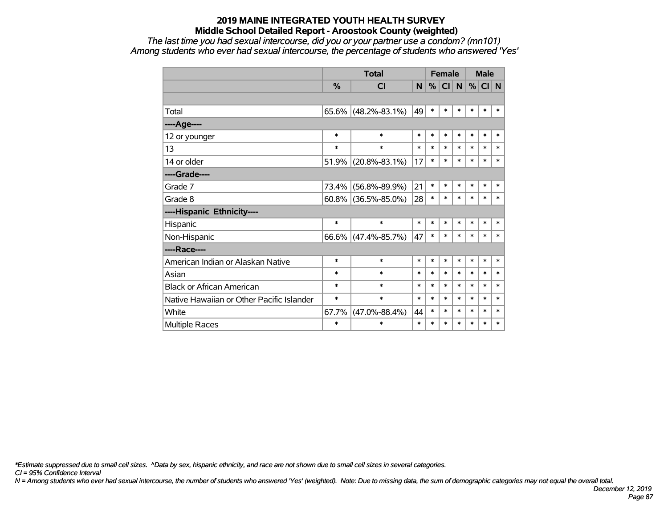*The last time you had sexual intercourse, did you or your partner use a condom? (mn101) Among students who ever had sexual intercourse, the percentage of students who answered 'Yes'*

|                                           |          | <b>Total</b>        |        | <b>Female</b> |        |        | <b>Male</b> |        |        |
|-------------------------------------------|----------|---------------------|--------|---------------|--------|--------|-------------|--------|--------|
|                                           | %        | <b>CI</b>           | N      | %             | CI     | N      | %           | CI N   |        |
|                                           |          |                     |        |               |        |        |             |        |        |
| Total                                     | $65.6\%$ | $(48.2\% - 83.1\%)$ | 49     | $\ast$        | $\ast$ | $\ast$ | $\ast$      | $\ast$ | $\ast$ |
| ----Age----                               |          |                     |        |               |        |        |             |        |        |
| 12 or younger                             | $\ast$   | $\ast$              | $\ast$ | $\ast$        | $\ast$ | $\ast$ | $\ast$      | $\ast$ | $\ast$ |
| 13                                        | $\ast$   | $\ast$              | $\ast$ | $\ast$        | $\ast$ | $\ast$ | $\ast$      | $\ast$ | $\ast$ |
| 14 or older                               | 51.9%    | $(20.8\% - 83.1\%)$ | 17     | $\ast$        | $\ast$ | $\ast$ | $\ast$      | $\ast$ | $\ast$ |
| ----Grade----                             |          |                     |        |               |        |        |             |        |        |
| Grade 7                                   | 73.4%    | $(56.8\% - 89.9\%)$ | 21     | $\ast$        | $\ast$ | $\ast$ | $\ast$      | $\ast$ | $\ast$ |
| Grade 8                                   | $60.8\%$ | $(36.5\% - 85.0\%)$ | 28     | $\ast$        | $\ast$ | $\ast$ | *           | $\ast$ | $\ast$ |
| ----Hispanic Ethnicity----                |          |                     |        |               |        |        |             |        |        |
| Hispanic                                  | $\ast$   | $\ast$              | $\ast$ | $\ast$        | $\ast$ | $\ast$ | *           | $\ast$ | $\ast$ |
| Non-Hispanic                              | $66.6\%$ | $(47.4\% - 85.7\%)$ | 47     | $\ast$        | $\ast$ | $\ast$ | *           | $\ast$ | $\ast$ |
| ----Race----                              |          |                     |        |               |        |        |             |        |        |
| American Indian or Alaskan Native         | $\ast$   | $\ast$              | $\ast$ | $\ast$        | $\ast$ | $\ast$ | $\ast$      | $\ast$ | $\ast$ |
| Asian                                     | $\ast$   | $\ast$              | $\ast$ | $\ast$        | $\ast$ | $\ast$ | $\ast$      | $\ast$ | $\ast$ |
| <b>Black or African American</b>          | $\ast$   | $\ast$              | $\ast$ | $\ast$        | $\ast$ | $\ast$ | $\ast$      | $\ast$ | $\ast$ |
| Native Hawaiian or Other Pacific Islander | $\ast$   | $\ast$              | $\ast$ | $\ast$        | $\ast$ | $\ast$ | $\ast$      | $\ast$ | $\ast$ |
| White                                     | 67.7%    | $(47.0\% - 88.4\%)$ | 44     | $\ast$        | $\ast$ | $\ast$ | $\ast$      | $\ast$ | $\ast$ |
| <b>Multiple Races</b>                     | $\ast$   | $\ast$              | $\ast$ | $\ast$        | $\ast$ | $\ast$ | $\ast$      | $\ast$ | $\ast$ |

*\*Estimate suppressed due to small cell sizes. ^Data by sex, hispanic ethnicity, and race are not shown due to small cell sizes in several categories.*

*CI = 95% Confidence Interval*

*N = Among students who ever had sexual intercourse, the number of students who answered 'Yes' (weighted). Note: Due to missing data, the sum of demographic categories may not equal the overall total.*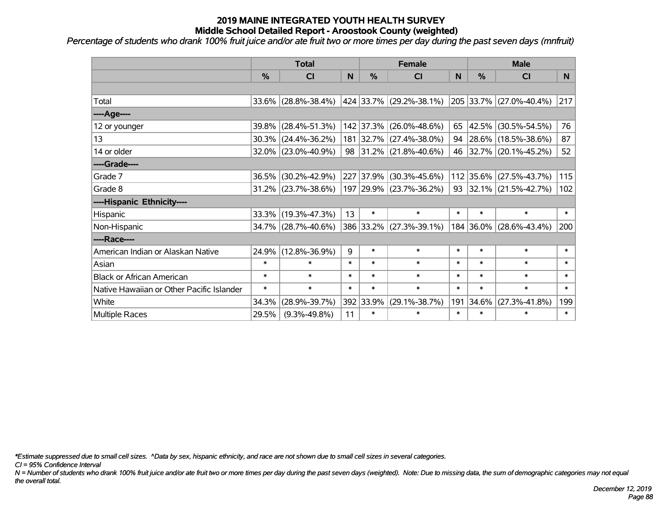*Percentage of students who drank 100% fruit juice and/or ate fruit two or more times per day during the past seven days (mnfruit)*

|                                           | <b>Total</b>  |                        |        | <b>Female</b> | <b>Male</b>             |        |           |                              |          |
|-------------------------------------------|---------------|------------------------|--------|---------------|-------------------------|--------|-----------|------------------------------|----------|
|                                           | $\frac{0}{6}$ | C <sub>l</sub>         | N      | $\frac{9}{6}$ | CI                      | N      | %         | <b>CI</b>                    | <b>N</b> |
|                                           |               |                        |        |               |                         |        |           |                              |          |
| Total                                     |               | 33.6% (28.8%-38.4%)    |        |               | 424 33.7% (29.2%-38.1%) |        |           | 205 33.7% (27.0%-40.4%)      | 217      |
| ----Age----                               |               |                        |        |               |                         |        |           |                              |          |
| 12 or younger                             | 39.8%         | $(28.4\% - 51.3\%)$    |        |               | 142 37.3% (26.0%-48.6%) | 65     | 42.5%     | $(30.5\% - 54.5\%)$          | 76       |
| 13                                        | 30.3%         | $(24.4\% - 36.2\%)$    |        |               | 181 32.7% (27.4%-38.0%) |        |           | 94 28.6% (18.5%-38.6%)       | 87       |
| 14 or older                               |               | 32.0% (23.0%-40.9%)    |        |               | 98 31.2% (21.8%-40.6%)  |        |           | 46 32.7% (20.1%-45.2%)       | 52       |
| ----Grade----                             |               |                        |        |               |                         |        |           |                              |          |
| Grade 7                                   | 36.5%         | $(30.2\% - 42.9\%)$    |        | 227 37.9%     | $(30.3\% - 45.6\%)$     |        | 112 35.6% | $(27.5\% - 43.7\%)$          | 115      |
| Grade 8                                   |               | $31.2\%$ (23.7%-38.6%) |        |               | 197 29.9% (23.7%-36.2%) |        |           | 93 32.1% $(21.5\% - 42.7\%)$ | 102      |
| ----Hispanic Ethnicity----                |               |                        |        |               |                         |        |           |                              |          |
| Hispanic                                  | 33.3%         | $(19.3\% - 47.3\%)$    | 13     | $\ast$        | $\ast$                  | $\ast$ | $\ast$    | $\ast$                       | $\ast$   |
| Non-Hispanic                              |               | 34.7% (28.7%-40.6%)    |        |               | 386 33.2% (27.3%-39.1%) |        | 184 36.0% | $(28.6\% - 43.4\%)$          | 200      |
| ----Race----                              |               |                        |        |               |                         |        |           |                              |          |
| American Indian or Alaskan Native         | 24.9%         | $(12.8\% - 36.9\%)$    | 9      | $\ast$        | $\ast$                  | $\ast$ | $\ast$    | $\ast$                       | $\ast$   |
| Asian                                     | $\ast$        | $\ast$                 | $\ast$ | $\ast$        | $\ast$                  | $\ast$ | $\ast$    | $\ast$                       | $\ast$   |
| <b>Black or African American</b>          | $\ast$        | $\ast$                 | $\ast$ | $\ast$        | $\ast$                  | $\ast$ | $\ast$    | $\ast$                       | $\ast$   |
| Native Hawaiian or Other Pacific Islander | $\ast$        | $\ast$                 | $\ast$ | $\ast$        | $\ast$                  | $\ast$ | $\ast$    | $\ast$                       | $\ast$   |
| White                                     | 34.3%         | $(28.9\% - 39.7\%)$    |        | 392 33.9%     | $(29.1\% - 38.7\%)$     | 191    | 34.6%     | $(27.3\% - 41.8\%)$          | 199      |
| Multiple Races                            | 29.5%         | $(9.3\% - 49.8\%)$     | 11     | $\ast$        | $\ast$                  | $\ast$ | $\ast$    | $\ast$                       | $\ast$   |

*\*Estimate suppressed due to small cell sizes. ^Data by sex, hispanic ethnicity, and race are not shown due to small cell sizes in several categories.*

*CI = 95% Confidence Interval*

*N = Number of students who drank 100% fruit juice and/or ate fruit two or more times per day during the past seven days (weighted). Note: Due to missing data, the sum of demographic categories may not equal the overall total.*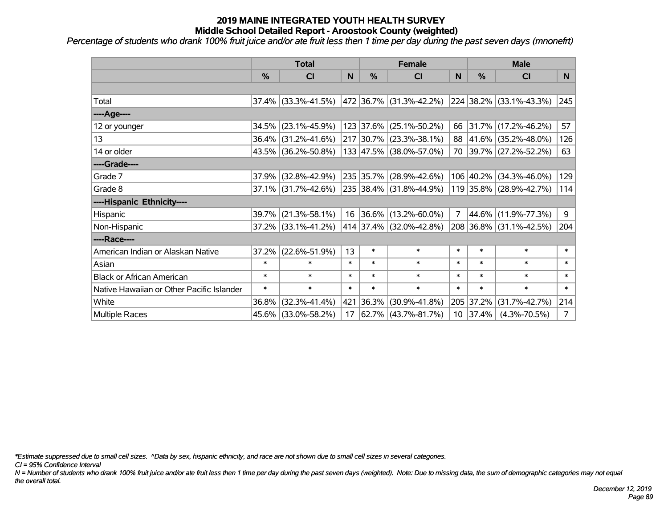*Percentage of students who drank 100% fruit juice and/or ate fruit less then 1 time per day during the past seven days (mnonefrt)*

|                                           | <b>Total</b>  |                                                |        | <b>Female</b> | <b>Male</b>                 |        |            |                         |              |
|-------------------------------------------|---------------|------------------------------------------------|--------|---------------|-----------------------------|--------|------------|-------------------------|--------------|
|                                           | $\frac{0}{0}$ | CI                                             | N      | $\frac{9}{6}$ | CI                          | N      | %          | <b>CI</b>               | <b>N</b>     |
|                                           |               |                                                |        |               |                             |        |            |                         |              |
| Total                                     |               | $37.4\%$ (33.3%-41.5%)                         |        |               | 472   36.7%   (31.3%-42.2%) |        |            | 224 38.2% (33.1%-43.3%) | 245          |
| ----Age----                               |               |                                                |        |               |                             |        |            |                         |              |
| 12 or younger                             | 34.5%         | $(23.1\% - 45.9\%)$                            |        |               | 123 37.6% (25.1%-50.2%)     |        | 66 31.7%   | $(17.2\% - 46.2\%)$     | 57           |
| 13                                        |               | 36.4% (31.2%-41.6%)                            |        |               | 217 30.7% (23.3%-38.1%)     |        |            | 88 41.6% (35.2%-48.0%)  | 126          |
| 14 or older                               |               | 43.5% (36.2%-50.8%)                            |        |               | 133 47.5% (38.0%-57.0%)     |        |            | 70 39.7% (27.2%-52.2%)  | 63           |
| ----Grade----                             |               |                                                |        |               |                             |        |            |                         |              |
| Grade 7                                   | 37.9%         | $(32.8\% - 42.9\%)$                            |        |               | 235 35.7% (28.9%-42.6%)     |        | 106 40.2%  | $(34.3\% - 46.0\%)$     | 129          |
| Grade 8                                   |               | $37.1\%$ (31.7%-42.6%) 235 38.4% (31.8%-44.9%) |        |               |                             |        |            | 119 35.8% (28.9%-42.7%) | 114          |
| ----Hispanic Ethnicity----                |               |                                                |        |               |                             |        |            |                         |              |
| Hispanic                                  | 39.7%         | $(21.3\% - 58.1\%)$                            |        |               | 16 36.6% (13.2%-60.0%)      | 7      | 44.6%      | $(11.9\% - 77.3\%)$     | 9            |
| Non-Hispanic                              |               | 37.2% (33.1%-41.2%)                            |        |               | 414 37.4% (32.0%-42.8%)     |        |            | 208 36.8% (31.1%-42.5%) | 204          |
| ----Race----                              |               |                                                |        |               |                             |        |            |                         |              |
| American Indian or Alaskan Native         | 37.2%         | $(22.6\% - 51.9\%)$                            | 13     | $\ast$        | $\ast$                      | $\ast$ | $\ast$     | $\ast$                  | $\ast$       |
| Asian                                     | $\ast$        | $\ast$                                         | $\ast$ | $\ast$        | $\ast$                      | $\ast$ | $\ast$     | $\ast$                  | $\ast$       |
| <b>Black or African American</b>          | $\ast$        | $\ast$                                         | $\ast$ | $\ast$        | $\ast$                      | $\ast$ | $\ast$     | $\ast$                  | $\ast$       |
| Native Hawaiian or Other Pacific Islander | $\ast$        | $\ast$                                         | $\ast$ | $\ast$        | $\ast$                      | $\ast$ | $\ast$     | $\ast$                  | $\pmb{\ast}$ |
| White                                     | 36.8%         | $(32.3\% - 41.4\%)$                            | 421    | 36.3%         | $(30.9\% - 41.8\%)$         | 205    | 37.2%      | $(31.7\% - 42.7\%)$     | 214          |
| Multiple Races                            |               | 45.6% (33.0%-58.2%)                            | 17     |               | 62.7%   (43.7%-81.7%)       |        | $10$ 37.4% | $(4.3\% - 70.5\%)$      | 7            |

*\*Estimate suppressed due to small cell sizes. ^Data by sex, hispanic ethnicity, and race are not shown due to small cell sizes in several categories.*

*CI = 95% Confidence Interval*

*N = Number of students who drank 100% fruit juice and/or ate fruit less then 1 time per day during the past seven days (weighted). Note: Due to missing data, the sum of demographic categories may not equal the overall total.*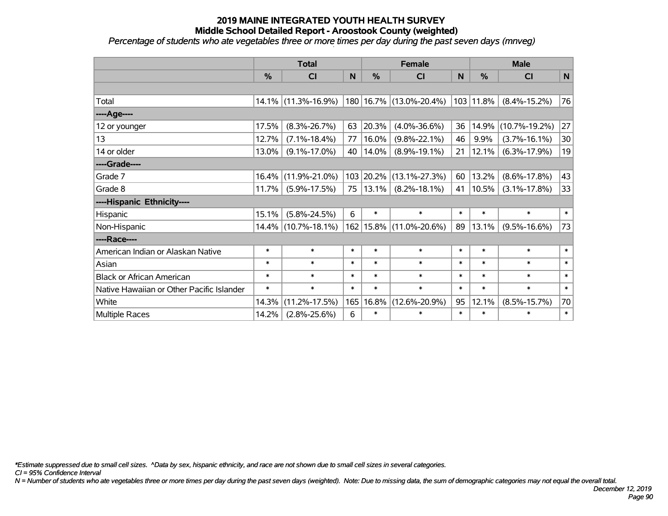*Percentage of students who ate vegetables three or more times per day during the past seven days (mnveg)*

|                                           | <b>Total</b> |                     |        |               | <b>Female</b>           | <b>Male</b> |               |                     |        |
|-------------------------------------------|--------------|---------------------|--------|---------------|-------------------------|-------------|---------------|---------------------|--------|
|                                           | %            | CI                  | N      | $\frac{9}{6}$ | <b>CI</b>               | N           | $\frac{0}{0}$ | <b>CI</b>           | N      |
|                                           |              |                     |        |               |                         |             |               |                     |        |
| Total                                     | 14.1%        | $(11.3\% - 16.9\%)$ |        |               | 180 16.7% (13.0%-20.4%) |             | 103 11.8%     | $(8.4\% - 15.2\%)$  | 76     |
| ----Age----                               |              |                     |        |               |                         |             |               |                     |        |
| 12 or younger                             | 17.5%        | $(8.3\% - 26.7\%)$  | 63     | 20.3%         | $(4.0\% - 36.6\%)$      | 36          | 14.9%         | $(10.7\% - 19.2\%)$ | 27     |
| 13                                        | 12.7%        | $(7.1\% - 18.4\%)$  | 77     | 16.0%         | $(9.8\% - 22.1\%)$      | 46          | 9.9%          | $(3.7\% - 16.1\%)$  | 30     |
| 14 or older                               | 13.0%        | $(9.1\% - 17.0\%)$  | 40     | 14.0%         | $(8.9\% - 19.1\%)$      | 21          | 12.1%         | $(6.3\% - 17.9\%)$  | 19     |
| ----Grade----                             |              |                     |        |               |                         |             |               |                     |        |
| Grade 7                                   | 16.4%        | $(11.9\% - 21.0\%)$ |        | 103 20.2%     | $(13.1\% - 27.3\%)$     | 60          | 13.2%         | $(8.6\% - 17.8\%)$  | 43     |
| Grade 8                                   | 11.7%        | $(5.9\% - 17.5\%)$  | 75     | 13.1%         | $(8.2\% - 18.1\%)$      | 41          | 10.5%         | $(3.1\% - 17.8\%)$  | 33     |
| ----Hispanic Ethnicity----                |              |                     |        |               |                         |             |               |                     |        |
| Hispanic                                  | 15.1%        | $(5.8\% - 24.5\%)$  | 6      | $\ast$        | $\ast$                  | $\ast$      | $\ast$        | $\ast$              | $\ast$ |
| Non-Hispanic                              | 14.4%        | $(10.7\% - 18.1\%)$ |        | 162 15.8%     | $(11.0\% - 20.6\%)$     | 89          | 13.1%         | $(9.5\% - 16.6\%)$  | 73     |
| ----Race----                              |              |                     |        |               |                         |             |               |                     |        |
| American Indian or Alaskan Native         | $\ast$       | $\ast$              | $\ast$ | $\ast$        | $\ast$                  | $\ast$      | $\ast$        | $\ast$              | $\ast$ |
| Asian                                     | $\ast$       | $\ast$              | $\ast$ | $\ast$        | $\ast$                  | $\ast$      | $\ast$        | $\ast$              | $\ast$ |
| <b>Black or African American</b>          | $\ast$       | $\ast$              | $\ast$ | $\ast$        | $\ast$                  | $\ast$      | $\ast$        | $\ast$              | $\ast$ |
| Native Hawaiian or Other Pacific Islander | $\ast$       | $\ast$              | $\ast$ | $\ast$        | $\ast$                  | $\ast$      | $\ast$        | $\ast$              | $\ast$ |
| White                                     | 14.3%        | $(11.2\% - 17.5\%)$ | 165    | 16.8%         | $(12.6\% - 20.9\%)$     | 95          | 12.1%         | $(8.5\% - 15.7\%)$  | 70     |
| Multiple Races                            | 14.2%        | $(2.8\% - 25.6\%)$  | 6      | $\ast$        | $\ast$                  | $\ast$      | $\ast$        | $\ast$              | $\ast$ |

*\*Estimate suppressed due to small cell sizes. ^Data by sex, hispanic ethnicity, and race are not shown due to small cell sizes in several categories.*

*CI = 95% Confidence Interval*

*N = Number of students who ate vegetables three or more times per day during the past seven days (weighted). Note: Due to missing data, the sum of demographic categories may not equal the overall total.*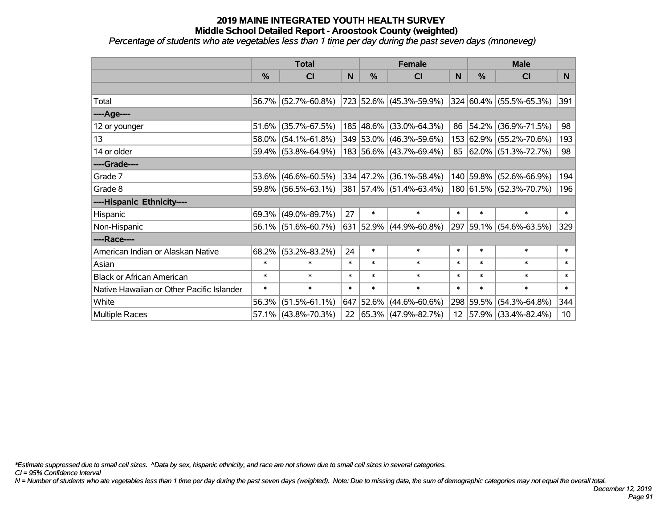*Percentage of students who ate vegetables less than 1 time per day during the past seven days (mnoneveg)*

|                                           | <b>Total</b> |                        |        | <b>Female</b> | <b>Male</b>             |              |           |                         |        |
|-------------------------------------------|--------------|------------------------|--------|---------------|-------------------------|--------------|-----------|-------------------------|--------|
|                                           | $\%$         | <b>CI</b>              | N      | %             | <b>CI</b>               | <sub>N</sub> | %         | <b>CI</b>               | N.     |
|                                           |              |                        |        |               |                         |              |           |                         |        |
| Total                                     |              | 56.7% (52.7%-60.8%)    |        |               | 723 52.6% (45.3%-59.9%) |              |           | 324 60.4% (55.5%-65.3%) | 391    |
| ----Age----                               |              |                        |        |               |                         |              |           |                         |        |
| 12 or younger                             | 51.6%        | $(35.7\% - 67.5\%)$    |        |               | 185 48.6% (33.0%-64.3%) | 86           | 54.2%     | $(36.9\% - 71.5\%)$     | 98     |
| 13                                        |              | 58.0% (54.1%-61.8%)    |        |               | 349 53.0% (46.3%-59.6%) |              |           | 153 62.9% (55.2%-70.6%) | 193    |
| 14 or older                               |              | 59.4% (53.8%-64.9%)    |        |               | 183 56.6% (43.7%-69.4%) |              |           | 85 62.0% (51.3%-72.7%)  | 98     |
| ----Grade----                             |              |                        |        |               |                         |              |           |                         |        |
| Grade 7                                   | 53.6%        | $(46.6\% - 60.5\%)$    |        | 334 47.2%     | $(36.1\% - 58.4\%)$     |              | 140 59.8% | $(52.6\% - 66.9\%)$     | 194    |
| Grade 8                                   |              | 59.8% (56.5%-63.1%)    |        |               | 381 57.4% (51.4%-63.4%) |              |           | 180 61.5% (52.3%-70.7%) | 196    |
| ----Hispanic Ethnicity----                |              |                        |        |               |                         |              |           |                         |        |
| Hispanic                                  | 69.3%        | $(49.0\% - 89.7\%)$    | 27     | $\ast$        | $\ast$                  | $\ast$       | $\ast$    | $\ast$                  | $\ast$ |
| Non-Hispanic                              |              | $56.1\%$ (51.6%-60.7%) |        |               | 631 52.9% (44.9%-60.8%) |              |           | 297 59.1% (54.6%-63.5%) | 329    |
| ----Race----                              |              |                        |        |               |                         |              |           |                         |        |
| American Indian or Alaskan Native         | 68.2%        | $(53.2\% - 83.2\%)$    | 24     | $\ast$        | $\ast$                  | $\ast$       | $\ast$    | $\ast$                  | $\ast$ |
| Asian                                     | $\ast$       | $\ast$                 | $\ast$ | $\ast$        | $\ast$                  | $\ast$       | $\ast$    | $\ast$                  | $\ast$ |
| <b>Black or African American</b>          | $\ast$       | $\ast$                 | $\ast$ | $\ast$        | $\ast$                  | $\ast$       | $\ast$    | $\ast$                  | $\ast$ |
| Native Hawaiian or Other Pacific Islander | $\ast$       | $\ast$                 | $\ast$ | $\ast$        | $\ast$                  | $\ast$       | $\ast$    | $\ast$                  | $\ast$ |
| White                                     | 56.3%        | $(51.5\% - 61.1\%)$    |        | 647 52.6%     | $(44.6\% - 60.6\%)$     |              | 298 59.5% | $(54.3\% - 64.8\%)$     | 344    |
| <b>Multiple Races</b>                     |              | $57.1\%$ (43.8%-70.3%) |        |               | 22 65.3% (47.9%-82.7%)  |              |           | 12 57.9% (33.4%-82.4%)  | 10     |

*\*Estimate suppressed due to small cell sizes. ^Data by sex, hispanic ethnicity, and race are not shown due to small cell sizes in several categories.*

*CI = 95% Confidence Interval*

*N = Number of students who ate vegetables less than 1 time per day during the past seven days (weighted). Note: Due to missing data, the sum of demographic categories may not equal the overall total.*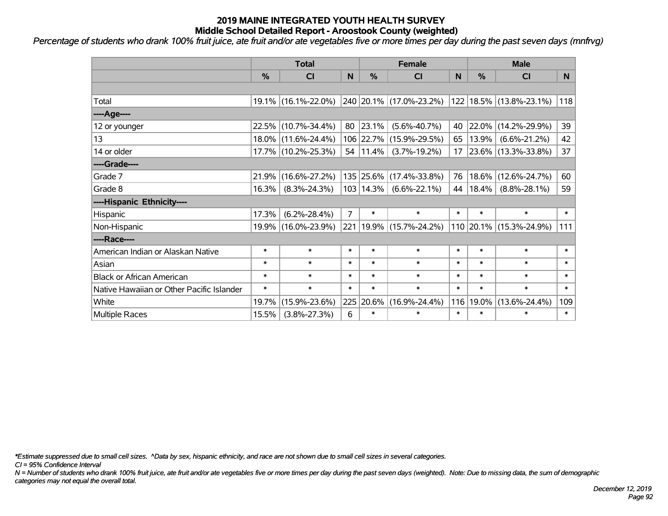*Percentage of students who drank 100% fruit juice, ate fruit and/or ate vegetables five or more times per day during the past seven days (mnfrvg)*

|                                           | <b>Total</b>  |                     |                |               | <b>Female</b>               | <b>Male</b> |               |                          |        |
|-------------------------------------------|---------------|---------------------|----------------|---------------|-----------------------------|-------------|---------------|--------------------------|--------|
|                                           | $\frac{0}{0}$ | C <sub>l</sub>      | N              | $\frac{0}{0}$ | <b>CI</b>                   | N           | $\frac{0}{0}$ | <b>CI</b>                | N      |
|                                           |               |                     |                |               |                             |             |               |                          |        |
| Total                                     |               | 19.1% (16.1%-22.0%) |                |               | 240 20.1% (17.0%-23.2%)     |             |               | 122 18.5% (13.8%-23.1%)  | 118    |
| ----Age----                               |               |                     |                |               |                             |             |               |                          |        |
| 12 or younger                             |               | 22.5% (10.7%-34.4%) | 80             | 23.1%         | $(5.6\% - 40.7\%)$          | 40          | 22.0%         | $(14.2\% - 29.9\%)$      | 39     |
| 13                                        |               | 18.0% (11.6%-24.4%) |                | 106 22.7%     | $(15.9\% - 29.5\%)$         | 65          | 13.9%         | $(6.6\% - 21.2\%)$       | 42     |
| 14 or older                               |               | 17.7% (10.2%-25.3%) |                | 54   11.4%    | $(3.7\% - 19.2\%)$          | 17          |               | $ 23.6\% $ (13.3%-33.8%) | 37     |
| ----Grade----                             |               |                     |                |               |                             |             |               |                          |        |
| Grade 7                                   | 21.9%         | $(16.6\% - 27.2\%)$ |                | 135 25.6%     | $(17.4\% - 33.8\%)$         | 76          | 18.6%         | $(12.6\% - 24.7\%)$      | 60     |
| Grade 8                                   | 16.3%         | $(8.3\% - 24.3\%)$  |                | 103   14.3%   | $(6.6\% - 22.1\%)$          | 44          | $18.4\%$      | $(8.8\% - 28.1\%)$       | 59     |
| ----Hispanic Ethnicity----                |               |                     |                |               |                             |             |               |                          |        |
| Hispanic                                  | 17.3%         | $(6.2\% - 28.4\%)$  | $\overline{7}$ | $\ast$        | $\ast$                      | $\ast$      | $\ast$        | $\ast$                   | $\ast$ |
| Non-Hispanic                              |               | 19.9% (16.0%-23.9%) |                |               | 221   19.9%   (15.7%-24.2%) |             |               | 110 20.1% (15.3%-24.9%)  | 111    |
| ----Race----                              |               |                     |                |               |                             |             |               |                          |        |
| American Indian or Alaskan Native         | $\ast$        | $\ast$              | $\ast$         | $\ast$        | $\ast$                      | $\ast$      | $\ast$        | $\ast$                   | $\ast$ |
| Asian                                     | $\ast$        | $\ast$              | $\ast$         | $\ast$        | $\ast$                      | $\ast$      | $\ast$        | $\ast$                   | $\ast$ |
| <b>Black or African American</b>          | $\ast$        | $\ast$              | $\ast$         | $\ast$        | $\ast$                      | $\ast$      | $\ast$        | $\ast$                   | $\ast$ |
| Native Hawaiian or Other Pacific Islander | $\ast$        | $\ast$              | $\ast$         | $\ast$        | $\ast$                      | $\ast$      | $\ast$        | $\ast$                   | $\ast$ |
| White                                     | 19.7%         | $(15.9\% - 23.6\%)$ | 225            | 20.6%         | $(16.9\% - 24.4\%)$         | 116         | 19.0%         | $(13.6\% - 24.4\%)$      | 109    |
| <b>Multiple Races</b>                     | 15.5%         | $(3.8\% - 27.3\%)$  | 6              | $\ast$        | $\ast$                      | $\ast$      | $\ast$        | $\ast$                   | $\ast$ |

*\*Estimate suppressed due to small cell sizes. ^Data by sex, hispanic ethnicity, and race are not shown due to small cell sizes in several categories.*

*CI = 95% Confidence Interval*

*N = Number of students who drank 100% fruit juice, ate fruit and/or ate vegetables five or more times per day during the past seven days (weighted). Note: Due to missing data, the sum of demographic categories may not equal the overall total.*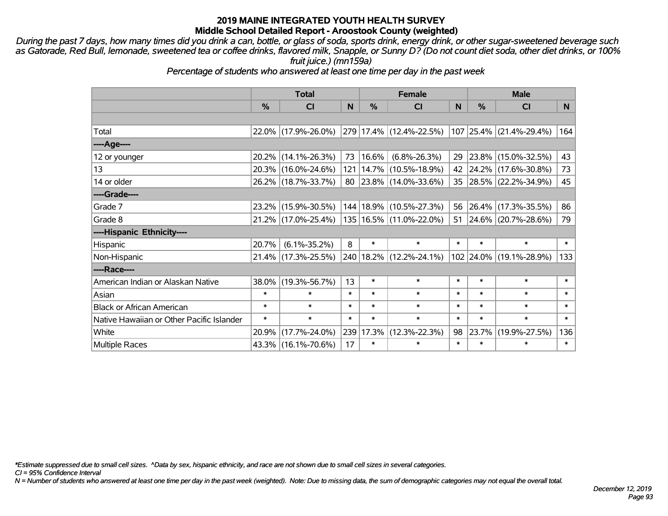*During the past 7 days, how many times did you drink a can, bottle, or glass of soda, sports drink, energy drink, or other sugar-sweetened beverage such as Gatorade, Red Bull, lemonade, sweetened tea or coffee drinks, flavored milk, Snapple, or Sunny D? (Do not count diet soda, other diet drinks, or 100% fruit juice.) (mn159a)*

*Percentage of students who answered at least one time per day in the past week*

|                                           | <b>Total</b> |                     |        | <b>Female</b> | <b>Male</b>                      |        |           |                         |        |
|-------------------------------------------|--------------|---------------------|--------|---------------|----------------------------------|--------|-----------|-------------------------|--------|
|                                           | %            | <b>CI</b>           | N      | $\frac{9}{6}$ | <b>CI</b>                        | N      | %         | <b>CI</b>               | N.     |
|                                           |              |                     |        |               |                                  |        |           |                         |        |
| Total                                     |              | 22.0% (17.9%-26.0%) |        |               | 279 17.4% (12.4%-22.5%)          |        |           | 107 25.4% (21.4%-29.4%) | 164    |
| ----Age----                               |              |                     |        |               |                                  |        |           |                         |        |
| 12 or younger                             | $20.2\%$     | $(14.1\% - 26.3\%)$ | 73     | $ 16.6\% $    | $(6.8\% - 26.3\%)$               | 29     | 23.8%     | $(15.0\% - 32.5\%)$     | 43     |
| 13                                        |              | 20.3% (16.0%-24.6%) |        |               | 121   14.7%   (10.5%-18.9%)      |        |           | 42 24.2% (17.6%-30.8%)  | 73     |
| 14 or older                               |              | 26.2% (18.7%-33.7%) |        |               | 80   23.8%   $(14.0\% - 33.6\%)$ |        |           | 35 28.5% (22.2%-34.9%)  | 45     |
| ----Grade----                             |              |                     |        |               |                                  |        |           |                         |        |
| Grade 7                                   | 23.2%        | $(15.9\% - 30.5\%)$ |        |               | 144   18.9%   (10.5%-27.3%)      | 56     | 26.4%     | $(17.3\% - 35.5\%)$     | 86     |
| Grade 8                                   |              | 21.2% (17.0%-25.4%) |        |               | 135   16.5%   (11.0%-22.0%)      | 51     |           | 24.6% (20.7%-28.6%)     | 79     |
| ----Hispanic Ethnicity----                |              |                     |        |               |                                  |        |           |                         |        |
| Hispanic                                  | 20.7%        | $(6.1\% - 35.2\%)$  | 8      | $\ast$        | $\ast$                           | $\ast$ | $\ast$    | $\ast$                  | $\ast$ |
| Non-Hispanic                              |              | 21.4% (17.3%-25.5%) |        |               | 240   18.2%   (12.2%-24.1%)      |        | 102 24.0% | $(19.1\% - 28.9\%)$     | 133    |
| ----Race----                              |              |                     |        |               |                                  |        |           |                         |        |
| American Indian or Alaskan Native         | 38.0%        | $(19.3\% - 56.7\%)$ | 13     | $\ast$        | $\ast$                           | $\ast$ | $\ast$    | $\ast$                  | $\ast$ |
| Asian                                     | $\ast$       | $\ast$              | $\ast$ | $\ast$        | $\ast$                           | $\ast$ | $\ast$    | $\ast$                  | $\ast$ |
| <b>Black or African American</b>          | $\ast$       | $\ast$              | $\ast$ | $\ast$        | $\ast$                           | $\ast$ | $\ast$    | $\ast$                  | $\ast$ |
| Native Hawaiian or Other Pacific Islander | $\ast$       | $\ast$              | $\ast$ | $\ast$        | $\ast$                           | $\ast$ | $\ast$    | $\ast$                  | $\ast$ |
| White                                     | 20.9%        | $(17.7\% - 24.0\%)$ |        | 239 17.3%     | $(12.3\% - 22.3\%)$              | 98     | 23.7%     | $(19.9\% - 27.5\%)$     | 136    |
| <b>Multiple Races</b>                     |              | 43.3% (16.1%-70.6%) | 17     | $\ast$        | $\ast$                           | $\ast$ | $\ast$    | $\ast$                  | $\ast$ |

*\*Estimate suppressed due to small cell sizes. ^Data by sex, hispanic ethnicity, and race are not shown due to small cell sizes in several categories.*

*CI = 95% Confidence Interval*

*N = Number of students who answered at least one time per day in the past week (weighted). Note: Due to missing data, the sum of demographic categories may not equal the overall total.*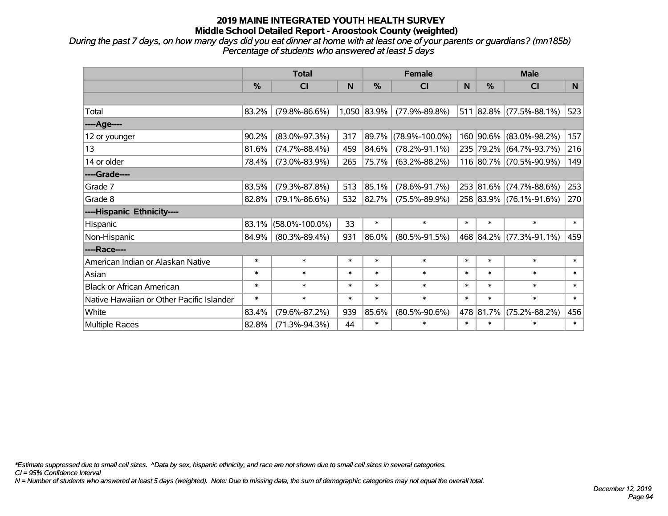*During the past 7 days, on how many days did you eat dinner at home with at least one of your parents or guardians? (mn185b) Percentage of students who answered at least 5 days*

|                                           | <b>Total</b>  |                      |        | <b>Female</b> |                      | <b>Male</b> |           |                                    |        |
|-------------------------------------------|---------------|----------------------|--------|---------------|----------------------|-------------|-----------|------------------------------------|--------|
|                                           | $\frac{0}{0}$ | <b>CI</b>            | N      | %             | <b>CI</b>            | N           | $\%$      | <b>CI</b>                          | N      |
|                                           |               |                      |        |               |                      |             |           |                                    |        |
| Total                                     | 83.2%         | $(79.8\% - 86.6\%)$  |        | 1,050 83.9%   | $(77.9\% - 89.8\%)$  |             |           | $511   82.8\%   (77.5\% - 88.1\%)$ | 523    |
| ----Age----                               |               |                      |        |               |                      |             |           |                                    |        |
| 12 or younger                             | 90.2%         | $(83.0\% - 97.3\%)$  | 317    | 89.7%         | $(78.9\% - 100.0\%)$ |             | 160 90.6% | $(83.0\% - 98.2\%)$                | 157    |
| 13                                        | 81.6%         | $(74.7\% - 88.4\%)$  | 459    | 84.6%         | $(78.2\% - 91.1\%)$  |             |           | 235 79.2% (64.7%-93.7%)            | 216    |
| 14 or older                               | 78.4%         | $(73.0\% - 83.9\%)$  | 265    | 75.7%         | $(63.2\% - 88.2\%)$  |             |           | 116 80.7% (70.5%-90.9%)            | 149    |
| ----Grade----                             |               |                      |        |               |                      |             |           |                                    |        |
| Grade 7                                   | 83.5%         | $(79.3\% - 87.8\%)$  | 513    | 85.1%         | $(78.6\% - 91.7\%)$  |             | 253 81.6% | $(74.7\% - 88.6\%)$                | 253    |
| Grade 8                                   | 82.8%         | $(79.1\% - 86.6\%)$  | 532    | 82.7%         | $(75.5\% - 89.9\%)$  |             |           | 258 83.9% (76.1%-91.6%)            | 270    |
| ----Hispanic Ethnicity----                |               |                      |        |               |                      |             |           |                                    |        |
| Hispanic                                  | 83.1%         | $(58.0\% - 100.0\%)$ | 33     | $\ast$        | $\ast$               | $\ast$      | $\ast$    | $\ast$                             | $\ast$ |
| Non-Hispanic                              | 84.9%         | $(80.3\% - 89.4\%)$  | 931    | 86.0%         | $(80.5\% - 91.5\%)$  |             |           | 468 84.2% (77.3%-91.1%)            | 459    |
| ----Race----                              |               |                      |        |               |                      |             |           |                                    |        |
| American Indian or Alaskan Native         | $\ast$        | $\ast$               | $\ast$ | $\ast$        | $\ast$               | $\ast$      | $\ast$    | $\ast$                             | $\ast$ |
| Asian                                     | $\ast$        | $\ast$               | $\ast$ | $\ast$        | $\ast$               | $\ast$      | $\ast$    | $\ast$                             | $\ast$ |
| <b>Black or African American</b>          | $\ast$        | $\ast$               | $\ast$ | $\ast$        | $\ast$               | $\ast$      | $\ast$    | $\ast$                             | $\ast$ |
| Native Hawaiian or Other Pacific Islander | $\ast$        | $\ast$               | $\ast$ | $\ast$        | $\ast$               | $\ast$      | $\ast$    | $\ast$                             | $\ast$ |
| White                                     | 83.4%         | $(79.6\% - 87.2\%)$  | 939    | 85.6%         | $(80.5\% - 90.6\%)$  |             | 478 81.7% | $(75.2\% - 88.2\%)$                | 456    |
| <b>Multiple Races</b>                     | 82.8%         | $(71.3\% - 94.3\%)$  | 44     | $\ast$        | $\ast$               | $\ast$      | $\ast$    | $\ast$                             | $\ast$ |

*\*Estimate suppressed due to small cell sizes. ^Data by sex, hispanic ethnicity, and race are not shown due to small cell sizes in several categories.*

*CI = 95% Confidence Interval*

*N = Number of students who answered at least 5 days (weighted). Note: Due to missing data, the sum of demographic categories may not equal the overall total.*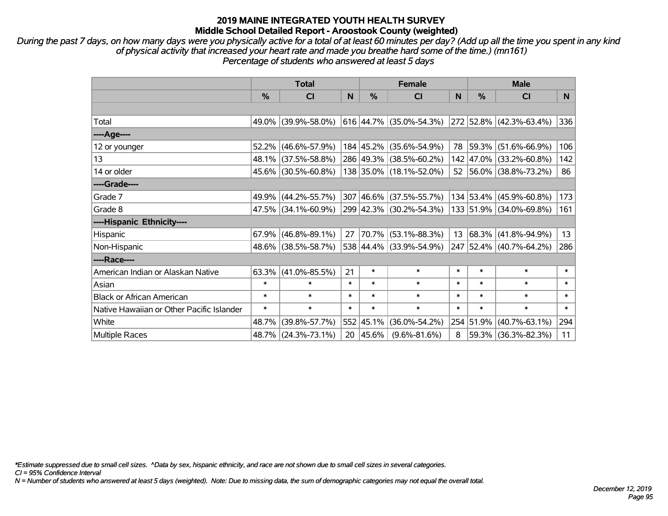*During the past 7 days, on how many days were you physically active for a total of at least 60 minutes per day? (Add up all the time you spent in any kind of physical activity that increased your heart rate and made you breathe hard some of the time.) (mn161) Percentage of students who answered at least 5 days*

|                                           | <b>Total</b>  |                        |        | <b>Female</b> | <b>Male</b>               |        |               |                         |        |
|-------------------------------------------|---------------|------------------------|--------|---------------|---------------------------|--------|---------------|-------------------------|--------|
|                                           | $\frac{0}{0}$ | CI                     | N      | %             | <b>CI</b>                 | N      | $\frac{0}{0}$ | <b>CI</b>               | N      |
|                                           |               |                        |        |               |                           |        |               |                         |        |
| Total                                     |               | 49.0% (39.9%-58.0%)    |        |               | $616$ 44.7% (35.0%-54.3%) |        |               | 272 52.8% (42.3%-63.4%) | 336    |
| ----Age----                               |               |                        |        |               |                           |        |               |                         |        |
| 12 or younger                             |               | $52.2\%$ (46.6%-57.9%) |        | 184 45.2%     | $(35.6\% - 54.9\%)$       | 78     | 59.3%         | $(51.6\% - 66.9\%)$     | 106    |
| 13                                        |               | 48.1% (37.5%-58.8%)    |        |               | 286 49.3% (38.5%-60.2%)   |        |               | 142 47.0% (33.2%-60.8%) | 142    |
| 14 or older                               |               | 45.6% (30.5%-60.8%)    |        |               | 138 35.0% (18.1%-52.0%)   |        |               | 52 56.0% (38.8%-73.2%)  | 86     |
| ----Grade----                             |               |                        |        |               |                           |        |               |                         |        |
| Grade 7                                   |               | 49.9% (44.2%-55.7%)    |        | 307 46.6%     | $(37.5\% - 55.7\%)$       |        | 134 53.4%     | $(45.9\% - 60.8\%)$     | 173    |
| Grade 8                                   |               | $47.5\%$ (34.1%-60.9%) |        |               | 299 42.3% (30.2%-54.3%)   |        |               | 133 51.9% (34.0%-69.8%) | 161    |
| ----Hispanic Ethnicity----                |               |                        |        |               |                           |        |               |                         |        |
| Hispanic                                  |               | $67.9\%$ (46.8%-89.1%) | 27     | 70.7%         | $(53.1\% - 88.3\%)$       | 13     | $ 68.3\% $    | $(41.8\% - 94.9\%)$     | 13     |
| Non-Hispanic                              |               | 48.6% (38.5%-58.7%)    |        |               | 538 44.4% (33.9%-54.9%)   |        |               | 247 52.4% (40.7%-64.2%) | 286    |
| ----Race----                              |               |                        |        |               |                           |        |               |                         |        |
| American Indian or Alaskan Native         |               | $63.3\%$ (41.0%-85.5%) | 21     | $\ast$        | $\ast$                    | $\ast$ | $\ast$        | $\ast$                  | $\ast$ |
| Asian                                     | $\ast$        | $\ast$                 | $\ast$ | $\ast$        | $\ast$                    | $\ast$ | $\ast$        | $\ast$                  | $\ast$ |
| <b>Black or African American</b>          | $\ast$        | $\ast$                 | $\ast$ | $\ast$        | $\ast$                    | $\ast$ | $\ast$        | $\ast$                  | $\ast$ |
| Native Hawaiian or Other Pacific Islander | $\ast$        | $\ast$                 | $\ast$ | $\ast$        | $\ast$                    | $\ast$ | $\ast$        | $\ast$                  | $\ast$ |
| White                                     | 48.7%         | $(39.8\% - 57.7\%)$    |        | 552 45.1%     | $(36.0\% - 54.2\%)$       |        | 254 51.9%     | $(40.7\% - 63.1\%)$     | 294    |
| Multiple Races                            |               | 48.7% (24.3%-73.1%)    |        | 20 45.6%      | $(9.6\% - 81.6\%)$        | 8      |               | 59.3% (36.3%-82.3%)     | 11     |

*\*Estimate suppressed due to small cell sizes. ^Data by sex, hispanic ethnicity, and race are not shown due to small cell sizes in several categories.*

*CI = 95% Confidence Interval*

*N = Number of students who answered at least 5 days (weighted). Note: Due to missing data, the sum of demographic categories may not equal the overall total.*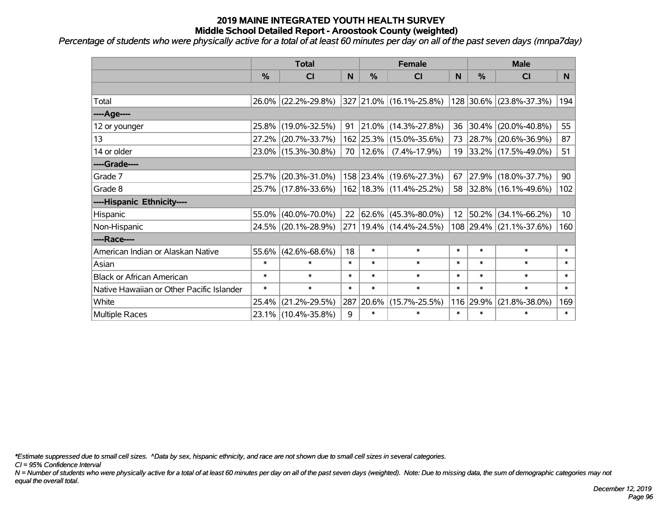*Percentage of students who were physically active for a total of at least 60 minutes per day on all of the past seven days (mnpa7day)*

|                                           | <b>Total</b>  |                     |        | <b>Female</b> | <b>Male</b>                 |                 |        |                         |                 |
|-------------------------------------------|---------------|---------------------|--------|---------------|-----------------------------|-----------------|--------|-------------------------|-----------------|
|                                           | $\frac{0}{6}$ | <b>CI</b>           | N      | $\frac{9}{6}$ | CI                          | N               | %      | <b>CI</b>               | <b>N</b>        |
|                                           |               |                     |        |               |                             |                 |        |                         |                 |
| Total                                     |               | 26.0% (22.2%-29.8%) |        |               | 327 21.0% (16.1%-25.8%)     |                 |        | 128 30.6% (23.8%-37.3%) | 194             |
| ----Age----                               |               |                     |        |               |                             |                 |        |                         |                 |
| 12 or younger                             | 25.8%         | $(19.0\% - 32.5\%)$ | 91     |               | $ 21.0\% $ (14.3%-27.8%)    | 36              | 30.4%  | $(20.0\% - 40.8\%)$     | 55              |
| 13                                        | 27.2%         | $(20.7\% - 33.7\%)$ |        |               | 162 25.3% (15.0%-35.6%)     |                 |        | 73 28.7% (20.6%-36.9%)  | 87              |
| 14 or older                               |               | 23.0% (15.3%-30.8%) |        | 70   12.6%    | $(7.4\% - 17.9\%)$          |                 |        | 19 33.2% (17.5%-49.0%)  | 51              |
| ----Grade----                             |               |                     |        |               |                             |                 |        |                         |                 |
| Grade 7                                   | 25.7%         | $(20.3\% - 31.0\%)$ |        |               | 158 23.4% (19.6%-27.3%)     | 67              | 27.9%  | $(18.0\% - 37.7\%)$     | 90              |
| Grade 8                                   |               | 25.7% (17.8%-33.6%) |        |               | 162   18.3%   (11.4%-25.2%) |                 |        | 58 32.8% (16.1%-49.6%)  | 102             |
| ----Hispanic Ethnicity----                |               |                     |        |               |                             |                 |        |                         |                 |
| Hispanic                                  | 55.0%         | $(40.0\% - 70.0\%)$ | 22     |               | 62.6% (45.3%-80.0%)         | 12 <sup>2</sup> | 50.2%  | $(34.1\% - 66.2\%)$     | 10 <sup>°</sup> |
| Non-Hispanic                              |               | 24.5% (20.1%-28.9%) |        |               | 271   19.4%   (14.4%-24.5%) |                 |        | 108 29.4% (21.1%-37.6%) | 160             |
| ----Race----                              |               |                     |        |               |                             |                 |        |                         |                 |
| American Indian or Alaskan Native         |               | 55.6% (42.6%-68.6%) | 18     | $\ast$        | $\ast$                      | $\ast$          | $\ast$ | $\ast$                  | $\ast$          |
| Asian                                     | $\ast$        | $\ast$              | $\ast$ | $\ast$        | $\ast$                      | $\ast$          | $\ast$ | $\ast$                  | $\ast$          |
| <b>Black or African American</b>          | $\ast$        | $\ast$              | $\ast$ | $\ast$        | $\ast$                      | $\ast$          | $\ast$ | $\ast$                  | $\ast$          |
| Native Hawaiian or Other Pacific Islander | $\ast$        | $\ast$              | $\ast$ | $\ast$        | $\ast$                      | $\ast$          | $\ast$ | $\ast$                  | $\ast$          |
| White                                     | 25.4%         | $(21.2\% - 29.5\%)$ | 287    | 20.6%         | $(15.7\% - 25.5\%)$         | 116             | 29.9%  | $(21.8\% - 38.0\%)$     | 169             |
| Multiple Races                            |               | 23.1% (10.4%-35.8%) | 9      | $\ast$        | $\ast$                      | $\ast$          | $\ast$ | $\ast$                  | $\ast$          |

*\*Estimate suppressed due to small cell sizes. ^Data by sex, hispanic ethnicity, and race are not shown due to small cell sizes in several categories.*

*CI = 95% Confidence Interval*

*N = Number of students who were physically active for a total of at least 60 minutes per day on all of the past seven days (weighted). Note: Due to missing data, the sum of demographic categories may not equal the overall total.*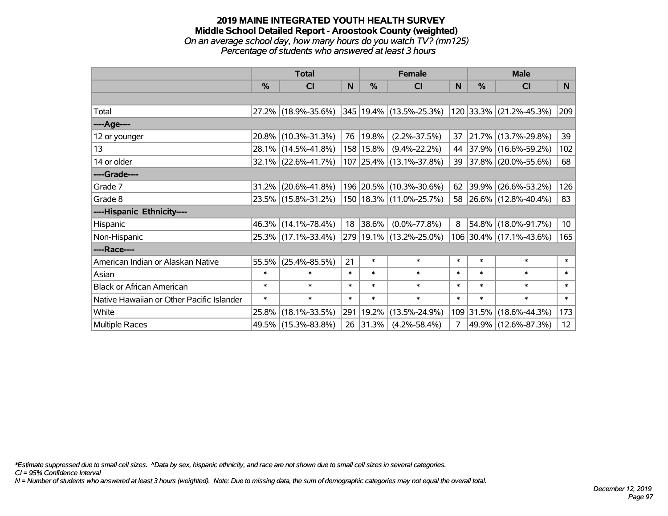#### **2019 MAINE INTEGRATED YOUTH HEALTH SURVEY Middle School Detailed Report - Aroostook County (weighted)** *On an average school day, how many hours do you watch TV? (mn125) Percentage of students who answered at least 3 hours*

|                                           | <b>Total</b> |                        |        |            | <b>Female</b>           | <b>Male</b> |               |                              |                 |
|-------------------------------------------|--------------|------------------------|--------|------------|-------------------------|-------------|---------------|------------------------------|-----------------|
|                                           | $\%$         | CI                     | N      | $\%$       | CI                      | N           | $\frac{0}{0}$ | <b>CI</b>                    | N <sub>1</sub>  |
|                                           |              |                        |        |            |                         |             |               |                              |                 |
| Total                                     |              | 27.2% (18.9%-35.6%)    |        |            | 345 19.4% (13.5%-25.3%) |             |               | $ 120 33.3\% $ (21.2%-45.3%) | 209             |
| ----Age----                               |              |                        |        |            |                         |             |               |                              |                 |
| 12 or younger                             |              | 20.8% (10.3%-31.3%)    | 76     | $ 19.8\% $ | $(2.2\% - 37.5\%)$      | 37          |               | 21.7% (13.7%-29.8%)          | 39              |
| 13                                        |              | 28.1% (14.5%-41.8%)    |        | 158 15.8%  | $(9.4\% - 22.2\%)$      | 44          |               | 37.9% (16.6%-59.2%)          | 102             |
| 14 or older                               |              | $32.1\%$ (22.6%-41.7%) |        |            | 107 25.4% (13.1%-37.8%) | 39          |               | $ 37.8\% $ (20.0%-55.6%)     | 68              |
| ----Grade----                             |              |                        |        |            |                         |             |               |                              |                 |
| Grade 7                                   | 31.2%        | $(20.6\% - 41.8\%)$    |        |            | 196 20.5% (10.3%-30.6%) | 62          |               | 39.9% (26.6%-53.2%)          | 126             |
| Grade 8                                   |              | 23.5% (15.8%-31.2%)    |        |            | 150 18.3% (11.0%-25.7%) |             |               | 58 26.6% (12.8%-40.4%)       | 83              |
| ----Hispanic Ethnicity----                |              |                        |        |            |                         |             |               |                              |                 |
| Hispanic                                  |              | 46.3% (14.1%-78.4%)    | 18     | 38.6%      | $(0.0\% - 77.8\%)$      | 8           | 54.8%         | $(18.0\% - 91.7\%)$          | 10 <sub>1</sub> |
| Non-Hispanic                              |              | 25.3% (17.1%-33.4%)    |        |            | 279 19.1% (13.2%-25.0%) |             |               | 106 30.4% (17.1%-43.6%)      | 165             |
| ----Race----                              |              |                        |        |            |                         |             |               |                              |                 |
| American Indian or Alaskan Native         | 55.5%        | $(25.4\% - 85.5\%)$    | 21     | $\ast$     | $\ast$                  | $\ast$      | $\ast$        | $\ast$                       | $\ast$          |
| Asian                                     | $\ast$       | $\ast$                 | $\ast$ | $\ast$     | $\ast$                  | $\ast$      | $\ast$        | $\ast$                       | $\ast$          |
| <b>Black or African American</b>          | $\ast$       | $\ast$                 | $\ast$ | $\ast$     | $\ast$                  | $\ast$      | $\ast$        | $\ast$                       | $\ast$          |
| Native Hawaiian or Other Pacific Islander | $\ast$       | $\ast$                 | $\ast$ | $\ast$     | $\ast$                  | $\ast$      | $\ast$        | $\ast$                       | $\ast$          |
| White                                     | 25.8%        | $(18.1\% - 33.5\%)$    | 291    | 19.2%      | $(13.5\% - 24.9\%)$     |             | 109 31.5%     | $(18.6\% - 44.3\%)$          | 173             |
| <b>Multiple Races</b>                     |              | 49.5% (15.3%-83.8%)    |        | 26 31.3%   | $(4.2\% - 58.4\%)$      | 7           |               | 49.9% (12.6%-87.3%)          | 12 <sup>2</sup> |

*\*Estimate suppressed due to small cell sizes. ^Data by sex, hispanic ethnicity, and race are not shown due to small cell sizes in several categories.*

*CI = 95% Confidence Interval*

*N = Number of students who answered at least 3 hours (weighted). Note: Due to missing data, the sum of demographic categories may not equal the overall total.*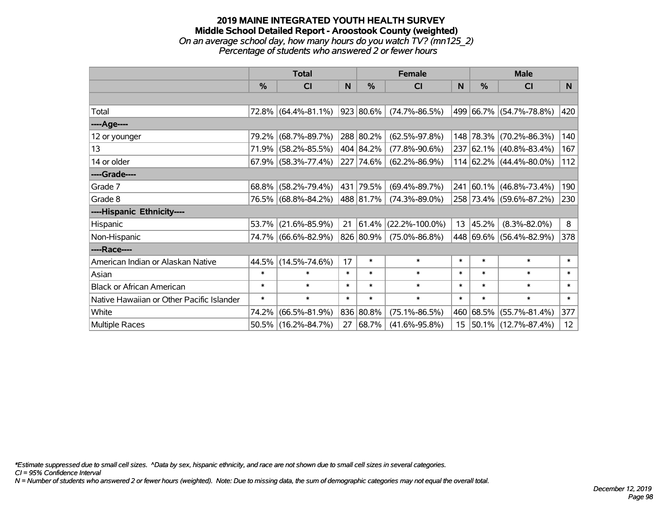### **2019 MAINE INTEGRATED YOUTH HEALTH SURVEY Middle School Detailed Report - Aroostook County (weighted)** *On an average school day, how many hours do you watch TV? (mn125\_2) Percentage of students who answered 2 or fewer hours*

|                                           | <b>Total</b> |                        |              | <b>Female</b> | <b>Male</b>          |        |               |                         |        |
|-------------------------------------------|--------------|------------------------|--------------|---------------|----------------------|--------|---------------|-------------------------|--------|
|                                           | %            | <b>CI</b>              | <sub>N</sub> | $\%$          | <b>CI</b>            | N      | $\frac{0}{0}$ | <b>CI</b>               | N.     |
|                                           |              |                        |              |               |                      |        |               |                         |        |
| Total                                     |              | 72.8% (64.4%-81.1%)    |              | 923 80.6%     | $(74.7\% - 86.5\%)$  |        |               | 499 66.7% (54.7%-78.8%) | 420    |
| ----Age----                               |              |                        |              |               |                      |        |               |                         |        |
| 12 or younger                             | 79.2%        | $(68.7\% - 89.7\%)$    |              | 288 80.2%     | $(62.5\% - 97.8\%)$  |        |               | 148 78.3% (70.2%-86.3%) | 140    |
| 13                                        | 71.9%        | $(58.2\% - 85.5\%)$    |              | 404 84.2%     | $(77.8\% - 90.6\%)$  |        |               | 237 62.1% (40.8%-83.4%) | 167    |
| 14 or older                               |              | $67.9\%$ (58.3%-77.4%) |              | 227 74.6%     | $(62.2\% - 86.9\%)$  |        |               | 114 62.2% (44.4%-80.0%) | 112    |
| ----Grade----                             |              |                        |              |               |                      |        |               |                         |        |
| Grade 7                                   | 68.8%        | $(58.2\% - 79.4\%)$    |              | 431 79.5%     | $(69.4\% - 89.7\%)$  |        |               | 241 60.1% (46.8%-73.4%) | 190    |
| Grade 8                                   |              | 76.5% (68.8%-84.2%)    |              | 488 81.7%     | $(74.3\% - 89.0\%)$  |        |               | 258 73.4% (59.6%-87.2%) | 230    |
| ----Hispanic Ethnicity----                |              |                        |              |               |                      |        |               |                         |        |
| Hispanic                                  | 53.7%        | $(21.6\% - 85.9\%)$    |              | 21   61.4%    | $(22.2\% - 100.0\%)$ | 13     | 45.2%         | $(8.3\% - 82.0\%)$      | 8      |
| Non-Hispanic                              |              | 74.7% (66.6%-82.9%)    |              | 826 80.9%     | $(75.0\% - 86.8\%)$  |        |               | 448 69.6% (56.4%-82.9%) | 378    |
| ----Race----                              |              |                        |              |               |                      |        |               |                         |        |
| American Indian or Alaskan Native         | 44.5%        | $(14.5\% - 74.6\%)$    | 17           | $\ast$        | $\ast$               | $\ast$ | $\ast$        | $\ast$                  | $\ast$ |
| Asian                                     | $\ast$       | $\ast$                 | $\ast$       | $\ast$        | $\ast$               | $\ast$ | $\ast$        | $\ast$                  | $\ast$ |
| <b>Black or African American</b>          | $\ast$       | $\ast$                 | $\ast$       | $\ast$        | $\ast$               | $\ast$ | $\ast$        | $\ast$                  | $\ast$ |
| Native Hawaiian or Other Pacific Islander | $\ast$       | $\ast$                 | $\ast$       | $\ast$        | $\ast$               | $\ast$ | $\ast$        | $\ast$                  | $\ast$ |
| White                                     | 74.2%        | $(66.5\% - 81.9\%)$    |              | 836 80.8%     | $(75.1\% - 86.5\%)$  | 460    |               | 68.5% (55.7%-81.4%)     | 377    |
| Multiple Races                            |              | 50.5% (16.2%-84.7%)    | 27           | 68.7%         | $(41.6\% - 95.8\%)$  | 15     |               | 50.1% (12.7%-87.4%)     | 12     |

*\*Estimate suppressed due to small cell sizes. ^Data by sex, hispanic ethnicity, and race are not shown due to small cell sizes in several categories.*

*CI = 95% Confidence Interval*

*N = Number of students who answered 2 or fewer hours (weighted). Note: Due to missing data, the sum of demographic categories may not equal the overall total.*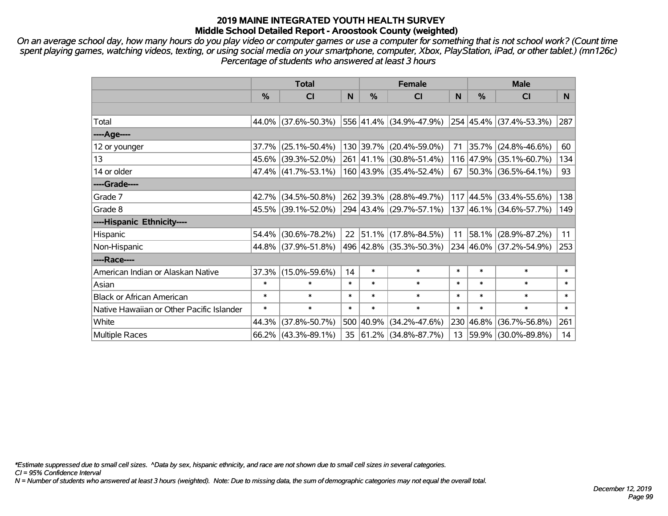*On an average school day, how many hours do you play video or computer games or use a computer for something that is not school work? (Count time spent playing games, watching videos, texting, or using social media on your smartphone, computer, Xbox, PlayStation, iPad, or other tablet.) (mn126c) Percentage of students who answered at least 3 hours*

|                                           | <b>Total</b>  |                        |        | <b>Female</b> | <b>Male</b>              |        |           |                                  |        |
|-------------------------------------------|---------------|------------------------|--------|---------------|--------------------------|--------|-----------|----------------------------------|--------|
|                                           | $\frac{0}{0}$ | <b>CI</b>              | N      | $\%$          | <b>CI</b>                | N      | %         | <b>CI</b>                        | N.     |
|                                           |               |                        |        |               |                          |        |           |                                  |        |
| Total                                     |               | 44.0% (37.6%-50.3%)    |        |               | 556 41.4% (34.9%-47.9%)  |        |           | $ 254 45.4\%  (37.4\% - 53.3\%)$ | 287    |
| ----Age----                               |               |                        |        |               |                          |        |           |                                  |        |
| 12 or younger                             |               | $37.7\%$ (25.1%-50.4%) |        |               | 130 39.7% (20.4%-59.0%)  | 71     |           | 35.7% (24.8%-46.6%)              | 60     |
| 13                                        |               | 45.6% (39.3%-52.0%)    |        |               | 261 41.1% (30.8%-51.4%)  |        |           | 116 47.9% (35.1%-60.7%)          | 134    |
| 14 or older                               |               | $47.4\%$ (41.7%-53.1%) |        |               | 160 43.9% (35.4%-52.4%)  |        |           | 67   50.3%   (36.5%-64.1%)       | 93     |
| ----Grade----                             |               |                        |        |               |                          |        |           |                                  |        |
| Grade 7                                   |               | 42.7% (34.5%-50.8%)    |        |               | 262 39.3% (28.8%-49.7%)  |        | 117 44.5% | $(33.4\% - 55.6\%)$              | 138    |
| Grade 8                                   |               | 45.5% (39.1%-52.0%)    |        |               | 294 43.4% (29.7%-57.1%)  |        |           | 137 46.1% (34.6%-57.7%)          | 149    |
| ----Hispanic Ethnicity----                |               |                        |        |               |                          |        |           |                                  |        |
| Hispanic                                  |               | 54.4% (30.6%-78.2%)    | 22     | 51.1%         | $(17.8\% - 84.5\%)$      | 11     | 58.1%     | $(28.9\% - 87.2\%)$              | 11     |
| Non-Hispanic                              |               | 44.8% (37.9%-51.8%)    |        |               | 496 42.8% (35.3%-50.3%)  |        |           | 234 46.0% (37.2%-54.9%)          | 253    |
| ----Race----                              |               |                        |        |               |                          |        |           |                                  |        |
| American Indian or Alaskan Native         |               | 37.3% (15.0%-59.6%)    | 14     | $\ast$        | $\ast$                   | $\ast$ | $\ast$    | $\ast$                           | $\ast$ |
| Asian                                     | $\ast$        | $\ast$                 | $\ast$ | $\ast$        | $\ast$                   | $\ast$ | $\ast$    | $\ast$                           | $\ast$ |
| <b>Black or African American</b>          | $\ast$        | $\ast$                 | $\ast$ | $\ast$        | $\ast$                   | $\ast$ | $\ast$    | $\ast$                           | $\ast$ |
| Native Hawaiian or Other Pacific Islander | $\ast$        | $\ast$                 | $\ast$ | $\ast$        | $\ast$                   | $\ast$ | $\ast$    | $\ast$                           | $\ast$ |
| White                                     | 44.3%         | $(37.8\% - 50.7\%)$    |        | 500 40.9%     | $(34.2\% - 47.6\%)$      |        | 230 46.8% | $(36.7\% - 56.8\%)$              | 261    |
| Multiple Races                            |               | $66.2\%$ (43.3%-89.1%) | 35     |               | $ 61.2\% $ (34.8%-87.7%) |        |           | 13 59.9% (30.0%-89.8%)           | 14     |

*\*Estimate suppressed due to small cell sizes. ^Data by sex, hispanic ethnicity, and race are not shown due to small cell sizes in several categories.*

*CI = 95% Confidence Interval*

*N = Number of students who answered at least 3 hours (weighted). Note: Due to missing data, the sum of demographic categories may not equal the overall total.*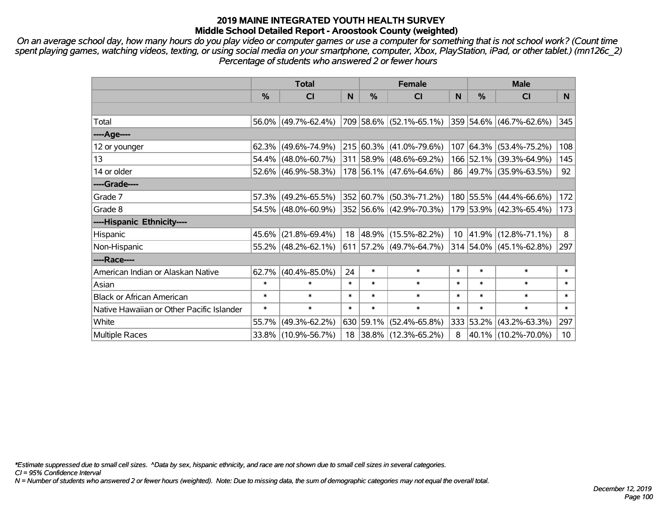*On an average school day, how many hours do you play video or computer games or use a computer for something that is not school work? (Count time spent playing games, watching videos, texting, or using social media on your smartphone, computer, Xbox, PlayStation, iPad, or other tablet.) (mn126c\_2) Percentage of students who answered 2 or fewer hours*

|                                           | <b>Total</b>  |                        |              | <b>Female</b> | <b>Male</b>                                     |        |           |                         |        |
|-------------------------------------------|---------------|------------------------|--------------|---------------|-------------------------------------------------|--------|-----------|-------------------------|--------|
|                                           | $\frac{0}{0}$ | <b>CI</b>              | $\mathsf{N}$ | $\frac{0}{0}$ | <b>CI</b>                                       | N      | %         | <b>CI</b>               | N.     |
|                                           |               |                        |              |               |                                                 |        |           |                         |        |
| Total                                     |               | $56.0\%$ (49.7%-62.4%) |              |               | 709 58.6% (52.1%-65.1%) 359 54.6% (46.7%-62.6%) |        |           |                         | 345    |
| ----Age----                               |               |                        |              |               |                                                 |        |           |                         |        |
| 12 or younger                             |               | $62.3\%$ (49.6%-74.9%) |              |               | 215 60.3% (41.0%-79.6%)                         |        |           | 107 64.3% (53.4%-75.2%) | 108    |
| 13                                        |               | $54.4\%$ (48.0%-60.7%) |              |               | 311 58.9% (48.6%-69.2%)                         |        |           | 166 52.1% (39.3%-64.9%) | 145    |
| 14 or older                               |               | $52.6\%$ (46.9%-58.3%) |              |               | 178 56.1% (47.6%-64.6%)                         |        |           | 86 49.7% (35.9%-63.5%)  | 92     |
| ----Grade----                             |               |                        |              |               |                                                 |        |           |                         |        |
| Grade 7                                   |               | $57.3\%$ (49.2%-65.5%) |              |               | 352 60.7% (50.3%-71.2%)                         |        |           | 180 55.5% (44.4%-66.6%) | 172    |
| Grade 8                                   |               | $54.5\%$ (48.0%-60.9%) |              |               | 352 56.6% (42.9%-70.3%)                         |        |           | 179 53.9% (42.3%-65.4%) | 173    |
| ----Hispanic Ethnicity----                |               |                        |              |               |                                                 |        |           |                         |        |
| Hispanic                                  |               | $45.6\%$ (21.8%-69.4%) | 18           | 48.9%         | $(15.5\% - 82.2\%)$                             |        | 10 41.9%  | $(12.8\% - 71.1\%)$     | 8      |
| Non-Hispanic                              |               | $55.2\%$ (48.2%-62.1%) |              |               | 611 57.2% (49.7%-64.7%)                         |        |           | 314 54.0% (45.1%-62.8%) | 297    |
| ----Race----                              |               |                        |              |               |                                                 |        |           |                         |        |
| American Indian or Alaskan Native         |               | $62.7\%$ (40.4%-85.0%) | 24           | $\ast$        | $\ast$                                          | $\ast$ | $\ast$    | $\ast$                  | $\ast$ |
| Asian                                     | $\ast$        | $\ast$                 | $\ast$       | $\ast$        | $\ast$                                          | $\ast$ | $\ast$    | $\ast$                  | $\ast$ |
| <b>Black or African American</b>          | $\ast$        | $\ast$                 | $\ast$       | $\ast$        | $\ast$                                          | $\ast$ | $\ast$    | $\ast$                  | $\ast$ |
| Native Hawaiian or Other Pacific Islander | $\ast$        | $\ast$                 | $\ast$       | $\ast$        | $\ast$                                          | $\ast$ | $\ast$    | $\ast$                  | $\ast$ |
| White                                     | 55.7%         | $(49.3\% - 62.2\%)$    |              | 630 59.1%     | $(52.4\% - 65.8\%)$                             |        | 333 53.2% | $(43.2\% - 63.3\%)$     | 297    |
| Multiple Races                            |               | 33.8% (10.9%-56.7%)    |              |               | 18 38.8% (12.3%-65.2%)                          | 8      |           | 40.1% (10.2%-70.0%)     | 10     |

*\*Estimate suppressed due to small cell sizes. ^Data by sex, hispanic ethnicity, and race are not shown due to small cell sizes in several categories.*

*CI = 95% Confidence Interval*

*N = Number of students who answered 2 or fewer hours (weighted). Note: Due to missing data, the sum of demographic categories may not equal the overall total.*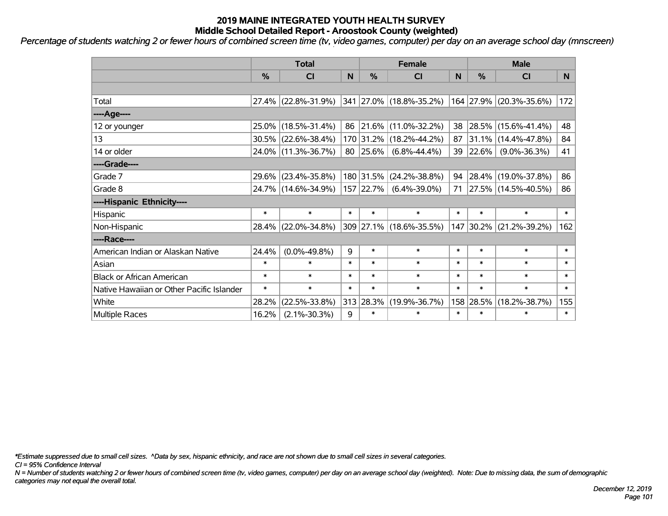*Percentage of students watching 2 or fewer hours of combined screen time (tv, video games, computer) per day on an average school day (mnscreen)*

|                                           | <b>Total</b>  |                        |        |           | <b>Female</b>           | <b>Male</b> |               |                          |        |
|-------------------------------------------|---------------|------------------------|--------|-----------|-------------------------|-------------|---------------|--------------------------|--------|
|                                           | $\frac{0}{0}$ | <b>CI</b>              | N      | %         | <b>CI</b>               | N           | $\frac{0}{0}$ | <b>CI</b>                | N      |
|                                           |               |                        |        |           |                         |             |               |                          |        |
| Total                                     |               | 27.4% (22.8%-31.9%)    |        |           | 341 27.0% (18.8%-35.2%) |             | 164 27.9%     | $(20.3\% - 35.6\%)$      | 172    |
| ----Age----                               |               |                        |        |           |                         |             |               |                          |        |
| 12 or younger                             |               | 25.0% (18.5%-31.4%)    | 86     | 21.6%     | $(11.0\% - 32.2\%)$     |             | 38 28.5%      | $(15.6\% - 41.4\%)$      | 48     |
| 13                                        |               | $30.5\%$ (22.6%-38.4%) |        | 170 31.2% | $(18.2\% - 44.2\%)$     | 87          | $ 31.1\% $    | $(14.4\% - 47.8\%)$      | 84     |
| 14 or older                               |               | 24.0% (11.3%-36.7%)    |        | 80 25.6%  | $(6.8\% - 44.4\%)$      |             | 39 22.6%      | $(9.0\% - 36.3\%)$       | 41     |
| ----Grade----                             |               |                        |        |           |                         |             |               |                          |        |
| Grade 7                                   |               | 29.6% (23.4%-35.8%)    |        | 180 31.5% | $(24.2\% - 38.8\%)$     | 94          | $28.4\%$      | $(19.0\% - 37.8\%)$      | 86     |
| Grade 8                                   |               | 24.7% (14.6%-34.9%)    |        | 157 22.7% | $(6.4\% - 39.0\%)$      | 71          |               | $ 27.5\% $ (14.5%-40.5%) | 86     |
| ----Hispanic Ethnicity----                |               |                        |        |           |                         |             |               |                          |        |
| Hispanic                                  | $\ast$        | $\ast$                 | $\ast$ | $\ast$    | $\ast$                  | $\ast$      | $\ast$        | $\ast$                   | $\ast$ |
| Non-Hispanic                              |               | 28.4% (22.0%-34.8%)    |        |           | 309 27.1% (18.6%-35.5%) | 147         | 30.2%         | $(21.2\% - 39.2\%)$      | 162    |
| ----Race----                              |               |                        |        |           |                         |             |               |                          |        |
| American Indian or Alaskan Native         | 24.4%         | $(0.0\% - 49.8\%)$     | 9      | $\ast$    | $\ast$                  | $\ast$      | $\ast$        | $\ast$                   | $\ast$ |
| Asian                                     | $\ast$        | $\ast$                 | $\ast$ | $\ast$    | $\ast$                  | $\ast$      | $\ast$        | $\ast$                   | $\ast$ |
| <b>Black or African American</b>          | $\ast$        | $\ast$                 | $\ast$ | $\ast$    | $\ast$                  | $\ast$      | $\ast$        | $\ast$                   | $\ast$ |
| Native Hawaiian or Other Pacific Islander | $\ast$        | $\ast$                 | $\ast$ | $\ast$    | $\ast$                  | $\ast$      | $\ast$        | $\ast$                   | $\ast$ |
| White                                     | 28.2%         | $(22.5\% - 33.8\%)$    | 313    | 28.3%     | $(19.9\% - 36.7\%)$     | 158         | 28.5%         | $(18.2\% - 38.7\%)$      | 155    |
| <b>Multiple Races</b>                     | 16.2%         | $(2.1\% - 30.3\%)$     | 9      | $\ast$    | $\ast$                  | $\ast$      | $\ast$        | $\ast$                   | $\ast$ |

*\*Estimate suppressed due to small cell sizes. ^Data by sex, hispanic ethnicity, and race are not shown due to small cell sizes in several categories.*

*CI = 95% Confidence Interval*

*N = Number of students watching 2 or fewer hours of combined screen time (tv, video games, computer) per day on an average school day (weighted). Note: Due to missing data, the sum of demographic categories may not equal the overall total.*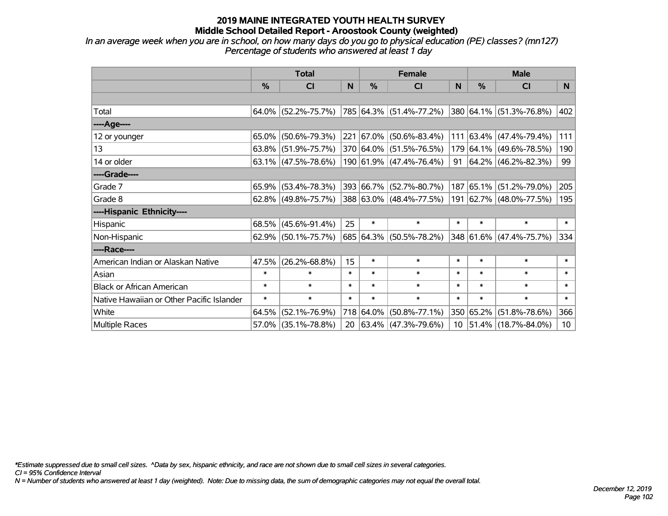*In an average week when you are in school, on how many days do you go to physical education (PE) classes? (mn127) Percentage of students who answered at least 1 day*

|                                           | <b>Total</b> |                        |        |           | <b>Female</b>            | <b>Male</b> |           |                            |                 |
|-------------------------------------------|--------------|------------------------|--------|-----------|--------------------------|-------------|-----------|----------------------------|-----------------|
|                                           | $\%$         | <b>CI</b>              | N      | $\%$      | <b>CI</b>                | N           | %         | <b>CI</b>                  | N.              |
|                                           |              |                        |        |           |                          |             |           |                            |                 |
| Total                                     |              | $64.0\%$ (52.2%-75.7%) |        |           | 785 64.3% (51.4%-77.2%)  |             |           | 380 64.1% (51.3%-76.8%)    | 402             |
| ----Age----                               |              |                        |        |           |                          |             |           |                            |                 |
| 12 or younger                             | $65.0\%$     | $(50.6\% - 79.3\%)$    |        |           | 221 67.0% (50.6%-83.4%)  | 111         | 63.4%     | $(47.4\% - 79.4\%)$        | 111             |
| 13                                        |              | $63.8\%$ (51.9%-75.7%) |        |           | 370 64.0% (51.5%-76.5%)  |             |           | 179 64.1% (49.6%-78.5%)    | 190             |
| 14 or older                               |              | $63.1\%$ (47.5%-78.6%) |        |           | 190 61.9% (47.4%-76.4%)  |             |           | 91   64.2%   (46.2%-82.3%) | 99              |
| ----Grade----                             |              |                        |        |           |                          |             |           |                            |                 |
| Grade 7                                   |              | 65.9% (53.4%-78.3%)    |        |           | 393 66.7% (52.7%-80.7%)  |             | 187 65.1% | $(51.2\% - 79.0\%)$        | 205             |
| Grade 8                                   |              | $62.8\%$ (49.8%-75.7%) |        |           | 388 63.0% (48.4%-77.5%)  |             |           | 191 62.7% (48.0%-77.5%)    | 195             |
| ----Hispanic Ethnicity----                |              |                        |        |           |                          |             |           |                            |                 |
| Hispanic                                  |              | $68.5\%$ (45.6%-91.4%) | 25     | $\ast$    | $\ast$                   | $\ast$      | $\ast$    | $\ast$                     | $\ast$          |
| Non-Hispanic                              |              | 62.9% (50.1%-75.7%)    |        |           | 685 64.3% (50.5%-78.2%)  |             |           | 348 61.6% (47.4%-75.7%)    | 334             |
| ----Race----                              |              |                        |        |           |                          |             |           |                            |                 |
| American Indian or Alaskan Native         | 47.5%        | $(26.2\% - 68.8\%)$    | 15     | $\ast$    | $\ast$                   | $\ast$      | $\ast$    | $\ast$                     | $\ast$          |
| Asian                                     | $\ast$       | $\ast$                 | $\ast$ | $\ast$    | $\ast$                   | $\ast$      | $\ast$    | $\ast$                     | $\ast$          |
| <b>Black or African American</b>          | $\ast$       | $\ast$                 | $\ast$ | $\ast$    | $\ast$                   | $\ast$      | $\ast$    | $\ast$                     | $\ast$          |
| Native Hawaiian or Other Pacific Islander | $\ast$       | $\ast$                 | $\ast$ | $\ast$    | $\ast$                   | $\ast$      | $\ast$    | $\ast$                     | $\ast$          |
| White                                     | 64.5%        | $(52.1\% - 76.9\%)$    |        | 718 64.0% | $(50.8\% - 77.1\%)$      |             | 350 65.2% | $(51.8\% - 78.6\%)$        | 366             |
| Multiple Races                            |              | $57.0\%$ (35.1%-78.8%) | 20     |           | $ 63.4\% $ (47.3%-79.6%) |             |           | 10   51.4%   (18.7%-84.0%) | 10 <sup>1</sup> |

*\*Estimate suppressed due to small cell sizes. ^Data by sex, hispanic ethnicity, and race are not shown due to small cell sizes in several categories.*

*CI = 95% Confidence Interval*

*N = Number of students who answered at least 1 day (weighted). Note: Due to missing data, the sum of demographic categories may not equal the overall total.*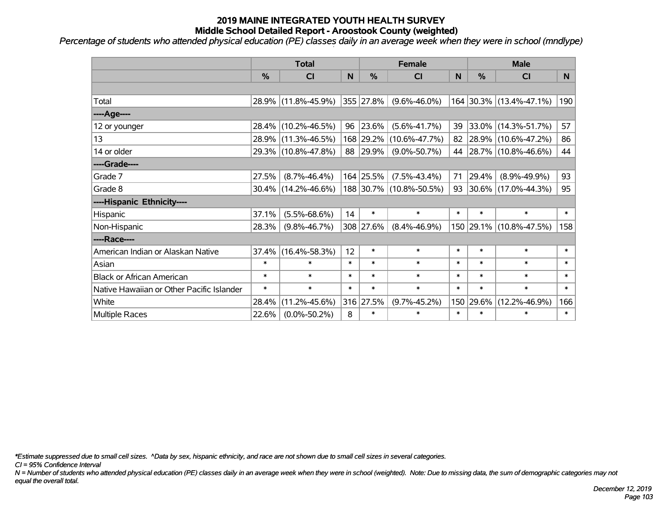*Percentage of students who attended physical education (PE) classes daily in an average week when they were in school (mndlype)*

|                                           | <b>Total</b>  |                     |        |               | <b>Female</b>           | <b>Male</b> |        |                         |        |
|-------------------------------------------|---------------|---------------------|--------|---------------|-------------------------|-------------|--------|-------------------------|--------|
|                                           | $\frac{0}{6}$ | <b>CI</b>           | N      | $\frac{9}{6}$ | <b>CI</b>               | N           | %      | <b>CI</b>               | N      |
|                                           |               |                     |        |               |                         |             |        |                         |        |
| Total                                     |               | 28.9% (11.8%-45.9%) |        | 355 27.8%     | $(9.6\% - 46.0\%)$      |             |        | 164 30.3% (13.4%-47.1%) | 190    |
| ----Age----                               |               |                     |        |               |                         |             |        |                         |        |
| 12 or younger                             | 28.4%         | $(10.2\% - 46.5\%)$ | 96     | 23.6%         | $(5.6\% - 41.7\%)$      | 39          | 33.0%  | $(14.3\% - 51.7\%)$     | 57     |
| 13                                        | 28.9%         | $(11.3\% - 46.5\%)$ |        | 168 29.2%     | $(10.6\% - 47.7\%)$     |             |        | 82 28.9% (10.6%-47.2%)  | 86     |
| 14 or older                               |               | 29.3% (10.8%-47.8%) |        | 88 29.9%      | $(9.0\% - 50.7\%)$      |             |        | 44 28.7% (10.8%-46.6%)  | 44     |
| ----Grade----                             |               |                     |        |               |                         |             |        |                         |        |
| Grade 7                                   | 27.5%         | $(8.7\% - 46.4\%)$  |        | 164 25.5%     | $(7.5\% - 43.4\%)$      | 71          | 29.4%  | $(8.9\% - 49.9\%)$      | 93     |
| Grade 8                                   |               | 30.4% (14.2%-46.6%) |        |               | 188 30.7% (10.8%-50.5%) |             |        | 93 30.6% (17.0%-44.3%)  | 95     |
| ----Hispanic Ethnicity----                |               |                     |        |               |                         |             |        |                         |        |
| Hispanic                                  | 37.1%         | $(5.5\% - 68.6\%)$  | 14     | $\ast$        | $\ast$                  | $\ast$      | $\ast$ | $\ast$                  | $\ast$ |
| Non-Hispanic                              | 28.3%         | $(9.8\% - 46.7\%)$  |        | 308 27.6%     | $(8.4\% - 46.9\%)$      |             |        | 150 29.1% (10.8%-47.5%) | 158    |
| ----Race----                              |               |                     |        |               |                         |             |        |                         |        |
| American Indian or Alaskan Native         | 37.4%         | $(16.4\% - 58.3\%)$ | 12     | $\ast$        | $\ast$                  | $\ast$      | $\ast$ | $\ast$                  | $\ast$ |
| Asian                                     | $\ast$        | $\ast$              | $\ast$ | $\ast$        | $\ast$                  | $\ast$      | $\ast$ | $\ast$                  | $\ast$ |
| <b>Black or African American</b>          | $\ast$        | $\ast$              | $\ast$ | $\ast$        | $\ast$                  | $\ast$      | $\ast$ | $\ast$                  | $\ast$ |
| Native Hawaiian or Other Pacific Islander | $\ast$        | $\ast$              | $\ast$ | $\ast$        | $\ast$                  | $\ast$      | $\ast$ | $\ast$                  | $\ast$ |
| White                                     | 28.4%         | $(11.2\% - 45.6\%)$ |        | 316 27.5%     | $(9.7\% - 45.2\%)$      | 150         | 29.6%  | $(12.2\% - 46.9\%)$     | 166    |
| Multiple Races                            | 22.6%         | $(0.0\% - 50.2\%)$  | 8      | $\ast$        | $\ast$                  | $\ast$      | $\ast$ | *                       | $\ast$ |

*\*Estimate suppressed due to small cell sizes. ^Data by sex, hispanic ethnicity, and race are not shown due to small cell sizes in several categories.*

*CI = 95% Confidence Interval*

*N = Number of students who attended physical education (PE) classes daily in an average week when they were in school (weighted). Note: Due to missing data, the sum of demographic categories may not equal the overall total.*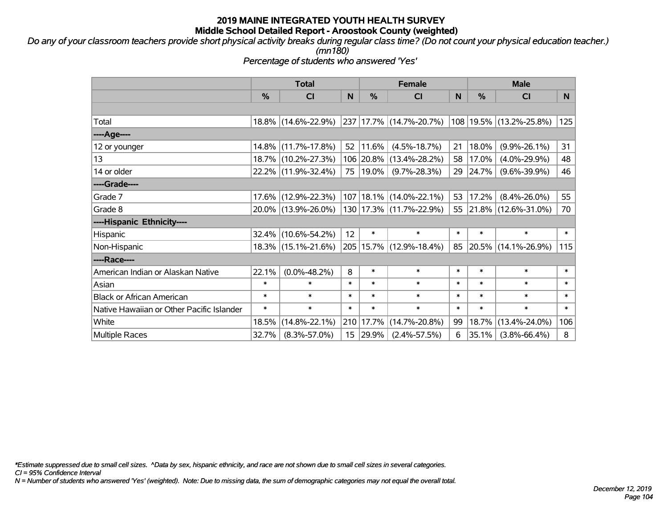*Do any of your classroom teachers provide short physical activity breaks during regular class time? (Do not count your physical education teacher.) (mn180)*

*Percentage of students who answered 'Yes'*

|                                           | <b>Total</b>  |                     | <b>Female</b> |            |                             | <b>Male</b> |          |                         |              |
|-------------------------------------------|---------------|---------------------|---------------|------------|-----------------------------|-------------|----------|-------------------------|--------------|
|                                           | $\frac{0}{0}$ | <b>CI</b>           | N             | %          | <b>CI</b>                   | N           | %        | <b>CI</b>               | N            |
|                                           |               |                     |               |            |                             |             |          |                         |              |
| Total                                     |               | 18.8% (14.6%-22.9%) |               |            | 237 17.7% (14.7%-20.7%)     |             |          | 108 19.5% (13.2%-25.8%) | 125          |
| ----Age----                               |               |                     |               |            |                             |             |          |                         |              |
| 12 or younger                             | $14.8\%$      | $(11.7\% - 17.8\%)$ | 52            | 11.6%      | $(4.5\% - 18.7\%)$          | 21          | 18.0%    | $(9.9\% - 26.1\%)$      | 31           |
| 13                                        |               | 18.7% (10.2%-27.3%) |               |            | 106 20.8% (13.4%-28.2%)     | 58          | 17.0%    | $(4.0\% - 29.9\%)$      | 48           |
| 14 or older                               |               | 22.2% (11.9%-32.4%) |               | 75   19.0% | $(9.7\% - 28.3\%)$          |             | 29 24.7% | $(9.6\% - 39.9\%)$      | 46           |
| ----Grade----                             |               |                     |               |            |                             |             |          |                         |              |
| Grade 7                                   | $17.6\%$      | $(12.9\% - 22.3\%)$ |               |            | 107   18.1%   (14.0%-22.1%) | 53          | 17.2%    | $(8.4\% - 26.0\%)$      | 55           |
| Grade 8                                   |               | 20.0% (13.9%-26.0%) |               |            | 130   17.3%   (11.7%-22.9%) |             |          | 55 21.8% (12.6%-31.0%)  | 70           |
| ----Hispanic Ethnicity----                |               |                     |               |            |                             |             |          |                         |              |
| Hispanic                                  | 32.4%         | $(10.6\% - 54.2\%)$ | 12            | $\ast$     | $\ast$                      | $\ast$      | $\ast$   | $\ast$                  | $\ast$       |
| Non-Hispanic                              |               | 18.3% (15.1%-21.6%) |               |            | 205 15.7% (12.9%-18.4%)     | 85          |          | 20.5% (14.1%-26.9%)     | 115          |
| ----Race----                              |               |                     |               |            |                             |             |          |                         |              |
| American Indian or Alaskan Native         | 22.1%         | $(0.0\% - 48.2\%)$  | 8             | $\ast$     | $\ast$                      | $\ast$      | $\ast$   | $\ast$                  | $\ast$       |
| Asian                                     | $\ast$        | $\ast$              | $\ast$        | $\ast$     | $\ast$                      | $\ast$      | $\ast$   | $\ast$                  | $\ast$       |
| <b>Black or African American</b>          | $\ast$        | $\ast$              | $\ast$        | $\ast$     | $\ast$                      | $\ast$      | $\ast$   | $\ast$                  | $\ast$       |
| Native Hawaiian or Other Pacific Islander | $\ast$        | $\ast$              | $\ast$        | $\ast$     | $\ast$                      | $\ast$      | $\ast$   | $\ast$                  | $\pmb{\ast}$ |
| White                                     | 18.5%         | $(14.8\% - 22.1\%)$ | 210           | 17.7%      | $(14.7\% - 20.8\%)$         | 99          | 18.7%    | $(13.4\% - 24.0\%)$     | 106          |
| <b>Multiple Races</b>                     | 32.7%         | $(8.3\% - 57.0\%)$  |               | 15 29.9%   | $(2.4\% - 57.5\%)$          | 6           | 35.1%    | $(3.8\% - 66.4\%)$      | 8            |

*\*Estimate suppressed due to small cell sizes. ^Data by sex, hispanic ethnicity, and race are not shown due to small cell sizes in several categories.*

*CI = 95% Confidence Interval*

*N = Number of students who answered 'Yes' (weighted). Note: Due to missing data, the sum of demographic categories may not equal the overall total.*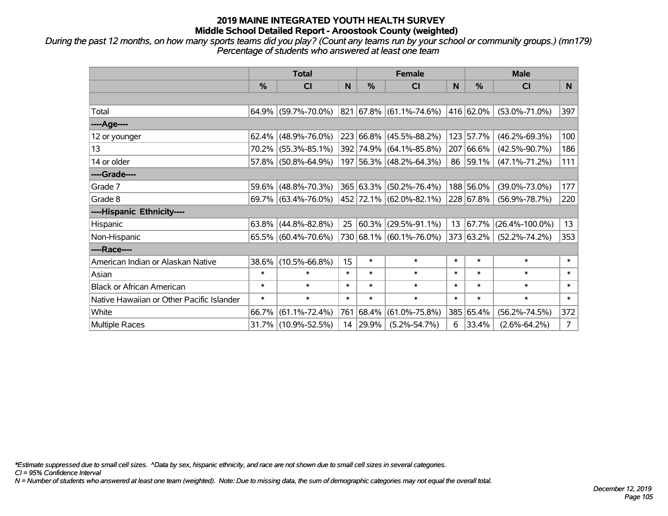*During the past 12 months, on how many sports teams did you play? (Count any teams run by your school or community groups.) (mn179) Percentage of students who answered at least one team*

|                                           | <b>Total</b>  |                        |        |           | <b>Female</b>           |        | <b>Male</b> |                      |                |  |
|-------------------------------------------|---------------|------------------------|--------|-----------|-------------------------|--------|-------------|----------------------|----------------|--|
|                                           | $\frac{0}{0}$ | <b>CI</b>              | N      | $\%$      | <b>CI</b>               | N      | $\%$        | <b>CI</b>            | N              |  |
|                                           |               |                        |        |           |                         |        |             |                      |                |  |
| Total                                     |               | $64.9\%$ (59.7%-70.0%) |        |           | 821 67.8% (61.1%-74.6%) |        | 416 62.0%   | $(53.0\% - 71.0\%)$  | 397            |  |
| ----Age----                               |               |                        |        |           |                         |        |             |                      |                |  |
| 12 or younger                             | $62.4\%$      | $(48.9\% - 76.0\%)$    |        | 223 66.8% | $(45.5\% - 88.2\%)$     |        | 123 57.7%   | $(46.2\% - 69.3\%)$  | 100            |  |
| 13                                        |               | 70.2% (55.3%-85.1%)    |        | 392 74.9% | $(64.1\% - 85.8\%)$     |        | 207 66.6%   | $(42.5\% - 90.7\%)$  | 186            |  |
| 14 or older                               |               | 57.8% (50.8%-64.9%)    |        |           | 197 56.3% (48.2%-64.3%) |        | 86 59.1%    | $(47.1\% - 71.2\%)$  | 111            |  |
| ----Grade----                             |               |                        |        |           |                         |        |             |                      |                |  |
| Grade 7                                   | $59.6\%$      | $(48.8\% - 70.3\%)$    |        | 365 63.3% | $(50.2\% - 76.4\%)$     |        | 188 56.0%   | $(39.0\% - 73.0\%)$  | 177            |  |
| Grade 8                                   |               | $69.7\%$ (63.4%-76.0%) |        |           | 452 72.1% (62.0%-82.1%) |        | 228 67.8%   | $(56.9\% - 78.7\%)$  | 220            |  |
| ----Hispanic Ethnicity----                |               |                        |        |           |                         |        |             |                      |                |  |
| <b>Hispanic</b>                           | $63.8\%$      | $(44.8\% - 82.8\%)$    | 25     | 60.3%     | $(29.5\% - 91.1\%)$     | 13     | 67.7%       | $(26.4\% - 100.0\%)$ | 13             |  |
| Non-Hispanic                              |               | 65.5% (60.4%-70.6%)    |        |           | 730 68.1% (60.1%-76.0%) |        | 373 63.2%   | $(52.2\% - 74.2\%)$  | 353            |  |
| ----Race----                              |               |                        |        |           |                         |        |             |                      |                |  |
| American Indian or Alaskan Native         | $38.6\%$      | $(10.5\% - 66.8\%)$    | 15     | $\ast$    | $\ast$                  | $\ast$ | $\ast$      | $\ast$               | $\ast$         |  |
| Asian                                     | $\ast$        | $\ast$                 | $\ast$ | $\ast$    | $\ast$                  | $\ast$ | $\ast$      | $\ast$               | $\ast$         |  |
| <b>Black or African American</b>          | $\ast$        | $\ast$                 | $\ast$ | $\ast$    | $\ast$                  | $\ast$ | $\ast$      | $\ast$               | $\ast$         |  |
| Native Hawaiian or Other Pacific Islander | $\ast$        | $\ast$                 | $\ast$ | $\ast$    | $\ast$                  | $\ast$ | $\ast$      | $\ast$               | $\ast$         |  |
| White                                     | 66.7%         | $(61.1\% - 72.4\%)$    | 761    | 68.4%     | $(61.0\% - 75.8\%)$     |        | 385 65.4%   | $(56.2\% - 74.5\%)$  | 372            |  |
| Multiple Races                            |               | 31.7% (10.9%-52.5%)    |        | 14 29.9%  | $(5.2\% - 54.7\%)$      | 6      | 33.4%       | $(2.6\% - 64.2\%)$   | $\overline{7}$ |  |

*\*Estimate suppressed due to small cell sizes. ^Data by sex, hispanic ethnicity, and race are not shown due to small cell sizes in several categories.*

*CI = 95% Confidence Interval*

*N = Number of students who answered at least one team (weighted). Note: Due to missing data, the sum of demographic categories may not equal the overall total.*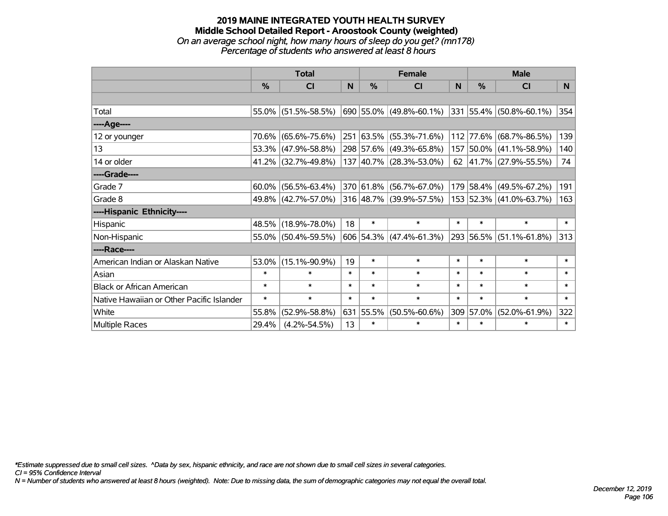### **2019 MAINE INTEGRATED YOUTH HEALTH SURVEY Middle School Detailed Report - Aroostook County (weighted)** *On an average school night, how many hours of sleep do you get? (mn178) Percentage of students who answered at least 8 hours*

|                                           | <b>Total</b>  |                     |        | <b>Female</b> | <b>Male</b>                 |        |           |                                  |        |
|-------------------------------------------|---------------|---------------------|--------|---------------|-----------------------------|--------|-----------|----------------------------------|--------|
|                                           | $\frac{0}{0}$ | CI                  | N      | $\%$          | <b>CI</b>                   | N      | $\%$      | <b>CI</b>                        | N      |
|                                           |               |                     |        |               |                             |        |           |                                  |        |
| Total                                     |               | 55.0% (51.5%-58.5%) |        |               | 690   55.0%   (49.8%-60.1%) |        |           | $ 331 55.4\%  (50.8\% - 60.1\%)$ | 354    |
| ----Age----                               |               |                     |        |               |                             |        |           |                                  |        |
| 12 or younger                             | 70.6%         | $(65.6\% - 75.6\%)$ |        |               | 251 63.5% (55.3%-71.6%)     | 112    | 77.6%     | $(68.7\% - 86.5\%)$              | 139    |
| 13                                        |               | 53.3% (47.9%-58.8%) |        |               | 298 57.6% (49.3%-65.8%)     |        |           | 157 50.0% (41.1%-58.9%)          | 140    |
| 14 or older                               |               | 41.2% (32.7%-49.8%) |        |               | $137 40.7\% $ (28.3%-53.0%) |        |           | 62 $ 41.7\% $ (27.9%-55.5%)      | 74     |
| ----Grade----                             |               |                     |        |               |                             |        |           |                                  |        |
| Grade 7                                   | 60.0%         | $(56.5\% - 63.4\%)$ |        |               | 370 61.8% (56.7%-67.0%)     |        | 179 58.4% | $(49.5\% - 67.2\%)$              | 191    |
| Grade 8                                   |               | 49.8% (42.7%-57.0%) |        |               | 316 48.7% (39.9%-57.5%)     |        |           | 153 52.3% (41.0%-63.7%)          | 163    |
| ----Hispanic Ethnicity----                |               |                     |        |               |                             |        |           |                                  |        |
| Hispanic                                  |               | 48.5% (18.9%-78.0%) | 18     | $\ast$        | $\ast$                      | $\ast$ | $\ast$    | $\ast$                           | $\ast$ |
| Non-Hispanic                              |               | 55.0% (50.4%-59.5%) |        |               | $606$ 54.3% (47.4%-61.3%)   |        |           | 293 56.5% (51.1%-61.8%)          | 313    |
| ----Race----                              |               |                     |        |               |                             |        |           |                                  |        |
| American Indian or Alaskan Native         | 53.0%         | $(15.1\% - 90.9\%)$ | 19     | $\ast$        | $\ast$                      | $\ast$ | $\ast$    | $\ast$                           | $\ast$ |
| Asian                                     | $\ast$        | $\ast$              | $\ast$ | $\ast$        | $\ast$                      | $\ast$ | $\ast$    | $\ast$                           | $\ast$ |
| <b>Black or African American</b>          | $\ast$        | $\ast$              | $\ast$ | $\ast$        | $\ast$                      | $\ast$ | $\ast$    | $\ast$                           | $\ast$ |
| Native Hawaiian or Other Pacific Islander | $\ast$        | $\ast$              | $\ast$ | $\ast$        | $\ast$                      | $\ast$ | $\ast$    | $\ast$                           | $\ast$ |
| White                                     | 55.8%         | $(52.9\% - 58.8\%)$ |        | 631 55.5%     | $(50.5\% - 60.6\%)$         | 309    | 57.0%     | $(52.0\% - 61.9\%)$              | 322    |
| Multiple Races                            | 29.4%         | $(4.2\% - 54.5\%)$  | 13     | $\ast$        | $\ast$                      | $\ast$ | $\ast$    | $\ast$                           | $\ast$ |

*\*Estimate suppressed due to small cell sizes. ^Data by sex, hispanic ethnicity, and race are not shown due to small cell sizes in several categories.*

*CI = 95% Confidence Interval*

*N = Number of students who answered at least 8 hours (weighted). Note: Due to missing data, the sum of demographic categories may not equal the overall total.*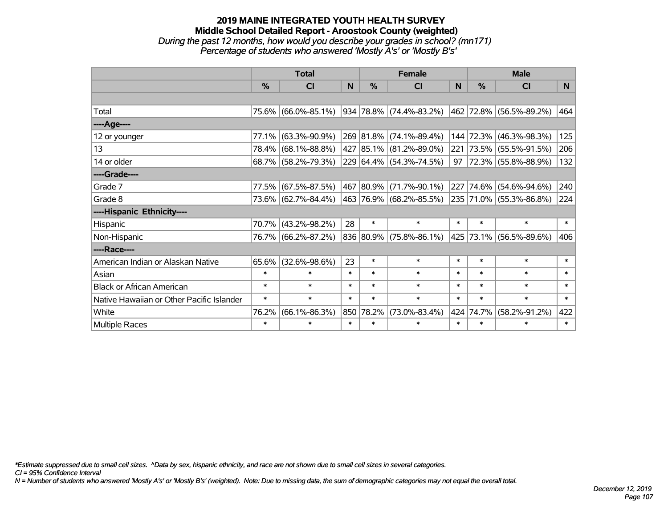# **2019 MAINE INTEGRATED YOUTH HEALTH SURVEY Middle School Detailed Report - Aroostook County (weighted)** *During the past 12 months, how would you describe your grades in school? (mn171) Percentage of students who answered 'Mostly A's' or 'Mostly B's'*

|                                           | <b>Total</b>  |                     | <b>Female</b> |               |                         | <b>Male</b> |           |                         |                |
|-------------------------------------------|---------------|---------------------|---------------|---------------|-------------------------|-------------|-----------|-------------------------|----------------|
|                                           | $\frac{0}{0}$ | CI                  | N.            | $\frac{0}{0}$ | CI                      | <b>N</b>    | %         | <b>CI</b>               | N <sub>1</sub> |
|                                           |               |                     |               |               |                         |             |           |                         |                |
| Total                                     |               | 75.6% (66.0%-85.1%) |               |               | 934 78.8% (74.4%-83.2%) |             |           | 462 72.8% (56.5%-89.2%) | 464            |
| ----Age----                               |               |                     |               |               |                         |             |           |                         |                |
| 12 or younger                             | 77.1%         | $(63.3\% - 90.9\%)$ |               |               | 269 81.8% (74.1%-89.4%) | 144         | 72.3%     | $(46.3\% - 98.3\%)$     | 125            |
| 13                                        |               | 78.4% (68.1%-88.8%) |               |               | 427 85.1% (81.2%-89.0%) | 221         |           | 73.5% (55.5%-91.5%)     | 206            |
| 14 or older                               |               | 68.7% (58.2%-79.3%) |               |               | 229 64.4% (54.3%-74.5%) | $97 \mid$   |           | 72.3% (55.8%-88.9%)     | 132            |
| ----Grade----                             |               |                     |               |               |                         |             |           |                         |                |
| Grade 7                                   | 77.5%         | $(67.5\% - 87.5\%)$ |               |               | 467 80.9% (71.7%-90.1%) | 227         | 74.6%     | $(54.6\% - 94.6\%)$     | 240            |
| Grade 8                                   |               | 73.6% (62.7%-84.4%) |               |               | 463 76.9% (68.2%-85.5%) |             |           | 235 71.0% (55.3%-86.8%) | 224            |
| ----Hispanic Ethnicity----                |               |                     |               |               |                         |             |           |                         |                |
| Hispanic                                  |               | 70.7% (43.2%-98.2%) | 28            | $\ast$        | $\ast$                  | $\ast$      | $\ast$    | $\ast$                  | $\ast$         |
| Non-Hispanic                              |               | 76.7% (66.2%-87.2%) |               |               | 836 80.9% (75.8%-86.1%) |             | 425 73.1% | $(56.5\% - 89.6\%)$     | 406            |
| ----Race----                              |               |                     |               |               |                         |             |           |                         |                |
| American Indian or Alaskan Native         | 65.6%         | $(32.6\% - 98.6\%)$ | 23            | $\ast$        | $\ast$                  | $\ast$      | $\ast$    | $\ast$                  | $\ast$         |
| Asian                                     | $\ast$        | $\ast$              | $\ast$        | $\ast$        | $\ast$                  | $\ast$      | $\ast$    | $\ast$                  | $\ast$         |
| <b>Black or African American</b>          | $\ast$        | $\ast$              | $\ast$        | $\ast$        | $\ast$                  | $\ast$      | $\ast$    | $\ast$                  | $\ast$         |
| Native Hawaiian or Other Pacific Islander | $\ast$        | $\ast$              | $\ast$        | $\ast$        | $\ast$                  | $\ast$      | $\ast$    | $\ast$                  | $\ast$         |
| White                                     | 76.2%         | $(66.1\% - 86.3\%)$ |               | 850 78.2%     | $(73.0\% - 83.4\%)$     | 424         | 74.7%     | $(58.2\% - 91.2\%)$     | 422            |
| Multiple Races                            | $\ast$        | $\ast$              | $\ast$        | $\ast$        | $\ast$                  | $\ast$      | $\ast$    | $\ast$                  | $\ast$         |

*\*Estimate suppressed due to small cell sizes. ^Data by sex, hispanic ethnicity, and race are not shown due to small cell sizes in several categories.*

*CI = 95% Confidence Interval*

*N = Number of students who answered 'Mostly A's' or 'Mostly B's' (weighted). Note: Due to missing data, the sum of demographic categories may not equal the overall total.*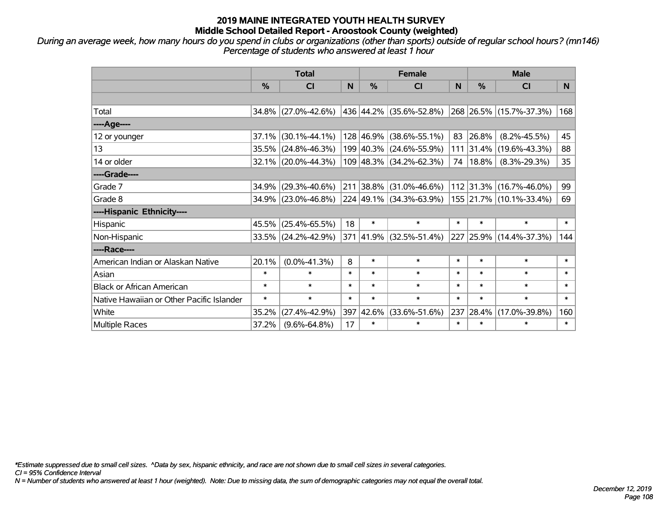*During an average week, how many hours do you spend in clubs or organizations (other than sports) outside of regular school hours? (mn146) Percentage of students who answered at least 1 hour*

|                                           | <b>Total</b>  |                                                |        | <b>Female</b> |                           |        | <b>Male</b>   |                         |                |
|-------------------------------------------|---------------|------------------------------------------------|--------|---------------|---------------------------|--------|---------------|-------------------------|----------------|
|                                           | $\frac{0}{0}$ | <b>CI</b>                                      | N      | $\frac{0}{0}$ | <b>CI</b>                 | N      | $\frac{0}{0}$ | <b>CI</b>               | N <sub>1</sub> |
|                                           |               |                                                |        |               |                           |        |               |                         |                |
| Total                                     |               | 34.8% (27.0%-42.6%)                            |        |               | 436  44.2%  (35.6%-52.8%) |        |               | 268 26.5% (15.7%-37.3%) | 168            |
| ----Age----                               |               |                                                |        |               |                           |        |               |                         |                |
| 12 or younger                             | 37.1%         | $(30.1\% - 44.1\%)$                            |        | 128 46.9%     | $(38.6\% - 55.1\%)$       | 83     | 26.8%         | $(8.2\% - 45.5\%)$      | 45             |
| 13                                        | 35.5%         | $(24.8\% - 46.3\%)$                            |        |               | 199 40.3% (24.6%-55.9%)   |        | 111 31.4%     | $(19.6\% - 43.3\%)$     | 88             |
| 14 or older                               |               | 32.1% (20.0%-44.3%)                            |        |               | 109 48.3% (34.2%-62.3%)   | 74     | $18.8\%$      | $(8.3\% - 29.3\%)$      | 35             |
| ----Grade----                             |               |                                                |        |               |                           |        |               |                         |                |
| Grade 7                                   | 34.9%         | $(29.3\% - 40.6\%)$                            |        | 211 38.8%     | (31.0%-46.6%)             |        | 112 31.3%     | $(16.7\% - 46.0\%)$     | 99             |
| Grade 8                                   |               | $34.9\%$ (23.0%-46.8%) 224 49.1% (34.3%-63.9%) |        |               |                           |        |               | 155 21.7% (10.1%-33.4%) | 69             |
| ----Hispanic Ethnicity----                |               |                                                |        |               |                           |        |               |                         |                |
| Hispanic                                  | 45.5%         | $(25.4\% - 65.5\%)$                            | 18     | $\ast$        | $\ast$                    | $\ast$ | $\ast$        | $\ast$                  | $\ast$         |
| Non-Hispanic                              |               | 33.5% (24.2%-42.9%)                            |        |               | 371 41.9% (32.5%-51.4%)   |        |               | 227 25.9% (14.4%-37.3%) | 144            |
| ----Race----                              |               |                                                |        |               |                           |        |               |                         |                |
| American Indian or Alaskan Native         | 20.1%         | $(0.0\% - 41.3\%)$                             | 8      | $\ast$        | $\ast$                    | $\ast$ | $\ast$        | $\ast$                  | $\ast$         |
| Asian                                     | $\ast$        | $\ast$                                         | $\ast$ | $\ast$        | $\ast$                    | $\ast$ | $\ast$        | $\ast$                  | $\ast$         |
| <b>Black or African American</b>          | $\ast$        | $\ast$                                         | $\ast$ | $\ast$        | $\ast$                    | $\ast$ | $\ast$        | $\ast$                  | $\ast$         |
| Native Hawaiian or Other Pacific Islander | $\ast$        | $\ast$                                         | $\ast$ | $\ast$        | $\ast$                    | $\ast$ | $\ast$        | $\ast$                  | $\ast$         |
| White                                     | 35.2%         | $(27.4\% - 42.9\%)$                            | 397    | 42.6%         | $(33.6\% - 51.6\%)$       | 237    | 28.4%         | $(17.0\% - 39.8\%)$     | 160            |
| <b>Multiple Races</b>                     | 37.2%         | $(9.6\% - 64.8\%)$                             | 17     | $\ast$        | $\ast$                    | $\ast$ | $\ast$        | $\ast$                  | $\ast$         |

*\*Estimate suppressed due to small cell sizes. ^Data by sex, hispanic ethnicity, and race are not shown due to small cell sizes in several categories.*

*CI = 95% Confidence Interval*

*N = Number of students who answered at least 1 hour (weighted). Note: Due to missing data, the sum of demographic categories may not equal the overall total.*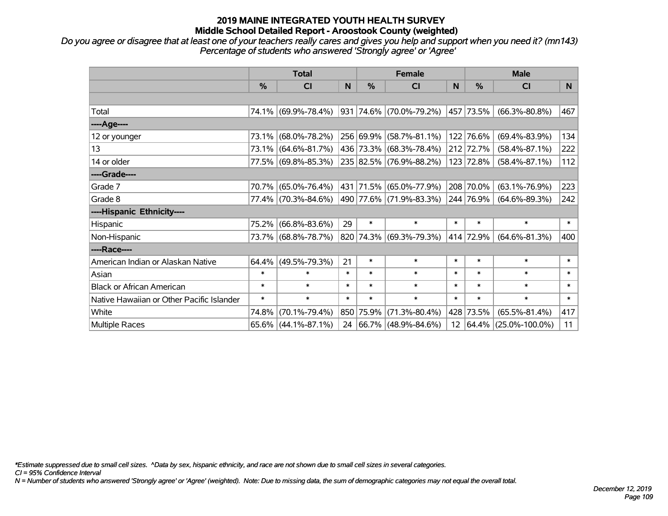## **2019 MAINE INTEGRATED YOUTH HEALTH SURVEY Middle School Detailed Report - Aroostook County (weighted)**

*Do you agree or disagree that at least one of your teachers really cares and gives you help and support when you need it? (mn143) Percentage of students who answered 'Strongly agree' or 'Agree'*

|                                           | <b>Total</b> |                        |        | <b>Female</b> |                             |        | <b>Male</b>   |                         |                |
|-------------------------------------------|--------------|------------------------|--------|---------------|-----------------------------|--------|---------------|-------------------------|----------------|
|                                           | %            | <b>CI</b>              | N.     | $\frac{0}{0}$ | <b>CI</b>                   | N      | $\frac{0}{0}$ | <b>CI</b>               | N <sub>1</sub> |
|                                           |              |                        |        |               |                             |        |               |                         |                |
| Total                                     |              | 74.1% (69.9%-78.4%)    |        |               | 931 74.6% (70.0%-79.2%)     |        | 457 73.5%     | $(66.3\% - 80.8\%)$     | 467            |
| ----Age----                               |              |                        |        |               |                             |        |               |                         |                |
| 12 or younger                             | 73.1%        | $(68.0\% - 78.2\%)$    |        | 256 69.9%     | $(58.7\% - 81.1\%)$         |        | 122 76.6%     | $(69.4\% - 83.9\%)$     | 134            |
| 13                                        |              | 73.1% (64.6%-81.7%)    |        |               | 436 73.3% (68.3%-78.4%)     |        | 212 72.7%     | $(58.4\% - 87.1\%)$     | 222            |
| 14 or older                               |              | 77.5% (69.8%-85.3%)    |        |               | 235 82.5% (76.9%-88.2%)     |        | 123 72.8%     | $(58.4\% - 87.1\%)$     | 112            |
| ----Grade----                             |              |                        |        |               |                             |        |               |                         |                |
| Grade 7                                   |              | 70.7% (65.0%-76.4%)    |        | 431 71.5%     | $(65.0\% - 77.9\%)$         |        | 208 70.0%     | $(63.1\% - 76.9\%)$     | 223            |
| Grade 8                                   |              | 77.4% (70.3%-84.6%)    |        |               | 490   77.6%   (71.9%-83.3%) |        | 244 76.9%     | $(64.6\% - 89.3\%)$     | 242            |
| ----Hispanic Ethnicity----                |              |                        |        |               |                             |        |               |                         |                |
| Hispanic                                  | 75.2%        | $(66.8\% - 83.6\%)$    | 29     | $\ast$        | $\ast$                      | $\ast$ | $\ast$        | $\ast$                  | $\ast$         |
| Non-Hispanic                              |              | 73.7% (68.8%-78.7%)    |        |               | 820 74.3% (69.3%-79.3%)     |        | 414 72.9%     | $(64.6\% - 81.3\%)$     | 400            |
| ----Race----                              |              |                        |        |               |                             |        |               |                         |                |
| American Indian or Alaskan Native         | 64.4%        | $(49.5\% - 79.3\%)$    | 21     | $\ast$        | $\ast$                      | $\ast$ | $\ast$        | $\ast$                  | $\ast$         |
| Asian                                     | $\ast$       | $\ast$                 | $\ast$ | $\ast$        | $\ast$                      | $\ast$ | $\ast$        | $\ast$                  | $\ast$         |
| <b>Black or African American</b>          | $\ast$       | $\ast$                 | $\ast$ | $\ast$        | $\ast$                      | $\ast$ | $\ast$        | $\ast$                  | $\ast$         |
| Native Hawaiian or Other Pacific Islander | $\ast$       | $\ast$                 | $\ast$ | $\ast$        | $\ast$                      | $\ast$ | $\ast$        | $\ast$                  | $\ast$         |
| White                                     | 74.8%        | $(70.1\% - 79.4\%)$    | 850    | 75.9%         | $(71.3\% - 80.4\%)$         | 428    | 73.5%         | $(65.5\% - 81.4\%)$     | 417            |
| Multiple Races                            |              | $65.6\%$ (44.1%-87.1%) |        |               | 24 66.7% (48.9%-84.6%)      |        |               | 12 64.4% (25.0%-100.0%) | 11             |

*\*Estimate suppressed due to small cell sizes. ^Data by sex, hispanic ethnicity, and race are not shown due to small cell sizes in several categories.*

*CI = 95% Confidence Interval*

*N = Number of students who answered 'Strongly agree' or 'Agree' (weighted). Note: Due to missing data, the sum of demographic categories may not equal the overall total.*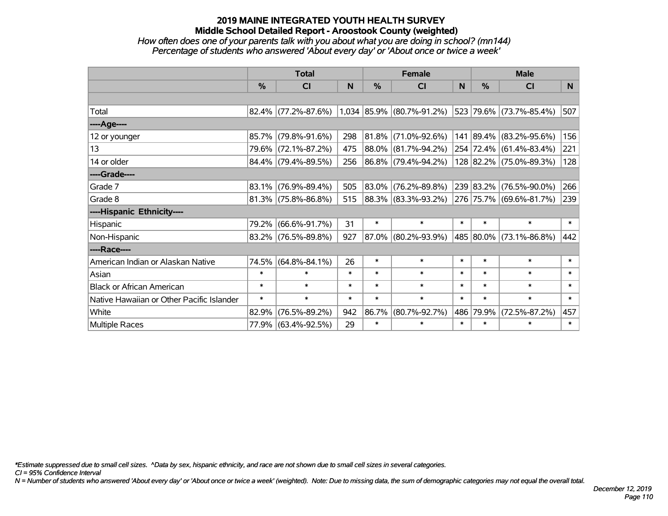## **2019 MAINE INTEGRATED YOUTH HEALTH SURVEY Middle School Detailed Report - Aroostook County (weighted)**

### *How often does one of your parents talk with you about what you are doing in school? (mn144) Percentage of students who answered 'About every day' or 'About once or twice a week'*

|                                           | <b>Total</b> |                        |        | <b>Female</b> |                           |        | <b>Male</b> |                         |                |
|-------------------------------------------|--------------|------------------------|--------|---------------|---------------------------|--------|-------------|-------------------------|----------------|
|                                           | %            | CI                     | N      | %             | <b>CI</b>                 | N      | $\%$        | <b>CI</b>               | N <sub>1</sub> |
|                                           |              |                        |        |               |                           |        |             |                         |                |
| Total                                     |              | $82.4\%$ (77.2%-87.6%) |        |               | 1,034 85.9% (80.7%-91.2%) |        |             | 523 79.6% (73.7%-85.4%) | 507            |
| ----Age----                               |              |                        |        |               |                           |        |             |                         |                |
| 12 or younger                             | 85.7%        | $(79.8\% - 91.6\%)$    | 298    | 81.8%         | $(71.0\% - 92.6\%)$       | 141    |             | 89.4% (83.2%-95.6%)     | 156            |
| 13                                        |              | 79.6% (72.1%-87.2%)    | 475    | $ 88.0\% $    | $(81.7\% - 94.2\%)$       |        |             | 254 72.4% (61.4%-83.4%) | 221            |
| 14 or older                               |              | $84.4\%$ (79.4%-89.5%) | 256    |               | 86.8% (79.4%-94.2%)       |        |             | 128 82.2% (75.0%-89.3%) | 128            |
| ----Grade----                             |              |                        |        |               |                           |        |             |                         |                |
| Grade 7                                   | 83.1%        | $(76.9\% - 89.4\%)$    | 505    | 83.0%         | $(76.2\% - 89.8\%)$       |        | 239 83.2%   | $(76.5\% - 90.0\%)$     | 266            |
| Grade 8                                   |              | $81.3\%$ (75.8%-86.8%) | 515    |               | 88.3% (83.3%-93.2%)       |        |             | 276 75.7% (69.6%-81.7%) | 239            |
| ----Hispanic Ethnicity----                |              |                        |        |               |                           |        |             |                         |                |
| Hispanic                                  | 79.2%        | $(66.6\% - 91.7\%)$    | 31     | $\ast$        | $\ast$                    | $\ast$ | $\ast$      | $\ast$                  | $\ast$         |
| Non-Hispanic                              |              | $83.2\%$ (76.5%-89.8%) | 927    | 87.0%         | $(80.2\% - 93.9\%)$       |        |             | 485 80.0% (73.1%-86.8%) | 442            |
| ----Race----                              |              |                        |        |               |                           |        |             |                         |                |
| American Indian or Alaskan Native         | 74.5%        | $(64.8\% - 84.1\%)$    | 26     | $\ast$        | $\ast$                    | $\ast$ | $\ast$      | $\ast$                  | $\ast$         |
| Asian                                     | $\ast$       | $\ast$                 | $\ast$ | $\ast$        | $\ast$                    | $\ast$ | $\ast$      | $\ast$                  | $\ast$         |
| <b>Black or African American</b>          | $\ast$       | $\ast$                 | $\ast$ | $\ast$        | $\ast$                    | $\ast$ | $\ast$      | $\ast$                  | $\ast$         |
| Native Hawaiian or Other Pacific Islander | $\ast$       | $\ast$                 | $\ast$ | $\ast$        | $\ast$                    | $\ast$ | $\ast$      | $\ast$                  | $\ast$         |
| White                                     | 82.9%        | $(76.5\% - 89.2\%)$    | 942    | 86.7%         | $(80.7\% - 92.7\%)$       | 486    | 79.9%       | $(72.5\% - 87.2\%)$     | 457            |
| Multiple Races                            |              | 77.9% (63.4%-92.5%)    | 29     | $\ast$        | $\ast$                    | $\ast$ | $\ast$      | $\ast$                  | $\ast$         |

*\*Estimate suppressed due to small cell sizes. ^Data by sex, hispanic ethnicity, and race are not shown due to small cell sizes in several categories.*

*CI = 95% Confidence Interval*

*N = Number of students who answered 'About every day' or 'About once or twice a week' (weighted). Note: Due to missing data, the sum of demographic categories may not equal the overall total.*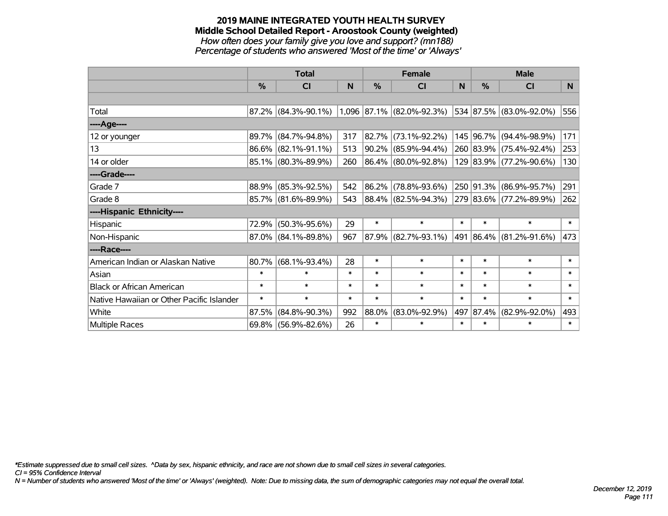#### **2019 MAINE INTEGRATED YOUTH HEALTH SURVEY Middle School Detailed Report - Aroostook County (weighted)** *How often does your family give you love and support? (mn188) Percentage of students who answered 'Most of the time' or 'Always'*

|                                           | <b>Total</b>  |                        |        |               | <b>Female</b>                     |        | <b>Male</b>   |                              |        |
|-------------------------------------------|---------------|------------------------|--------|---------------|-----------------------------------|--------|---------------|------------------------------|--------|
|                                           | $\frac{0}{0}$ | CI                     | N      | $\frac{0}{0}$ | <b>CI</b>                         | N      | $\frac{0}{0}$ | <b>CI</b>                    | N      |
|                                           |               |                        |        |               |                                   |        |               |                              |        |
| Total                                     |               | $87.2\%$ (84.3%-90.1%) |        |               | $(1,096 87.1\% (82.0\% - 92.3\%)$ |        |               | $ 534 87.5\% $ (83.0%-92.0%) | 556    |
| ----Age----                               |               |                        |        |               |                                   |        |               |                              |        |
| 12 or younger                             | 89.7%         | $(84.7\% - 94.8\%)$    | 317    | 82.7%         | $(73.1\% - 92.2\%)$               |        |               | 145 96.7% (94.4%-98.9%)      | 171    |
| 13                                        |               | $86.6\%$ (82.1%-91.1%) | 513    | 90.2%         | $(85.9\% - 94.4\%)$               |        |               | 260 83.9% (75.4%-92.4%)      | 253    |
| 14 or older                               |               | 85.1% (80.3%-89.9%)    | 260    |               | $ 86.4\%  (80.0\% - 92.8\%)$      |        |               | 129 83.9% (77.2%-90.6%)      | 130    |
| ----Grade----                             |               |                        |        |               |                                   |        |               |                              |        |
| Grade 7                                   | 88.9%         | $(85.3\% - 92.5\%)$    | 542    | 86.2%         | $(78.8\% - 93.6\%)$               |        |               | 250 91.3% (86.9%-95.7%)      | 291    |
| Grade 8                                   |               | 85.7% (81.6%-89.9%)    | 543    |               | $ 88.4\% $ (82.5%-94.3%)          |        |               | 279 83.6% (77.2%-89.9%)      | 262    |
| ----Hispanic Ethnicity----                |               |                        |        |               |                                   |        |               |                              |        |
| Hispanic                                  | 72.9%         | $(50.3\% - 95.6\%)$    | 29     | $\ast$        | $\ast$                            | $\ast$ | $\ast$        | $\ast$                       | $\ast$ |
| Non-Hispanic                              |               | 87.0% (84.1%-89.8%)    | 967    |               | 87.9% (82.7%-93.1%)               |        |               | 491 86.4% (81.2%-91.6%)      | 473    |
| ----Race----                              |               |                        |        |               |                                   |        |               |                              |        |
| American Indian or Alaskan Native         | 80.7%         | $(68.1\% - 93.4\%)$    | 28     | $\ast$        | $\ast$                            | $\ast$ | $\ast$        | $\ast$                       | $\ast$ |
| Asian                                     | $\ast$        | $\ast$                 | $\ast$ | $\ast$        | $\ast$                            | $\ast$ | $\ast$        | $\ast$                       | $\ast$ |
| <b>Black or African American</b>          | $\ast$        | $\ast$                 | $\ast$ | $\ast$        | $\ast$                            | $\ast$ | $\ast$        | $\ast$                       | $\ast$ |
| Native Hawaiian or Other Pacific Islander | $\ast$        | $\ast$                 | $\ast$ | $\ast$        | $\ast$                            | $\ast$ | $\ast$        | $\ast$                       | $\ast$ |
| White                                     | 87.5%         | $(84.8\% - 90.3\%)$    | 992    | 88.0%         | $(83.0\% - 92.9\%)$               | 497    | 87.4%         | $(82.9\% - 92.0\%)$          | 493    |
| Multiple Races                            |               | 69.8% (56.9%-82.6%)    | 26     | $\ast$        | $\ast$                            | $\ast$ | $\ast$        | $\ast$                       | $\ast$ |

*\*Estimate suppressed due to small cell sizes. ^Data by sex, hispanic ethnicity, and race are not shown due to small cell sizes in several categories.*

*CI = 95% Confidence Interval*

*N = Number of students who answered 'Most of the time' or 'Always' (weighted). Note: Due to missing data, the sum of demographic categories may not equal the overall total.*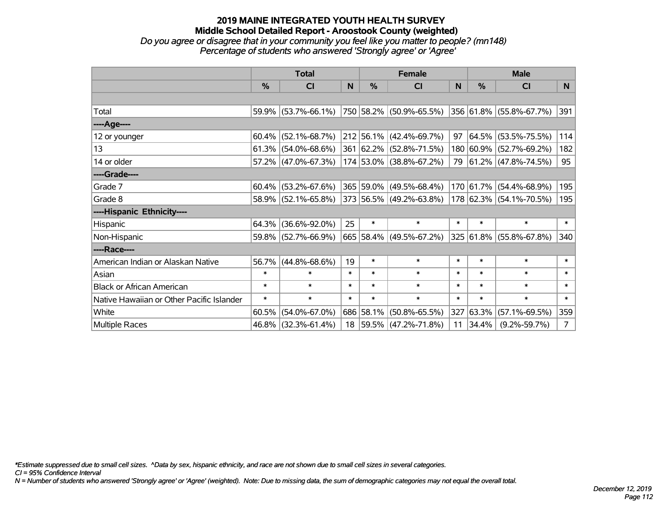# **2019 MAINE INTEGRATED YOUTH HEALTH SURVEY Middle School Detailed Report - Aroostook County (weighted)** *Do you agree or disagree that in your community you feel like you matter to people? (mn148)*

*Percentage of students who answered 'Strongly agree' or 'Agree'*

|                                           | <b>Total</b>  |                        |        | <b>Female</b> |                              |        | <b>Male</b> |                         |                |
|-------------------------------------------|---------------|------------------------|--------|---------------|------------------------------|--------|-------------|-------------------------|----------------|
|                                           | $\frac{0}{0}$ | <b>CI</b>              | N      | %             | <b>CI</b>                    | N      | %           | <b>CI</b>               | N.             |
|                                           |               |                        |        |               |                              |        |             |                         |                |
| Total                                     |               | 59.9% (53.7%-66.1%)    |        |               | 750 58.2% (50.9%-65.5%)      |        |             | 356 61.8% (55.8%-67.7%) | 391            |
| ----Age----                               |               |                        |        |               |                              |        |             |                         |                |
| 12 or younger                             | 60.4%         | $(52.1\% - 68.7\%)$    |        |               | $212$ 56.1% (42.4%-69.7%)    | 97     | 64.5%       | $(53.5\% - 75.5\%)$     | 114            |
| 13                                        |               | $61.3\%$ (54.0%-68.6%) |        |               | 361 62.2% (52.8%-71.5%)      |        | 180 60.9%   | $(52.7\% - 69.2\%)$     | 182            |
| 14 or older                               |               | 57.2% (47.0%-67.3%)    |        |               | 174 53.0% (38.8%-67.2%)      |        |             | 79 61.2% (47.8%-74.5%)  | 95             |
| ----Grade----                             |               |                        |        |               |                              |        |             |                         |                |
| Grade 7                                   | $60.4\%$      | $(53.2\% - 67.6\%)$    |        |               | 365 59.0% (49.5%-68.4%)      |        | 170 61.7%   | $(54.4\% - 68.9\%)$     | 195            |
| Grade 8                                   |               | 58.9% (52.1%-65.8%)    |        |               | $ 373 56.5\% $ (49.2%-63.8%) |        |             | 178 62.3% (54.1%-70.5%) | 195            |
| ----Hispanic Ethnicity----                |               |                        |        |               |                              |        |             |                         |                |
| Hispanic                                  | 64.3%         | $(36.6\% - 92.0\%)$    | 25     | $\ast$        | $\ast$                       | $\ast$ | $\ast$      | $\ast$                  | $\ast$         |
| Non-Hispanic                              |               | 59.8% (52.7%-66.9%)    |        |               | 665 58.4% (49.5%-67.2%)      |        | 325 61.8%   | $(55.8\% - 67.8\%)$     | 340            |
| ----Race----                              |               |                        |        |               |                              |        |             |                         |                |
| American Indian or Alaskan Native         | 56.7%         | $(44.8\% - 68.6\%)$    | 19     | $\ast$        | $\ast$                       | $\ast$ | $\ast$      | $\ast$                  | $\ast$         |
| Asian                                     | $\ast$        | $\ast$                 | $\ast$ | $\ast$        | $\ast$                       | $\ast$ | $\ast$      | $\ast$                  | $\ast$         |
| <b>Black or African American</b>          | $\ast$        | $\ast$                 | $\ast$ | $\ast$        | $\ast$                       | $\ast$ | $\ast$      | $\ast$                  | $\ast$         |
| Native Hawaiian or Other Pacific Islander | $\ast$        | $\ast$                 | $\ast$ | $\ast$        | $\ast$                       | $\ast$ | $\ast$      | $\ast$                  | $\ast$         |
| White                                     | 60.5%         | $(54.0\% - 67.0\%)$    |        | 686 58.1%     | $(50.8\% - 65.5\%)$          | 327    | 63.3%       | $(57.1\% - 69.5\%)$     | 359            |
| Multiple Races                            |               | 46.8% (32.3%-61.4%)    |        |               | 18 59.5% (47.2%-71.8%)       | 11     | 34.4%       | $(9.2\% - 59.7\%)$      | 7 <sup>1</sup> |

*\*Estimate suppressed due to small cell sizes. ^Data by sex, hispanic ethnicity, and race are not shown due to small cell sizes in several categories.*

*CI = 95% Confidence Interval*

*N = Number of students who answered 'Strongly agree' or 'Agree' (weighted). Note: Due to missing data, the sum of demographic categories may not equal the overall total.*